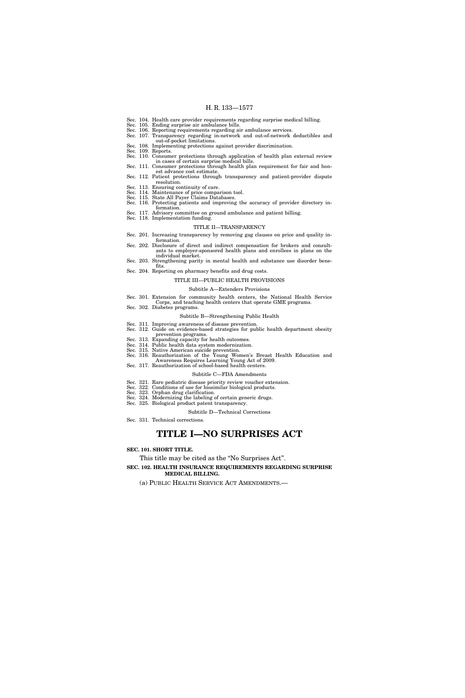- Sec. 104. Health care provider requirements regarding surprise medical billing.
- Sec. 105. Ending surprise air ambulance bills.
- Sec. 106. Reporting requirements regarding air ambulance services. Sec. 107. Transparency regarding in-network and out-of-network deductibles and out-of-pocket limitations.
- Sec. 108. Implementing protections against provider discrimination. Sec. 109. Reports.
- 
- Sec. 110. Consumer protections through application of health plan external review in cases of certain surprise medical bills.
- Sec. 111. Consumer protections through health plan requirement for fair and honest advance cost estimate.
- Sec. 112. Patient protections through transparency and patient-provider dispute resolution.
- Sec. 113. Ensuring continuity of care.
- Sec. 114. Maintenance of price comparison tool. Sec. 115. State All Payer Claims Databases.
- Sec. 116. Protecting patients and improving the accuracy of provider directory in-
- formation. Sec. 117. Advisory committee on ground ambulance and patient billing.
- Sec. 118. Implementation funding.

#### TITLE II—TRANSPARENCY

- Sec. 201. Increasing transparency by removing gag clauses on price and quality in-
- formation. Sec. 202. Disclosure of direct and indirect compensation for brokers and consultants to employer-sponsored health plans and enrollees in plans on the individual market.
- Sec. 203. Strengthening parity in mental health and substance use disorder bene-
- fits. Sec. 204. Reporting on pharmacy benefits and drug costs.

# TITLE III—PUBLIC HEALTH PROVISIONS

- 
- Subtitle A—Extenders Provisions Sec. 301. Extension for community health centers, the National Health Service
- Corps, and teaching health centers that operate GME programs.
- Sec. 302. Diabetes programs.

# Subtitle B—Strengthening Public Health

- Sec. 311. Improving awareness of disease prevention. Sec. 312. Guide on evidence-based strategies for public health department obesity
- prevention programs.
- Sec. 313. Expanding capacity for health outcomes. Sec. 314. Public health data system modernization.
- Sec. 315. Native American suicide prevention.
- Sec. 316. Reauthorization of the Young Women's Breast Health Education and Awareness Requires Learning Young Act of 2009.
- Sec. 317. Reauthorization of school-based health centers.
	- Subtitle C—FDA Amendments
- Sec. 321. Rare pediatric disease priority review voucher extension.
- Sec. 322. Conditions of use for biosimilar biological products.
- Sec. 323. Orphan drug clarification.
- Sec. 324. Modernizing the labeling of certain generic drugs. Sec. 325. Biological product patent transparency.
	- Subtitle D—Technical Corrections
- Sec. 331. Technical corrections.

# **TITLE I—NO SURPRISES ACT**

# **SEC. 101. SHORT TITLE.**

This title may be cited as the "No Surprises Act".

**SEC. 102. HEALTH INSURANCE REQUIREMENTS REGARDING SURPRISE MEDICAL BILLING.** 

(a) PUBLIC HEALTH SERVICE ACT AMENDMENTS.—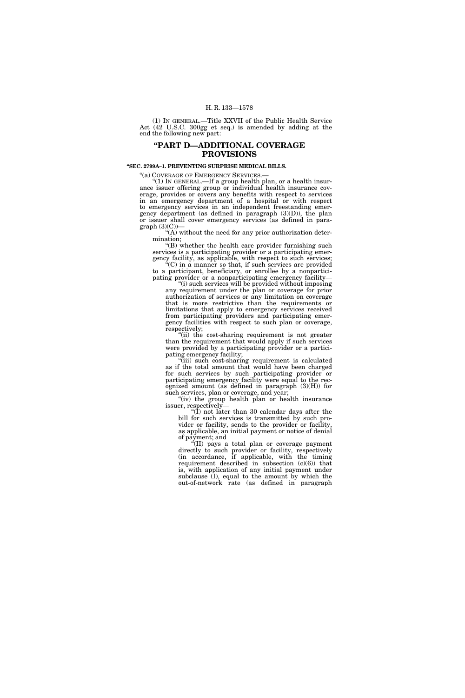(1) IN GENERAL.—Title XXVII of the Public Health Service Act (42 U.S.C. 300gg et seq.) is amended by adding at the end the following new part:

# **''PART D—ADDITIONAL COVERAGE PROVISIONS**

**''SEC. 2799A–1. PREVENTING SURPRISE MEDICAL BILLS.** 

''(a) COVERAGE OF EMERGENCY SERVICES.— ''(1) IN GENERAL.—If a group health plan, or a health insurance issuer offering group or individual health insurance coverage, provides or covers any benefits with respect to services in an emergency department of a hospital or with respect to emergency services in an independent freestanding emergency department (as defined in paragraph (3)(D)), the plan or issuer shall cover emergency services (as defined in para $graph (3)(C)$ 

''(A) without the need for any prior authorization determination;

''(B) whether the health care provider furnishing such services is a participating provider or a participating emergency facility, as applicable, with respect to such services;

''(C) in a manner so that, if such services are provided to a participant, beneficiary, or enrollee by a nonparticipating provider or a nonparticipating emergency facility—

''(i) such services will be provided without imposing any requirement under the plan or coverage for prior authorization of services or any limitation on coverage that is more restrictive than the requirements or limitations that apply to emergency services received from participating providers and participating emergency facilities with respect to such plan or coverage, respectively;

"(ii) the cost-sharing requirement is not greater than the requirement that would apply if such services were provided by a participating provider or a participating emergency facility;

''(iii) such cost-sharing requirement is calculated as if the total amount that would have been charged for such services by such participating provider or participating emergency facility were equal to the recognized amount (as defined in paragraph (3)(H)) for such services, plan or coverage, and year;

"(iv) the group health plan or health insurance issuer, respectively—

 $(1)$  not later than 30 calendar days after the bill for such services is transmitted by such provider or facility, sends to the provider or facility, as applicable, an initial payment or notice of denial of payment; and

''(II) pays a total plan or coverage payment directly to such provider or facility, respectively (in accordance, if applicable, with the timing requirement described in subsection  $(c)(6)$  that is, with application of any initial payment under subclause (I), equal to the amount by which the out-of-network rate (as defined in paragraph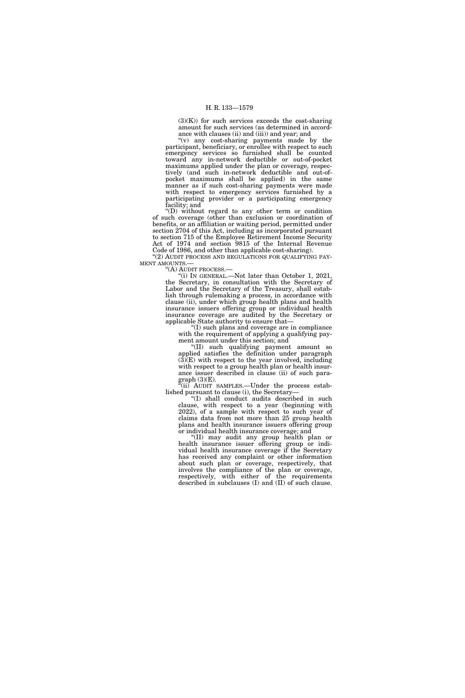$(3)(K)$ ) for such services exceeds the cost-sharing amount for such services (as determined in accordance with clauses (ii) and (iii)) and year; and

''(v) any cost-sharing payments made by the participant, beneficiary, or enrollee with respect to such emergency services so furnished shall be counted toward any in-network deductible or out-of-pocket maximums applied under the plan or coverage, respectively (and such in-network deductible and out-ofpocket maximums shall be applied) in the same manner as if such cost-sharing payments were made with respect to emergency services furnished by a participating provider or a participating emergency facility; and

''(D) without regard to any other term or condition of such coverage (other than exclusion or coordination of benefits, or an affiliation or waiting period, permitted under section 2704 of this Act, including as incorporated pursuant to section 715 of the Employee Retirement Income Security Act of 1974 and section 9815 of the Internal Revenue Code of 1986, and other than applicable cost-sharing).

"(2) AUDIT PROCESS AND REGULATIONS FOR QUALIFYING PAY-MENT AMOUNTS.—

''(A) AUDIT PROCESS.—

"(i) IN GENERAL.—Not later than October 1, 2021, the Secretary, in consultation with the Secretary of Labor and the Secretary of the Treasury, shall establish through rulemaking a process, in accordance with clause (ii), under which group health plans and health insurance issuers offering group or individual health insurance coverage are audited by the Secretary or applicable State authority to ensure that—

''(I) such plans and coverage are in compliance with the requirement of applying a qualifying payment amount under this section; and

''(II) such qualifying payment amount so applied satisfies the definition under paragraph  $(3)(E)$  with respect to the year involved, including with respect to a group health plan or health insurance issuer described in clause (ii) of such paragraph (3)(E).

''(ii) AUDIT SAMPLES.—Under the process established pursuant to clause (i), the Secretary—

''(I) shall conduct audits described in such clause, with respect to a year (beginning with 2022), of a sample with respect to such year of claims data from not more than 25 group health plans and health insurance issuers offering group or individual health insurance coverage; and

''(II) may audit any group health plan or health insurance issuer offering group or individual health insurance coverage if the Secretary has received any complaint or other information about such plan or coverage, respectively, that involves the compliance of the plan or coverage, respectively, with either of the requirements described in subclauses (I) and (II) of such clause.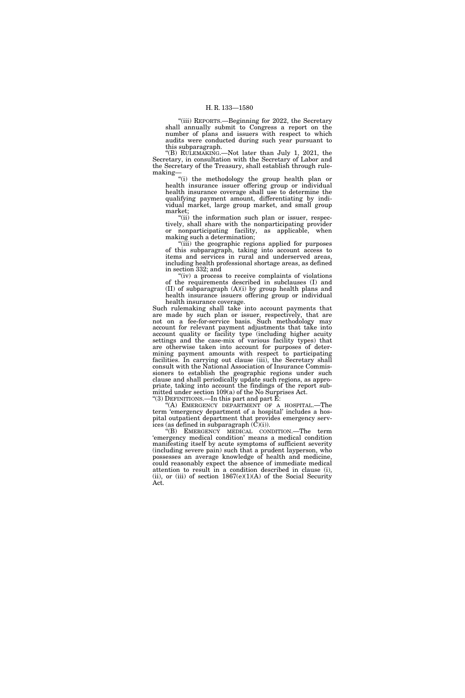''(iii) REPORTS.—Beginning for 2022, the Secretary shall annually submit to Congress a report on the number of plans and issuers with respect to which audits were conducted during such year pursuant to this subparagraph.

''(B) RULEMAKING.—Not later than July 1, 2021, the Secretary, in consultation with the Secretary of Labor and the Secretary of the Treasury, shall establish through rulemaking—

''(i) the methodology the group health plan or health insurance issuer offering group or individual health insurance coverage shall use to determine the qualifying payment amount, differentiating by individual market, large group market, and small group market;

"(ii) the information such plan or issuer, respectively, shall share with the nonparticipating provider or nonparticipating facility, as applicable, when making such a determination;

(iii) the geographic regions applied for purposes of this subparagraph, taking into account access to items and services in rural and underserved areas, including health professional shortage areas, as defined in section 332; and

" $(iv)$  a process to receive complaints of violations" of the requirements described in subclauses (I) and (II) of subparagraph (A)(i) by group health plans and health insurance issuers offering group or individual health insurance coverage.

Such rulemaking shall take into account payments that are made by such plan or issuer, respectively, that are not on a fee-for-service basis. Such methodology may account for relevant payment adjustments that take into account quality or facility type (including higher acuity settings and the case-mix of various facility types) that are otherwise taken into account for purposes of determining payment amounts with respect to participating facilities. In carrying out clause (iii), the Secretary shall consult with the National Association of Insurance Commissioners to establish the geographic regions under such clause and shall periodically update such regions, as appropriate, taking into account the findings of the report submitted under section 109(a) of the No Surprises Act. ''(3) DEFINITIONS.—In this part and part E:

''(A) EMERGENCY DEPARTMENT OF A HOSPITAL.—The term 'emergency department of a hospital' includes a hospital outpatient department that provides emergency services (as defined in subparagraph  $(\tilde{C})(i)$ ).

''(B) EMERGENCY MEDICAL CONDITION.—The term 'emergency medical condition' means a medical condition manifesting itself by acute symptoms of sufficient severity (including severe pain) such that a prudent layperson, who possesses an average knowledge of health and medicine, could reasonably expect the absence of immediate medical attention to result in a condition described in clause (i), (ii), or (iii) of section  $1867(e)(1)(A)$  of the Social Security Act.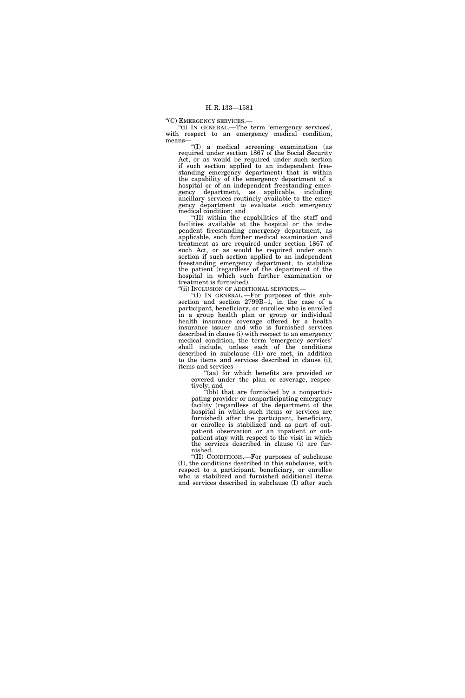''(C) EMERGENCY SERVICES.—

''(i) IN GENERAL.—The term 'emergency services', with respect to an emergency medical condition, means—

''(I) a medical screening examination (as required under section 1867 of the Social Security Act, or as would be required under such section if such section applied to an independent freestanding emergency department) that is within the capability of the emergency department of a hospital or of an independent freestanding emergency department, as applicable, including ancillary services routinely available to the emergency department to evaluate such emergency medical condition; and

''(II) within the capabilities of the staff and facilities available at the hospital or the independent freestanding emergency department, as applicable, such further medical examination and treatment as are required under section 1867 of such Act, or as would be required under such section if such section applied to an independent freestanding emergency department, to stabilize the patient (regardless of the department of the hospital in which such further examination or treatment is furnished).

''(ii) INCLUSION OF ADDITIONAL SERVICES.—

''(I) IN GENERAL.—For purposes of this subsection and section 2799B–1, in the case of a participant, beneficiary, or enrollee who is enrolled in a group health plan or group or individual health insurance coverage offered by a health insurance issuer and who is furnished services described in clause (i) with respect to an emergency medical condition, the term 'emergency services' shall include, unless each of the conditions described in subclause (II) are met, in addition to the items and services described in clause (i), items and services—

"(aa) for which benefits are provided or covered under the plan or coverage, respectively; and

''(bb) that are furnished by a nonparticipating provider or nonparticipating emergency facility (regardless of the department of the hospital in which such items or services are furnished) after the participant, beneficiary, or enrollee is stabilized and as part of outpatient observation or an inpatient or outpatient stay with respect to the visit in which the services described in clause (i) are furnished.

''(II) CONDITIONS.—For purposes of subclause (I), the conditions described in this subclause, with respect to a participant, beneficiary, or enrollee who is stabilized and furnished additional items and services described in subclause (I) after such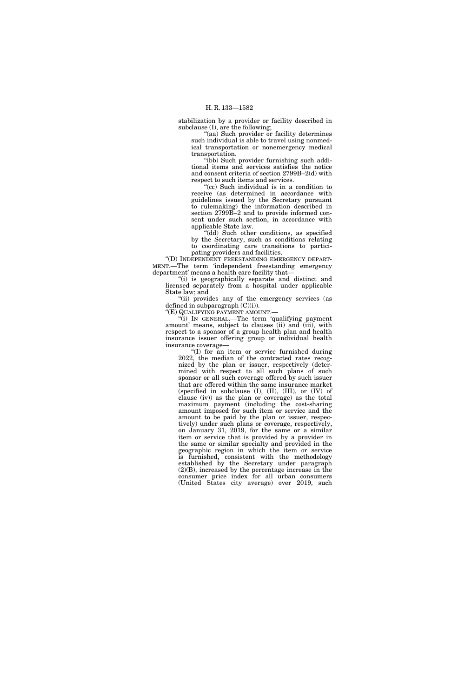stabilization by a provider or facility described in subclause (I), are the following;

"(aa) Such provider or facility determines such individual is able to travel using nonmedical transportation or nonemergency medical transportation.

''(bb) Such provider furnishing such additional items and services satisfies the notice and consent criteria of section 2799B–2(d) with respect to such items and services.

''(cc) Such individual is in a condition to receive (as determined in accordance with guidelines issued by the Secretary pursuant to rulemaking) the information described in section 2799B–2 and to provide informed consent under such section, in accordance with applicable State law.

"(dd) Such other conditions, as specified by the Secretary, such as conditions relating to coordinating care transitions to participating providers and facilities.

''(D) INDEPENDENT FREESTANDING EMERGENCY DEPART-MENT.—The term 'independent freestanding emergency department' means a health care facility that—

''(i) is geographically separate and distinct and licensed separately from a hospital under applicable State law; and

"(ii) provides any of the emergency services (as defined in subparagraph  $(C)(i)$ .

''(E) QUALIFYING PAYMENT AMOUNT.—

''(i) IN GENERAL.—The term 'qualifying payment amount' means, subject to clauses (ii) and (iii), with respect to a sponsor of a group health plan and health insurance issuer offering group or individual health insurance coverage—

''(I) for an item or service furnished during 2022, the median of the contracted rates recognized by the plan or issuer, respectively (determined with respect to all such plans of such sponsor or all such coverage offered by such issuer that are offered within the same insurance market (specified in subclause  $(I)$ ,  $(II)$ ,  $(III)$ , or  $(IV)$  of clause (iv)) as the plan or coverage) as the total maximum payment (including the cost-sharing amount imposed for such item or service and the amount to be paid by the plan or issuer, respectively) under such plans or coverage, respectively, on January 31, 2019, for the same or a similar item or service that is provided by a provider in the same or similar specialty and provided in the geographic region in which the item or service is furnished, consistent with the methodology established by the Secretary under paragraph (2)(B), increased by the percentage increase in the consumer price index for all urban consumers (United States city average) over 2019, such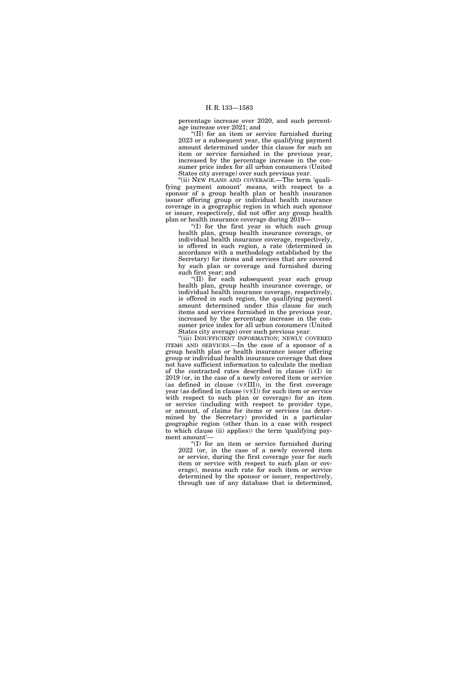percentage increase over 2020, and such percentage increase over 2021; and

''(II) for an item or service furnished during 2023 or a subsequent year, the qualifying payment amount determined under this clause for such an item or service furnished in the previous year, increased by the percentage increase in the consumer price index for all urban consumers (United States city average) over such previous year.

''(ii) NEW PLANS AND COVERAGE.—The term 'qualifying payment amount' means, with respect to a sponsor of a group health plan or health insurance issuer offering group or individual health insurance coverage in a geographic region in which such sponsor or issuer, respectively, did not offer any group health plan or health insurance coverage during 2019—

''(I) for the first year in which such group health plan, group health insurance coverage, or individual health insurance coverage, respectively, is offered in such region, a rate (determined in accordance with a methodology established by the Secretary) for items and services that are covered by such plan or coverage and furnished during such first year; and

''(II) for each subsequent year such group health plan, group health insurance coverage, or individual health insurance coverage, respectively, is offered in such region, the qualifying payment amount determined under this clause for such items and services furnished in the previous year, increased by the percentage increase in the consumer price index for all urban consumers (United States city average) over such previous year.

"(iii) INSUFFICIENT INFORMATION; NEWLY COVERED ITEMS AND SERVICES.—In the case of a sponsor of a group health plan or health insurance issuer offering group or individual health insurance coverage that does not have sufficient information to calculate the median of the contracted rates described in clause (i)(I) in 2019 (or, in the case of a newly covered item or service (as defined in clause (v)(III)), in the first coverage year (as defined in clause  $(v)(I)$ ) for such item or service with respect to such plan or coverage) for an item or service (including with respect to provider type, or amount, of claims for items or services (as determined by the Secretary) provided in a particular geographic region (other than in a case with respect to which clause (ii) applies)) the term 'qualifying payment amount'—

''(I) for an item or service furnished during 2022 (or, in the case of a newly covered item or service, during the first coverage year for such item or service with respect to such plan or coverage), means such rate for such item or service determined by the sponsor or issuer, respectively, through use of any database that is determined,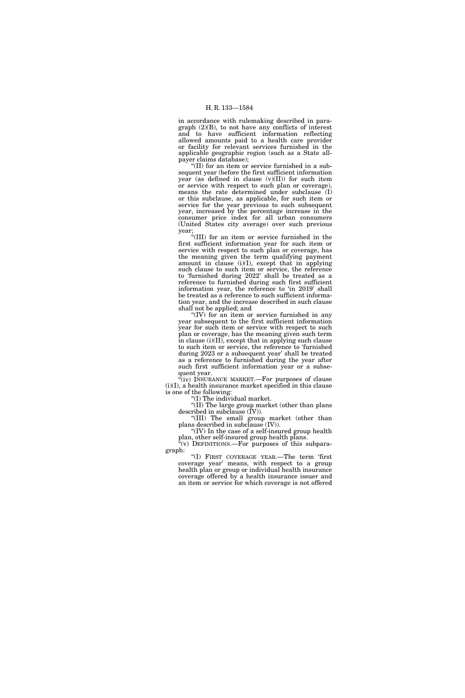in accordance with rulemaking described in paragraph (2)(B), to not have any conflicts of interest and to have sufficient information reflecting allowed amounts paid to a health care provider or facility for relevant services furnished in the applicable geographic region (such as a State allpayer claims database);

''(II) for an item or service furnished in a subsequent year (before the first sufficient information year (as defined in clause (v)(II)) for such item or service with respect to such plan or coverage), means the rate determined under subclause (I) or this subclause, as applicable, for such item or service for the year previous to such subsequent year, increased by the percentage increase in the consumer price index for all urban consumers (United States city average) over such previous year;

''(III) for an item or service furnished in the first sufficient information year for such item or service with respect to such plan or coverage, has the meaning given the term qualifying payment amount in clause  $(i)(I)$ , except that in applying such clause to such item or service, the reference to 'furnished during 2022' shall be treated as a reference to furnished during such first sufficient information year, the reference to 'in 2019' shall be treated as a reference to such sufficient information year, and the increase described in such clause shall not be applied; and

''(IV) for an item or service furnished in any year subsequent to the first sufficient information year for such item or service with respect to such plan or coverage, has the meaning given such term in clause (i)(II), except that in applying such clause to such item or service, the reference to 'furnished during 2023 or a subsequent year' shall be treated as a reference to furnished during the year after such first sufficient information year or a subsequent year.

 $(iv)$  INSURANCE MARKET.—For purposes of clause (i)(I), a health insurance market specified in this clause is one of the following:

 $f(I)$  The individual market.

''(II) The large group market (other than plans described in subclause  $(\bar{I}V)$ ).

''(III) The small group market (other than plans described in subclause (IV)).

''(IV) In the case of a self-insured group health plan, other self-insured group health plans.

 $\tilde{f}(v)$  DEFINITIONS.—For purposes of this subparagraph:

''(I) FIRST COVERAGE YEAR.—The term 'first coverage year' means, with respect to a group health plan or group or individual health insurance coverage offered by a health insurance issuer and an item or service for which coverage is not offered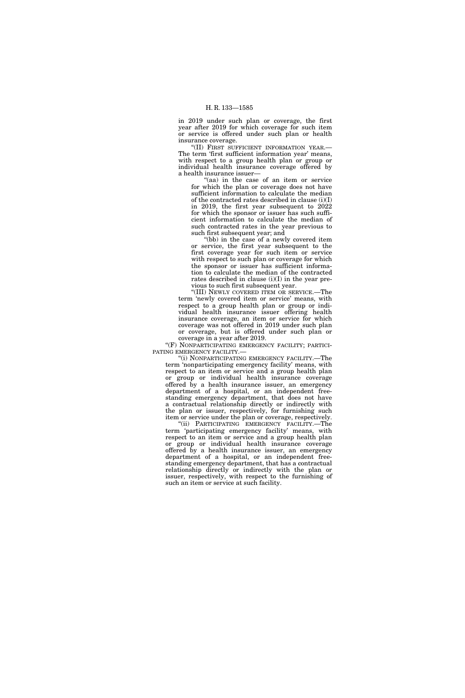in 2019 under such plan or coverage, the first year after 2019 for which coverage for such item or service is offered under such plan or health insurance coverage.

''(II) FIRST SUFFICIENT INFORMATION YEAR.— The term 'first sufficient information year' means, with respect to a group health plan or group or individual health insurance coverage offered by a health insurance issuer—

"(aa) in the case of an item or service for which the plan or coverage does not have sufficient information to calculate the median of the contracted rates described in clause (i)(I) in 2019, the first year subsequent to 2022 for which the sponsor or issuer has such sufficient information to calculate the median of such contracted rates in the year previous to such first subsequent year; and

''(bb) in the case of a newly covered item or service, the first year subsequent to the first coverage year for such item or service with respect to such plan or coverage for which the sponsor or issuer has sufficient information to calculate the median of the contracted rates described in clause  $(i)(I)$  in the year previous to such first subsequent year.

''(III) NEWLY COVERED ITEM OR SERVICE.—The term 'newly covered item or service' means, with respect to a group health plan or group or individual health insurance issuer offering health insurance coverage, an item or service for which coverage was not offered in 2019 under such plan or coverage, but is offered under such plan or coverage in a year after 2019.

"(F) NONPARTICIPATING EMERGENCY FACILITY; PARTICI-PATING EMERGENCY FACILITY.—

''(i) NONPARTICIPATING EMERGENCY FACILITY.—The term 'nonparticipating emergency facility' means, with respect to an item or service and a group health plan or group or individual health insurance coverage offered by a health insurance issuer, an emergency department of a hospital, or an independent freestanding emergency department, that does not have a contractual relationship directly or indirectly with the plan or issuer, respectively, for furnishing such item or service under the plan or coverage, respectively.

''(ii) PARTICIPATING EMERGENCY FACILITY.—The term 'participating emergency facility' means, with respect to an item or service and a group health plan or group or individual health insurance coverage offered by a health insurance issuer, an emergency department of a hospital, or an independent freestanding emergency department, that has a contractual relationship directly or indirectly with the plan or issuer, respectively, with respect to the furnishing of such an item or service at such facility.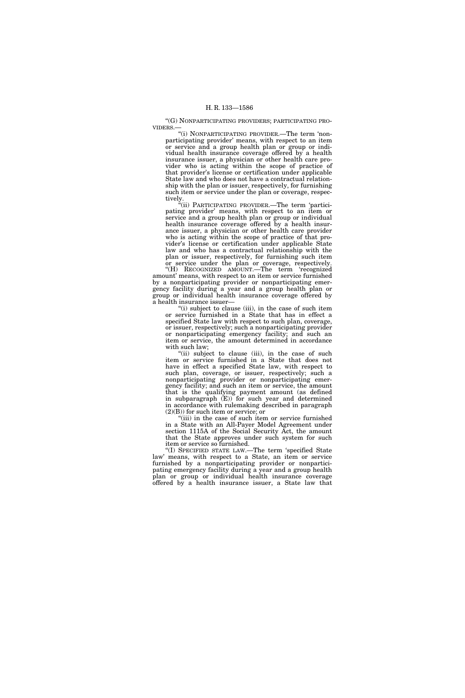''(G) NONPARTICIPATING PROVIDERS; PARTICIPATING PRO-VIDERS.—

''(i) NONPARTICIPATING PROVIDER.—The term 'nonparticipating provider' means, with respect to an item or service and a group health plan or group or individual health insurance coverage offered by a health insurance issuer, a physician or other health care provider who is acting within the scope of practice of that provider's license or certification under applicable State law and who does not have a contractual relationship with the plan or issuer, respectively, for furnishing such item or service under the plan or coverage, respectively.

''(ii) PARTICIPATING PROVIDER.—The term 'participating provider' means, with respect to an item or service and a group health plan or group or individual health insurance coverage offered by a health insurance issuer, a physician or other health care provider who is acting within the scope of practice of that provider's license or certification under applicable State law and who has a contractual relationship with the plan or issuer, respectively, for furnishing such item or service under the plan or coverage, respectively.

''(H) RECOGNIZED AMOUNT.—The term 'recognized amount' means, with respect to an item or service furnished by a nonparticipating provider or nonparticipating emergency facility during a year and a group health plan or group or individual health insurance coverage offered by a health insurance issuer—

"(i) subject to clause (iii), in the case of such item or service furnished in a State that has in effect a specified State law with respect to such plan, coverage, or issuer, respectively; such a nonparticipating provider or nonparticipating emergency facility; and such an item or service, the amount determined in accordance with such law;

"(ii) subject to clause (iii), in the case of such item or service furnished in a State that does not have in effect a specified State law, with respect to such plan, coverage, or issuer, respectively; such a nonparticipating provider or nonparticipating emergency facility; and such an item or service, the amount that is the qualifying payment amount (as defined in subparagraph (E)) for such year and determined in accordance with rulemaking described in paragraph (2)(B)) for such item or service; or

''(iii) in the case of such item or service furnished in a State with an All-Payer Model Agreement under section 1115A of the Social Security Act, the amount that the State approves under such system for such item or service so furnished.

''(I) SPECIFIED STATE LAW.—The term 'specified State law' means, with respect to a State, an item or service furnished by a nonparticipating provider or nonparticipating emergency facility during a year and a group health plan or group or individual health insurance coverage offered by a health insurance issuer, a State law that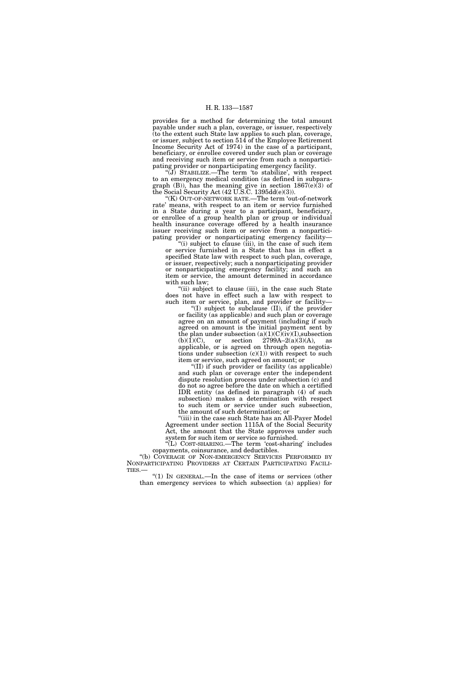provides for a method for determining the total amount payable under such a plan, coverage, or issuer, respectively (to the extent such State law applies to such plan, coverage, or issuer, subject to section 514 of the Employee Retirement Income Security Act of 1974) in the case of a participant, beneficiary, or enrollee covered under such plan or coverage and receiving such item or service from such a nonparticipating provider or nonparticipating emergency facility.

''(J) STABILIZE.—The term 'to stabilize', with respect to an emergency medical condition (as defined in subparagraph  $(B)$ ), has the meaning give in section 1867(e)(3) of the Social Security Act (42 U.S.C. 1395dd(e)(3)).

''(K) OUT-OF-NETWORK RATE.—The term 'out-of-network rate' means, with respect to an item or service furnished in a State during a year to a participant, beneficiary, or enrollee of a group health plan or group or individual health insurance coverage offered by a health insurance issuer receiving such item or service from a nonparticipating provider or nonparticipating emergency facility—

"(i) subject to clause (iii), in the case of such item or service furnished in a State that has in effect a specified State law with respect to such plan, coverage, or issuer, respectively; such a nonparticipating provider or nonparticipating emergency facility; and such an item or service, the amount determined in accordance with such law;

"(ii) subject to clause (iii), in the case such State does not have in effect such a law with respect to such item or service, plan, and provider or facility—

''(I) subject to subclause (II), if the provider or facility (as applicable) and such plan or coverage agree on an amount of payment (including if such agreed on amount is the initial payment sent by the plan under subsection  $(a)(1)(C)(iv)(I)$ , subsection  $(b)(1)(C)$ , or section 2799A–2(a)(3)(A), as applicable, or is agreed on through open negotiations under subsection  $(c)(1)$ ) with respect to such item or service, such agreed on amount; or

''(II) if such provider or facility (as applicable) and such plan or coverage enter the independent dispute resolution process under subsection (c) and do not so agree before the date on which a certified IDR entity (as defined in paragraph (4) of such subsection) makes a determination with respect to such item or service under such subsection, the amount of such determination; or

''(iii) in the case such State has an All-Payer Model Agreement under section 1115A of the Social Security Act, the amount that the State approves under such system for such item or service so furnished.

''(L) COST-SHARING.—The term 'cost-sharing' includes copayments, coinsurance, and deductibles.

"(b) COVERAGE OF NON-EMERGENCY SERVICES PERFORMED BY NONPARTICIPATING PROVIDERS AT CERTAIN PARTICIPATING FACILI-

TIES.—  $\degree$  (1) In GENERAL.—In the case of items or services (other than emergency services to which subsection (a) applies) for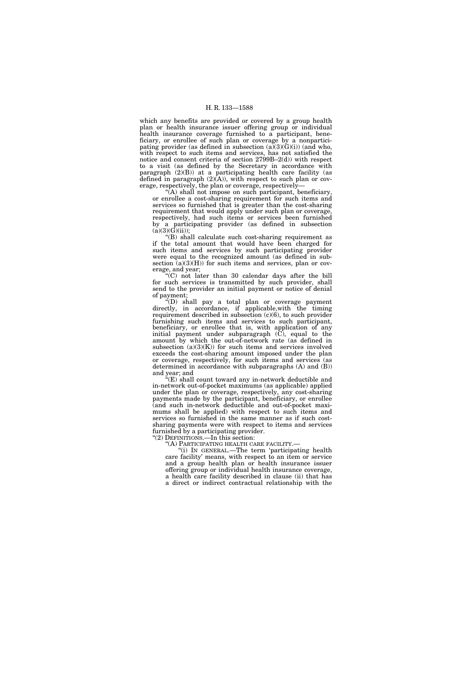which any benefits are provided or covered by a group health plan or health insurance issuer offering group or individual health insurance coverage furnished to a participant, beneficiary, or enrollee of such plan or coverage by a nonparticipating provider (as defined in subsection  $(a)(3)(G)(i)$ ) (and who, with respect to such items and services, has not satisfied the notice and consent criteria of section 2799B–2(d)) with respect to a visit (as defined by the Secretary in accordance with paragraph (2)(B)) at a participating health care facility (as defined in paragraph  $(2)(A)$ , with respect to such plan or coverage, respectively, the plan or coverage, respectively—

''(A) shall not impose on such participant, beneficiary, or enrollee a cost-sharing requirement for such items and services so furnished that is greater than the cost-sharing requirement that would apply under such plan or coverage, respectively, had such items or services been furnished by a participating provider (as defined in subsection  $(a)(3)(\vec{G})(ii)$ ;

''(B) shall calculate such cost-sharing requirement as if the total amount that would have been charged for such items and services by such participating provider were equal to the recognized amount (as defined in subsection  $(a)(3)(H)$  for such items and services, plan or coverage, and year;

''(C) not later than 30 calendar days after the bill for such services is transmitted by such provider, shall send to the provider an initial payment or notice of denial of payment;

''(D) shall pay a total plan or coverage payment directly, in accordance, if applicable,with the timing requirement described in subsection  $(c)(6)$ , to such provider furnishing such items and services to such participant, beneficiary, or enrollee that is, with application of any initial payment under subparagraph (C), equal to the amount by which the out-of-network rate (as defined in subsection  $(a)(3)(K)$  for such items and services involved exceeds the cost-sharing amount imposed under the plan or coverage, respectively, for such items and services (as determined in accordance with subparagraphs (A) and (B)) and year; and

''(E) shall count toward any in-network deductible and in-network out-of-pocket maximums (as applicable) applied under the plan or coverage, respectively, any cost-sharing payments made by the participant, beneficiary, or enrollee (and such in-network deductible and out-of-pocket maximums shall be applied) with respect to such items and services so furnished in the same manner as if such costsharing payments were with respect to items and services furnished by a participating provider.

"(2) DEFINITIONS.—In this section:<br>"(A) PARTICIPATING HEALTH CARE FACILITY.—

''(A) PARTICIPATING HEALTH CARE FACILITY.— ''(i) IN GENERAL.—The term 'participating health care facility' means, with respect to an item or service and a group health plan or health insurance issuer offering group or individual health insurance coverage, a health care facility described in clause (ii) that has a direct or indirect contractual relationship with the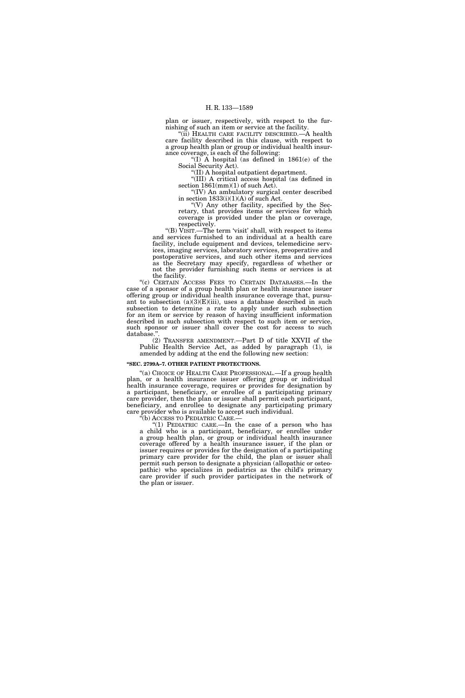plan or issuer, respectively, with respect to the furnishing of such an item or service at the facility.

''(ii) HEALTH CARE FACILITY DESCRIBED.—A health care facility described in this clause, with respect to a group health plan or group or individual health insurance coverage, is each of the following:

"(I) A hospital (as defined in  $1861(e)$  of the Social Security Act).

''(II) A hospital outpatient department. ''(III) A critical access hospital (as defined in

section  $1861 \, \text{(mm)} \, (1)$  of such Act). ''(IV) An ambulatory surgical center described

in section  $1833(i)(1)(A)$  of such Act.  $\left(\mathrm{V}\right)$  Any other facility, specified by the Secretary, that provides items or services for which coverage is provided under the plan or coverage, respectively.

''(B) VISIT.—The term 'visit' shall, with respect to items and services furnished to an individual at a health care facility, include equipment and devices, telemedicine services, imaging services, laboratory services, preoperative and postoperative services, and such other items and services as the Secretary may specify, regardless of whether or not the provider furnishing such items or services is at the facility.

''(c) CERTAIN ACCESS FEES TO CERTAIN DATABASES.—In the case of a sponsor of a group health plan or health insurance issuer offering group or individual health insurance coverage that, pursuant to subsection  $(a)(3)(E)(iii)$ , uses a database described in such subsection to determine a rate to apply under such subsection for an item or service by reason of having insufficient information described in such subsection with respect to such item or service, such sponsor or issuer shall cover the cost for access to such database.'

(2) TRANSFER AMENDMENT.—Part D of title XXVII of the Public Health Service Act, as added by paragraph (1), is amended by adding at the end the following new section:

#### **''SEC. 2799A–7. OTHER PATIENT PROTECTIONS.**

''(a) CHOICE OF HEALTH CARE PROFESSIONAL.—If a group health plan, or a health insurance issuer offering group or individual health insurance coverage, requires or provides for designation by a participant, beneficiary, or enrollee of a participating primary care provider, then the plan or issuer shall permit each participant, beneficiary, and enrollee to designate any participating primary care provider who is available to accept such individual.<br>"(b) ACCESS TO PEDIATRIC CARE.—

"(1) PEDIATRIC CARE.—In the case of a person who has a child who is a participant, beneficiary, or enrollee under a group health plan, or group or individual health insurance coverage offered by a health insurance issuer, if the plan or issuer requires or provides for the designation of a participating primary care provider for the child, the plan or issuer shall permit such person to designate a physician (allopathic or osteopathic) who specializes in pediatrics as the child's primary care provider if such provider participates in the network of the plan or issuer.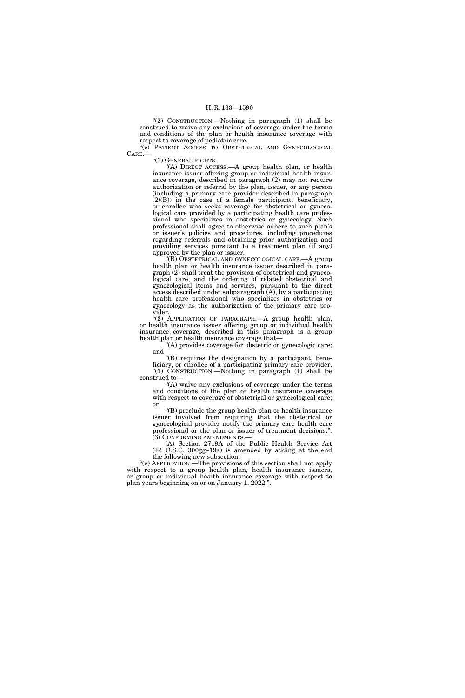''(2) CONSTRUCTION.—Nothing in paragraph (1) shall be construed to waive any exclusions of coverage under the terms and conditions of the plan or health insurance coverage with respect to coverage of pediatric care.

''(c) PATIENT ACCESS TO OBSTETRICAL AND GYNECOLOGICAL CARE.—

''(1) GENERAL RIGHTS.—

''(A) DIRECT ACCESS.—A group health plan, or health insurance issuer offering group or individual health insurance coverage, described in paragraph (2) may not require authorization or referral by the plan, issuer, or any person (including a primary care provider described in paragraph (2)(B)) in the case of a female participant, beneficiary, or enrollee who seeks coverage for obstetrical or gynecological care provided by a participating health care professional who specializes in obstetrics or gynecology. Such professional shall agree to otherwise adhere to such plan's or issuer's policies and procedures, including procedures regarding referrals and obtaining prior authorization and providing services pursuant to a treatment plan (if any) approved by the plan or issuer.

'(B) OBSTETRICAL AND GYNECOLOGICAL CARE.—A group health plan or health insurance issuer described in para $graph (2)$  shall treat the provision of obstetrical and gynecological care, and the ordering of related obstetrical and gynecological items and services, pursuant to the direct access described under subparagraph (A), by a participating health care professional who specializes in obstetrics or gynecology as the authorization of the primary care provider.

"(2) APPLICATION OF PARAGRAPH.- A group health plan, or health insurance issuer offering group or individual health insurance coverage, described in this paragraph is a group health plan or health insurance coverage that—

 $(A)$  provides coverage for obstetric or gynecologic care; and

''(B) requires the designation by a participant, beneficiary, or enrollee of a participating primary care provider. ''(3) CONSTRUCTION.—Nothing in paragraph (1) shall be construed to—

''(A) waive any exclusions of coverage under the terms and conditions of the plan or health insurance coverage with respect to coverage of obstetrical or gynecological care; or

''(B) preclude the group health plan or health insurance issuer involved from requiring that the obstetrical or gynecological provider notify the primary care health care professional or the plan or issuer of treatment decisions.''. (3) CONFORMING AMENDMENTS.—

(A) Section 2719A of the Public Health Service Act (42 U.S.C. 300gg–19a) is amended by adding at the end the following new subsection:

''(e) APPLICATION.—The provisions of this section shall not apply with respect to a group health plan, health insurance issuers, or group or individual health insurance coverage with respect to plan years beginning on or on January 1, 2022.''.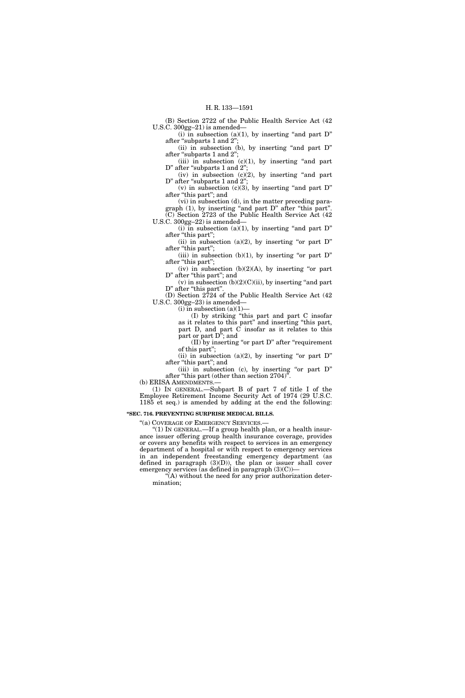(B) Section 2722 of the Public Health Service Act (42 U.S.C. 300gg–21) is amended—

(i) in subsection (a)(1), by inserting "and part  $D$ " after "subparts 1 and 2";

(ii) in subsection (b), by inserting "and part  $D$ " after "subparts 1 and 2";

(iii) in subsection  $(c)(1)$ , by inserting "and part D" after "subparts 1 and 2";

(iv) in subsection  $(c)(2)$ , by inserting "and part D" after "subparts 1 and 2";

(v) in subsection (c)(3), by inserting "and part  $D$ " after "this part"; and

(vi) in subsection (d), in the matter preceding paragraph (1), by inserting ''and part D'' after ''this part''. (C) Section 2723 of the Public Health Service Act (42 U.S.C. 300gg–22) is amended—

(i) in subsection (a)(1), by inserting "and part  $D$ " after "this part";

(ii) in subsection (a)(2), by inserting "or part  $D$ " after "this part";

(iii) in subsection  $(b)(1)$ , by inserting "or part D" after "this part";

(iv) in subsection  $(b)(2)(A)$ , by inserting "or part D" after "this part"; and

 $(v)$  in subsection  $(b)(2)(C)(ii)$ , by inserting "and part D" after "this part".

(D) Section 2724 of the Public Health Service Act (42 U.S.C. 300gg–23) is amended—

(i) in subsection  $(a)(1)$ —

(I) by striking ''this part and part C insofar as it relates to this part'' and inserting ''this part, part D, and part C insofar as it relates to this part or part  $D^{\dot{v}}$ ; and

 $(II)$  by inserting "or part D" after "requirement" of this part'';

(ii) in subsection (a)(2), by inserting "or part  $D$ " after "this part"; and

(iii) in subsection (c), by inserting "or part D" after ''this part (other than section 2704)''.

(b) ERISA AMENDMENTS.—

(1) IN GENERAL.—Subpart B of part 7 of title I of the Employee Retirement Income Security Act of 1974 (29 U.S.C. 1185 et seq.) is amended by adding at the end the following:

# **''SEC. 716. PREVENTING SURPRISE MEDICAL BILLS.**

''(a) COVERAGE OF EMERGENCY SERVICES.—

''(1) IN GENERAL.—If a group health plan, or a health insurance issuer offering group health insurance coverage, provides or covers any benefits with respect to services in an emergency department of a hospital or with respect to emergency services in an independent freestanding emergency department (as defined in paragraph  $(3)(D)$ , the plan or issuer shall cover emergency services (as defined in paragraph  $(3)(C)$ )—

''(A) without the need for any prior authorization determination;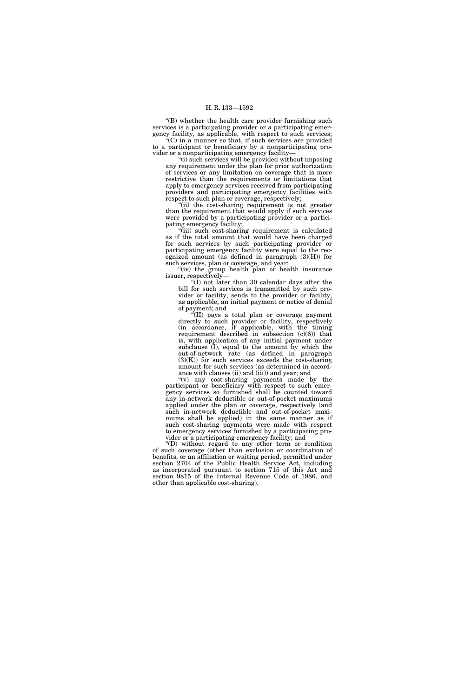''(B) whether the health care provider furnishing such services is a participating provider or a participating emergency facility, as applicable, with respect to such services;  $f(C)$  in a manner so that, if such services are provided

to a participant or beneficiary by a nonparticipating provider or a nonparticipating emergency facility—

''(i) such services will be provided without imposing any requirement under the plan for prior authorization of services or any limitation on coverage that is more restrictive than the requirements or limitations that apply to emergency services received from participating providers and participating emergency facilities with respect to such plan or coverage, respectively;

 $(iii)$  the cost-sharing requirement is not greater than the requirement that would apply if such services were provided by a participating provider or a participating emergency facility;

''(iii) such cost-sharing requirement is calculated as if the total amount that would have been charged for such services by such participating provider or participating emergency facility were equal to the recognized amount (as defined in paragraph (3)(H)) for such services, plan or coverage, and year;

"(iv) the group health plan or health insurance issuer, respectively—

''(I) not later than 30 calendar days after the bill for such services is transmitted by such provider or facility, sends to the provider or facility, as applicable, an initial payment or notice of denial of payment; and

 $\epsilon$ <sup>(II)</sup> pays a total plan or coverage payment directly to such provider or facility, respectively (in accordance, if applicable, with the timing requirement described in subsection  $(c)(6)$  that is, with application of any initial payment under subclause  $(I)$ , equal to the amount by which the out-of-network rate (as defined in paragraph  $(3)(K)$  for such services exceeds the cost-sharing amount for such services (as determined in accordance with clauses (ii) and (iii)) and year; and

''(v) any cost-sharing payments made by the participant or beneficiary with respect to such emergency services so furnished shall be counted toward any in-network deductible or out-of-pocket maximums applied under the plan or coverage, respectively (and such in-network deductible and out-of-pocket maximums shall be applied) in the same manner as if such cost-sharing payments were made with respect to emergency services furnished by a participating provider or a participating emergency facility; and

''(D) without regard to any other term or condition of such coverage (other than exclusion or coordination of benefits, or an affiliation or waiting period, permitted under section 2704 of the Public Health Service Act, including as incorporated pursuant to section 715 of this Act and section 9815 of the Internal Revenue Code of 1986, and other than applicable cost-sharing).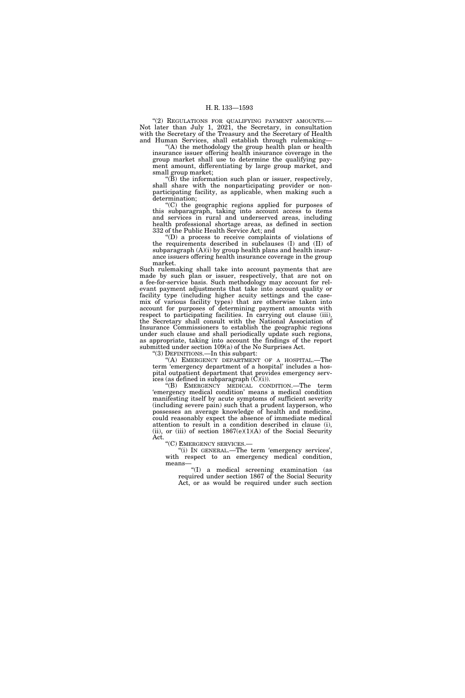"(2) REGULATIONS FOR QUALIFYING PAYMENT AMOUNTS.-Not later than July 1, 2021, the Secretary, in consultation with the Secretary of the Treasury and the Secretary of Health and Human Services, shall establish through rulemaking—

''(A) the methodology the group health plan or health insurance issuer offering health insurance coverage in the group market shall use to determine the qualifying payment amount, differentiating by large group market, and small group market;

" $(B)$  the information such plan or issuer, respectively, shall share with the nonparticipating provider or nonparticipating facility, as applicable, when making such a determination;

''(C) the geographic regions applied for purposes of this subparagraph, taking into account access to items and services in rural and underserved areas, including health professional shortage areas, as defined in section 332 of the Public Health Service Act; and

''(D) a process to receive complaints of violations of the requirements described in subclauses (I) and (II) of subparagraph  $(A)(i)$  by group health plans and health insurance issuers offering health insurance coverage in the group market.

Such rulemaking shall take into account payments that are made by such plan or issuer, respectively, that are not on a fee-for-service basis. Such methodology may account for relevant payment adjustments that take into account quality or facility type (including higher acuity settings and the casemix of various facility types) that are otherwise taken into account for purposes of determining payment amounts with respect to participating facilities. In carrying out clause (iii), the Secretary shall consult with the National Association of Insurance Commissioners to establish the geographic regions under such clause and shall periodically update such regions, as appropriate, taking into account the findings of the report submitted under section 109(a) of the No Surprises Act.

''(3) DEFINITIONS.—In this subpart:

''(A) EMERGENCY DEPARTMENT OF A HOSPITAL.—The term 'emergency department of a hospital' includes a hospital outpatient department that provides emergency services (as defined in subparagraph  $(\tilde{C})(i)$ ).

''(B) EMERGENCY MEDICAL CONDITION.—The term 'emergency medical condition' means a medical condition manifesting itself by acute symptoms of sufficient severity (including severe pain) such that a prudent layperson, who possesses an average knowledge of health and medicine, could reasonably expect the absence of immediate medical attention to result in a condition described in clause (i), (ii), or (iii) of section  $1867(e)(1)(A)$  of the Social Security

Act.<br>"(C) EMERGENCY SERVICES.

"(i) IN GENERAL.—The term 'emergency services', with respect to an emergency medical condition, means—

''(I) a medical screening examination (as required under section 1867 of the Social Security Act, or as would be required under such section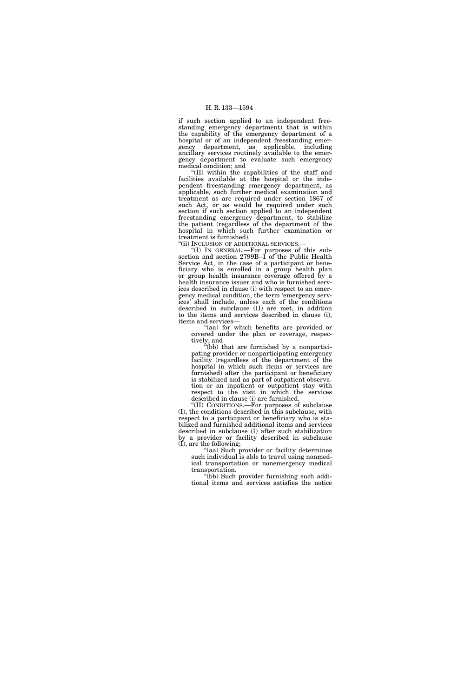if such section applied to an independent freestanding emergency department) that is within the capability of the emergency department of a hospital or of an independent freestanding emergency department, as applicable, including ancillary services routinely available to the emergency department to evaluate such emergency medical condition; and

''(II) within the capabilities of the staff and facilities available at the hospital or the independent freestanding emergency department, as applicable, such further medical examination and treatment as are required under section 1867 of such Act, or as would be required under such section if such section applied to an independent freestanding emergency department, to stabilize the patient (regardless of the department of the hospital in which such further examination or treatment is furnished).

''(ii) INCLUSION OF ADDITIONAL SERVICES.—

''(I) IN GENERAL.—For purposes of this subsection and section 2799B–1 of the Public Health Service Act, in the case of a participant or beneficiary who is enrolled in a group health plan or group health insurance coverage offered by a health insurance issuer and who is furnished services described in clause (i) with respect to an emergency medical condition, the term 'emergency services' shall include, unless each of the conditions described in subclause (II) are met, in addition to the items and services described in clause (i), items and services—

''(aa) for which benefits are provided or covered under the plan or coverage, respectively; and

''(bb) that are furnished by a nonparticipating provider or nonparticipating emergency facility (regardless of the department of the hospital in which such items or services are furnished) after the participant or beneficiary is stabilized and as part of outpatient observation or an inpatient or outpatient stay with respect to the visit in which the services described in clause (i) are furnished.

''(II) CONDITIONS.—For purposes of subclause (I), the conditions described in this subclause, with respect to a participant or beneficiary who is stabilized and furnished additional items and services described in subclause (I) after such stabilization by a provider or facility described in subclause (I), are the following;

''(aa) Such provider or facility determines such individual is able to travel using nonmedical transportation or nonemergency medical transportation.

''(bb) Such provider furnishing such additional items and services satisfies the notice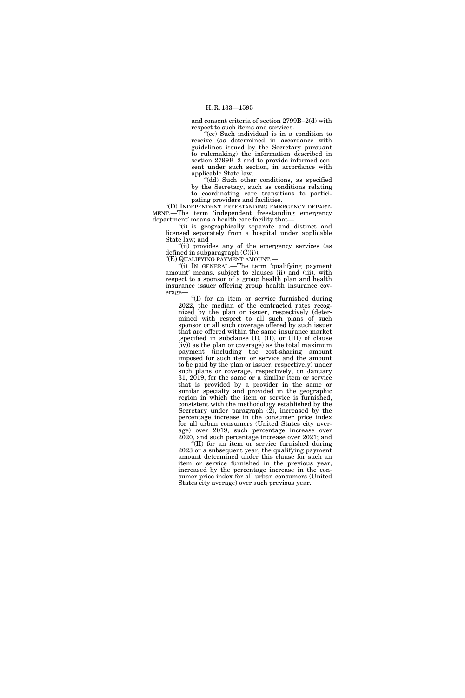and consent criteria of section 2799B–2(d) with respect to such items and services.

"(cc) Such individual is in a condition to receive (as determined in accordance with guidelines issued by the Secretary pursuant to rulemaking) the information described in section 2799B–2 and to provide informed consent under such section, in accordance with applicable State law.

''(dd) Such other conditions, as specified by the Secretary, such as conditions relating to coordinating care transitions to participating providers and facilities.

''(D) INDEPENDENT FREESTANDING EMERGENCY DEPART-MENT.—The term 'independent freestanding emergency department' means a health care facility that—

''(i) is geographically separate and distinct and licensed separately from a hospital under applicable State law; and

"(ii) provides any of the emergency services (as defined in subparagraph (C)(i)).

''(E) QUALIFYING PAYMENT AMOUNT.—

''(i) IN GENERAL.—The term 'qualifying payment amount' means, subject to clauses (ii) and (iii), with respect to a sponsor of a group health plan and health insurance issuer offering group health insurance coverage—

''(I) for an item or service furnished during 2022, the median of the contracted rates recognized by the plan or issuer, respectively (determined with respect to all such plans of such sponsor or all such coverage offered by such issuer that are offered within the same insurance market (specified in subclause (I), (II), or (III) of clause  $(iv)$  as the plan or coverage) as the total maximum payment (including the cost-sharing amount imposed for such item or service and the amount to be paid by the plan or issuer, respectively) under such plans or coverage, respectively, on January 31, 2019, for the same or a similar item or service that is provided by a provider in the same or similar specialty and provided in the geographic region in which the item or service is furnished, consistent with the methodology established by the Secretary under paragraph (2), increased by the percentage increase in the consumer price index for all urban consumers (United States city average) over 2019, such percentage increase over 2020, and such percentage increase over 2021; and

''(II) for an item or service furnished during 2023 or a subsequent year, the qualifying payment amount determined under this clause for such an item or service furnished in the previous year, increased by the percentage increase in the consumer price index for all urban consumers (United States city average) over such previous year.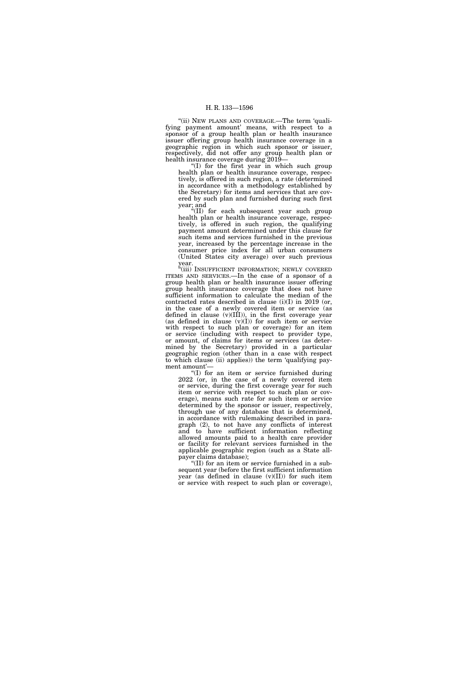''(ii) NEW PLANS AND COVERAGE.—The term 'qualifying payment amount' means, with respect to a sponsor of a group health plan or health insurance issuer offering group health insurance coverage in a geographic region in which such sponsor or issuer, respectively, did not offer any group health plan or health insurance coverage during 2019—

 $f(I)$  for the first year in which such group health plan or health insurance coverage, respectively, is offered in such region, a rate (determined in accordance with a methodology established by the Secretary) for items and services that are covered by such plan and furnished during such first year; and

''(II) for each subsequent year such group health plan or health insurance coverage, respectively, is offered in such region, the qualifying payment amount determined under this clause for such items and services furnished in the previous year, increased by the percentage increase in the consumer price index for all urban consumers (United States city average) over such previous year.

"(iii) INSUFFICIENT INFORMATION; NEWLY COVERED ITEMS AND SERVICES.—In the case of a sponsor of a group health plan or health insurance issuer offering group health insurance coverage that does not have sufficient information to calculate the median of the contracted rates described in clause (i)(I) in 2019 (or, in the case of a newly covered item or service (as defined in clause (v)(III)), in the first coverage year (as defined in clause  $(v)(I)$ ) for such item or service with respect to such plan or coverage) for an item or service (including with respect to provider type, or amount, of claims for items or services (as determined by the Secretary) provided in a particular geographic region (other than in a case with respect to which clause (ii) applies)) the term 'qualifying payment amount'—

''(I) for an item or service furnished during 2022 (or, in the case of a newly covered item or service, during the first coverage year for such item or service with respect to such plan or coverage), means such rate for such item or service determined by the sponsor or issuer, respectively, through use of any database that is determined, in accordance with rulemaking described in paragraph (2), to not have any conflicts of interest and to have sufficient information reflecting allowed amounts paid to a health care provider or facility for relevant services furnished in the applicable geographic region (such as a State allpayer claims database);

''(II) for an item or service furnished in a subsequent year (before the first sufficient information year (as defined in clause  $(v)(II)$ ) for such item or service with respect to such plan or coverage),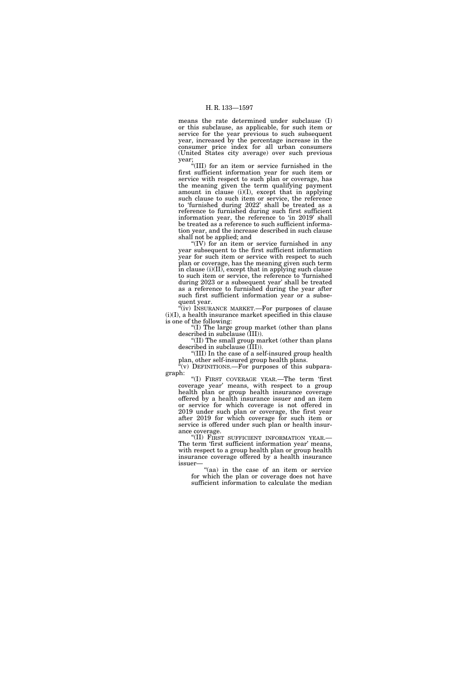means the rate determined under subclause (I) or this subclause, as applicable, for such item or service for the year previous to such subsequent year, increased by the percentage increase in the consumer price index for all urban consumers (United States city average) over such previous year;

''(III) for an item or service furnished in the first sufficient information year for such item or service with respect to such plan or coverage, has the meaning given the term qualifying payment amount in clause (i)(I), except that in applying such clause to such item or service, the reference to 'furnished during 2022' shall be treated as a reference to furnished during such first sufficient information year, the reference to 'in 2019' shall be treated as a reference to such sufficient information year, and the increase described in such clause shall not be applied; and

''(IV) for an item or service furnished in any year subsequent to the first sufficient information year for such item or service with respect to such plan or coverage, has the meaning given such term in clause (i)(II), except that in applying such clause to such item or service, the reference to 'furnished during 2023 or a subsequent year' shall be treated as a reference to furnished during the year after such first sufficient information year or a subsequent year.

"(iv) INSURANCE MARKET.—For purposes of clause  $(i)(I)$  a health insurance market specified in this clause is one of the following:

''(I) The large group market (other than plans described in subclause (III)).

''(II) The small group market (other than plans described in subclause (III)).

''(III) In the case of a self-insured group health plan, other self-insured group health plans.

 $\alpha$ <sup>"</sup>(v) DEFINITIONS.—For purposes of this subparagraph:

''(I) FIRST COVERAGE YEAR.—The term 'first coverage year' means, with respect to a group health plan or group health insurance coverage offered by a health insurance issuer and an item or service for which coverage is not offered in 2019 under such plan or coverage, the first year after 2019 for which coverage for such item or service is offered under such plan or health insurance coverage.

''(II) FIRST SUFFICIENT INFORMATION YEAR.— The term 'first sufficient information year' means, with respect to a group health plan or group health insurance coverage offered by a health insurance issuer—

"(aa) in the case of an item or service for which the plan or coverage does not have sufficient information to calculate the median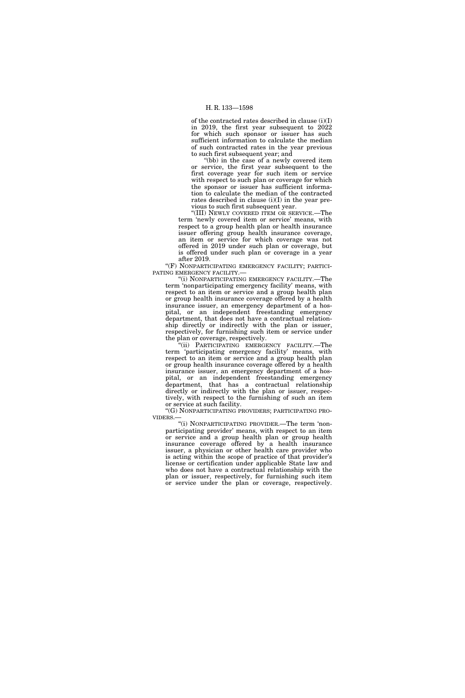of the contracted rates described in clause (i)(I) in 2019, the first year subsequent to 2022 for which such sponsor or issuer has such sufficient information to calculate the median of such contracted rates in the year previous to such first subsequent year; and

''(bb) in the case of a newly covered item or service, the first year subsequent to the first coverage year for such item or service with respect to such plan or coverage for which the sponsor or issuer has sufficient information to calculate the median of the contracted rates described in clause (i)(I) in the year previous to such first subsequent year.

''(III) NEWLY COVERED ITEM OR SERVICE.—The term 'newly covered item or service' means, with respect to a group health plan or health insurance issuer offering group health insurance coverage, an item or service for which coverage was not offered in 2019 under such plan or coverage, but is offered under such plan or coverage in a year after 2019.

"(F) NONPARTICIPATING EMERGENCY FACILITY; PARTICI-PATING EMERGENCY FACILITY.—

''(i) NONPARTICIPATING EMERGENCY FACILITY.—The term 'nonparticipating emergency facility' means, with respect to an item or service and a group health plan or group health insurance coverage offered by a health insurance issuer, an emergency department of a hospital, or an independent freestanding emergency department, that does not have a contractual relationship directly or indirectly with the plan or issuer, respectively, for furnishing such item or service under the plan or coverage, respectively.

'(ii) PARTICIPATING EMERGENCY FACILITY.—The term 'participating emergency facility' means, with respect to an item or service and a group health plan or group health insurance coverage offered by a health insurance issuer, an emergency department of a hospital, or an independent freestanding emergency department, that has a contractual relationship directly or indirectly with the plan or issuer, respectively, with respect to the furnishing of such an item or service at such facility.

''(G) NONPARTICIPATING PROVIDERS; PARTICIPATING PRO-VIDERS.—

''(i) NONPARTICIPATING PROVIDER.—The term 'nonparticipating provider' means, with respect to an item or service and a group health plan or group health insurance coverage offered by a health insurance issuer, a physician or other health care provider who is acting within the scope of practice of that provider's license or certification under applicable State law and who does not have a contractual relationship with the plan or issuer, respectively, for furnishing such item or service under the plan or coverage, respectively.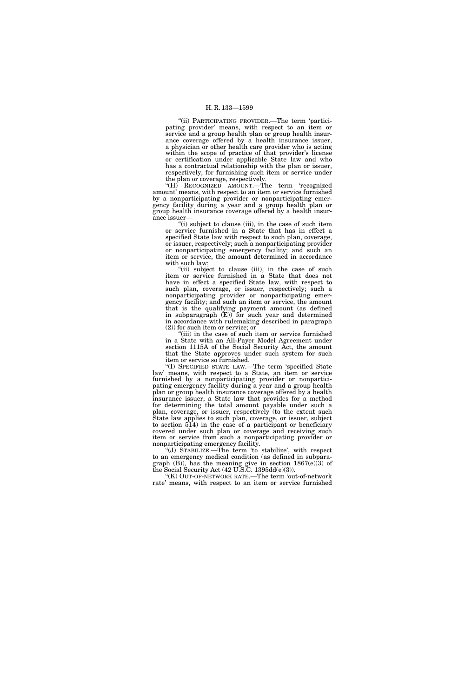''(ii) PARTICIPATING PROVIDER.—The term 'participating provider' means, with respect to an item or service and a group health plan or group health insurance coverage offered by a health insurance issuer, a physician or other health care provider who is acting within the scope of practice of that provider's license or certification under applicable State law and who has a contractual relationship with the plan or issuer, respectively, for furnishing such item or service under the plan or coverage, respectively.

"(H) RECOGNIZED AMOUNT.—The term 'recognized amount' means, with respect to an item or service furnished by a nonparticipating provider or nonparticipating emergency facility during a year and a group health plan or group health insurance coverage offered by a health insurance issuer—

"(i) subject to clause (iii), in the case of such item or service furnished in a State that has in effect a specified State law with respect to such plan, coverage, or issuer, respectively; such a nonparticipating provider or nonparticipating emergency facility; and such an item or service, the amount determined in accordance with such law;

"(ii) subject to clause (iii), in the case of such item or service furnished in a State that does not have in effect a specified State law, with respect to such plan, coverage, or issuer, respectively; such a nonparticipating provider or nonparticipating emergency facility; and such an item or service, the amount that is the qualifying payment amount (as defined in subparagraph (E)) for such year and determined in accordance with rulemaking described in paragraph (2)) for such item or service; or

"(iii) in the case of such item or service furnished in a State with an All-Payer Model Agreement under section 1115A of the Social Security Act, the amount that the State approves under such system for such item or service so furnished.

''(I) SPECIFIED STATE LAW.—The term 'specified State law' means, with respect to a State, an item or service furnished by a nonparticipating provider or nonparticipating emergency facility during a year and a group health plan or group health insurance coverage offered by a health insurance issuer, a State law that provides for a method for determining the total amount payable under such a plan, coverage, or issuer, respectively (to the extent such State law applies to such plan, coverage, or issuer, subject to section 514) in the case of a participant or beneficiary covered under such plan or coverage and receiving such item or service from such a nonparticipating provider or nonparticipating emergency facility.

''(J) STABILIZE.—The term 'to stabilize', with respect to an emergency medical condition (as defined in subparagraph  $(B)$ ), has the meaning give in section  $1867(e)(3)$  of the Social Security Act (42 U.S.C. 1395dd(e)(3)).

''(K) OUT-OF-NETWORK RATE.—The term 'out-of-network rate' means, with respect to an item or service furnished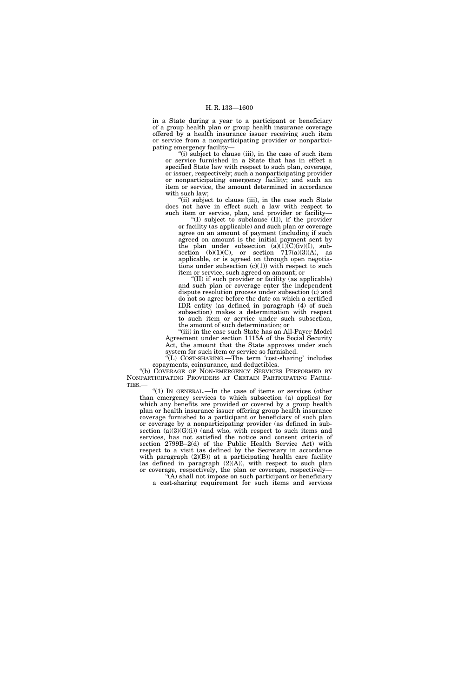in a State during a year to a participant or beneficiary of a group health plan or group health insurance coverage offered by a health insurance issuer receiving such item or service from a nonparticipating provider or nonparticipating emergency facility—

"(i) subject to clause (iii), in the case of such item or service furnished in a State that has in effect a specified State law with respect to such plan, coverage, or issuer, respectively; such a nonparticipating provider or nonparticipating emergency facility; and such an item or service, the amount determined in accordance with such law;

"(ii) subject to clause (iii), in the case such State does not have in effect such a law with respect to such item or service, plan, and provider or facility—

''(I) subject to subclause (II), if the provider or facility (as applicable) and such plan or coverage agree on an amount of payment (including if such agreed on amount is the initial payment sent by the plan under subsection  $(a)(1)(C)(iv)(I)$ , subsection (b) $(1)(C)$ , or section 717 $(a)(3)(A)$ , as applicable, or is agreed on through open negotiations under subsection  $(c)(1)$  with respect to such item or service, such agreed on amount; or

''(II) if such provider or facility (as applicable) and such plan or coverage enter the independent dispute resolution process under subsection (c) and do not so agree before the date on which a certified IDR entity (as defined in paragraph (4) of such subsection) makes a determination with respect to such item or service under such subsection, the amount of such determination; or

''(iii) in the case such State has an All-Payer Model Agreement under section 1115A of the Social Security Act, the amount that the State approves under such system for such item or service so furnished.

''(L) COST-SHARING.—The term 'cost-sharing' includes copayments, coinsurance, and deductibles.

''(b) COVERAGE OF NON-EMERGENCY SERVICES PERFORMED BY NONPARTICIPATING PROVIDERS AT CERTAIN PARTICIPATING FACILI-TIES.—

"(1) In GENERAL.—In the case of items or services (other than emergency services to which subsection (a) applies) for which any benefits are provided or covered by a group health plan or health insurance issuer offering group health insurance coverage furnished to a participant or beneficiary of such plan or coverage by a nonparticipating provider (as defined in subsection  $(a)(3)(G)(i)$  (and who, with respect to such items and services, has not satisfied the notice and consent criteria of section 2799B–2(d) of the Public Health Service Act) with respect to a visit (as defined by the Secretary in accordance with paragraph  $(2)(B)$  at a participating health care facility (as defined in paragraph  $(2)(A)$ ), with respect to such plan or coverage, respectively, the plan or coverage, respectively— ''(A) shall not impose on such participant or beneficiary

a cost-sharing requirement for such items and services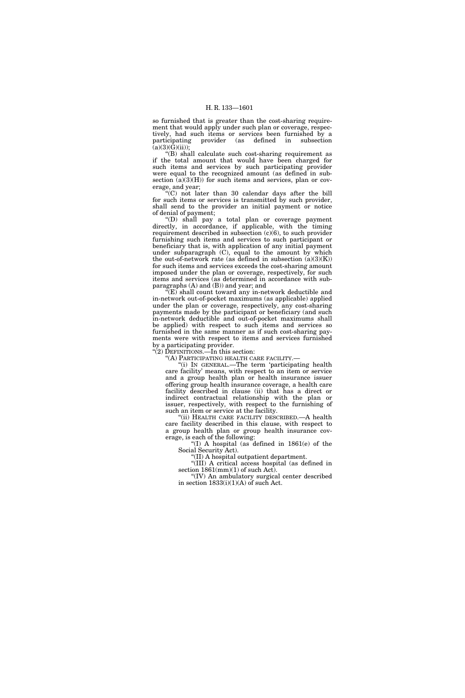so furnished that is greater than the cost-sharing requirement that would apply under such plan or coverage, respectively, had such items or services been furnished by a participating provider (as defined in subsection  $(a)(3)(\overline{G})(ii))$ ;

"(B) shall calculate such cost-sharing requirement as if the total amount that would have been charged for such items and services by such participating provider were equal to the recognized amount (as defined in subsection  $(a)(3)(H)$  for such items and services, plan or coverage, and year;

''(C) not later than 30 calendar days after the bill for such items or services is transmitted by such provider, shall send to the provider an initial payment or notice of denial of payment;

''(D) shall pay a total plan or coverage payment directly, in accordance, if applicable, with the timing requirement described in subsection  $(c)(6)$ , to such provider furnishing such items and services to such participant or beneficiary that is, with application of any initial payment under subparagraph (C), equal to the amount by which the out-of-network rate (as defined in subsection  $(a)(3)(K)$ ) for such items and services exceeds the cost-sharing amount imposed under the plan or coverage, respectively, for such items and services (as determined in accordance with subparagraphs (A) and (B)) and year; and

 $\widetilde{f}(E)$  shall count toward any in-network deductible and in-network out-of-pocket maximums (as applicable) applied under the plan or coverage, respectively, any cost-sharing payments made by the participant or beneficiary (and such in-network deductible and out-of-pocket maximums shall be applied) with respect to such items and services so furnished in the same manner as if such cost-sharing payments were with respect to items and services furnished by a participating provider.

" $(2)$  DEFINITIONS.—In this section:

''(A) PARTICIPATING HEALTH CARE FACILITY.—

''(i) IN GENERAL.—The term 'participating health care facility' means, with respect to an item or service and a group health plan or health insurance issuer offering group health insurance coverage, a health care facility described in clause (ii) that has a direct or indirect contractual relationship with the plan or issuer, respectively, with respect to the furnishing of such an item or service at the facility.

''(ii) HEALTH CARE FACILITY DESCRIBED.—A health care facility described in this clause, with respect to a group health plan or group health insurance coverage, is each of the following:

"(I) A hospital (as defined in  $1861(e)$  of the Social Security Act).

''(II) A hospital outpatient department.

''(III) A critical access hospital (as defined in section  $1861(mm)(1)$  of such Act).

''(IV) An ambulatory surgical center described in section  $1833(i)(1)(A)$  of such Act.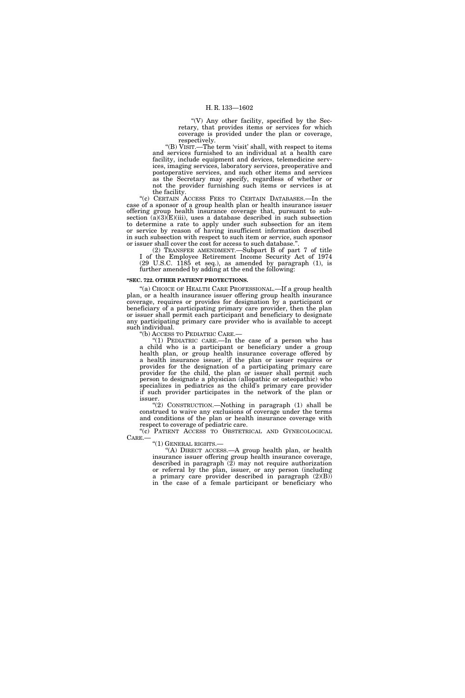"(V) Any other facility, specified by the Secretary, that provides items or services for which coverage is provided under the plan or coverage, respectively.

''(B) VISIT.—The term 'visit' shall, with respect to items and services furnished to an individual at a health care facility, include equipment and devices, telemedicine services, imaging services, laboratory services, preoperative and postoperative services, and such other items and services as the Secretary may specify, regardless of whether or not the provider furnishing such items or services is at the facility.

''(c) CERTAIN ACCESS FEES TO CERTAIN DATABASES.—In the case of a sponsor of a group health plan or health insurance issuer offering group health insurance coverage that, pursuant to subsection  $(a)(3)(E)(iii)$ , uses a database described in such subsection to determine a rate to apply under such subsection for an item or service by reason of having insufficient information described in such subsection with respect to such item or service, such sponsor or issuer shall cover the cost for access to such database.'

(2) TRANSFER AMENDMENT.—Subpart B of part 7 of title I of the Employee Retirement Income Security Act of 1974 (29 U.S.C. 1185 et seq.), as amended by paragraph (1), is further amended by adding at the end the following:

#### **''SEC. 722. OTHER PATIENT PROTECTIONS.**

''(a) CHOICE OF HEALTH CARE PROFESSIONAL.—If a group health plan, or a health insurance issuer offering group health insurance coverage, requires or provides for designation by a participant or beneficiary of a participating primary care provider, then the plan or issuer shall permit each participant and beneficiary to designate any participating primary care provider who is available to accept such individual.

''(b) ACCESS TO PEDIATRIC CARE.—

''(1) PEDIATRIC CARE.—In the case of a person who has a child who is a participant or beneficiary under a group health plan, or group health insurance coverage offered by a health insurance issuer, if the plan or issuer requires or provides for the designation of a participating primary care provider for the child, the plan or issuer shall permit such person to designate a physician (allopathic or osteopathic) who specializes in pediatrics as the child's primary care provider if such provider participates in the network of the plan or issuer.

"(2) CONSTRUCTION.—Nothing in paragraph (1) shall be construed to waive any exclusions of coverage under the terms and conditions of the plan or health insurance coverage with respect to coverage of pediatric care.

''(c) PATIENT ACCESS TO OBSTETRICAL AND GYNECOLOGICAL CARE.— <br>"(1) GENERAL RIGHTS.—

"(A) DIRECT ACCESS.—A group health plan, or health insurance issuer offering group health insurance coverage, described in paragraph  $(2)$  may not require authorization or referral by the plan, issuer, or any person (including a primary care provider described in paragraph (2)(B)) in the case of a female participant or beneficiary who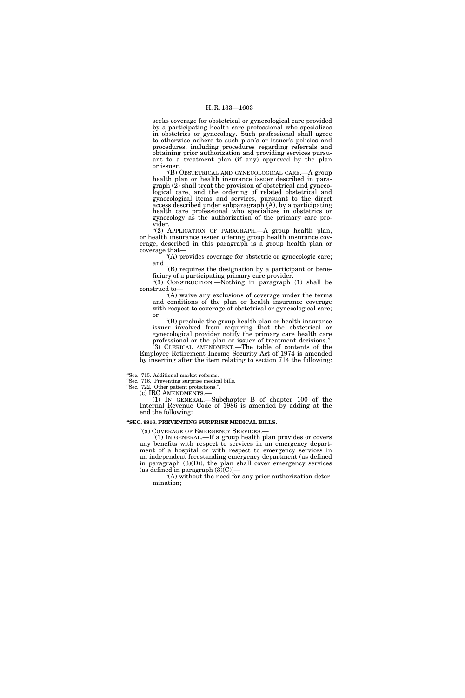seeks coverage for obstetrical or gynecological care provided by a participating health care professional who specializes in obstetrics or gynecology. Such professional shall agree to otherwise adhere to such plan's or issuer's policies and procedures, including procedures regarding referrals and obtaining prior authorization and providing services pursuant to a treatment plan (if any) approved by the plan or issuer.

''(B) OBSTETRICAL AND GYNECOLOGICAL CARE.—A group health plan or health insurance issuer described in paragraph (2) shall treat the provision of obstetrical and gynecological care, and the ordering of related obstetrical and gynecological items and services, pursuant to the direct access described under subparagraph (A), by a participating health care professional who specializes in obstetrics or gynecology as the authorization of the primary care provider.

"(2) APPLICATION OF PARAGRAPH. A group health plan, or health insurance issuer offering group health insurance coverage, described in this paragraph is a group health plan or coverage that—

(A) provides coverage for obstetric or gynecologic care; and

''(B) requires the designation by a participant or beneficiary of a participating primary care provider.

''(3) CONSTRUCTION.—Nothing in paragraph (1) shall be construed to—

"(A) waive any exclusions of coverage under the terms and conditions of the plan or health insurance coverage with respect to coverage of obstetrical or gynecological care; or

''(B) preclude the group health plan or health insurance issuer involved from requiring that the obstetrical or gynecological provider notify the primary care health care professional or the plan or issuer of treatment decisions.''. (3) CLERICAL AMENDMENT.—The table of contents of the Employee Retirement Income Security Act of 1974 is amended by inserting after the item relating to section 714 the following:

''Sec. 715. Additional market reforms.

''Sec. 716. Preventing surprise medical bills.

''Sec. 722. Other patient protections.''.

(c) IRC AMENDMENTS.— (1) IN GENERAL.—Subchapter B of chapter 100 of the Internal Revenue Code of 1986 is amended by adding at the end the following:

# **''SEC. 9816. PREVENTING SURPRISE MEDICAL BILLS.**

''(a) COVERAGE OF EMERGENCY SERVICES.— ''(1) IN GENERAL.—If a group health plan provides or covers any benefits with respect to services in an emergency department of a hospital or with respect to emergency services in an independent freestanding emergency department (as defined in paragraph  $(3)(D)$ , the plan shall cover emergency services (as defined in paragraph  $(3)(C)$ )—

''(A) without the need for any prior authorization determination;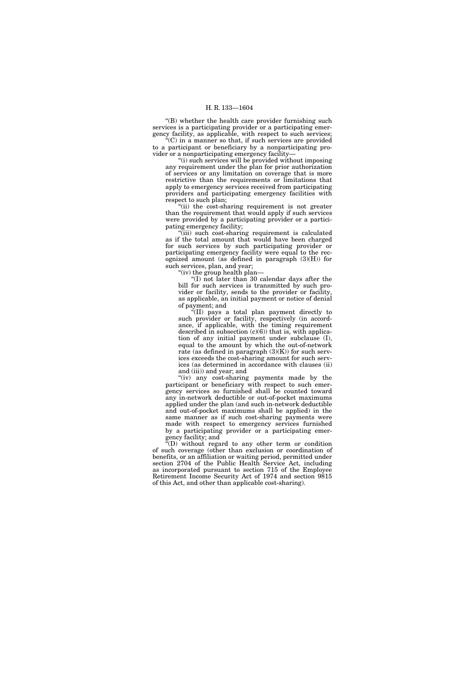''(B) whether the health care provider furnishing such services is a participating provider or a participating emergency facility, as applicable, with respect to such services;

''(C) in a manner so that, if such services are provided to a participant or beneficiary by a nonparticipating provider or a nonparticipating emergency facility—

''(i) such services will be provided without imposing any requirement under the plan for prior authorization of services or any limitation on coverage that is more restrictive than the requirements or limitations that apply to emergency services received from participating providers and participating emergency facilities with respect to such plan;

''(ii) the cost-sharing requirement is not greater than the requirement that would apply if such services were provided by a participating provider or a participating emergency facility;

''(iii) such cost-sharing requirement is calculated as if the total amount that would have been charged for such services by such participating provider or participating emergency facility were equal to the recognized amount (as defined in paragraph  $(3)(H)$ ) for such services, plan, and year;

''(iv) the group health plan—

 $f(I)$  not later than 30 calendar days after the bill for such services is transmitted by such provider or facility, sends to the provider or facility, as applicable, an initial payment or notice of denial of payment; and

''(II) pays a total plan payment directly to such provider or facility, respectively (in accordance, if applicable, with the timing requirement described in subsection  $(c)(6)$  that is, with application of any initial payment under subclause (I), equal to the amount by which the out-of-network rate (as defined in paragraph (3)(K)) for such services exceeds the cost-sharing amount for such services (as determined in accordance with clauses (ii) and (iii)) and year; and

''(iv) any cost-sharing payments made by the participant or beneficiary with respect to such emergency services so furnished shall be counted toward any in-network deductible or out-of-pocket maximums applied under the plan (and such in-network deductible and out-of-pocket maximums shall be applied) in the same manner as if such cost-sharing payments were made with respect to emergency services furnished by a participating provider or a participating emergency facility; and

 $\mathrm{``(D)}$  without regard to any other term or condition of such coverage (other than exclusion or coordination of benefits, or an affiliation or waiting period, permitted under section 2704 of the Public Health Service Act, including as incorporated pursuant to section 715 of the Employee Retirement Income Security Act of 1974 and section 9815 of this Act, and other than applicable cost-sharing).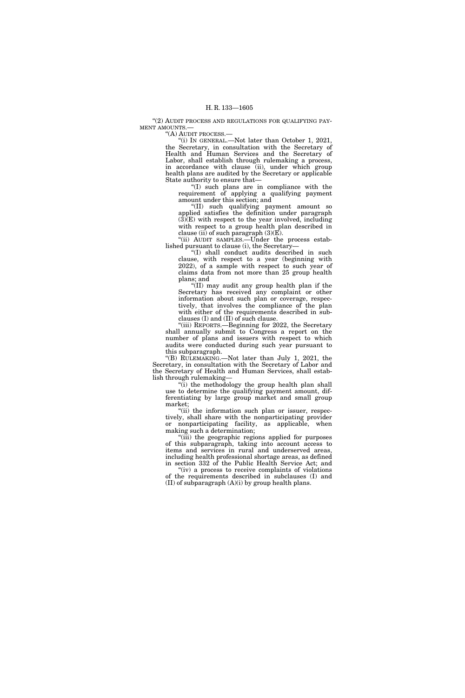"(2) AUDIT PROCESS AND REGULATIONS FOR QUALIFYING PAY-MENT AMOUNTS.—

''(A) AUDIT PROCESS.—

''(i) IN GENERAL.—Not later than October 1, 2021, the Secretary, in consultation with the Secretary of Health and Human Services and the Secretary of Labor, shall establish through rulemaking a process, in accordance with clause (ii), under which group health plans are audited by the Secretary or applicable State authority to ensure that—

''(I) such plans are in compliance with the requirement of applying a qualifying payment amount under this section; and

''(II) such qualifying payment amount so applied satisfies the definition under paragraph  $(\overline{3})$ (E) with respect to the year involved, including with respect to a group health plan described in clause (ii) of such paragraph  $(3)(E)$ .

''(ii) AUDIT SAMPLES.—Under the process established pursuant to clause (i), the Secretary—

''(I) shall conduct audits described in such clause, with respect to a year (beginning with 2022), of a sample with respect to such year of claims data from not more than 25 group health plans; and

''(II) may audit any group health plan if the Secretary has received any complaint or other information about such plan or coverage, respectively, that involves the compliance of the plan with either of the requirements described in subclauses (I) and (II) of such clause.

''(iii) REPORTS.—Beginning for 2022, the Secretary shall annually submit to Congress a report on the number of plans and issuers with respect to which audits were conducted during such year pursuant to this subparagraph.

''(B) RULEMAKING.—Not later than July 1, 2021, the Secretary, in consultation with the Secretary of Labor and the Secretary of Health and Human Services, shall establish through rulemaking—

"(i) the methodology the group health plan shall use to determine the qualifying payment amount, differentiating by large group market and small group market;

"(ii) the information such plan or issuer, respectively, shall share with the nonparticipating provider or nonparticipating facility, as applicable, when making such a determination;

"(iii) the geographic regions applied for purposes of this subparagraph, taking into account access to items and services in rural and underserved areas, including health professional shortage areas, as defined in section 332 of the Public Health Service Act; and

"(iv) a process to receive complaints of violations of the requirements described in subclauses (I) and (II) of subparagraph  $(A)(i)$  by group health plans.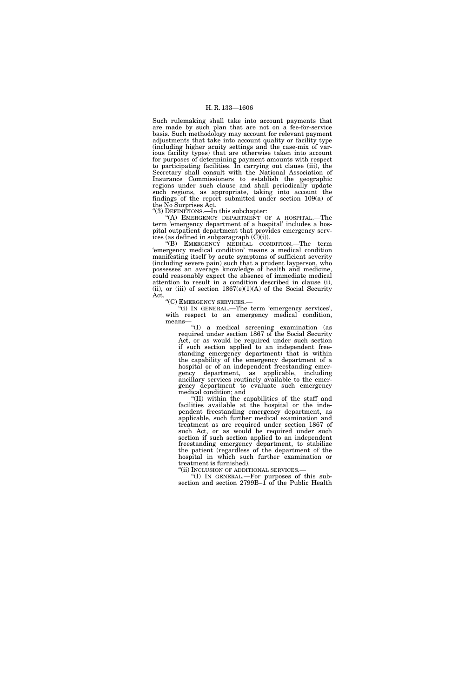Such rulemaking shall take into account payments that are made by such plan that are not on a fee-for-service basis. Such methodology may account for relevant payment adjustments that take into account quality or facility type (including higher acuity settings and the case-mix of various facility types) that are otherwise taken into account for purposes of determining payment amounts with respect to participating facilities. In carrying out clause (iii), the Secretary shall consult with the National Association of Insurance Commissioners to establish the geographic regions under such clause and shall periodically update such regions, as appropriate, taking into account the findings of the report submitted under section 109(a) of the No Surprises Act.

''(3) DEFINITIONS.—In this subchapter:

''(A) EMERGENCY DEPARTMENT OF A HOSPITAL.—The term 'emergency department of a hospital' includes a hospital outpatient department that provides emergency services (as defined in subparagraph  $(\hat{C})(i)$ ).

''(B) EMERGENCY MEDICAL CONDITION.—The term 'emergency medical condition' means a medical condition manifesting itself by acute symptoms of sufficient severity (including severe pain) such that a prudent layperson, who possesses an average knowledge of health and medicine, could reasonably expect the absence of immediate medical attention to result in a condition described in clause (i), (ii), or (iii) of section  $1867(e)(1)(A)$  of the Social Security Act.

''(C) EMERGENCY SERVICES.—

''(i) IN GENERAL.—The term 'emergency services', with respect to an emergency medical condition, means—

''(I) a medical screening examination (as required under section 1867 of the Social Security Act, or as would be required under such section if such section applied to an independent freestanding emergency department) that is within the capability of the emergency department of a hospital or of an independent freestanding emergency department, as applicable, including ancillary services routinely available to the emergency department to evaluate such emergency medical condition; and

''(II) within the capabilities of the staff and facilities available at the hospital or the independent freestanding emergency department, as applicable, such further medical examination and treatment as are required under section 1867 of such Act, or as would be required under such section if such section applied to an independent freestanding emergency department, to stabilize the patient (regardless of the department of the hospital in which such further examination or treatment is furnished).<br>"(ii) INCLUSION OF ADDITIONAL SERVICES.-

'(I) IN GENERAL.—For purposes of this subsection and section 2799B–1 of the Public Health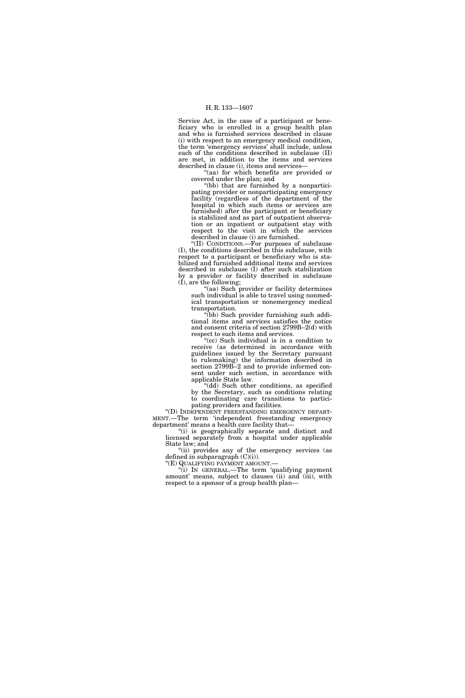Service Act, in the case of a participant or beneficiary who is enrolled in a group health plan and who is furnished services described in clause (i) with respect to an emergency medical condition, the term 'emergency services' shall include, unless each of the conditions described in subclause (II) are met, in addition to the items and services described in clause (i), items and services—

''(aa) for which benefits are provided or covered under the plan; and

"(bb) that are furnished by a nonparticipating provider or nonparticipating emergency facility (regardless of the department of the hospital in which such items or services are furnished) after the participant or beneficiary is stabilized and as part of outpatient observation or an inpatient or outpatient stay with respect to the visit in which the services described in clause (i) are furnished.

''(II) CONDITIONS.—For purposes of subclause (I), the conditions described in this subclause, with respect to a participant or beneficiary who is stabilized and furnished additional items and services described in subclause (I) after such stabilization by a provider or facility described in subclause (I), are the following;

"(aa) Such provider or facility determines such individual is able to travel using nonmedical transportation or nonemergency medical transportation.

''(bb) Such provider furnishing such additional items and services satisfies the notice and consent criteria of section 2799B–2(d) with respect to such items and services.

''(cc) Such individual is in a condition to receive (as determined in accordance with guidelines issued by the Secretary pursuant to rulemaking) the information described in section 2799B–2 and to provide informed consent under such section, in accordance with applicable State law.

"(dd) Such other conditions, as specified by the Secretary, such as conditions relating to coordinating care transitions to partici-

pating providers and facilities.<br>"(D) INDEPENDENT FREESTANDING EMERGENCY DEPART-MENT.—The term 'independent freestanding emergency department' means a health care facility that—

''(i) is geographically separate and distinct and licensed separately from a hospital under applicable State law; and

"(ii) provides any of the emergency services (as defined in subparagraph (C)(i)).

''(E) QUALIFYING PAYMENT AMOUNT.— ''(i) IN GENERAL.—The term 'qualifying payment amount' means, subject to clauses (ii) and (iii), with respect to a sponsor of a group health plan—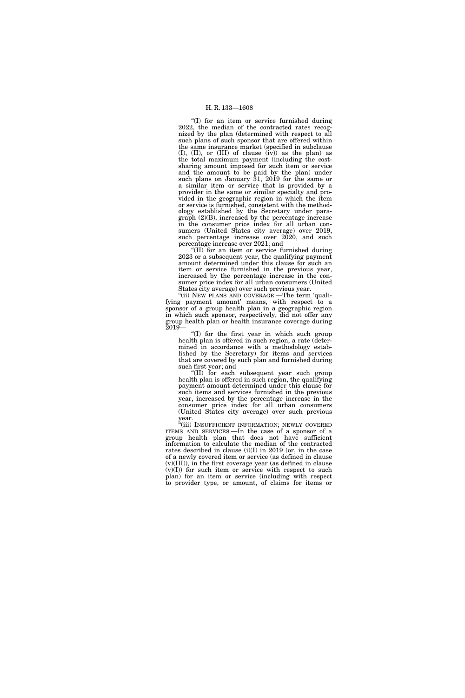''(I) for an item or service furnished during 2022, the median of the contracted rates recognized by the plan (determined with respect to all such plans of such sponsor that are offered within the same insurance market (specified in subclause (I), (II), or (III) of clause (iv)) as the plan) as the total maximum payment (including the costsharing amount imposed for such item or service and the amount to be paid by the plan) under such plans on January 31, 2019 for the same or a similar item or service that is provided by a provider in the same or similar specialty and provided in the geographic region in which the item or service is furnished, consistent with the methodology established by the Secretary under paragraph (2)(B), increased by the percentage increase in the consumer price index for all urban consumers (United States city average) over 2019, such percentage increase over 2020, and such percentage increase over 2021; and

''(II) for an item or service furnished during 2023 or a subsequent year, the qualifying payment amount determined under this clause for such an item or service furnished in the previous year, increased by the percentage increase in the consumer price index for all urban consumers (United States city average) over such previous year.

''(ii) NEW PLANS AND COVERAGE.—The term 'qualifying payment amount' means, with respect to a sponsor of a group health plan in a geographic region in which such sponsor, respectively, did not offer any group health plan or health insurance coverage during 2019—

''(I) for the first year in which such group health plan is offered in such region, a rate (determined in accordance with a methodology established by the Secretary) for items and services that are covered by such plan and furnished during such first year; and

''(II) for each subsequent year such group health plan is offered in such region, the qualifying payment amount determined under this clause for such items and services furnished in the previous year, increased by the percentage increase in the consumer price index for all urban consumers (United States city average) over such previous year.

"(iii) INSUFFICIENT INFORMATION; NEWLY COVERED ITEMS AND SERVICES.—In the case of a sponsor of a group health plan that does not have sufficient information to calculate the median of the contracted rates described in clause (i)(I) in 2019 (or, in the case of a newly covered item or service (as defined in clause (v)(III)), in the first coverage year (as defined in clause (v)(I)) for such item or service with respect to such plan) for an item or service (including with respect to provider type, or amount, of claims for items or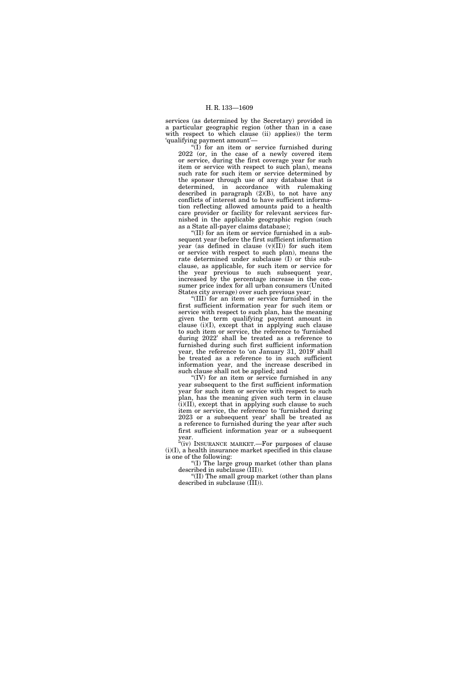services (as determined by the Secretary) provided in a particular geographic region (other than in a case with respect to which clause (ii) applies) the term 'qualifying payment amount'—

 $\overline{f(I)}$  for an item or service furnished during  $2022$  (or, in the case of a newly covered item or service, during the first coverage year for such item or service with respect to such plan), means such rate for such item or service determined by the sponsor through use of any database that is determined, in accordance with rulemaking described in paragraph (2)(B), to not have any conflicts of interest and to have sufficient information reflecting allowed amounts paid to a health care provider or facility for relevant services furnished in the applicable geographic region (such as a State all-payer claims database);

''(II) for an item or service furnished in a subsequent year (before the first sufficient information year (as defined in clause (v)(II)) for such item or service with respect to such plan), means the rate determined under subclause (I) or this subclause, as applicable, for such item or service for the year previous to such subsequent year, increased by the percentage increase in the consumer price index for all urban consumers (United States city average) over such previous year;

''(III) for an item or service furnished in the first sufficient information year for such item or service with respect to such plan, has the meaning given the term qualifying payment amount in clause (i)(I), except that in applying such clause to such item or service, the reference to 'furnished during 2022' shall be treated as a reference to furnished during such first sufficient information year, the reference to 'on January 31, 2019' shall be treated as a reference to in such sufficient information year, and the increase described in such clause shall not be applied; and

''(IV) for an item or service furnished in any year subsequent to the first sufficient information year for such item or service with respect to such plan, has the meaning given such term in clause (i)(II), except that in applying such clause to such item or service, the reference to 'furnished during 2023 or a subsequent year' shall be treated as a reference to furnished during the year after such first sufficient information year or a subsequent year.

''(iv) INSURANCE MARKET.—For purposes of clause (i)(I), a health insurance market specified in this clause is one of the following:

''(I) The large group market (other than plans described in subclause (III)).

''(II) The small group market (other than plans described in subclause (III)).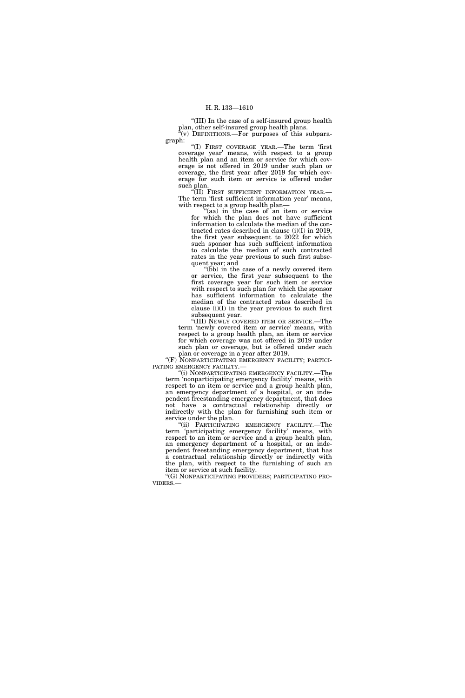''(III) In the case of a self-insured group health plan, other self-insured group health plans.  $E^{\alpha}(v)$  DEFINITIONS.—For purposes of this subpara-

graph:

''(I) FIRST COVERAGE YEAR.—The term 'first coverage year' means, with respect to a group health plan and an item or service for which coverage is not offered in 2019 under such plan or coverage, the first year after 2019 for which coverage for such item or service is offered under such plan.

"(II) FIRST SUFFICIENT INFORMATION YEAR.-The term 'first sufficient information year' means, with respect to a group health plan-

"(aa) in the case of an item or service for which the plan does not have sufficient information to calculate the median of the contracted rates described in clause (i)(I) in 2019, the first year subsequent to 2022 for which such sponsor has such sufficient information to calculate the median of such contracted rates in the year previous to such first subsequent year; and

"(bb) in the case of a newly covered item or service, the first year subsequent to the first coverage year for such item or service with respect to such plan for which the sponsor has sufficient information to calculate the median of the contracted rates described in clause (i)(I) in the year previous to such first subsequent year.

''(III) NEWLY COVERED ITEM OR SERVICE.—The term 'newly covered item or service' means, with respect to a group health plan, an item or service for which coverage was not offered in 2019 under such plan or coverage, but is offered under such plan or coverage in a year after 2019.

"(F) NONPARTICIPATING EMERGENCY FACILITY; PARTICI-PATING EMERGENCY FACILITY.—

"(i) NONPARTICIPATING EMERGENCY FACILITY.—The term 'nonparticipating emergency facility' means, with respect to an item or service and a group health plan, an emergency department of a hospital, or an independent freestanding emergency department, that does not have a contractual relationship directly or indirectly with the plan for furnishing such item or service under the plan.

"(ii) PARTICIPATING EMERGENCY FACILITY.—The term 'participating emergency facility' means, with respect to an item or service and a group health plan, an emergency department of a hospital, or an independent freestanding emergency department, that has a contractual relationship directly or indirectly with the plan, with respect to the furnishing of such an item or service at such facility.

''(G) NONPARTICIPATING PROVIDERS; PARTICIPATING PRO- VIDERS.—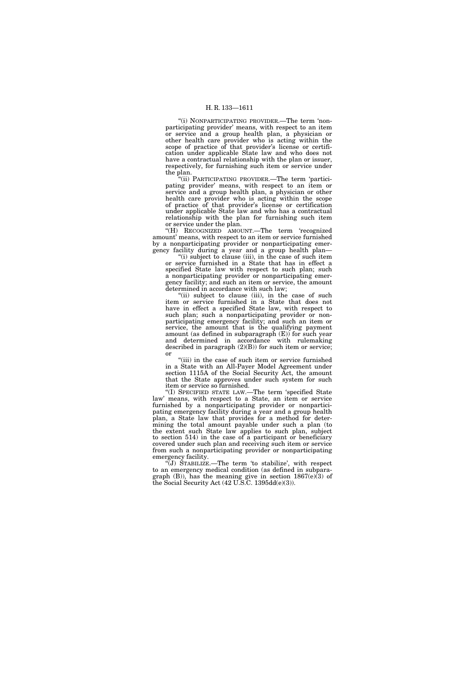''(i) NONPARTICIPATING PROVIDER.—The term 'nonparticipating provider' means, with respect to an item or service and a group health plan, a physician or other health care provider who is acting within the scope of practice of that provider's license or certification under applicable State law and who does not have a contractual relationship with the plan or issuer, respectively, for furnishing such item or service under the plan.

''(ii) PARTICIPATING PROVIDER.—The term 'participating provider' means, with respect to an item or service and a group health plan, a physician or other health care provider who is acting within the scope of practice of that provider's license or certification under applicable State law and who has a contractual relationship with the plan for furnishing such item or service under the plan.

''(H) RECOGNIZED AMOUNT.—The term 'recognized amount' means, with respect to an item or service furnished by a nonparticipating provider or nonparticipating emergency facility during a year and a group health plan—

"(i) subject to clause (iii), in the case of such item or service furnished in a State that has in effect a specified State law with respect to such plan; such a nonparticipating provider or nonparticipating emergency facility; and such an item or service, the amount determined in accordance with such law;

"(ii) subject to clause (iii), in the case of such item or service furnished in a State that does not have in effect a specified State law, with respect to such plan; such a nonparticipating provider or nonparticipating emergency facility; and such an item or service, the amount that is the qualifying payment amount (as defined in subparagraph (E)) for such year and determined in accordance with rulemaking described in paragraph  $(2)(B)$  for such item or service; or

(iii) in the case of such item or service furnished in a State with an All-Payer Model Agreement under section 1115A of the Social Security Act, the amount that the State approves under such system for such item or service so furnished.

''(I) SPECIFIED STATE LAW.—The term 'specified State law' means, with respect to a State, an item or service furnished by a nonparticipating provider or nonparticipating emergency facility during a year and a group health plan, a State law that provides for a method for determining the total amount payable under such a plan (to the extent such State law applies to such plan, subject to section 514) in the case of a participant or beneficiary covered under such plan and receiving such item or service from such a nonparticipating provider or nonparticipating emergency facility.

''(J) STABILIZE.—The term 'to stabilize', with respect to an emergency medical condition (as defined in subparagraph  $(B)$ ), has the meaning give in section 1867 $(e)(3)$  of the Social Security Act (42 U.S.C. 1395dd(e)(3)).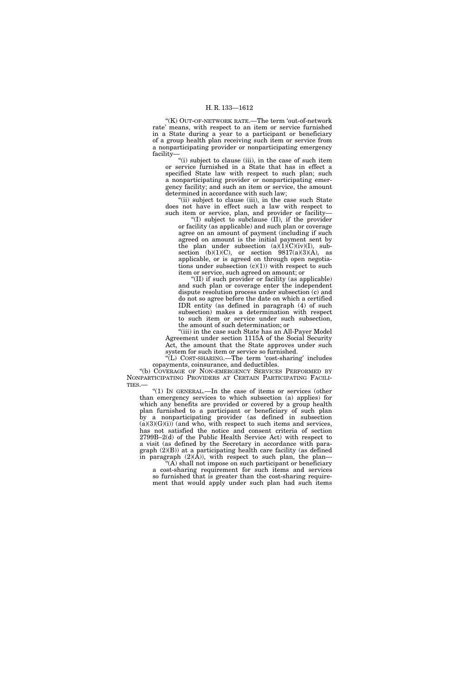''(K) OUT-OF-NETWORK RATE.—The term 'out-of-network rate' means, with respect to an item or service furnished in a State during a year to a participant or beneficiary of a group health plan receiving such item or service from a nonparticipating provider or nonparticipating emergency facility—

''(i) subject to clause (iii), in the case of such item or service furnished in a State that has in effect a specified State law with respect to such plan; such a nonparticipating provider or nonparticipating emergency facility; and such an item or service, the amount determined in accordance with such law;

"(ii) subject to clause (iii), in the case such State does not have in effect such a law with respect to such item or service, plan, and provider or facility—

''(I) subject to subclause (II), if the provider or facility (as applicable) and such plan or coverage agree on an amount of payment (including if such agreed on amount is the initial payment sent by the plan under subsection  $(a)(1)(C)(iv)(I)$ , subsection (b) $(1)(C)$ , or section  $9817(a)(3)(A)$ , as applicable, or is agreed on through open negotiations under subsection  $(c)(1)$  with respect to such item or service, such agreed on amount; or

''(II) if such provider or facility (as applicable) and such plan or coverage enter the independent dispute resolution process under subsection (c) and do not so agree before the date on which a certified IDR entity (as defined in paragraph (4) of such subsection) makes a determination with respect to such item or service under such subsection, the amount of such determination; or

''(iii) in the case such State has an All-Payer Model Agreement under section 1115A of the Social Security Act, the amount that the State approves under such system for such item or service so furnished.

''(L) COST-SHARING.—The term 'cost-sharing' includes copayments, coinsurance, and deductibles.

''(b) COVERAGE OF NON-EMERGENCY SERVICES PERFORMED BY NONPARTICIPATING PROVIDERS AT CERTAIN PARTICIPATING FACILI-TIES.—

"(1) In GENERAL.—In the case of items or services (other than emergency services to which subsection (a) applies) for which any benefits are provided or covered by a group health plan furnished to a participant or beneficiary of such plan by a nonparticipating provider (as defined in subsection  $(a)(3)(G)(i)$  (and who, with respect to such items and services, has not satisfied the notice and consent criteria of section 2799B–2(d) of the Public Health Service Act) with respect to a visit (as defined by the Secretary in accordance with paragraph (2)(B)) at a participating health care facility (as defined in paragraph  $(2)(A)$ , with respect to such plan, the plan-

 $(A)$  shall not impose on such participant or beneficiary a cost-sharing requirement for such items and services so furnished that is greater than the cost-sharing requirement that would apply under such plan had such items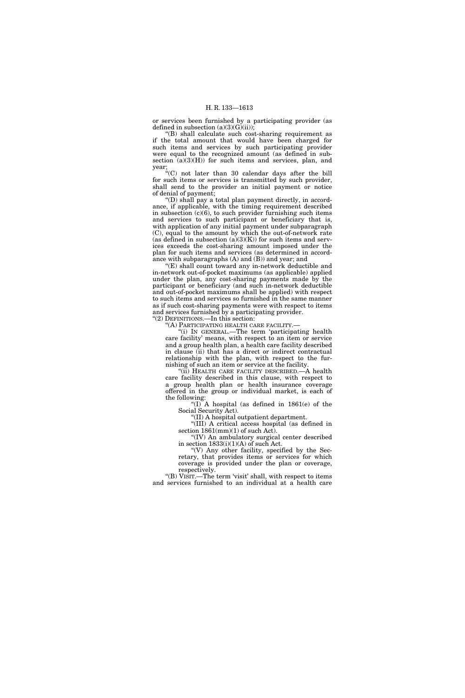or services been furnished by a participating provider (as defined in subsection  $(a)(3)(G)(ii)$ ;

''(B) shall calculate such cost-sharing requirement as if the total amount that would have been charged for such items and services by such participating provider were equal to the recognized amount (as defined in subsection  $(a)(3)(H)$  for such items and services, plan, and year;

''(C) not later than 30 calendar days after the bill for such items or services is transmitted by such provider, shall send to the provider an initial payment or notice of denial of payment;

''(D) shall pay a total plan payment directly, in accordance, if applicable, with the timing requirement described in subsection (c)(6), to such provider furnishing such items and services to such participant or beneficiary that is, with application of any initial payment under subparagraph (C), equal to the amount by which the out-of-network rate (as defined in subsection  $(a)(3)(K)$ ) for such items and services exceeds the cost-sharing amount imposed under the plan for such items and services (as determined in accordance with subparagraphs (A) and (B)) and year; and

"(E) shall count toward any in-network deductible and in-network out-of-pocket maximums (as applicable) applied under the plan, any cost-sharing payments made by the participant or beneficiary (and such in-network deductible and out-of-pocket maximums shall be applied) with respect to such items and services so furnished in the same manner as if such cost-sharing payments were with respect to items and services furnished by a participating provider. ''(2) DEFINITIONS.—In this section:

''(A) PARTICIPATING HEALTH CARE FACILITY.—

''(i) IN GENERAL.—The term 'participating health care facility' means, with respect to an item or service and a group health plan, a health care facility described in clause (ii) that has a direct or indirect contractual relationship with the plan, with respect to the furnishing of such an item or service at the facility.

"(ii) HEALTH CARE FACILITY DESCRIBED.—A health care facility described in this clause, with respect to a group health plan or health insurance coverage offered in the group or individual market, is each of the following:

"(I) A hospital (as defined in  $1861(e)$  of the Social Security Act).

''(II) A hospital outpatient department.

''(III) A critical access hospital (as defined in section  $1861 \, \text{(mm)} \, (1)$  of such Act).

''(IV) An ambulatory surgical center described in section  $1833(i)(1)(A)$  of such Act.

''(V) Any other facility, specified by the Secretary, that provides items or services for which coverage is provided under the plan or coverage, respectively.

''(B) VISIT.—The term 'visit' shall, with respect to items and services furnished to an individual at a health care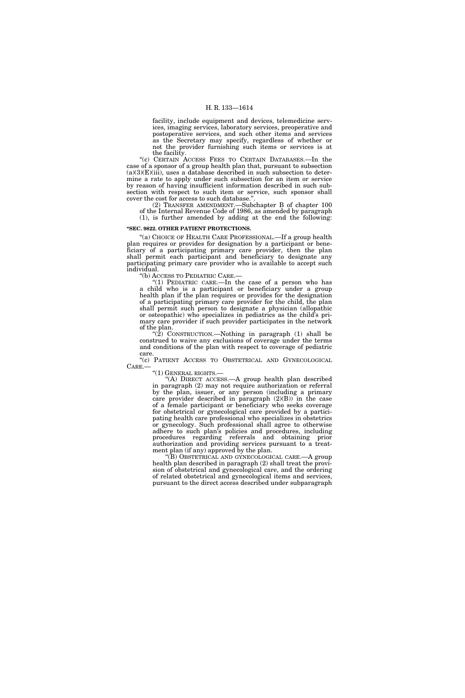facility, include equipment and devices, telemedicine services, imaging services, laboratory services, preoperative and postoperative services, and such other items and services as the Secretary may specify, regardless of whether or not the provider furnishing such items or services is at the facility.

''(c) CERTAIN ACCESS FEES TO CERTAIN DATABASES.—In the case of a sponsor of a group health plan that, pursuant to subsection  $(a)(3)(E)(iii)$ , uses a database described in such subsection to determine a rate to apply under such subsection for an item or service by reason of having insufficient information described in such subsection with respect to such item or service, such sponsor shall cover the cost for access to such database.''.

(2) TRANSFER AMENDMENT.—Subchapter B of chapter 100 of the Internal Revenue Code of 1986, as amended by paragraph (1), is further amended by adding at the end the following:

## **''SEC. 9822. OTHER PATIENT PROTECTIONS.**

"(a) CHOICE OF HEALTH CARE PROFESSIONAL.—If a group health plan requires or provides for designation by a participant or beneficiary of a participating primary care provider, then the plan shall permit each participant and beneficiary to designate any participating primary care provider who is available to accept such individual.

''(b) ACCESS TO PEDIATRIC CARE.—

"(1) PEDIATRIC CARE.—In the case of a person who has a child who is a participant or beneficiary under a group health plan if the plan requires or provides for the designation of a participating primary care provider for the child, the plan shall permit such person to designate a physician (allopathic or osteopathic) who specializes in pediatrics as the child's primary care provider if such provider participates in the network of the plan.

" $(2)$  CONSTRUCTION.—Nothing in paragraph  $(1)$  shall be construed to waive any exclusions of coverage under the terms and conditions of the plan with respect to coverage of pediatric care.

''(c) PATIENT ACCESS TO OBSTETRICAL AND GYNECOLOGICAL CARE.—<br>"(1) GENERAL RIGHTS.—

'(A) DIRECT ACCESS.—A group health plan described in paragraph (2) may not require authorization or referral by the plan, issuer, or any person (including a primary care provider described in paragraph  $(2)(B)$  in the case of a female participant or beneficiary who seeks coverage for obstetrical or gynecological care provided by a participating health care professional who specializes in obstetrics or gynecology. Such professional shall agree to otherwise adhere to such plan's policies and procedures, including procedures regarding referrals and obtaining prior authorization and providing services pursuant to a treatment plan (if any) approved by the plan.

''(B) OBSTETRICAL AND GYNECOLOGICAL CARE.—A group health plan described in paragraph (2) shall treat the provision of obstetrical and gynecological care, and the ordering of related obstetrical and gynecological items and services, pursuant to the direct access described under subparagraph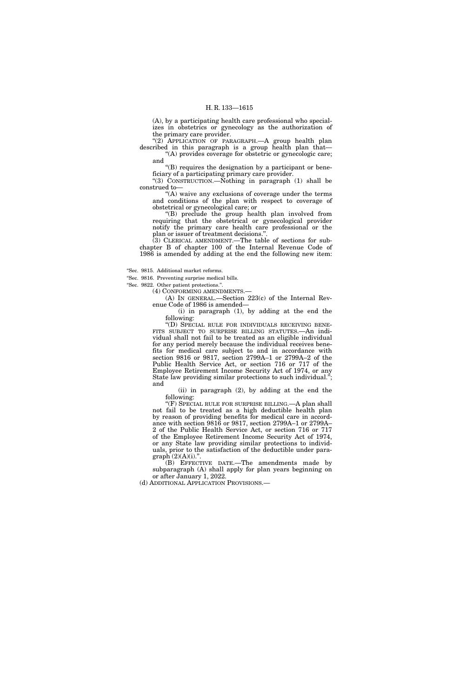(A), by a participating health care professional who specializes in obstetrics or gynecology as the authorization of the primary care provider.

"(2) APPLICATION OF PARAGRAPH.—A group health plan described in this paragraph is a group health plan that— ''(A) provides coverage for obstetric or gynecologic care;

and ''(B) requires the designation by a participant or beneficiary of a participating primary care provider.

''(3) CONSTRUCTION.—Nothing in paragraph (1) shall be construed to—

"(A) waive any exclusions of coverage under the terms and conditions of the plan with respect to coverage of obstetrical or gynecological care; or

''(B) preclude the group health plan involved from requiring that the obstetrical or gynecological provider notify the primary care health care professional or the plan or issuer of treatment decisions.''.

 $(3)$  CLERICAL AMENDMENT.—The table of sections for subchapter B of chapter 100 of the Internal Revenue Code of 1986 is amended by adding at the end the following new item:

''Sec. 9815. Additional market reforms.

''Sec. 9816. Preventing surprise medical bills.

''Sec. 9822. Other patient protections.''.

(4) CONFORMING AMENDMENTS.—

(A) IN GENERAL.—Section 223(c) of the Internal Revenue Code of 1986 is amended—

(i) in paragraph (1), by adding at the end the following:

''(D) SPECIAL RULE FOR INDIVIDUALS RECEIVING BENE-FITS SUBJECT TO SURPRISE BILLING STATUTES.—An individual shall not fail to be treated as an eligible individual for any period merely because the individual receives benefits for medical care subject to and in accordance with section 9816 or 9817, section 2799A–1 or 2799A–2 of the Public Health Service Act, or section 716 or 717 of the Employee Retirement Income Security Act of 1974, or any State law providing similar protections to such individual.''; and

(ii) in paragraph (2), by adding at the end the following:

''(F) SPECIAL RULE FOR SURPRISE BILLING.—A plan shall not fail to be treated as a high deductible health plan by reason of providing benefits for medical care in accordance with section 9816 or 9817, section 2799A–1 or 2799A– 2 of the Public Health Service Act, or section 716 or 717 of the Employee Retirement Income Security Act of 1974, or any State law providing similar protections to individuals, prior to the satisfaction of the deductible under para $graph (2)(A)(i).".$ 

(B) EFFECTIVE DATE.—The amendments made by subparagraph (A) shall apply for plan years beginning on or after January 1, 2022.

(d) ADDITIONAL APPLICATION PROVISIONS.—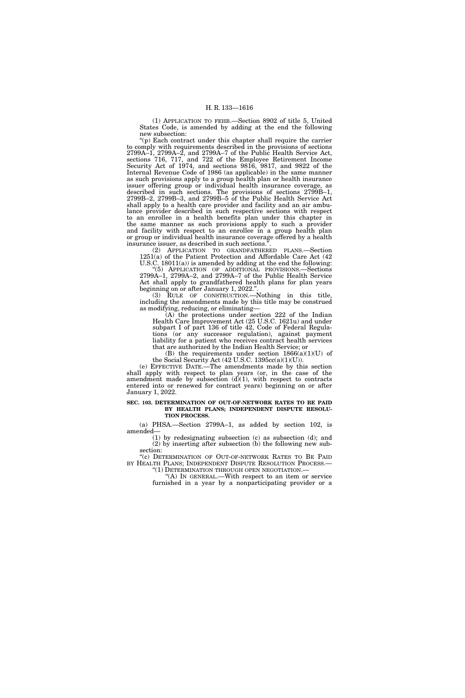(1) APPLICATION TO FEHB.—Section 8902 of title 5, United States Code, is amended by adding at the end the following new subsection:

''(p) Each contract under this chapter shall require the carrier to comply with requirements described in the provisions of sections 2799A–1, 2799A–2, and 2799A–7 of the Public Health Service Act, sections 716, 717, and 722 of the Employee Retirement Income Security Act of 1974, and sections 9816, 9817, and 9822 of the Internal Revenue Code of 1986 (as applicable) in the same manner as such provisions apply to a group health plan or health insurance issuer offering group or individual health insurance coverage, as described in such sections. The provisions of sections 2799B–1, 2799B–2, 2799B–3, and 2799B–5 of the Public Health Service Act shall apply to a health care provider and facility and an air ambulance provider described in such respective sections with respect to an enrollee in a health benefits plan under this chapter in the same manner as such provisions apply to such a provider and facility with respect to an enrollee in a group health plan or group or individual health insurance coverage offered by a health insurance issuer, as described in such sections.<sup>3</sup>

(2) APPLICATION TO GRANDFATHERED PLANS.—Section  $1251(a)$  of the Patient Protection and Affordable Care Act (42 U.S.C. 18011(a)) is amended by adding at the end the following:

''(5) APPLICATION OF ADDITIONAL PROVISIONS.—Sections 2799A–1, 2799A–2, and 2799A–7 of the Public Health Service Act shall apply to grandfathered health plans for plan years beginning on or after January 1, 2022.''.

(3) RULE OF CONSTRUCTION.—Nothing in this title, including the amendments made by this title may be construed as modifying, reducing, or eliminating—

(A) the protections under section 222 of the Indian Health Care Improvement Act (25 U.S.C. 1621u) and under subpart I of part 136 of title 42, Code of Federal Regulations (or any successor regulation), against payment liability for a patient who receives contract health services that are authorized by the Indian Health Service; or

(B) the requirements under section 1866(a)(1)(U) of the Social Security Act (42 U.S.C. 1395cc(a)(1)(U)).

(e) EFFECTIVE DATE.—The amendments made by this section shall apply with respect to plan years (or, in the case of the amendment made by subsection  $(d)(1)$ , with respect to contracts entered into or renewed for contract years) beginning on or after January 1, 2022.

#### **SEC. 103. DETERMINATION OF OUT-OF-NETWORK RATES TO BE PAID BY HEALTH PLANS; INDEPENDENT DISPUTE RESOLU-TION PROCESS.**

(a) PHSA.—Section 2799A–1, as added by section 102, is amended—

(1) by redesignating subsection (c) as subsection (d); and (2) by inserting after subsection (b) the following new subsection:

''(c) DETERMINATION OF OUT-OF-NETWORK RATES TO BE PAID BY HEALTH PLANS; INDEPENDENT DISPUTE RESOLUTION PROCESS.— "(1) DETERMINATION THROUGH OPEN NEGOTIATION.— "(A) IN GENERAL.—With respect to an item or service

furnished in a year by a nonparticipating provider or a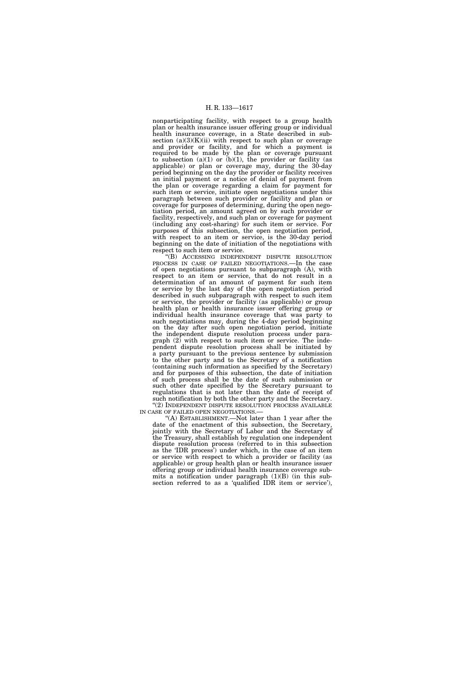nonparticipating facility, with respect to a group health plan or health insurance issuer offering group or individual health insurance coverage, in a State described in subsection (a)(3)(K)(ii) with respect to such plan or coverage and provider or facility, and for which a payment is required to be made by the plan or coverage pursuant to subsection  $(a)(1)$  or  $(b)(1)$ , the provider or facility (as applicable) or plan or coverage may, during the 30-day period beginning on the day the provider or facility receives an initial payment or a notice of denial of payment from the plan or coverage regarding a claim for payment for such item or service, initiate open negotiations under this paragraph between such provider or facility and plan or coverage for purposes of determining, during the open negotiation period, an amount agreed on by such provider or facility, respectively, and such plan or coverage for payment (including any cost-sharing) for such item or service. For purposes of this subsection, the open negotiation period, with respect to an item or service, is the 30-day period beginning on the date of initiation of the negotiations with respect to such item or service.

''(B) ACCESSING INDEPENDENT DISPUTE RESOLUTION PROCESS IN CASE OF FAILED NEGOTIATIONS.—In the case of open negotiations pursuant to subparagraph (A), with respect to an item or service, that do not result in a determination of an amount of payment for such item or service by the last day of the open negotiation period described in such subparagraph with respect to such item or service, the provider or facility (as applicable) or group health plan or health insurance issuer offering group or individual health insurance coverage that was party to such negotiations may, during the  $\overline{4}$ -day period beginning on the day after such open negotiation period, initiate the independent dispute resolution process under paragraph (2) with respect to such item or service. The independent dispute resolution process shall be initiated by a party pursuant to the previous sentence by submission to the other party and to the Secretary of a notification (containing such information as specified by the Secretary) and for purposes of this subsection, the date of initiation of such process shall be the date of such submission or such other date specified by the Secretary pursuant to regulations that is not later than the date of receipt of such notification by both the other party and the Secretary.

 $\lq$  (2) INDEPENDENT DISPUTE RESOLUTION PROCESS AVAILABLE IN CASE OF FAILED OPEN NEGOTIATIONS.—

 $I(A)$  ESTABLISHMENT.—Not later than 1 year after the date of the enactment of this subsection, the Secretary, jointly with the Secretary of Labor and the Secretary of the Treasury, shall establish by regulation one independent dispute resolution process (referred to in this subsection as the 'IDR process') under which, in the case of an item or service with respect to which a provider or facility (as applicable) or group health plan or health insurance issuer offering group or individual health insurance coverage submits a notification under paragraph  $(1)(B)$  (in this subsection referred to as a 'qualified IDR item or service'),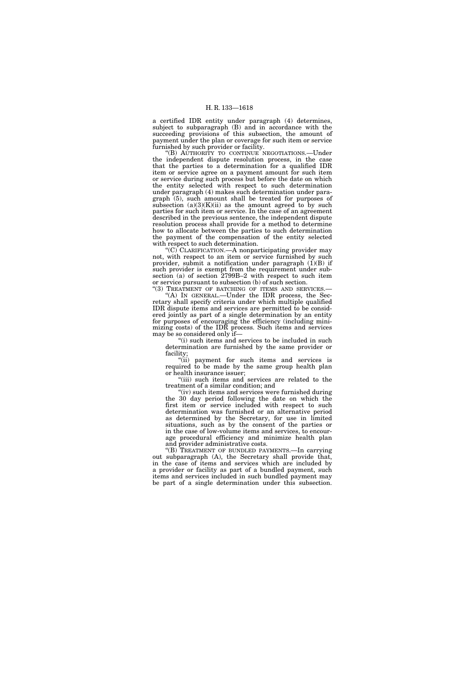a certified IDR entity under paragraph (4) determines, subject to subparagraph (B) and in accordance with the succeeding provisions of this subsection, the amount of payment under the plan or coverage for such item or service furnished by such provider or facility.

''(B) AUTHORITY TO CONTINUE NEGOTIATIONS.—Under the independent dispute resolution process, in the case that the parties to a determination for a qualified IDR item or service agree on a payment amount for such item or service during such process but before the date on which the entity selected with respect to such determination under paragraph (4) makes such determination under paragraph (5), such amount shall be treated for purposes of subsection  $(a)(3)(K)(ii)$  as the amount agreed to by such parties for such item or service. In the case of an agreement described in the previous sentence, the independent dispute resolution process shall provide for a method to determine how to allocate between the parties to such determination the payment of the compensation of the entity selected with respect to such determination.

''(C) CLARIFICATION.—A nonparticipating provider may not, with respect to an item or service furnished by such provider, submit a notification under paragraph  $(1)(B)$  if such provider is exempt from the requirement under subsection (a) of section 2799B-2 with respect to such item or service pursuant to subsection (b) of such section.

"(3) TREATMENT OF BATCHING OF ITEMS AND SERVICES.-''(A) IN GENERAL.—Under the IDR process, the Secretary shall specify criteria under which multiple qualified IDR dispute items and services are permitted to be considered jointly as part of a single determination by an entity for purposes of encouraging the efficiency (including minimizing costs) of the IDR process. Such items and services may be so considered only if—

"(i) such items and services to be included in such determination are furnished by the same provider or facility;

''(ii) payment for such items and services is required to be made by the same group health plan or health insurance issuer;

''(iii) such items and services are related to the treatment of a similar condition; and

''(iv) such items and services were furnished during the 30 day period following the date on which the first item or service included with respect to such determination was furnished or an alternative period as determined by the Secretary, for use in limited situations, such as by the consent of the parties or in the case of low-volume items and services, to encourage procedural efficiency and minimize health plan and provider administrative costs.

''(B) TREATMENT OF BUNDLED PAYMENTS.—In carrying out subparagraph (A), the Secretary shall provide that, in the case of items and services which are included by a provider or facility as part of a bundled payment, such items and services included in such bundled payment may be part of a single determination under this subsection.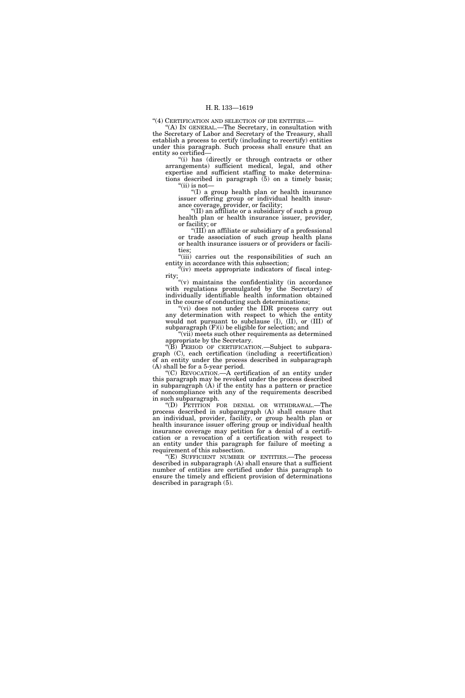''(4) CERTIFICATION AND SELECTION OF IDR ENTITIES.—

'(A) In GENERAL.—The Secretary, in consultation with the Secretary of Labor and Secretary of the Treasury, shall establish a process to certify (including to recertify) entities under this paragraph. Such process shall ensure that an entity so certified—

"(i) has (directly or through contracts or other arrangements) sufficient medical, legal, and other expertise and sufficient staffing to make determinations described in paragraph (5) on a timely basis;  $\lq{\text{`}}$ (ii) is not—

''(I) a group health plan or health insurance issuer offering group or individual health insurance coverage, provider, or facility;

''(II) an affiliate or a subsidiary of such a group health plan or health insurance issuer, provider, or facility; or

''(III) an affiliate or subsidiary of a professional or trade association of such group health plans or health insurance issuers or of providers or facilities;

"(iii) carries out the responsibilities of such an entity in accordance with this subsection;

"(iv) meets appropriate indicators of fiscal integrity;

" $(v)$  maintains the confidentiality (in accordance) with regulations promulgated by the Secretary) of individually identifiable health information obtained in the course of conducting such determinations;

"(vi) does not under the IDR process carry out any determination with respect to which the entity would not pursuant to subclause (I), (II), or (III) of subparagraph (F)(i) be eligible for selection; and

''(vii) meets such other requirements as determined appropriate by the Secretary.

 $\sqrt[\text{B}]{B}$  PERIOD OF CERTIFICATION.—Subject to subparagraph (C), each certification (including a recertification) of an entity under the process described in subparagraph (A) shall be for a 5-year period.

''(C) REVOCATION.—A certification of an entity under this paragraph may be revoked under the process described in subparagraph (A) if the entity has a pattern or practice of noncompliance with any of the requirements described in such subparagraph.

''(D) PETITION FOR DENIAL OR WITHDRAWAL.—The process described in subparagraph (A) shall ensure that an individual, provider, facility, or group health plan or health insurance issuer offering group or individual health insurance coverage may petition for a denial of a certification or a revocation of a certification with respect to an entity under this paragraph for failure of meeting a requirement of this subsection.

''(E) SUFFICIENT NUMBER OF ENTITIES.—The process described in subparagraph (A) shall ensure that a sufficient number of entities are certified under this paragraph to ensure the timely and efficient provision of determinations described in paragraph (5).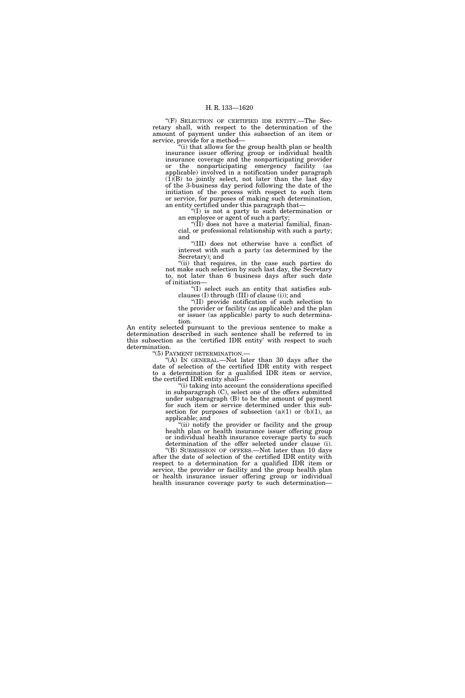"(F) SELECTION OF CERTIFIED IDR ENTITY.-The Secretary shall, with respect to the determination of the amount of payment under this subsection of an item or service, provide for a method—

''(i) that allows for the group health plan or health insurance issuer offering group or individual health insurance coverage and the nonparticipating provider or the nonparticipating emergency facility (as applicable) involved in a notification under paragraph  $(1)(B)$  to jointly select, not later than the last day of the 3-business day period following the date of the initiation of the process with respect to such item or service, for purposes of making such determination, an entity certified under this paragraph that—

''(I) is not a party to such determination or an employee or agent of such a party;

''(II) does not have a material familial, financial, or professional relationship with such a party; and

''(III) does not otherwise have a conflict of interest with such a party (as determined by the Secretary); and

''(ii) that requires, in the case such parties do not make such selection by such last day, the Secretary to, not later than 6 business days after such date of initiation—

''(I) select such an entity that satisfies subclauses (I) through (III) of clause (i)); and

''(II) provide notification of such selection to the provider or facility (as applicable) and the plan or issuer (as applicable) party to such determination.

An entity selected pursuant to the previous sentence to make a determination described in such sentence shall be referred to in this subsection as the 'certified IDR entity' with respect to such determination.<br>"(5) PAYMENT DETERMINATION.—

"(A) In GENERAL.—Not later than 30 days after the date of selection of the certified IDR entity with respect to a determination for a qualified IDR item or service, the certified IDR entity shall—

''(i) taking into account the considerations specified in subparagraph (C), select one of the offers submitted under subparagraph (B) to be the amount of payment for such item or service determined under this subsection for purposes of subsection  $(a)(1)$  or  $(b)(1)$ , as applicable; and

"(ii) notify the provider or facility and the group health plan or health insurance issuer offering group or individual health insurance coverage party to such determination of the offer selected under clause (i).

''(B) SUBMISSION OF OFFERS.—Not later than 10 days after the date of selection of the certified IDR entity with respect to a determination for a qualified IDR item or service, the provider or facility and the group health plan or health insurance issuer offering group or individual health insurance coverage party to such determination—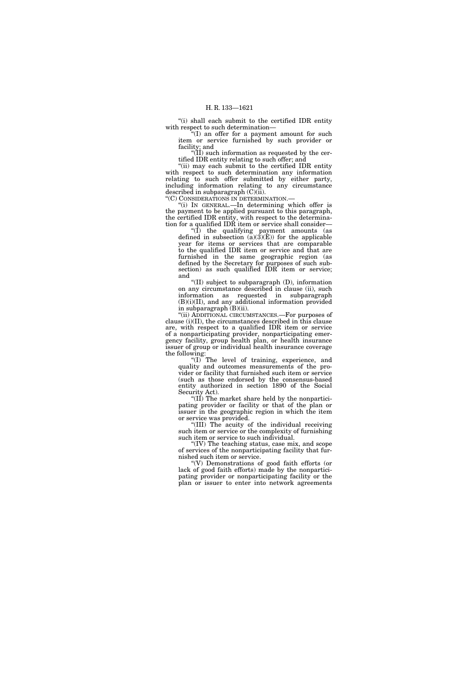"(i) shall each submit to the certified IDR entity with respect to such determination—

''(I) an offer for a payment amount for such item or service furnished by such provider or facility; and

 $\sqrt{\text{II}}$ ) such information as requested by the certified IDR entity relating to such offer; and

"(ii) may each submit to the certified IDR entity with respect to such determination any information relating to such offer submitted by either party, including information relating to any circumstance described in subparagraph (C)(ii).

''(C) CONSIDERATIONS IN DETERMINATION.— ''(i) IN GENERAL.—In determining which offer is the payment to be applied pursuant to this paragraph, the certified IDR entity, with respect to the determination for a qualified IDR item or service shall consider—

''(I) the qualifying payment amounts (as defined in subsection  $(a)(3)(E)$  for the applicable year for items or services that are comparable to the qualified IDR item or service and that are furnished in the same geographic region (as defined by the Secretary for purposes of such subsection) as such qualified IDR item or service; and

''(II) subject to subparagraph (D), information on any circumstance described in clause (ii), such information as requested in subparagraph  $(B)(i)(II)$ , and any additional information provided in subparagraph (B)(ii).

''(ii) ADDITIONAL CIRCUMSTANCES.—For purposes of clause (i)(II), the circumstances described in this clause are, with respect to a qualified IDR item or service of a nonparticipating provider, nonparticipating emergency facility, group health plan, or health insurance issuer of group or individual health insurance coverage the following:

"(I) The level of training, experience, and quality and outcomes measurements of the provider or facility that furnished such item or service (such as those endorsed by the consensus-based entity authorized in section 1890 of the Social Security Act).

''(II) The market share held by the nonparticipating provider or facility or that of the plan or issuer in the geographic region in which the item or service was provided.

''(III) The acuity of the individual receiving such item or service or the complexity of furnishing such item or service to such individual.

''(IV) The teaching status, case mix, and scope of services of the nonparticipating facility that furnished such item or service.

''(V) Demonstrations of good faith efforts (or lack of good faith efforts) made by the nonparticipating provider or nonparticipating facility or the plan or issuer to enter into network agreements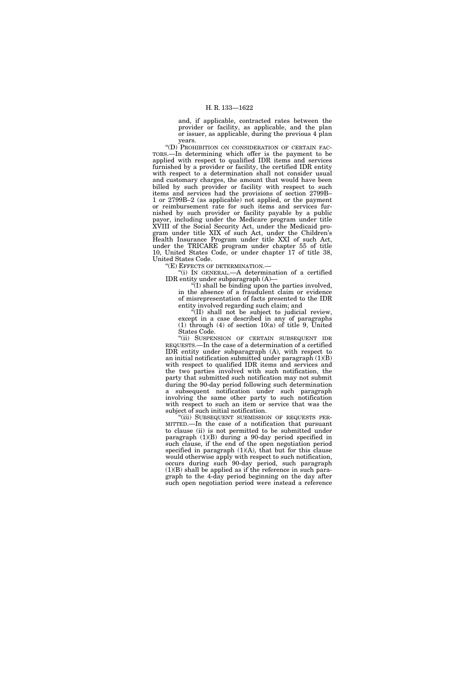and, if applicable, contracted rates between the provider or facility, as applicable, and the plan or issuer, as applicable, during the previous 4 plan years.

''(D) PROHIBITION ON CONSIDERATION OF CERTAIN FAC-TORS.—In determining which offer is the payment to be applied with respect to qualified IDR items and services furnished by a provider or facility, the certified IDR entity with respect to a determination shall not consider usual and customary charges, the amount that would have been billed by such provider or facility with respect to such items and services had the provisions of section 2799B– 1 or 2799B–2 (as applicable) not applied, or the payment or reimbursement rate for such items and services furnished by such provider or facility payable by a public payor, including under the Medicare program under title XVIII of the Social Security Act, under the Medicaid program under title XIX of such Act, under the Children's Health Insurance Program under title XXI of such Act, under the TRICARE program under chapter 55 of title 10, United States Code, or under chapter 17 of title 38, United States Code.

''(E) EFFECTS OF DETERMINATION.—

''(i) IN GENERAL.—A determination of a certified IDR entity under subparagraph (A)—

 $\ddot{N}$ ) shall be binding upon the parties involved, in the absence of a fraudulent claim or evidence of misrepresentation of facts presented to the IDR entity involved regarding such claim; and

''(II) shall not be subject to judicial review, except in a case described in any of paragraphs (1) through (4) of section 10(a) of title 9, United States Code.

''(ii) SUSPENSION OF CERTAIN SUBSEQUENT IDR REQUESTS.—In the case of a determination of a certified IDR entity under subparagraph (A), with respect to an initial notification submitted under paragraph  $(1)(B)$ with respect to qualified IDR items and services and the two parties involved with such notification, the party that submitted such notification may not submit during the 90-day period following such determination a subsequent notification under such paragraph involving the same other party to such notification with respect to such an item or service that was the subject of such initial notification.

"(iii) SUBSEQUENT SUBMISSION OF REQUESTS PER-MITTED.—In the case of a notification that pursuant to clause (ii) is not permitted to be submitted under paragraph (1)(B) during a 90-day period specified in such clause, if the end of the open negotiation period specified in paragraph  $(1)(A)$ , that but for this clause would otherwise apply with respect to such notification, occurs during such 90-day period, such paragraph (1)(B) shall be applied as if the reference in such paragraph to the 4-day period beginning on the day after such open negotiation period were instead a reference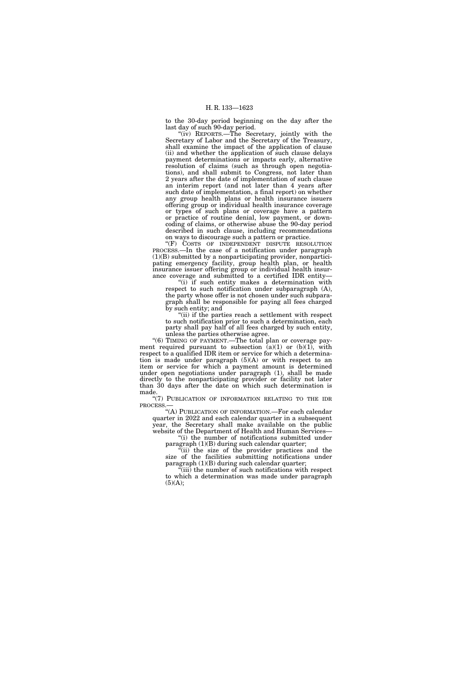to the 30-day period beginning on the day after the last day of such 90-day period.

''(iv) REPORTS.—The Secretary, jointly with the Secretary of Labor and the Secretary of the Treasury, shall examine the impact of the application of clause (ii) and whether the application of such clause delays payment determinations or impacts early, alternative resolution of claims (such as through open negotiations), and shall submit to Congress, not later than 2 years after the date of implementation of such clause an interim report (and not later than 4 years after such date of implementation, a final report) on whether any group health plans or health insurance issuers offering group or individual health insurance coverage or types of such plans or coverage have a pattern or practice of routine denial, low payment, or downcoding of claims, or otherwise abuse the 90-day period described in such clause, including recommendations on ways to discourage such a pattern or practice.

"(F) COSTS OF INDEPENDENT DISPUTE RESOLUTION PROCESS.—In the case of a notification under paragraph (1)(B) submitted by a nonparticipating provider, nonparticipating emergency facility, group health plan, or health insurance issuer offering group or individual health insurance coverage and submitted to a certified IDR entity—

''(i) if such entity makes a determination with respect to such notification under subparagraph (A), the party whose offer is not chosen under such subparagraph shall be responsible for paying all fees charged by such entity; and

"(ii) if the parties reach a settlement with respect to such notification prior to such a determination, each party shall pay half of all fees charged by such entity, unless the parties otherwise agree.

"(6) TIMING OF PAYMENT. The total plan or coverage payment required pursuant to subsection  $(a)(1)$  or  $(b)(1)$ , with respect to a qualified IDR item or service for which a determination is made under paragraph (5)(A) or with respect to an item or service for which a payment amount is determined under open negotiations under paragraph (1), shall be made directly to the nonparticipating provider or facility not later than 30 days after the date on which such determination is made.

"(7) PUBLICATION OF INFORMATION RELATING TO THE IDR PROCESS.—

"(A) PUBLICATION OF INFORMATION.—For each calendar quarter in 2022 and each calendar quarter in a subsequent year, the Secretary shall make available on the public website of the Department of Health and Human Services—

''(i) the number of notifications submitted under paragraph (1)(B) during such calendar quarter;

''(ii) the size of the provider practices and the size of the facilities submitting notifications under paragraph (1)(B) during such calendar quarter;

 $\tilde{f}$ (iii) the number of such notifications with respect to which a determination was made under paragraph  $(5)(A);$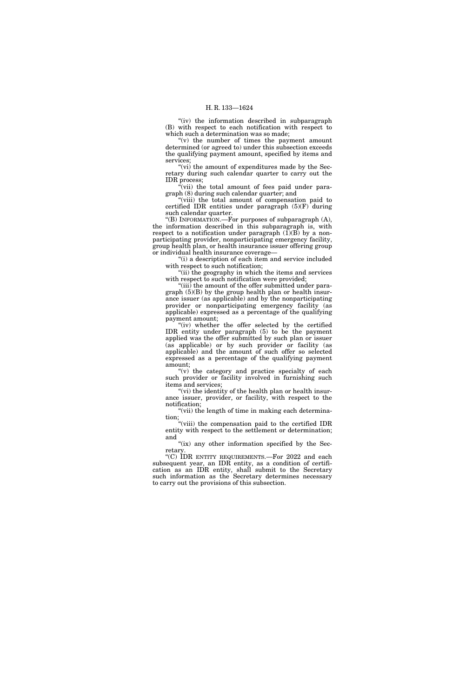"(iv) the information described in subparagraph (B) with respect to each notification with respect to which such a determination was so made:

"(v) the number of times the payment amount determined (or agreed to) under this subsection exceeds the qualifying payment amount, specified by items and services;

" $(vi)$  the amount of expenditures made by the Secretary during such calendar quarter to carry out the IDR process;

"(vii) the total amount of fees paid under paragraph (8) during such calendar quarter; and

"(viii) the total amount of compensation paid to certified IDR entities under paragraph (5)(F) during such calendar quarter.

''(B) INFORMATION.—For purposes of subparagraph (A), the information described in this subparagraph is, with respect to a notification under paragraph  $(\overline{1})(\overline{B})$  by a nonparticipating provider, nonparticipating emergency facility, group health plan, or health insurance issuer offering group or individual health insurance coverage—

"(i) a description of each item and service included with respect to such notification:

"(ii) the geography in which the items and services with respect to such notification were provided;

"(iii) the amount of the offer submitted under paragraph (5)(B) by the group health plan or health insurance issuer (as applicable) and by the nonparticipating provider or nonparticipating emergency facility (as applicable) expressed as a percentage of the qualifying payment amount;

"(iv) whether the offer selected by the certified IDR entity under paragraph (5) to be the payment applied was the offer submitted by such plan or issuer (as applicable) or by such provider or facility (as applicable) and the amount of such offer so selected expressed as a percentage of the qualifying payment amount;

"(v) the category and practice specialty of each such provider or facility involved in furnishing such items and services;

"(vi) the identity of the health plan or health insurance issuer, provider, or facility, with respect to the notification;

"(vii) the length of time in making each determination;

"(viii) the compensation paid to the certified IDR entity with respect to the settlement or determination; and

"(ix) any other information specified by the Secretary.

''(C) IDR ENTITY REQUIREMENTS.—For 2022 and each subsequent year, an IDR entity, as a condition of certification as an IDR entity, shall submit to the Secretary such information as the Secretary determines necessary to carry out the provisions of this subsection.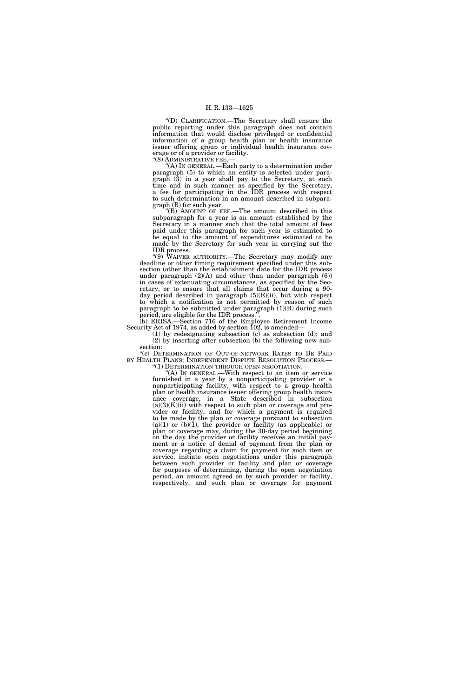''(D) CLARIFICATION.—The Secretary shall ensure the public reporting under this paragraph does not contain information that would disclose privileged or confidential information of a group health plan or health insurance issuer offering group or individual health insurance coverage or of a provider or facility.

''(8) ADMINISTRATIVE FEE.—

 $(A)$  In GENERAL.—Each party to a determination under paragraph (5) to which an entity is selected under paragraph (3) in a year shall pay to the Secretary, at such time and in such manner as specified by the Secretary, a fee for participating in the IDR process with respect to such determination in an amount described in subparagraph (B) for such year.

''(B) AMOUNT OF FEE.—The amount described in this subparagraph for a year is an amount established by the Secretary in a manner such that the total amount of fees paid under this paragraph for such year is estimated to be equal to the amount of expenditures estimated to be made by the Secretary for such year in carrying out the IDR process.

''(9) WAIVER AUTHORITY.—The Secretary may modify any deadline or other timing requirement specified under this subsection (other than the establishment date for the IDR process under paragraph  $(2)(A)$  and other than under paragraph  $(6)$ ) in cases of extenuating circumstances, as specified by the Secretary, or to ensure that all claims that occur during a 90 day period described in paragraph (5)(E)(ii), but with respect to which a notification is not permitted by reason of such paragraph to be submitted under paragraph  $(1)(B)$  during such period, are eligible for the IDR process.''.

(b) ERISA.—Section 716 of the Employee Retirement Income Security Act of 1974, as added by section 102, is amended—

(1) by redesignating subsection (c) as subsection (d); and (2) by inserting after subsection (b) the following new subsection:

''(c) DETERMINATION OF OUT-OF-NETWORK RATES TO BE PAID BY HEALTH PLANS; INDEPENDENT DISPUTE RESOLUTION PROCESS.— "(1) DETERMINATION THROUGH OPEN NEGOTIATION.—

''(A) IN GENERAL.—With respect to an item or service furnished in a year by a nonparticipating provider or a nonparticipating facility, with respect to a group health plan or health insurance issuer offering group health insurance coverage, in a State described in subsection  $(a)(3)(K)(ii)$  with respect to such plan or coverage and provider or facility, and for which a payment is required to be made by the plan or coverage pursuant to subsection  $(a)(1)$  or  $(b)(1)$ , the provider or facility (as applicable) or plan or coverage may, during the 30-day period beginning on the day the provider or facility receives an initial payment or a notice of denial of payment from the plan or coverage regarding a claim for payment for such item or service, initiate open negotiations under this paragraph between such provider or facility and plan or coverage for purposes of determining, during the open negotiation period, an amount agreed on by such provider or facility, respectively, and such plan or coverage for payment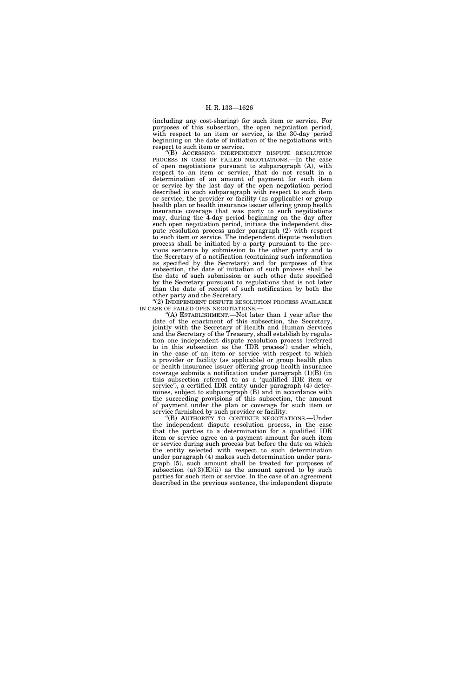(including any cost-sharing) for such item or service. For purposes of this subsection, the open negotiation period, with respect to an item or service, is the 30-day period beginning on the date of initiation of the negotiations with respect to such item or service.

''(B) ACCESSING INDEPENDENT DISPUTE RESOLUTION PROCESS IN CASE OF FAILED NEGOTIATIONS.—In the case of open negotiations pursuant to subparagraph (A), with respect to an item or service, that do not result in a determination of an amount of payment for such item or service by the last day of the open negotiation period described in such subparagraph with respect to such item or service, the provider or facility (as applicable) or group health plan or health insurance issuer offering group health insurance coverage that was party to such negotiations may, during the 4-day period beginning on the day after such open negotiation period, initiate the independent dispute resolution process under paragraph (2) with respect to such item or service. The independent dispute resolution process shall be initiated by a party pursuant to the previous sentence by submission to the other party and to the Secretary of a notification (containing such information as specified by the Secretary) and for purposes of this subsection, the date of initiation of such process shall be the date of such submission or such other date specified by the Secretary pursuant to regulations that is not later than the date of receipt of such notification by both the other party and the Secretary.

''(2) INDEPENDENT DISPUTE RESOLUTION PROCESS AVAILABLE IN CASE OF FAILED OPEN NEGOTIATIONS.—

''(A) ESTABLISHMENT.—Not later than 1 year after the date of the enactment of this subsection, the Secretary, jointly with the Secretary of Health and Human Services and the Secretary of the Treasury, shall establish by regulation one independent dispute resolution process (referred to in this subsection as the 'IDR process') under which, in the case of an item or service with respect to which a provider or facility (as applicable) or group health plan or health insurance issuer offering group health insurance coverage submits a notification under paragraph (1)(B) (in this subsection referred to as a 'qualified IDR item or service'), a certified IDR entity under paragraph (4) determines, subject to subparagraph (B) and in accordance with the succeeding provisions of this subsection, the amount of payment under the plan or coverage for such item or service furnished by such provider or facility.

''(B) AUTHORITY TO CONTINUE NEGOTIATIONS.—Under the independent dispute resolution process, in the case that the parties to a determination for a qualified IDR item or service agree on a payment amount for such item or service during such process but before the date on which the entity selected with respect to such determination under paragraph (4) makes such determination under paragraph (5), such amount shall be treated for purposes of subsection  $(a)(3)(K)(ii)$  as the amount agreed to by such parties for such item or service. In the case of an agreement described in the previous sentence, the independent dispute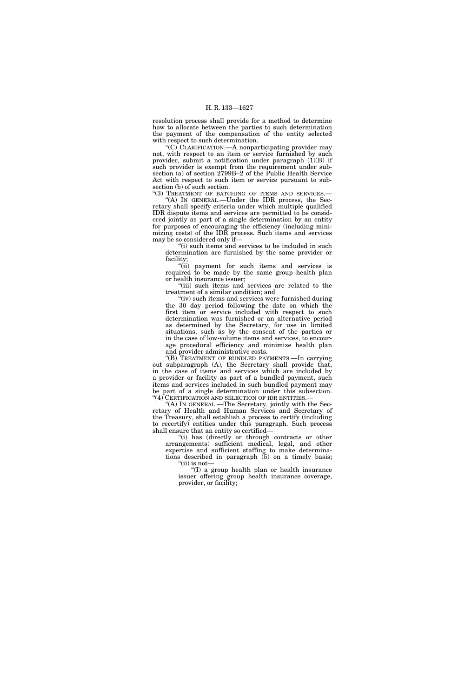resolution process shall provide for a method to determine how to allocate between the parties to such determination the payment of the compensation of the entity selected with respect to such determination.

"(C) CLARIFICATION.—A nonparticipating provider may not, with respect to an item or service furnished by such provider, submit a notification under paragraph  $(1)(B)$  if such provider is exempt from the requirement under subsection (a) of section 2799B–2 of the Public Health Service Act with respect to such item or service pursuant to subsection (b) of such section.

"(3) TREATMENT OF BATCHING OF ITEMS AND SERVICES.-''(A) IN GENERAL.—Under the IDR process, the Secretary shall specify criteria under which multiple qualified IDR dispute items and services are permitted to be considered jointly as part of a single determination by an entity for purposes of encouraging the efficiency (including minimizing costs) of the IDR process. Such items and services may be so considered only if—

"(i) such items and services to be included in such determination are furnished by the same provider or facility;

"(ii) payment for such items and services is required to be made by the same group health plan or health insurance issuer;

"(iii) such items and services are related to the treatment of a similar condition; and

 $(iv)$  such items and services were furnished during the 30 day period following the date on which the first item or service included with respect to such determination was furnished or an alternative period as determined by the Secretary, for use in limited situations, such as by the consent of the parties or in the case of low-volume items and services, to encourage procedural efficiency and minimize health plan and provider administrative costs.

''(B) TREATMENT OF BUNDLED PAYMENTS.—In carrying out subparagraph (A), the Secretary shall provide that, in the case of items and services which are included by a provider or facility as part of a bundled payment, such items and services included in such bundled payment may be part of a single determination under this subsection. "(4) CERTIFICATION AND SELECTION OF IDR ENTITIES.-

''(A) IN GENERAL.—The Secretary, jointly with the Secretary of Health and Human Services and Secretary of the Treasury, shall establish a process to certify (including to recertify) entities under this paragraph. Such process shall ensure that an entity so certified—

"(i) has (directly or through contracts or other arrangements) sufficient medical, legal, and other expertise and sufficient staffing to make determinations described in paragraph (5) on a timely basis;  $"$ (ii) is not-

''(I) a group health plan or health insurance issuer offering group health insurance coverage, provider, or facility;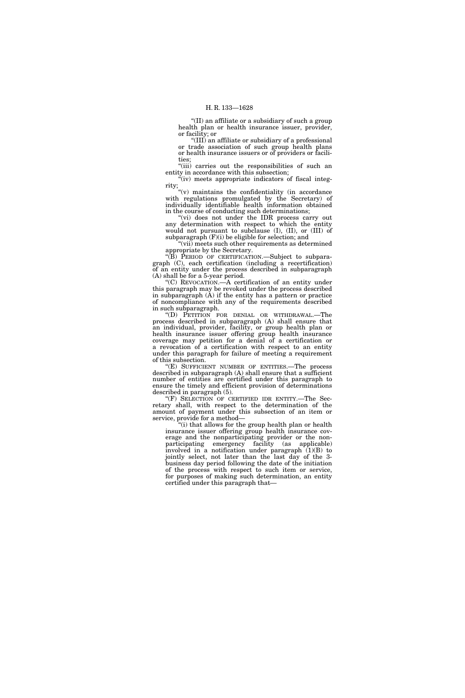''(II) an affiliate or a subsidiary of such a group health plan or health insurance issuer, provider, or facility; or

''(III) an affiliate or subsidiary of a professional or trade association of such group health plans or health insurance issuers or of providers or facilities;

''(iii) carries out the responsibilities of such an entity in accordance with this subsection;

"(iv) meets appropriate indicators of fiscal integrity;

''(v) maintains the confidentiality (in accordance with regulations promulgated by the Secretary) of individually identifiable health information obtained in the course of conducting such determinations;

''(vi) does not under the IDR process carry out any determination with respect to which the entity would not pursuant to subclause (I), (II), or (III) of subparagraph  $(F)(i)$  be eligible for selection; and

"(vii) meets such other requirements as determined appropriate by the Secretary.

''(B) PERIOD OF CERTIFICATION.—Subject to subparagraph (C), each certification (including a recertification) of an entity under the process described in subparagraph (A) shall be for a 5-year period.

''(C) REVOCATION.—A certification of an entity under this paragraph may be revoked under the process described in subparagraph (A) if the entity has a pattern or practice of noncompliance with any of the requirements described in such subparagraph.

''(D) PETITION FOR DENIAL OR WITHDRAWAL.—The process described in subparagraph (A) shall ensure that an individual, provider, facility, or group health plan or health insurance issuer offering group health insurance coverage may petition for a denial of a certification or a revocation of a certification with respect to an entity under this paragraph for failure of meeting a requirement of this subsection.

''(E) SUFFICIENT NUMBER OF ENTITIES.—The process described in subparagraph (A) shall ensure that a sufficient number of entities are certified under this paragraph to ensure the timely and efficient provision of determinations described in paragraph (5).

''(F) SELECTION OF CERTIFIED IDR ENTITY.—The Secretary shall, with respect to the determination of the amount of payment under this subsection of an item or service, provide for a method—

''(i) that allows for the group health plan or health insurance issuer offering group health insurance coverage and the nonparticipating provider or the nonparticipating emergency facility (as applicable) involved in a notification under paragraph (1)(B) to jointly select, not later than the last day of the 3 business day period following the date of the initiation of the process with respect to such item or service, for purposes of making such determination, an entity certified under this paragraph that—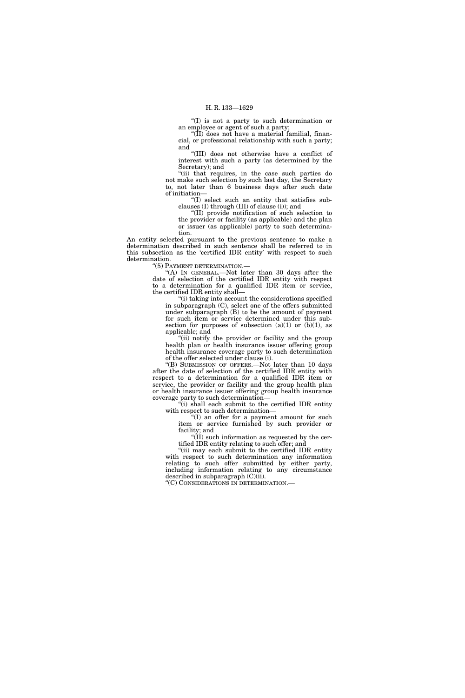''(I) is not a party to such determination or an employee or agent of such a party;

" $(\overline{I})$  does not have a material familial, financial, or professional relationship with such a party; and

''(III) does not otherwise have a conflict of interest with such a party (as determined by the Secretary); and

"(ii) that requires, in the case such parties do not make such selection by such last day, the Secretary to, not later than 6 business days after such date of initiation—

''(I) select such an entity that satisfies subclauses (I) through (III) of clause (i)); and

''(II) provide notification of such selection to the provider or facility (as applicable) and the plan or issuer (as applicable) party to such determination.

An entity selected pursuant to the previous sentence to make a determination described in such sentence shall be referred to in this subsection as the 'certified IDR entity' with respect to such determination.

''(5) PAYMENT DETERMINATION.—

''(A) IN GENERAL.—Not later than 30 days after the date of selection of the certified IDR entity with respect to a determination for a qualified IDR item or service, the certified IDR entity shall—

''(i) taking into account the considerations specified in subparagraph (C), select one of the offers submitted under subparagraph (B) to be the amount of payment for such item or service determined under this subsection for purposes of subsection  $(a)(1)$  or  $(b)(1)$ , as applicable; and

"(ii) notify the provider or facility and the group health plan or health insurance issuer offering group health insurance coverage party to such determination of the offer selected under clause (i).

''(B) SUBMISSION OF OFFERS.—Not later than 10 days after the date of selection of the certified IDR entity with respect to a determination for a qualified IDR item or service, the provider or facility and the group health plan or health insurance issuer offering group health insurance coverage party to such determination—

''(i) shall each submit to the certified IDR entity with respect to such determination—

''(I) an offer for a payment amount for such item or service furnished by such provider or facility; and

"(II) such information as requested by the certified IDR entity relating to such offer; and

"(ii) may each submit to the certified IDR entity with respect to such determination any information relating to such offer submitted by either party, including information relating to any circumstance described in subparagraph  $(C)(ii)$ .

''(C) CONSIDERATIONS IN DETERMINATION.—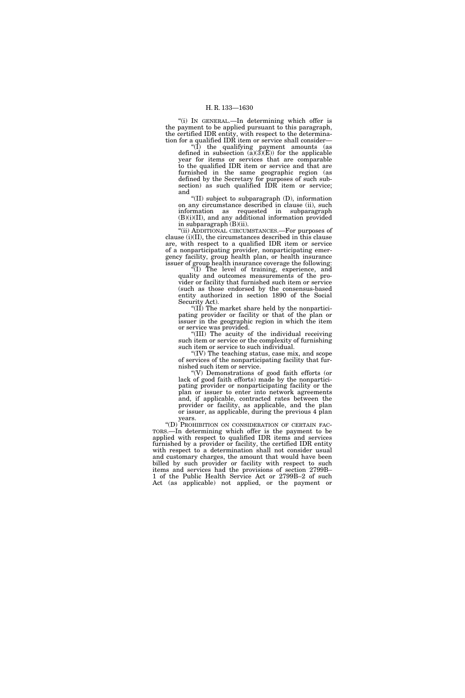''(i) IN GENERAL.—In determining which offer is the payment to be applied pursuant to this paragraph, the certified IDR entity, with respect to the determination for a qualified IDR item or service shall consider—

''(I) the qualifying payment amounts (as defined in subsection  $(a)(3)(E)$  for the applicable year for items or services that are comparable to the qualified IDR item or service and that are furnished in the same geographic region (as defined by the Secretary for purposes of such subsection) as such qualified IDR item or service; and

''(II) subject to subparagraph (D), information on any circumstance described in clause (ii), such information as requested in subparagraph (B)(i)(II), and any additional information provided in subparagraph (B)(ii).

''(ii) ADDITIONAL CIRCUMSTANCES.—For purposes of clause (i)(II), the circumstances described in this clause are, with respect to a qualified IDR item or service of a nonparticipating provider, nonparticipating emergency facility, group health plan, or health insurance issuer of group health insurance coverage the following:

''(I) The level of training, experience, and quality and outcomes measurements of the provider or facility that furnished such item or service (such as those endorsed by the consensus-based entity authorized in section 1890 of the Social Security Act).

''(II) The market share held by the nonparticipating provider or facility or that of the plan or issuer in the geographic region in which the item or service was provided.

''(III) The acuity of the individual receiving such item or service or the complexity of furnishing such item or service to such individual.

''(IV) The teaching status, case mix, and scope of services of the nonparticipating facility that furnished such item or service.

''(V) Demonstrations of good faith efforts (or lack of good faith efforts) made by the nonparticipating provider or nonparticipating facility or the plan or issuer to enter into network agreements and, if applicable, contracted rates between the provider or facility, as applicable, and the plan or issuer, as applicable, during the previous 4 plan

years.<br>"(D) PROHIBITION ON CONSIDERATION OF CERTAIN FAC-TORS.—In determining which offer is the payment to be applied with respect to qualified IDR items and services furnished by a provider or facility, the certified IDR entity with respect to a determination shall not consider usual and customary charges, the amount that would have been billed by such provider or facility with respect to such items and services had the provisions of section 2799B– 1 of the Public Health Service Act or 2799B–2 of such Act (as applicable) not applied, or the payment or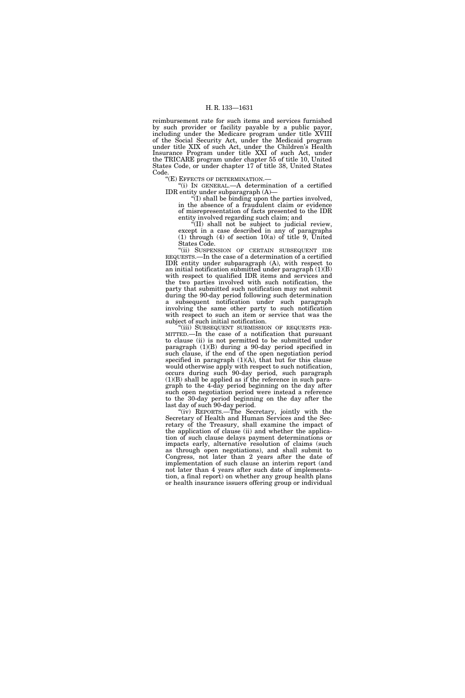reimbursement rate for such items and services furnished by such provider or facility payable by a public payor, including under the Medicare program under title XVIII of the Social Security Act, under the Medicaid program under title XIX of such Act, under the Children's Health Insurance Program under title XXI of such Act, under the TRICARE program under chapter 55 of title 10, United States Code, or under chapter 17 of title 38, United States Code.

''(E) EFFECTS OF DETERMINATION.—

''(i) IN GENERAL.—A determination of a certified IDR entity under subparagraph (A)—

 $\sqrt{\pi}$ (I) shall be binding upon the parties involved, in the absence of a fraudulent claim or evidence of misrepresentation of facts presented to the IDR entity involved regarding such claim; and

''(II) shall not be subject to judicial review, except in a case described in any of paragraphs (1) through (4) of section 10(a) of title 9, United States Code.

''(ii) SUSPENSION OF CERTAIN SUBSEQUENT IDR REQUESTS.—In the case of a determination of a certified IDR entity under subparagraph (A), with respect to an initial notification submitted under paragraph (1)(B) with respect to qualified IDR items and services and the two parties involved with such notification, the party that submitted such notification may not submit during the 90-day period following such determination a subsequent notification under such paragraph involving the same other party to such notification with respect to such an item or service that was the subject of such initial notification.

''(iii) SUBSEQUENT SUBMISSION OF REQUESTS PER-MITTED.—In the case of a notification that pursuant to clause (ii) is not permitted to be submitted under paragraph (1)(B) during a 90-day period specified in such clause, if the end of the open negotiation period specified in paragraph  $(1)(A)$ , that but for this clause would otherwise apply with respect to such notification, occurs during such 90-day period, such paragraph (1)(B) shall be applied as if the reference in such paragraph to the 4-day period beginning on the day after such open negotiation period were instead a reference to the 30-day period beginning on the day after the last day of such 90-day period.

''(iv) REPORTS.—The Secretary, jointly with the Secretary of Health and Human Services and the Secretary of the Treasury, shall examine the impact of the application of clause (ii) and whether the application of such clause delays payment determinations or impacts early, alternative resolution of claims (such as through open negotiations), and shall submit to Congress, not later than 2 years after the date of implementation of such clause an interim report (and not later than 4 years after such date of implementation, a final report) on whether any group health plans or health insurance issuers offering group or individual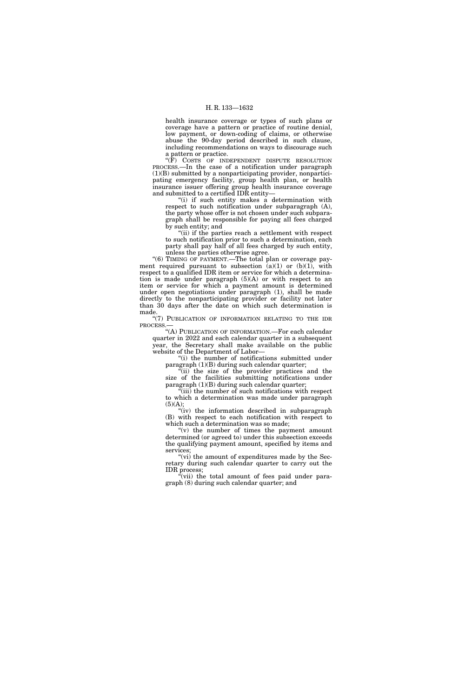health insurance coverage or types of such plans or coverage have a pattern or practice of routine denial, low payment, or down-coding of claims, or otherwise abuse the 90-day period described in such clause, including recommendations on ways to discourage such a pattern or practice.

"(F) COSTS OF INDEPENDENT DISPUTE RESOLUTION PROCESS.—In the case of a notification under paragraph (1)(B) submitted by a nonparticipating provider, nonparticipating emergency facility, group health plan, or health insurance issuer offering group health insurance coverage and submitted to a certified IDR entity—

''(i) if such entity makes a determination with respect to such notification under subparagraph (A), the party whose offer is not chosen under such subparagraph shall be responsible for paying all fees charged by such entity; and

"(ii) if the parties reach a settlement with respect to such notification prior to such a determination, each party shall pay half of all fees charged by such entity, unless the parties otherwise agree.

"(6) TIMING OF PAYMENT.—The total plan or coverage payment required pursuant to subsection  $\overline{(a)}(1)$  or  $(b)(1)$ , with respect to a qualified IDR item or service for which a determination is made under paragraph  $(5)(A)$  or with respect to an item or service for which a payment amount is determined under open negotiations under paragraph (1), shall be made directly to the nonparticipating provider or facility not later than 30 days after the date on which such determination is made.

"(7) PUBLICATION OF INFORMATION RELATING TO THE IDR PROCESS.—

''(A) PUBLICATION OF INFORMATION.—For each calendar quarter in 2022 and each calendar quarter in a subsequent year, the Secretary shall make available on the public website of the Department of Labor—

''(i) the number of notifications submitted under paragraph (1)(B) during such calendar quarter;

 $\sqrt[n]{i}$  the size of the provider practices and the size of the facilities submitting notifications under paragraph (1)(B) during such calendar quarter;

(iii) the number of such notifications with respect to which a determination was made under paragraph  $(5)(A);$ 

"(iv) the information described in subparagraph (B) with respect to each notification with respect to which such a determination was so made;

" $(v)$  the number of times the payment amount determined (or agreed to) under this subsection exceeds the qualifying payment amount, specified by items and services;

"(vi) the amount of expenditures made by the Secretary during such calendar quarter to carry out the IDR process;

 $\tilde{f}(vii)$  the total amount of fees paid under paragraph (8) during such calendar quarter; and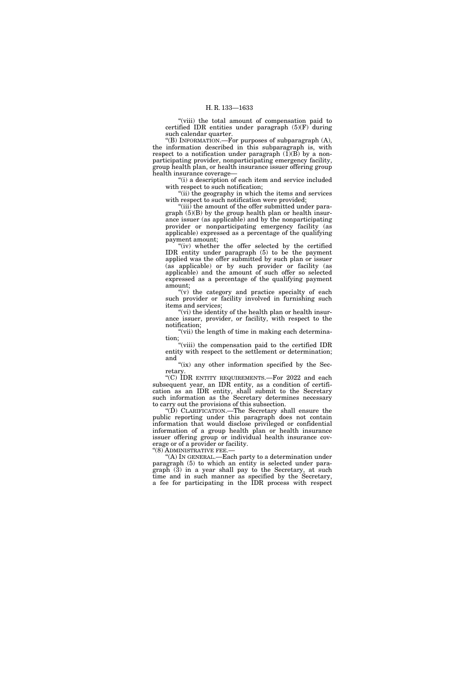''(viii) the total amount of compensation paid to certified IDR entities under paragraph (5)(F) during such calendar quarter.

''(B) INFORMATION.—For purposes of subparagraph (A), the information described in this subparagraph is, with respect to a notification under paragraph  $(\tilde{1})(B)$  by a nonparticipating provider, nonparticipating emergency facility, group health plan, or health insurance issuer offering group health insurance coverage—

"(i) a description of each item and service included with respect to such notification;

"(ii) the geography in which the items and services with respect to such notification were provided;

''(iii) the amount of the offer submitted under paragraph (5)(B) by the group health plan or health insurance issuer (as applicable) and by the nonparticipating provider or nonparticipating emergency facility (as applicable) expressed as a percentage of the qualifying payment amount;

"(iv) whether the offer selected by the certified IDR entity under paragraph (5) to be the payment applied was the offer submitted by such plan or issuer (as applicable) or by such provider or facility (as applicable) and the amount of such offer so selected expressed as a percentage of the qualifying payment amount;

" $(v)$  the category and practice specialty of each such provider or facility involved in furnishing such items and services;

"(vi) the identity of the health plan or health insurance issuer, provider, or facility, with respect to the notification;

"(vii) the length of time in making each determination;

"(viii) the compensation paid to the certified IDR entity with respect to the settlement or determination; and

" $(ix)$  any other information specified by the Secretary.

''(C) IDR ENTITY REQUIREMENTS.—For 2022 and each subsequent year, an IDR entity, as a condition of certification as an IDR entity, shall submit to the Secretary such information as the Secretary determines necessary to carry out the provisions of this subsection.

''(D) CLARIFICATION.—The Secretary shall ensure the public reporting under this paragraph does not contain information that would disclose privileged or confidential information of a group health plan or health insurance issuer offering group or individual health insurance coverage or of a provider or facility.

''(8) ADMINISTRATIVE FEE.—

''(A) IN GENERAL.—Each party to a determination under paragraph (5) to which an entity is selected under paragraph (3) in a year shall pay to the Secretary, at such time and in such manner as specified by the Secretary, a fee for participating in the IDR process with respect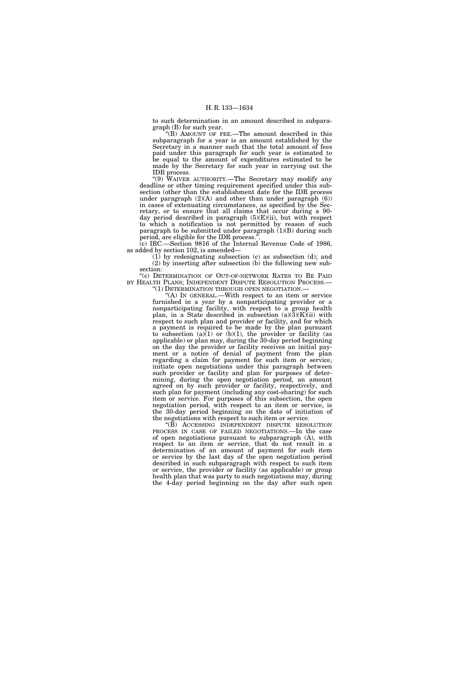to such determination in an amount described in subparagraph (B) for such year.

''(B) AMOUNT OF FEE.—The amount described in this subparagraph for a year is an amount established by the Secretary in a manner such that the total amount of fees paid under this paragraph for such year is estimated to be equal to the amount of expenditures estimated to be made by the Secretary for such year in carrying out the IDR process.

''(9) WAIVER AUTHORITY.—The Secretary may modify any deadline or other timing requirement specified under this subsection (other than the establishment date for the IDR process under paragraph  $(2)(A)$  and other than under paragraph  $(6)$ ) in cases of extenuating circumstances, as specified by the Secretary, or to ensure that all claims that occur during a 90 day period described in paragraph (5)(E)(ii), but with respect to which a notification is not permitted by reason of such paragraph to be submitted under paragraph  $(1)(B)$  during such period, are eligible for the IDR process.''.

(c) IRC.—Section 9816 of the Internal Revenue Code of 1986, as added by section 102, is amended—

(1) by redesignating subsection (c) as subsection (d); and (2) by inserting after subsection (b) the following new subsection:

''(c) DETERMINATION OF OUT-OF-NETWORK RATES TO BE PAID BY HEALTH PLANS; INDEPENDENT DISPUTE RESOLUTION PROCESS. ''(1) DETERMINATION THROUGH OPEN NEGOTIATION.—

''(A) IN GENERAL.—With respect to an item or service furnished in a year by a nonparticipating provider or a nonparticipating facility, with respect to a group health plan, in a State described in subsection  $(a)(3)(K)(ii)$  with respect to such plan and provider or facility, and for which a payment is required to be made by the plan pursuant to subsection (a) $(1)$  or (b) $(1)$ , the provider or facility (as applicable) or plan may, during the 30-day period beginning on the day the provider or facility receives an initial payment or a notice of denial of payment from the plan regarding a claim for payment for such item or service, initiate open negotiations under this paragraph between such provider or facility and plan for purposes of determining, during the open negotiation period, an amount agreed on by such provider or facility, respectively, and such plan for payment (including any cost-sharing) for such item or service. For purposes of this subsection, the open negotiation period, with respect to an item or service, is the 30-day period beginning on the date of initiation of the negotiations with respect to such item or service.

''(B) ACCESSING INDEPENDENT DISPUTE RESOLUTION PROCESS IN CASE OF FAILED NEGOTIATIONS.—In the case of open negotiations pursuant to subparagraph (A), with respect to an item or service, that do not result in a determination of an amount of payment for such item or service by the last day of the open negotiation period described in such subparagraph with respect to such item or service, the provider or facility (as applicable) or group health plan that was party to such negotiations may, during the 4-day period beginning on the day after such open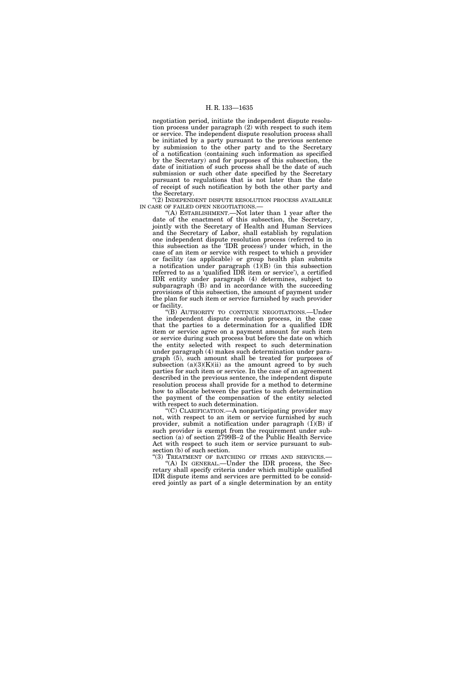negotiation period, initiate the independent dispute resolution process under paragraph (2) with respect to such item or service. The independent dispute resolution process shall be initiated by a party pursuant to the previous sentence by submission to the other party and to the Secretary of a notification (containing such information as specified by the Secretary) and for purposes of this subsection, the date of initiation of such process shall be the date of such submission or such other date specified by the Secretary pursuant to regulations that is not later than the date of receipt of such notification by both the other party and the Secretary.

"(2) INDEPENDENT DISPUTE RESOLUTION PROCESS AVAILABLE IN CASE OF FAILED OPEN NEGOTIATIONS.—

'(A) ESTABLISHMENT.—Not later than 1 year after the date of the enactment of this subsection, the Secretary, jointly with the Secretary of Health and Human Services and the Secretary of Labor, shall establish by regulation one independent dispute resolution process (referred to in this subsection as the 'IDR process') under which, in the case of an item or service with respect to which a provider or facility (as applicable) or group health plan submits a notification under paragraph  $(1)(B)$  (in this subsection referred to as a 'qualified IDR item or service'), a certified IDR entity under paragraph (4) determines, subject to subparagraph (B) and in accordance with the succeeding provisions of this subsection, the amount of payment under the plan for such item or service furnished by such provider or facility.

''(B) AUTHORITY TO CONTINUE NEGOTIATIONS.—Under the independent dispute resolution process, in the case that the parties to a determination for a qualified IDR item or service agree on a payment amount for such item or service during such process but before the date on which the entity selected with respect to such determination under paragraph (4) makes such determination under paragraph (5), such amount shall be treated for purposes of subsection  $(a)(3)(K)(ii)$  as the amount agreed to by such parties for such item or service. In the case of an agreement described in the previous sentence, the independent dispute resolution process shall provide for a method to determine how to allocate between the parties to such determination the payment of the compensation of the entity selected with respect to such determination.

"(C) CLARIFICATION.—A nonparticipating provider may not, with respect to an item or service furnished by such provider, submit a notification under paragraph  $(1)(B)$  if such provider is exempt from the requirement under subsection (a) of section 2799B–2 of the Public Health Service Act with respect to such item or service pursuant to subsection (b) of such section.

"(3) TREATMENT OF BATCHING OF ITEMS AND SERVICES.-"(A) IN GENERAL.—Under the IDR process, the Secretary shall specify criteria under which multiple qualified IDR dispute items and services are permitted to be considered jointly as part of a single determination by an entity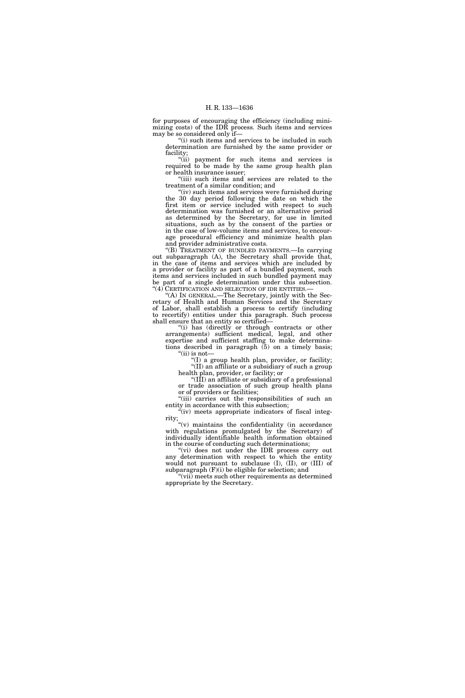for purposes of encouraging the efficiency (including minimizing costs) of the IDR process. Such items and services may be so considered only if—

"(i) such items and services to be included in such determination are furnished by the same provider or facility;<br>"(ii)

payment for such items and services is required to be made by the same group health plan or health insurance issuer;

''(iii) such items and services are related to the treatment of a similar condition; and

"(iv) such items and services were furnished during the 30 day period following the date on which the first item or service included with respect to such determination was furnished or an alternative period as determined by the Secretary, for use in limited situations, such as by the consent of the parties or in the case of low-volume items and services, to encourage procedural efficiency and minimize health plan and provider administrative costs.

''(B) TREATMENT OF BUNDLED PAYMENTS.—In carrying out subparagraph (A), the Secretary shall provide that, in the case of items and services which are included by a provider or facility as part of a bundled payment, such items and services included in such bundled payment may be part of a single determination under this subsection. "(4) CERTIFICATION AND SELECTION OF IDR ENTITIES.-

''(A) IN GENERAL.—The Secretary, jointly with the Secretary of Health and Human Services and the Secretary of Labor, shall establish a process to certify (including to recertify) entities under this paragraph. Such process shall ensure that an entity so certified—

''(i) has (directly or through contracts or other arrangements) sufficient medical, legal, and other expertise and sufficient staffing to make determinations described in paragraph  $(5)$  on a timely basis; " $(ii)$  is not-

 $f(I)$  a group health plan, provider, or facility; ''(II) an affiliate or a subsidiary of such a group

health plan, provider, or facility; or ''(III) an affiliate or subsidiary of a professional or trade association of such group health plans or of providers or facilities;

"(iii) carries out the responsibilities of such an entity in accordance with this subsection;

"(iv) meets appropriate indicators of fiscal integrity;

''(v) maintains the confidentiality (in accordance with regulations promulgated by the Secretary) of individually identifiable health information obtained in the course of conducting such determinations;

''(vi) does not under the IDR process carry out any determination with respect to which the entity would not pursuant to subclause (I), (II), or (III) of subparagraph (F)(i) be eligible for selection; and

 $\dot{f}$ (vii) meets such other requirements as determined appropriate by the Secretary.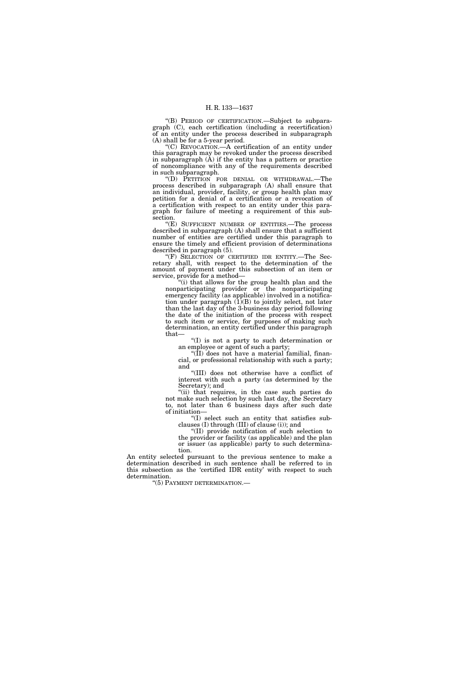''(B) PERIOD OF CERTIFICATION.—Subject to subparagraph (C), each certification (including a recertification) of an entity under the process described in subparagraph (A) shall be for a 5-year period.

''(C) REVOCATION.—A certification of an entity under this paragraph may be revoked under the process described in subparagraph (A) if the entity has a pattern or practice of noncompliance with any of the requirements described in such subparagraph.

''(D) PETITION FOR DENIAL OR WITHDRAWAL.—The process described in subparagraph (A) shall ensure that an individual, provider, facility, or group health plan may petition for a denial of a certification or a revocation of a certification with respect to an entity under this paragraph for failure of meeting a requirement of this subsection.

"(E) SUFFICIENT NUMBER OF ENTITIES.—The process described in subparagraph (A) shall ensure that a sufficient number of entities are certified under this paragraph to ensure the timely and efficient provision of determinations described in paragraph (5).

''(F) SELECTION OF CERTIFIED IDR ENTITY.—The Secretary shall, with respect to the determination of the amount of payment under this subsection of an item or service, provide for a method-

(i) that allows for the group health plan and the nonparticipating provider or the nonparticipating emergency facility (as applicable) involved in a notification under paragraph  $(1)(B)$  to jointly select, not later than the last day of the 3-business day period following the date of the initiation of the process with respect to such item or service, for purposes of making such determination, an entity certified under this paragraph that—

''(I) is not a party to such determination or an employee or agent of such a party;

"( $\overline{I}I$ ) does not have a material familial, financial, or professional relationship with such a party; and

''(III) does not otherwise have a conflict of interest with such a party (as determined by the Secretary); and

"(ii) that requires, in the case such parties do not make such selection by such last day, the Secretary to, not later than 6 business days after such date of initiation—

''(I) select such an entity that satisfies subclauses (I) through (III) of clause (i)); and

''(II) provide notification of such selection to the provider or facility (as applicable) and the plan or issuer (as applicable) party to such determination.

An entity selected pursuant to the previous sentence to make a determination described in such sentence shall be referred to in this subsection as the 'certified IDR entity' with respect to such determination.

''(5) PAYMENT DETERMINATION.—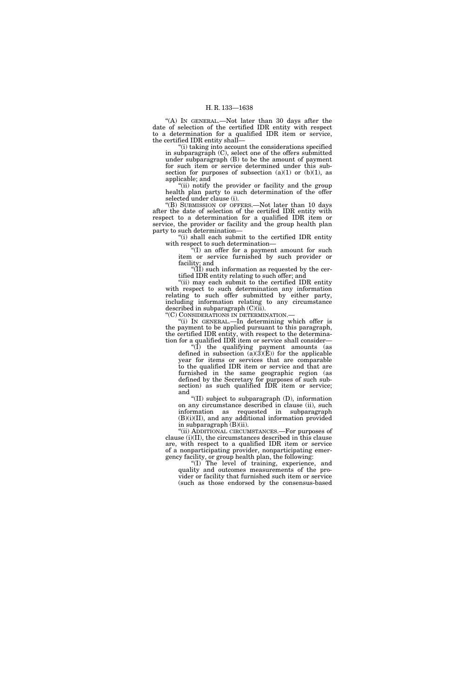"(A) IN GENERAL.—Not later than 30 days after the date of selection of the certified IDR entity with respect to a determination for a qualified IDR item or service, the certified IDR entity shall—

"(i) taking into account the considerations specified in subparagraph (C), select one of the offers submitted under subparagraph (B) to be the amount of payment for such item or service determined under this subsection for purposes of subsection  $(a)(1)$  or  $(b)(1)$ , as applicable; and

"(ii) notify the provider or facility and the group health plan party to such determination of the offer selected under clause (i).

''(B) SUBMISSION OF OFFERS.—Not later than 10 days after the date of selection of the certifed IDR entity with respect to a determination for a qualified IDR item or service, the provider or facility and the group health plan party to such determination—

''(i) shall each submit to the certified IDR entity with respect to such determination—

''(I) an offer for a payment amount for such item or service furnished by such provider or facility; and

 $\sqrt{\text{II}}$ ) such information as requested by the certified IDR entity relating to such offer; and

"(ii) may each submit to the certified IDR entity" with respect to such determination any information relating to such offer submitted by either party, including information relating to any circumstance described in subparagraph (C)(ii).

''(C) CONSIDERATIONS IN DETERMINATION.—

''(i) IN GENERAL.—In determining which offer is the payment to be applied pursuant to this paragraph, the certified IDR entity, with respect to the determination for a qualified IDR item or service shall consider—

''(I) the qualifying payment amounts (as defined in subsection  $(a)(3)(E)$  for the applicable year for items or services that are comparable to the qualified IDR item or service and that are furnished in the same geographic region (as defined by the Secretary for purposes of such subsection) as such qualified IDR item or service; and

''(II) subject to subparagraph (D), information on any circumstance described in clause (ii), such information as requested in subparagraph  $(B)(i)(II)$ , and any additional information provided in subparagraph (B)(ii).

''(ii) ADDITIONAL CIRCUMSTANCES.—For purposes of clause (i)(II), the circumstances described in this clause are, with respect to a qualified IDR item or service of a nonparticipating provider, nonparticipating emergency facility, or group health plan, the following:

''(I) The level of training, experience, and quality and outcomes measurements of the provider or facility that furnished such item or service (such as those endorsed by the consensus-based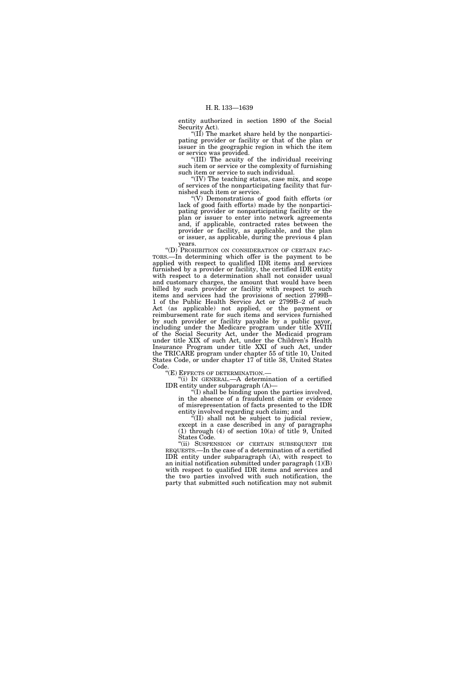entity authorized in section 1890 of the Social Security Act).

''(II) The market share held by the nonparticipating provider or facility or that of the plan or issuer in the geographic region in which the item or service was provided.

''(III) The acuity of the individual receiving such item or service or the complexity of furnishing such item or service to such individual.

''(IV) The teaching status, case mix, and scope of services of the nonparticipating facility that furnished such item or service.

''(V) Demonstrations of good faith efforts (or lack of good faith efforts) made by the nonparticipating provider or nonparticipating facility or the plan or issuer to enter into network agreements and, if applicable, contracted rates between the provider or facility, as applicable, and the plan or issuer, as applicable, during the previous 4 plan years.

"(D) PROHIBITION ON CONSIDERATION OF CERTAIN FAC-TORS.—In determining which offer is the payment to be applied with respect to qualified IDR items and services furnished by a provider or facility, the certified IDR entity with respect to a determination shall not consider usual and customary charges, the amount that would have been billed by such provider or facility with respect to such items and services had the provisions of section 2799B– 1 of the Public Health Service Act or 2799B–2 of such Act (as applicable) not applied, or the payment or reimbursement rate for such items and services furnished by such provider or facility payable by a public payor, including under the Medicare program under title XVIII of the Social Security Act, under the Medicaid program under title XIX of such Act, under the Children's Health Insurance Program under title XXI of such Act, under the TRICARE program under chapter 55 of title 10, United States Code, or under chapter 17 of title 38, United States Code.<br>"(E) EFFECTS OF DETERMINATION.

 $(i)$  In GENERAL.—A determination of a certified IDR entity under subparagraph (A)—

 $\sqrt{\pi}$ (I) shall be binding upon the parties involved, in the absence of a fraudulent claim or evidence of misrepresentation of facts presented to the IDR

entity involved regarding such claim; and ''(II) shall not be subject to judicial review,

except in a case described in any of paragraphs (1) through (4) of section  $10(a)$  of title 9, United States Code.

''(ii) SUSPENSION OF CERTAIN SUBSEQUENT IDR REQUESTS.—In the case of a determination of a certified IDR entity under subparagraph (A), with respect to an initial notification submitted under paragraph (1)(B) with respect to qualified IDR items and services and the two parties involved with such notification, the party that submitted such notification may not submit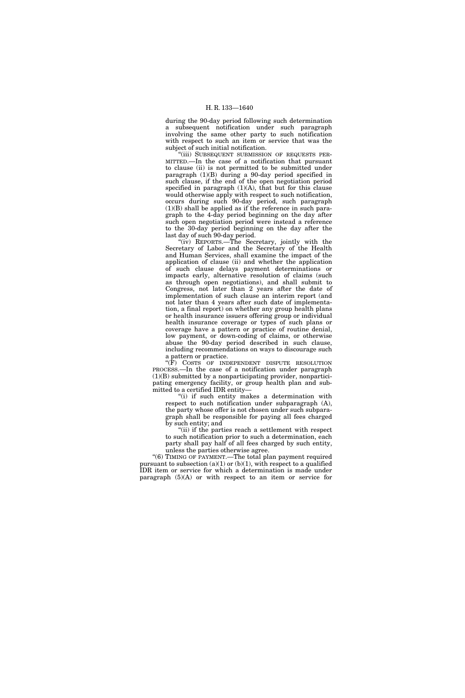during the 90-day period following such determination a subsequent notification under such paragraph involving the same other party to such notification with respect to such an item or service that was the subject of such initial notification.

''(iii) SUBSEQUENT SUBMISSION OF REQUESTS PER-MITTED.—In the case of a notification that pursuant to clause (ii) is not permitted to be submitted under paragraph (1)(B) during a 90-day period specified in such clause, if the end of the open negotiation period specified in paragraph  $(1)(A)$ , that but for this clause would otherwise apply with respect to such notification, occurs during such 90-day period, such paragraph  $(1)(B)$  shall be applied as if the reference in such paragraph to the 4-day period beginning on the day after such open negotiation period were instead a reference to the 30-day period beginning on the day after the last day of such 90-day period.

"(iv) REPORTS.—The Secretary, jointly with the Secretary of Labor and the Secretary of the Health and Human Services, shall examine the impact of the application of clause (ii) and whether the application of such clause delays payment determinations or impacts early, alternative resolution of claims (such as through open negotiations), and shall submit to Congress, not later than 2 years after the date of implementation of such clause an interim report (and not later than 4 years after such date of implementation, a final report) on whether any group health plans or health insurance issuers offering group or individual health insurance coverage or types of such plans or coverage have a pattern or practice of routine denial, low payment, or down-coding of claims, or otherwise abuse the 90-day period described in such clause, including recommendations on ways to discourage such a pattern or practice.

" $(\overline{F})$  COSTS OF INDEPENDENT DISPUTE RESOLUTION PROCESS.—In the case of a notification under paragraph (1)(B) submitted by a nonparticipating provider, nonparticipating emergency facility, or group health plan and submitted to a certified IDR entity—

''(i) if such entity makes a determination with respect to such notification under subparagraph (A), the party whose offer is not chosen under such subparagraph shall be responsible for paying all fees charged by such entity; and

"(ii) if the parties reach a settlement with respect to such notification prior to such a determination, each party shall pay half of all fees charged by such entity, unless the parties otherwise agree.

"(6) TIMING OF PAYMENT.—The total plan payment required pursuant to subsection (a)(1) or (b)(1), with respect to a qualified IDR item or service for which a determination is made under paragraph  $(5)(A)$  or with respect to an item or service for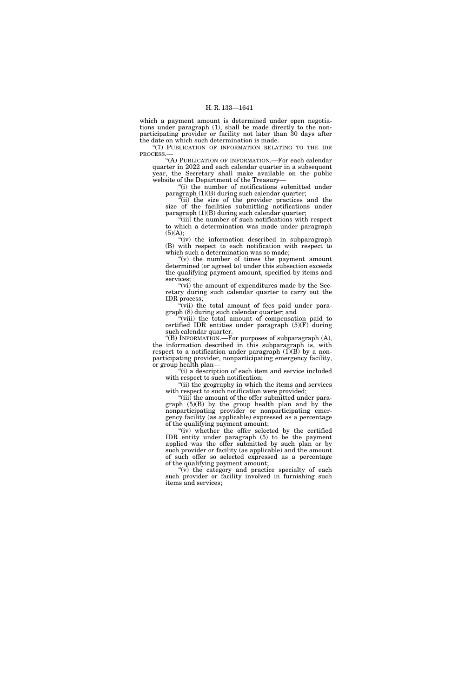which a payment amount is determined under open negotiations under paragraph (1), shall be made directly to the nonparticipating provider or facility not later than 30 days after the date on which such determination is made.

''(7) PUBLICATION OF INFORMATION RELATING TO THE IDR PROCESS.—

.<br>"(A) PUBLICATION OF INFORMATION.—For each calendar quarter in 2022 and each calendar quarter in a subsequent year, the Secretary shall make available on the public website of the Department of the Treasury—

"(i) the number of notifications submitted under paragraph (1)(B) during such calendar quarter;

''(ii) the size of the provider practices and the size of the facilities submitting notifications under paragraph (1)(B) during such calendar quarter;

''(iii) the number of such notifications with respect to which a determination was made under paragraph (5)(A);

"(iv) the information described in subparagraph (B) with respect to each notification with respect to which such a determination was so made;

 $(y)$  the number of times the payment amount determined (or agreed to) under this subsection exceeds the qualifying payment amount, specified by items and services;

" $(vi)$  the amount of expenditures made by the Secretary during such calendar quarter to carry out the IDR process;

"(vii) the total amount of fees paid under paragraph (8) during such calendar quarter; and

"(viii) the total amount of compensation paid to certified IDR entities under paragraph (5)(F) during such calendar quarter.

''(B) INFORMATION.—For purposes of subparagraph (A), the information described in this subparagraph is, with respect to a notification under paragraph (1)(B) by a nonparticipating provider, nonparticipating emergency facility, or group health plan—

''(i) a description of each item and service included with respect to such notification;

"(ii) the geography in which the items and services with respect to such notification were provided;

" $(iii)$  the amount of the offer submitted under paragraph (5)(B) by the group health plan and by the nonparticipating provider or nonparticipating emergency facility (as applicable) expressed as a percentage of the qualifying payment amount;

 $(iv)$  whether the offer selected by the certified IDR entity under paragraph (5) to be the payment applied was the offer submitted by such plan or by such provider or facility (as applicable) and the amount of such offer so selected expressed as a percentage of the qualifying payment amount;

''(v) the category and practice specialty of each such provider or facility involved in furnishing such items and services;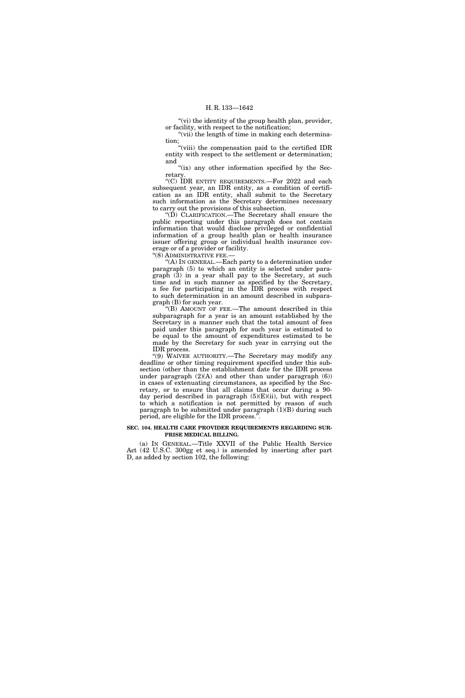"(vi) the identity of the group health plan, provider, or facility, with respect to the notification;

"(vii) the length of time in making each determination;

''(viii) the compensation paid to the certified IDR entity with respect to the settlement or determination; and

"(ix) any other information specified by the Secretary.

''(C) IDR ENTITY REQUIREMENTS.—For 2022 and each subsequent year, an IDR entity, as a condition of certification as an IDR entity, shall submit to the Secretary such information as the Secretary determines necessary to carry out the provisions of this subsection.

''(D) CLARIFICATION.—The Secretary shall ensure the public reporting under this paragraph does not contain information that would disclose privileged or confidential information of a group health plan or health insurance issuer offering group or individual health insurance coverage or of a provider or facility.

"(8) ADMINISTRATIVE FEE.

''(A) IN GENERAL.—Each party to a determination under paragraph (5) to which an entity is selected under paragraph (3) in a year shall pay to the Secretary, at such time and in such manner as specified by the Secretary, a fee for participating in the IDR process with respect to such determination in an amount described in subparagraph (B) for such year.

''(B) AMOUNT OF FEE.—The amount described in this subparagraph for a year is an amount established by the Secretary in a manner such that the total amount of fees paid under this paragraph for such year is estimated to be equal to the amount of expenditures estimated to be made by the Secretary for such year in carrying out the IDR process.

''(9) WAIVER AUTHORITY.—The Secretary may modify any deadline or other timing requirement specified under this subsection (other than the establishment date for the IDR process under paragraph  $(2)(A)$  and other than under paragraph  $(6)$ ) in cases of extenuating circumstances, as specified by the Secretary, or to ensure that all claims that occur during a 90 day period described in paragraph (5)(E)(ii), but with respect to which a notification is not permitted by reason of such paragraph to be submitted under paragraph  $(1)(B)$  during such period, are eligible for the IDR process.''.

#### **SEC. 104. HEALTH CARE PROVIDER REQUIREMENTS REGARDING SUR-PRISE MEDICAL BILLING.**

(a) IN GENERAL.—Title XXVII of the Public Health Service Act (42 U.S.C. 300gg et seq.) is amended by inserting after part D, as added by section 102, the following: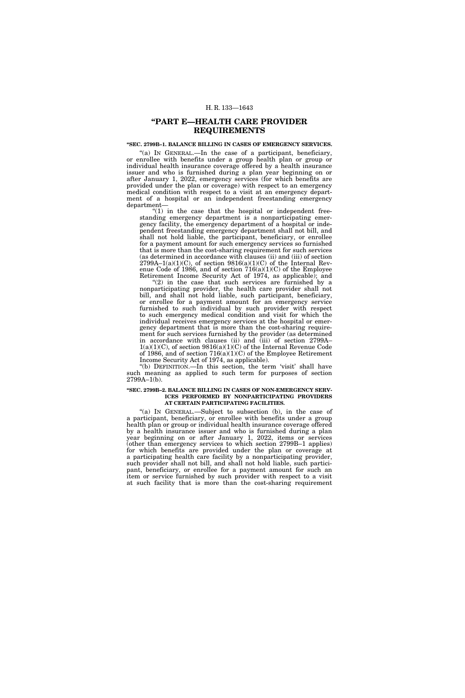# **''PART E—HEALTH CARE PROVIDER REQUIREMENTS**

## **''SEC. 2799B–1. BALANCE BILLING IN CASES OF EMERGENCY SERVICES.**

"(a) IN GENERAL.—In the case of a participant, beneficiary, or enrollee with benefits under a group health plan or group or individual health insurance coverage offered by a health insurance issuer and who is furnished during a plan year beginning on or after January 1, 2022, emergency services (for which benefits are provided under the plan or coverage) with respect to an emergency medical condition with respect to a visit at an emergency department of a hospital or an independent freestanding emergency department—

" $(1)$  in the case that the hospital or independent freestanding emergency department is a nonparticipating emergency facility, the emergency department of a hospital or independent freestanding emergency department shall not bill, and shall not hold liable, the participant, beneficiary, or enrollee for a payment amount for such emergency services so furnished that is more than the cost-sharing requirement for such services (as determined in accordance with clauses (ii) and (iii) of section  $2799A-1(a)(1)(C)$ , of section  $9816(a)(1)(C)$  of the Internal Revenue Code of 1986, and of section 716(a)(1)(C) of the Employee Retirement Income Security Act of 1974, as applicable); and

 $(2)$  in the case that such services are furnished by a nonparticipating provider, the health care provider shall not bill, and shall not hold liable, such participant, beneficiary, or enrollee for a payment amount for an emergency service furnished to such individual by such provider with respect to such emergency medical condition and visit for which the individual receives emergency services at the hospital or emergency department that is more than the cost-sharing requirement for such services furnished by the provider (as determined in accordance with clauses (ii) and (iii) of section 2799A–  $1(a)(1)(C)$ , of section  $9816(a)(1)(C)$  of the Internal Revenue Code of 1986, and of section 716(a)(1)(C) of the Employee Retirement Income Security Act of 1974, as applicable).

"(b) DEFINITION.—In this section, the term 'visit' shall have such meaning as applied to such term for purposes of section  $2799A-1(b)$ .

#### **''SEC. 2799B–2. BALANCE BILLING IN CASES OF NON-EMERGENCY SERV-ICES PERFORMED BY NONPARTICIPATING PROVIDERS AT CERTAIN PARTICIPATING FACILITIES.**

"(a) IN GENERAL.—Subject to subsection (b), in the case of a participant, beneficiary, or enrollee with benefits under a group health plan or group or individual health insurance coverage offered by a health insurance issuer and who is furnished during a plan year beginning on or after January 1, 2022, items or services (other than emergency services to which section 2799B–1 applies) for which benefits are provided under the plan or coverage at a participating health care facility by a nonparticipating provider, such provider shall not bill, and shall not hold liable, such participant, beneficiary, or enrollee for a payment amount for such an item or service furnished by such provider with respect to a visit at such facility that is more than the cost-sharing requirement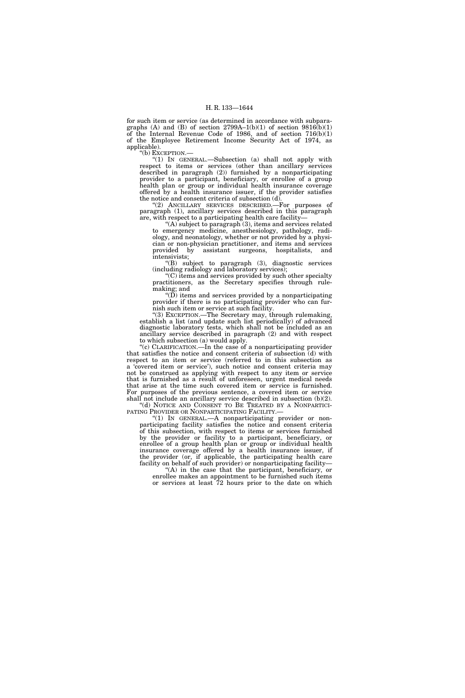for such item or service (as determined in accordance with subparagraphs (A) and (B) of section  $2799A-1(b)(1)$  of section  $9816(b)(1)$ of the Internal Revenue Code of 1986, and of section 716(b)(1) of the Employee Retirement Income Security Act of 1974, as applicable).

''(b) EXCEPTION.—

''(1) IN GENERAL.—Subsection (a) shall not apply with respect to items or services (other than ancillary services described in paragraph (2)) furnished by a nonparticipating provider to a participant, beneficiary, or enrollee of a group health plan or group or individual health insurance coverage offered by a health insurance issuer, if the provider satisfies the notice and consent criteria of subsection (d).

"(2) ANCILLARY SERVICES DESCRIBED.—For purposes of paragraph (1), ancillary services described in this paragraph are, with respect to a participating health care facility—

''(A) subject to paragraph (3), items and services related to emergency medicine, anesthesiology, pathology, radiology, and neonatology, whether or not provided by a physician or non-physician practitioner, and items and services assistant surgeons, hospitalists, and intensivists;

''(B) subject to paragraph (3), diagnostic services (including radiology and laboratory services);

''(C) items and services provided by such other specialty practitioners, as the Secretary specifies through rulemaking; and

" $(D)$  items and services provided by a nonparticipating provider if there is no participating provider who can furnish such item or service at such facility.

''(3) EXCEPTION.—The Secretary may, through rulemaking, establish a list (and update such list periodically) of advanced diagnostic laboratory tests, which shall not be included as an ancillary service described in paragraph (2) and with respect to which subsection (a) would apply.

"(c) CLARIFICATION.—In the case of a nonparticipating provider that satisfies the notice and consent criteria of subsection (d) with respect to an item or service (referred to in this subsection as a 'covered item or service'), such notice and consent criteria may not be construed as applying with respect to any item or service that is furnished as a result of unforeseen, urgent medical needs that arise at the time such covered item or service is furnished. For purposes of the previous sentence, a covered item or service shall not include an ancillary service described in subsection (b)(2).

"(d) NOTICE AND CONSENT TO BE TREATED BY A NONPARTICIPATING PROVIDER OR NONPARTICIPATING FACILITY.—

" $(1)$  In GENERAL.—A nonparticipating provider or nonparticipating facility satisfies the notice and consent criteria of this subsection, with respect to items or services furnished by the provider or facility to a participant, beneficiary, or enrollee of a group health plan or group or individual health insurance coverage offered by a health insurance issuer, if the provider (or, if applicable, the participating health care facility on behalf of such provider) or nonparticipating facility—

 $(A)$  in the case that the participant, beneficiary, or enrollee makes an appointment to be furnished such items or services at least 72 hours prior to the date on which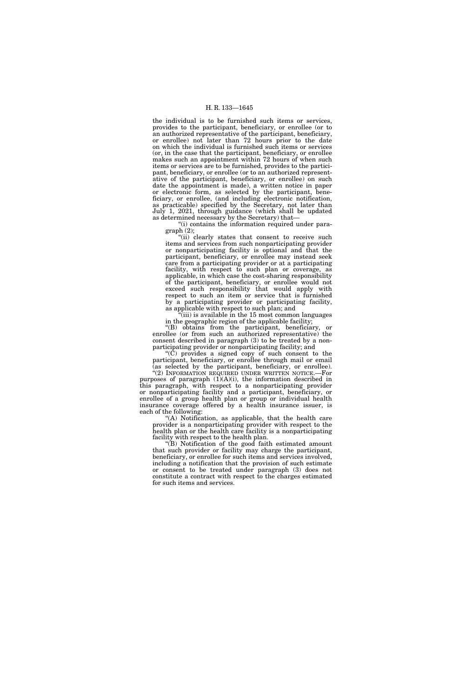the individual is to be furnished such items or services, provides to the participant, beneficiary, or enrollee (or to an authorized representative of the participant, beneficiary, or enrollee) not later than 72 hours prior to the date on which the individual is furnished such items or services (or, in the case that the participant, beneficiary, or enrollee makes such an appointment within 72 hours of when such items or services are to be furnished, provides to the participant, beneficiary, or enrollee (or to an authorized representative of the participant, beneficiary, or enrollee) on such date the appointment is made), a written notice in paper or electronic form, as selected by the participant, beneficiary, or enrollee, (and including electronic notification, as practicable) specified by the Secretary, not later than July 1, 2021, through guidance (which shall be updated as determined necessary by the Secretary) that—

''(i) contains the information required under paragraph (2);

"(ii) clearly states that consent to receive such items and services from such nonparticipating provider or nonparticipating facility is optional and that the participant, beneficiary, or enrollee may instead seek care from a participating provider or at a participating facility, with respect to such plan or coverage, as applicable, in which case the cost-sharing responsibility of the participant, beneficiary, or enrollee would not exceed such responsibility that would apply with respect to such an item or service that is furnished by a participating provider or participating facility, as applicable with respect to such plan; and

 $(iii)$  is available in the 15 most common languages in the geographic region of the applicable facility;

''(B) obtains from the participant, beneficiary, or enrollee (or from such an authorized representative) the consent described in paragraph  $(3)$  to be treated by a nonparticipating provider or nonparticipating facility; and

''(C) provides a signed copy of such consent to the participant, beneficiary, or enrollee through mail or email (as selected by the participant, beneficiary, or enrollee).

"(2) INFORMATION REQUIRED UNDER WRITTEN NOTICE.—For purposes of paragraph (1)(A)(i), the information described in this paragraph, with respect to a nonparticipating provider or nonparticipating facility and a participant, beneficiary, or enrollee of a group health plan or group or individual health insurance coverage offered by a health insurance issuer, is each of the following:

"(A) Notification, as applicable, that the health care provider is a nonparticipating provider with respect to the health plan or the health care facility is a nonparticipating facility with respect to the health plan.

''(B) Notification of the good faith estimated amount that such provider or facility may charge the participant, beneficiary, or enrollee for such items and services involved, including a notification that the provision of such estimate or consent to be treated under paragraph (3) does not constitute a contract with respect to the charges estimated for such items and services.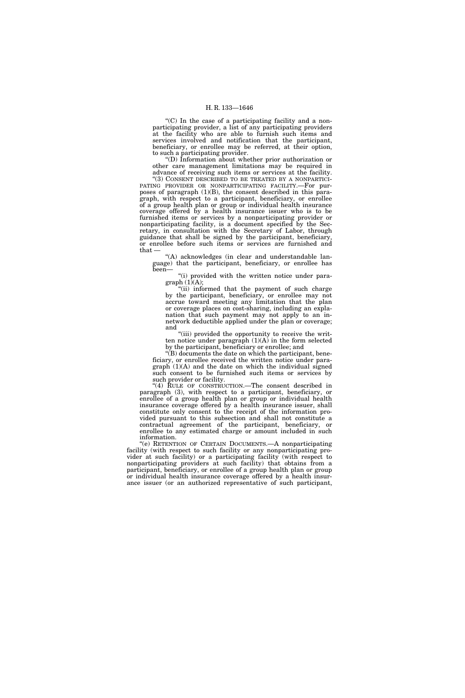" $(C)$  In the case of a participating facility and a nonparticipating provider, a list of any participating providers at the facility who are able to furnish such items and services involved and notification that the participant, beneficiary, or enrollee may be referred, at their option, to such a participating provider.

''(D) Information about whether prior authorization or other care management limitations may be required in advance of receiving such items or services at the facility.

"(3) CONSENT DESCRIBED TO BE TREATED BY A NONPARTICI-PATING PROVIDER OR NONPARTICIPATING FACILITY.—For purposes of paragraph (1)(B), the consent described in this paragraph, with respect to a participant, beneficiary, or enrollee of a group health plan or group or individual health insurance coverage offered by a health insurance issuer who is to be furnished items or services by a nonparticipating provider or nonparticipating facility, is a document specified by the Secretary, in consultation with the Secretary of Labor, through guidance that shall be signed by the participant, beneficiary, or enrollee before such items or services are furnished and that  $\overline{a}$ 

''(A) acknowledges (in clear and understandable language) that the participant, beneficiary, or enrollee has been—

''(i) provided with the written notice under para $graph (1)(A);$ 

''(ii) informed that the payment of such charge by the participant, beneficiary, or enrollee may not accrue toward meeting any limitation that the plan or coverage places on cost-sharing, including an explanation that such payment may not apply to an innetwork deductible applied under the plan or coverage; and

"(iii) provided the opportunity to receive the written notice under paragraph  $(1)(A)$  in the form selected by the participant, beneficiary or enrollee; and

''(B) documents the date on which the participant, beneficiary, or enrollee received the written notice under paragraph (1)(A) and the date on which the individual signed such consent to be furnished such items or services by such provider or facility.

''(4) RULE OF CONSTRUCTION.—The consent described in paragraph (3), with respect to a participant, beneficiary, or enrollee of a group health plan or group or individual health insurance coverage offered by a health insurance issuer, shall constitute only consent to the receipt of the information provided pursuant to this subsection and shall not constitute a contractual agreement of the participant, beneficiary, or enrollee to any estimated charge or amount included in such information.

''(e) RETENTION OF CERTAIN DOCUMENTS.—A nonparticipating facility (with respect to such facility or any nonparticipating provider at such facility) or a participating facility (with respect to nonparticipating providers at such facility) that obtains from a participant, beneficiary, or enrollee of a group health plan or group or individual health insurance coverage offered by a health insurance issuer (or an authorized representative of such participant,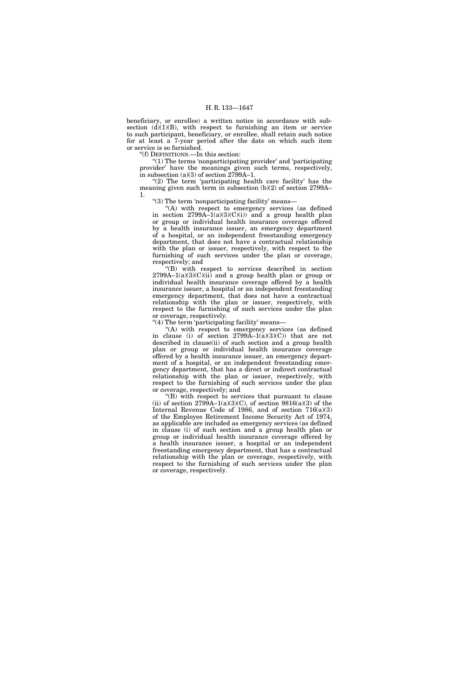beneficiary, or enrollee) a written notice in accordance with subsection  $(d)(1)(B)$ , with respect to furnishing an item or service to such participant, beneficiary, or enrollee, shall retain such notice for at least a 7-year period after the date on which such item or service is so furnished.

''(f) DEFINITIONS.—In this section:

''(1) The terms 'nonparticipating provider' and 'participating provider' have the meanings given such terms, respectively, in subsection  $(a)(3)$  of section 2799A–1.

" $(2)$  The term 'participating health care facility' has the meaning given such term in subsection (b)(2) of section 2799A– 1.

''(3) The term 'nonparticipating facility' means—

"(A) with respect to emergency services (as defined in section  $2799A-1(a)(3)(C)(i)$  and a group health plan or group or individual health insurance coverage offered by a health insurance issuer, an emergency department of a hospital, or an independent freestanding emergency department, that does not have a contractual relationship with the plan or issuer, respectively, with respect to the furnishing of such services under the plan or coverage, respectively; and

''(B) with respect to services described in section  $2799A-1(a)(3)(C)(ii)$  and a group health plan or group or individual health insurance coverage offered by a health insurance issuer, a hospital or an independent freestanding emergency department, that does not have a contractual relationship with the plan or issuer, respectively, with respect to the furnishing of such services under the plan or coverage, respectively.

''(4) The term 'participating facility' means—

''(A) with respect to emergency services (as defined in clause (i) of section  $2799\text{\AA}-1(\text{\AA})(3)(\text{\AA{C}})$  that are not described in clause(ii) of such section and a group health plan or group or individual health insurance coverage offered by a health insurance issuer, an emergency department of a hospital, or an independent freestanding emergency department, that has a direct or indirect contractual relationship with the plan or issuer, respectively, with respect to the furnishing of such services under the plan or coverage, respectively; and

''(B) with respect to services that pursuant to clause (ii) of section  $2799A-1(a)(3)(C)$ , of section  $9816(a)(3)$  of the Internal Revenue Code of 1986, and of section 716(a)(3) of the Employee Retirement Income Security Act of 1974, as applicable are included as emergency services (as defined in clause (i) of such section and a group health plan or group or individual health insurance coverage offered by a health insurance issuer, a hospital or an independent freestanding emergency department, that has a contractual relationship with the plan or coverage, respectively, with respect to the furnishing of such services under the plan or coverage, respectively.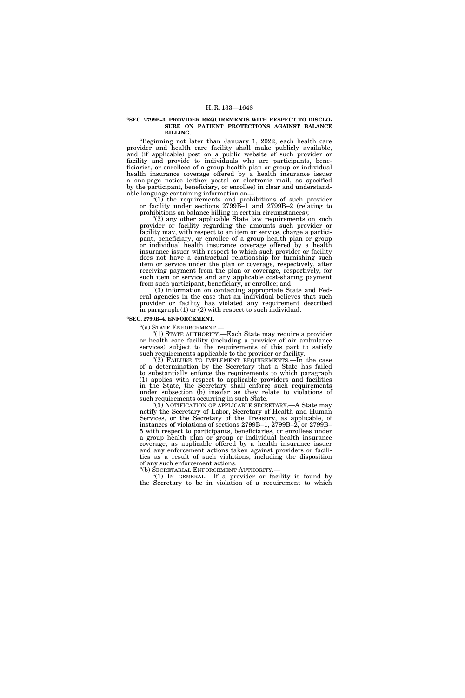#### **''SEC. 2799B–3. PROVIDER REQUIREMENTS WITH RESPECT TO DISCLO-SURE ON PATIENT PROTECTIONS AGAINST BALANCE BILLING.**

''Beginning not later than January 1, 2022, each health care provider and health care facility shall make publicly available, and (if applicable) post on a public website of such provider or facility and provide to individuals who are participants, beneficiaries, or enrollees of a group health plan or group or individual health insurance coverage offered by a health insurance issuer a one-page notice (either postal or electronic mail, as specified by the participant, beneficiary, or enrollee) in clear and understandable language containing information on—

" $(1)$  the requirements and prohibitions of such provider or facility under sections 2799B–1 and 2799B–2 (relating to prohibitions on balance billing in certain circumstances);

"(2) any other applicable State law requirements on such provider or facility regarding the amounts such provider or facility may, with respect to an item or service, charge a participant, beneficiary, or enrollee of a group health plan or group or individual health insurance coverage offered by a health insurance issuer with respect to which such provider or facility does not have a contractual relationship for furnishing such item or service under the plan or coverage, respectively, after receiving payment from the plan or coverage, respectively, for such item or service and any applicable cost-sharing payment from such participant, beneficiary, or enrollee; and

(3) information on contacting appropriate State and Federal agencies in the case that an individual believes that such provider or facility has violated any requirement described in paragraph (1) or (2) with respect to such individual.

#### **''SEC. 2799B–4. ENFORCEMENT.**

''(a) STATE ENFORCEMENT.—

''(1) STATE AUTHORITY.—Each State may require a provider or health care facility (including a provider of air ambulance services) subject to the requirements of this part to satisfy such requirements applicable to the provider or facility.

(2) FAILURE TO IMPLEMENT REQUIREMENTS.—In the case of a determination by the Secretary that a State has failed to substantially enforce the requirements to which paragraph (1) applies with respect to applicable providers and facilities in the State, the Secretary shall enforce such requirements under subsection (b) insofar as they relate to violations of such requirements occurring in such State.

"(3) NOTIFICATION OF APPLICABLE SECRETARY.—A State may notify the Secretary of Labor, Secretary of Health and Human Services, or the Secretary of the Treasury, as applicable, of instances of violations of sections 2799B–1, 2799B–2, or 2799B– 5 with respect to participants, beneficiaries, or enrollees under a group health plan or group or individual health insurance coverage, as applicable offered by a health insurance issuer and any enforcement actions taken against providers or facilities as a result of such violations, including the disposition of any such enforcement actions.

''(b) SECRETARIAL ENFORCEMENT AUTHORITY.—

"(1) IN GENERAL.—If a provider or facility is found by the Secretary to be in violation of a requirement to which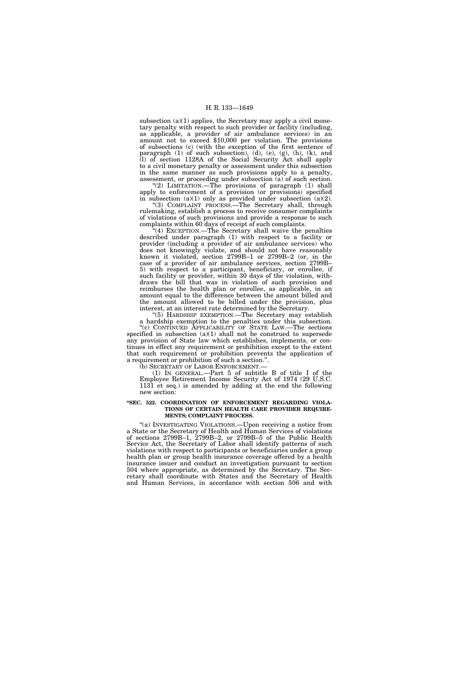subsection  $(a)(1)$  applies, the Secretary may apply a civil monetary penalty with respect to such provider or facility (including, as applicable, a provider of air ambulance services) in an amount not to exceed \$10,000 per violation. The provisions of subsections (c) (with the exception of the first sentence of paragraph (1) of such subsection), (d), (e), (g), (h), (k), and (l) of section 1128A of the Social Security Act shall apply to a civil monetary penalty or assessment under this subsection in the same manner as such provisions apply to a penalty, assessment, or proceeding under subsection (a) of such section.

"(2) LIMITATION.—The provisions of paragraph (1) shall apply to enforcement of a provision (or provisions) specified in subsection  $(a)(1)$  only as provided under subsection  $(a)(2)$ .

''(3) COMPLAINT PROCESS.—The Secretary shall, through rulemaking, establish a process to receive consumer complaints of violations of such provisions and provide a response to such complaints within 60 days of receipt of such complaints.

'(4) EXCEPTION.—The Secretary shall waive the penalties described under paragraph (1) with respect to a facility or provider (including a provider of air ambulance services) who does not knowingly violate, and should not have reasonably known it violated, section 2799B–1 or 2799B–2 (or, in the case of a provider of air ambulance services, section 2799B– 5) with respect to a participant, beneficiary, or enrollee, if such facility or provider, within 30 days of the violation, withdraws the bill that was in violation of such provision and reimburses the health plan or enrollee, as applicable, in an amount equal to the difference between the amount billed and the amount allowed to be billed under the provision, plus interest, at an interest rate determined by the Secretary.

''(5) HARDSHIP EXEMPTION.—The Secretary may establish a hardship exemption to the penalties under this subsection. ''(c) CONTINUED APPLICABILITY OF STATE LAW.—The sections specified in subsection  $(a)(1)$  shall not be construed to supersede any provision of State law which establishes, implements, or continues in effect any requirement or prohibition except to the extent that such requirement or prohibition prevents the application of a requirement or prohibition of such a section.''.

(b) SECRETARY OF LABOR ENFORCEMENT.—

(1) IN GENERAL.—Part 5 of subtitle B of title I of the Employee Retirement Income Security Act of 1974 (29 U.S.C. 1131 et seq.) is amended by adding at the end the following new section:

## **''SEC. 522. COORDINATION OF ENFORCEMENT REGARDING VIOLA-TIONS OF CERTAIN HEALTH CARE PROVIDER REQUIRE-MENTS; COMPLAINT PROCESS.**

''(a) INVESTIGATING VIOLATIONS.—Upon receiving a notice from a State or the Secretary of Health and Human Services of violations of sections 2799B–1, 2799B–2, or 2799B–5 of the Public Health Service Act, the Secretary of Labor shall identify patterns of such violations with respect to participants or beneficiaries under a group health plan or group health insurance coverage offered by a health insurance issuer and conduct an investigation pursuant to section 504 where appropriate, as determined by the Secretary. The Secretary shall coordinate with States and the Secretary of Health and Human Services, in accordance with section 506 and with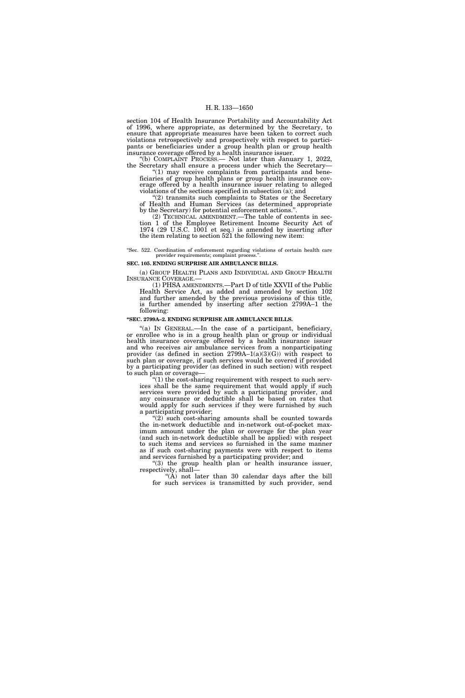section 104 of Health Insurance Portability and Accountability Act of 1996, where appropriate, as determined by the Secretary, to ensure that appropriate measures have been taken to correct such violations retrospectively and prospectively with respect to participants or beneficiaries under a group health plan or group health insurance coverage offered by a health insurance issuer.

(b) COMPLAINT PROCESS.— Not later than January 1, 2022, the Secretary shall ensure a process under which the Secretary—

" $(1)$  may receive complaints from participants and beneficiaries of group health plans or group health insurance coverage offered by a health insurance issuer relating to alleged violations of the sections specified in subsection (a); and

 $\mathcal{E}(2)$  transmits such complaints to States or the Secretary of Health and Human Services (as determined appropriate by the Secretary) for potential enforcement actions.''.

(2) TECHNICAL AMENDMENT.—The table of contents in section 1 of the Employee Retirement Income Security Act of 1974 (29 U.S.C. 1001 et seq.) is amended by inserting after the item relating to section 521 the following new item:

''Sec. 522. Coordination of enforcement regarding violations of certain health care provider requirements; complaint process.'

# **SEC. 105. ENDING SURPRISE AIR AMBULANCE BILLS.**

(a) GROUP HEALTH PLANS AND INDIVIDUAL AND GROUP HEALTH INSURANCE COVERAGE.—

 $(1)$  PHSA AMENDMENTS.—Part D of title XXVII of the Public Health Service Act, as added and amended by section 102 and further amended by the previous provisions of this title, is further amended by inserting after section 2799A–1 the following:

# **''SEC. 2799A–2. ENDING SURPRISE AIR AMBULANCE BILLS.**

"(a) IN GENERAL.—In the case of a participant, beneficiary, or enrollee who is in a group health plan or group or individual health insurance coverage offered by a health insurance issuer and who receives air ambulance services from a nonparticipating provider (as defined in section  $2799A-1(a)(3)(G)$ ) with respect to such plan or coverage, if such services would be covered if provided by a participating provider (as defined in such section) with respect to such plan or coverage—

 $(1)$  the cost-sharing requirement with respect to such services shall be the same requirement that would apply if such services were provided by such a participating provider, and any coinsurance or deductible shall be based on rates that would apply for such services if they were furnished by such a participating provider;

 $(2)$  such cost-sharing amounts shall be counted towards the in-network deductible and in-network out-of-pocket maximum amount under the plan or coverage for the plan year (and such in-network deductible shall be applied) with respect to such items and services so furnished in the same manner as if such cost-sharing payments were with respect to items and services furnished by a participating provider; and

''(3) the group health plan or health insurance issuer, respectively, shall—

''(A) not later than 30 calendar days after the bill for such services is transmitted by such provider, send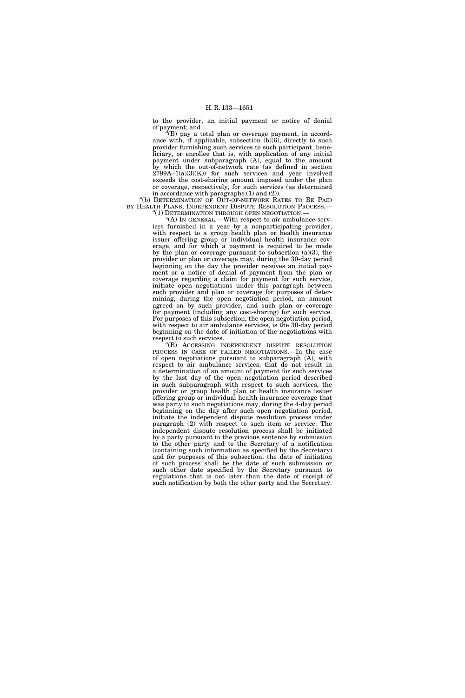to the provider, an initial payment or notice of denial of payment; and

 $f(B)$  pay a total plan or coverage payment, in accordance with, if applicable, subsection (b)(6), directly to such provider furnishing such services to such participant, beneficiary, or enrollee that is, with application of any initial payment under subparagraph (A), equal to the amount by which the out-of-network rate (as defined in section  $2799A-1(a)(3)(K)$  for such services and year involved exceeds the cost-sharing amount imposed under the plan or coverage, respectively, for such services (as determined in accordance with paragraphs (1) and (2)).

''(b) DETERMINATION OF OUT-OF-NETWORK RATES TO BE PAID BY HEALTH PLANS; INDEPENDENT DISPUTE RESOLUTION PROCESS.-''(1) DETERMINATION THROUGH OPEN NEGOTIATION.—

''(A) IN GENERAL.—With respect to air ambulance serv-

ices furnished in a year by a nonparticipating provider, with respect to a group health plan or health insurance issuer offering group or individual health insurance coverage, and for which a payment is required to be made by the plan or coverage pursuant to subsection (a)(3), the provider or plan or coverage may, during the 30-day period beginning on the day the provider receives an initial payment or a notice of denial of payment from the plan or coverage regarding a claim for payment for such service, initiate open negotiations under this paragraph between such provider and plan or coverage for purposes of determining, during the open negotiation period, an amount agreed on by such provider, and such plan or coverage for payment (including any cost-sharing) for such service. For purposes of this subsection, the open negotiation period, with respect to air ambulance services, is the 30-day period beginning on the date of initiation of the negotiations with respect to such services.

''(B) ACCESSING INDEPENDENT DISPUTE RESOLUTION PROCESS IN CASE OF FAILED NEGOTIATIONS.—In the case of open negotiations pursuant to subparagraph (A), with respect to air ambulance services, that do not result in a determination of an amount of payment for such services by the last day of the open negotiation period described in such subparagraph with respect to such services, the provider or group health plan or health insurance issuer offering group or individual health insurance coverage that was party to such negotiations may, during the 4-day period beginning on the day after such open negotiation period, initiate the independent dispute resolution process under paragraph (2) with respect to such item or service. The independent dispute resolution process shall be initiated by a party pursuant to the previous sentence by submission to the other party and to the Secretary of a notification (containing such information as specified by the Secretary) and for purposes of this subsection, the date of initiation of such process shall be the date of such submission or such other date specified by the Secretary pursuant to regulations that is not later than the date of receipt of such notification by both the other party and the Secretary.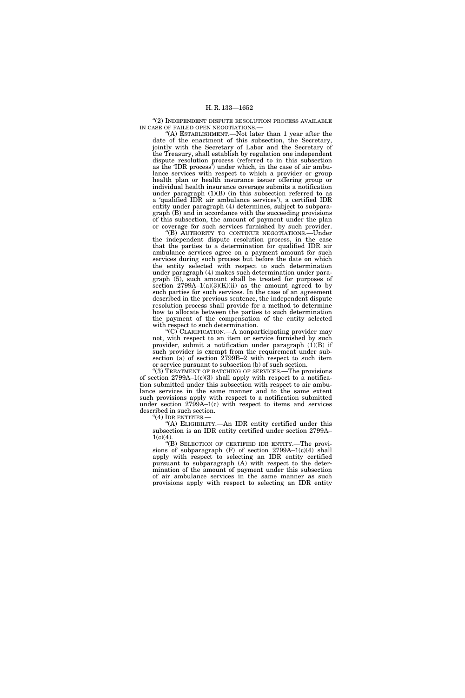"(2) INDEPENDENT DISPUTE RESOLUTION PROCESS AVAILABLE IN CASE OF FAILED OPEN NEGOTIATIONS.—

''(A) ESTABLISHMENT.—Not later than 1 year after the date of the enactment of this subsection, the Secretary, jointly with the Secretary of Labor and the Secretary of the Treasury, shall establish by regulation one independent dispute resolution process (referred to in this subsection as the 'IDR process') under which, in the case of air ambulance services with respect to which a provider or group health plan or health insurance issuer offering group or individual health insurance coverage submits a notification under paragraph  $(1)(B)$  (in this subsection referred to as a 'qualified IDR air ambulance services'), a certified IDR entity under paragraph (4) determines, subject to subparagraph (B) and in accordance with the succeeding provisions of this subsection, the amount of payment under the plan or coverage for such services furnished by such provider.

''(B) AUTHORITY TO CONTINUE NEGOTIATIONS.—Under the independent dispute resolution process, in the case that the parties to a determination for qualified IDR air ambulance services agree on a payment amount for such services during such process but before the date on which the entity selected with respect to such determination under paragraph (4) makes such determination under paragraph (5), such amount shall be treated for purposes of section  $2799A-1(a)(3)(K)(ii)$  as the amount agreed to by such parties for such services. In the case of an agreement described in the previous sentence, the independent dispute resolution process shall provide for a method to determine how to allocate between the parties to such determination the payment of the compensation of the entity selected with respect to such determination.

" $(C)$  CLARIFICATION.—A nonparticipating provider may not, with respect to an item or service furnished by such provider, submit a notification under paragraph  $(1)(B)$  if such provider is exempt from the requirement under subsection (a) of section 2799B–2 with respect to such item or service pursuant to subsection (b) of such section.

''(3) TREATMENT OF BATCHING OF SERVICES.—The provisions of section  $2799A-1(c)(3)$  shall apply with respect to a notification submitted under this subsection with respect to air ambulance services in the same manner and to the same extent such provisions apply with respect to a notification submitted under section 2799A–1(c) with respect to items and services described in such section.

"(4) IDR ENTITIES .-

''(A) ELIGIBILITY.—An IDR entity certified under this subsection is an IDR entity certified under section 2799A–  $1(c)(4)$ .

''(B) SELECTION OF CERTIFIED IDR ENTITY.—The provisions of subparagraph  $(F)$  of section 2799A–1(c)(4) shall apply with respect to selecting an IDR entity certified pursuant to subparagraph (A) with respect to the determination of the amount of payment under this subsection of air ambulance services in the same manner as such provisions apply with respect to selecting an IDR entity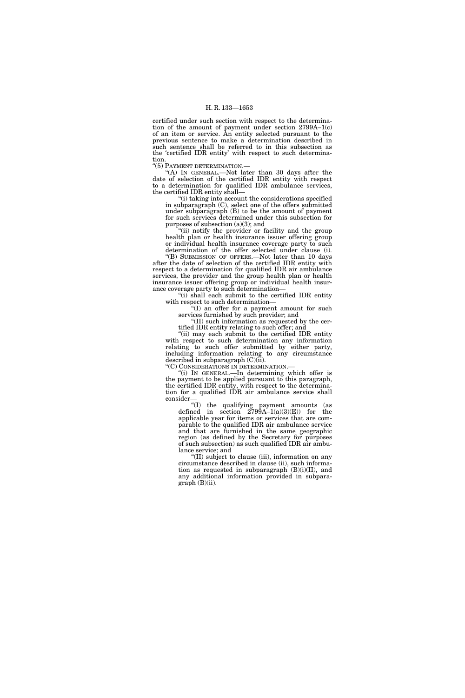certified under such section with respect to the determination of the amount of payment under section 2799A–1(c) of an item or service. An entity selected pursuant to the previous sentence to make a determination described in such sentence shall be referred to in this subsection as the 'certified IDR entity' with respect to such determination.

''(5) PAYMENT DETERMINATION.—

''(A) IN GENERAL.—Not later than 30 days after the date of selection of the certified IDR entity with respect to a determination for qualified IDR ambulance services, the certified IDR entity shall—

''(i) taking into account the considerations specified in subparagraph (C), select one of the offers submitted under subparagraph (B) to be the amount of payment for such services determined under this subsection for purposes of subsection  $(a)(3)$ ; and

"(ii) notify the provider or facility and the group health plan or health insurance issuer offering group or individual health insurance coverage party to such determination of the offer selected under clause (i).

''(B) SUBMISSION OF OFFERS.—Not later than 10 days after the date of selection of the certified IDR entity with respect to a determination for qualified IDR air ambulance services, the provider and the group health plan or health insurance issuer offering group or individual health insurance coverage party to such determination—

"(i) shall each submit to the certified IDR entity with respect to such determination—

''(I) an offer for a payment amount for such services furnished by such provider; and

''(II) such information as requested by the certified IDR entity relating to such offer; and

''(ii) may each submit to the certified IDR entity with respect to such determination any information relating to such offer submitted by either party, including information relating to any circumstance described in subparagraph  $(C)(ii)$ .

''(C) CONSIDERATIONS IN DETERMINATION.—

''(i) IN GENERAL.—In determining which offer is the payment to be applied pursuant to this paragraph, the certified IDR entity, with respect to the determination for a qualified IDR air ambulance service shall consider—

''(I) the qualifying payment amounts (as defined in section  $2799A-1(a)(3)(E)$  for the applicable year for items or services that are comparable to the qualified IDR air ambulance service and that are furnished in the same geographic region (as defined by the Secretary for purposes of such subsection) as such qualified IDR air ambulance service; and

''(II) subject to clause (iii), information on any circumstance described in clause (ii), such information as requested in subparagraph  $(B)(i)(II)$ , and any additional information provided in subpara $graph (B)(ii)$ .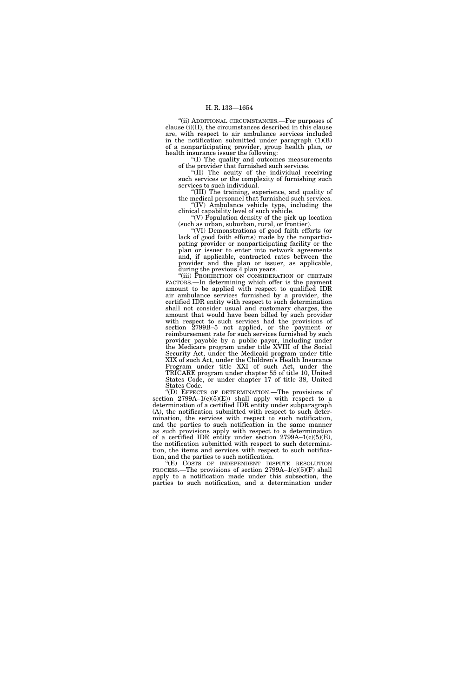''(ii) ADDITIONAL CIRCUMSTANCES.—For purposes of clause (i)(II), the circumstances described in this clause are, with respect to air ambulance services included in the notification submitted under paragraph (1)(B) of a nonparticipating provider, group health plan, or health insurance issuer the following:

''(I) The quality and outcomes measurements of the provider that furnished such services.

" $(\overline{II})$  The acuity of the individual receiving such services or the complexity of furnishing such services to such individual.

''(III) The training, experience, and quality of the medical personnel that furnished such services.  $f(IV)$  Ambulance vehicle type, including the clinical capability level of such vehicle.

''(V) Population density of the pick up location (such as urban, suburban, rural, or frontier).

''(VI) Demonstrations of good faith efforts (or lack of good faith efforts) made by the nonparticipating provider or nonparticipating facility or the plan or issuer to enter into network agreements and, if applicable, contracted rates between the provider and the plan or issuer, as applicable, during the previous 4 plan years.

''(iii) PROHIBITION ON CONSIDERATION OF CERTAIN FACTORS.—In determining which offer is the payment amount to be applied with respect to qualified IDR air ambulance services furnished by a provider, the certified IDR entity with respect to such determination shall not consider usual and customary charges, the amount that would have been billed by such provider with respect to such services had the provisions of section 2799B–5 not applied, or the payment or reimbursement rate for such services furnished by such provider payable by a public payor, including under the Medicare program under title XVIII of the Social Security Act, under the Medicaid program under title XIX of such Act, under the Children's Health Insurance Program under title XXI of such Act, under the TRICARE program under chapter 55 of title 10, United States Code, or under chapter 17 of title 38, United States Code.

''(D) EFFECTS OF DETERMINATION.—The provisions of section  $2799A-1(c)(5)(E)$  shall apply with respect to a determination of a certified IDR entity under subparagraph (A), the notification submitted with respect to such determination, the services with respect to such notification, and the parties to such notification in the same manner as such provisions apply with respect to a determination of a certified IDR entity under section 2799A–1(c)(5)(E), the notification submitted with respect to such determination, the items and services with respect to such notification, and the parties to such notification.

''(E) COSTS OF INDEPENDENT DISPUTE RESOLUTION PROCESS.—The provisions of section 2799A–1(c)(5)(F) shall apply to a notification made under this subsection, the parties to such notification, and a determination under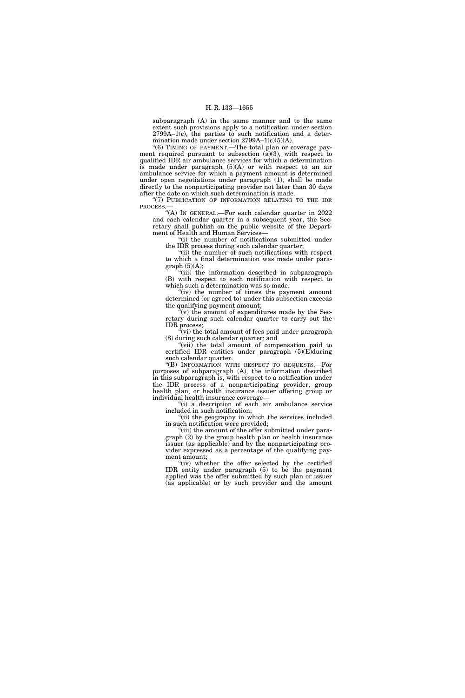subparagraph (A) in the same manner and to the same extent such provisions apply to a notification under section 2799A–1(c), the parties to such notification and a determination made under section 2799A–1(c)(5)(A).

''(6) TIMING OF PAYMENT.—The total plan or coverage payment required pursuant to subsection  $(a)(3)$ , with respect to qualified IDR air ambulance services for which a determination is made under paragraph  $(5)(A)$  or with respect to an air ambulance service for which a payment amount is determined under open negotiations under paragraph (1), shall be made directly to the nonparticipating provider not later than 30 days after the date on which such determination is made.

"(7) PUBLICATION OF INFORMATION RELATING TO THE IDR PROCESS.—

''(A) IN GENERAL.—For each calendar quarter in 2022 and each calendar quarter in a subsequent year, the Secretary shall publish on the public website of the Department of Health and Human Services-

"(i) the number of notifications submitted under the IDR process during such calendar quarter;

"(ii) the number of such notifications with respect to which a final determination was made under para $graph (5)(A);$ 

''(iii) the information described in subparagraph (B) with respect to each notification with respect to which such a determination was so made.

"(iv) the number of times the payment amount determined (or agreed to) under this subsection exceeds the qualifying payment amount;

 $\mathbf{F}(\mathbf{v})$  the amount of expenditures made by the Secretary during such calendar quarter to carry out the IDR process;

 $\sqrt{\gamma}$ (vi) the total amount of fees paid under paragraph (8) during such calendar quarter; and

"(vii) the total amount of compensation paid to certified IDR entities under paragraph (5)(E)during such calendar quarter.

''(B) INFORMATION WITH RESPECT TO REQUESTS.—For purposes of subparagraph (A), the information described in this subparagraph is, with respect to a notification under the IDR process of a nonparticipating provider, group health plan, or health insurance issuer offering group or individual health insurance coverage—

''(i) a description of each air ambulance service included in such notification;

"(ii) the geography in which the services included in such notification were provided;

"(iii) the amount of the offer submitted under paragraph (2) by the group health plan or health insurance issuer (as applicable) and by the nonparticipating provider expressed as a percentage of the qualifying payment amount;

"(iv) whether the offer selected by the certified IDR entity under paragraph (5) to be the payment applied was the offer submitted by such plan or issuer (as applicable) or by such provider and the amount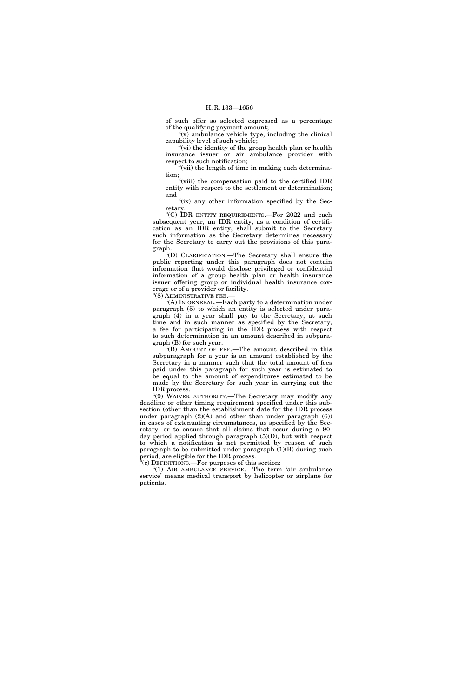of such offer so selected expressed as a percentage of the qualifying payment amount;

''(v) ambulance vehicle type, including the clinical capability level of such vehicle;

''(vi) the identity of the group health plan or health insurance issuer or air ambulance provider with respect to such notification;

"(vii) the length of time in making each determination;

''(viii) the compensation paid to the certified IDR entity with respect to the settlement or determination; and

" $(ix)$  any other information specified by the Secretary.

''(C) IDR ENTITY REQUIREMENTS.—For 2022 and each subsequent year, an IDR entity, as a condition of certification as an IDR entity, shall submit to the Secretary such information as the Secretary determines necessary for the Secretary to carry out the provisions of this paragraph.

''(D) CLARIFICATION.—The Secretary shall ensure the public reporting under this paragraph does not contain information that would disclose privileged or confidential information of a group health plan or health insurance issuer offering group or individual health insurance coverage or of a provider or facility.

"(8) ADMINISTRATIVE FEE.-

''(A) IN GENERAL.—Each party to a determination under paragraph (5) to which an entity is selected under paragraph (4) in a year shall pay to the Secretary, at such time and in such manner as specified by the Secretary, a fee for participating in the IDR process with respect to such determination in an amount described in subparagraph (B) for such year.

''(B) AMOUNT OF FEE.—The amount described in this subparagraph for a year is an amount established by the Secretary in a manner such that the total amount of fees paid under this paragraph for such year is estimated to be equal to the amount of expenditures estimated to be made by the Secretary for such year in carrying out the IDR process.

"(9) WAIVER AUTHORITY.—The Secretary may modify any deadline or other timing requirement specified under this subsection (other than the establishment date for the IDR process under paragraph  $(2)(A)$  and other than under paragraph  $(6)$ ) in cases of extenuating circumstances, as specified by the Secretary, or to ensure that all claims that occur during a 90 day period applied through paragraph (5)(D), but with respect to which a notification is not permitted by reason of such paragraph to be submitted under paragraph  $(1)(B)$  during such period, are eligible for the IDR process.

''(c) DEFINITIONS.—For purposes of this section:

"(1) AIR AMBULANCE SERVICE.—The term 'air ambulance service' means medical transport by helicopter or airplane for patients.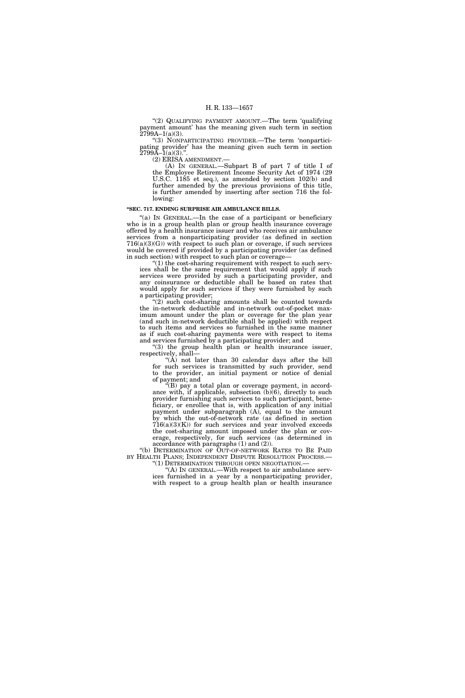"(2) QUALIFYING PAYMENT AMOUNT.—The term 'qualifying payment amount' has the meaning given such term in section  $2799A-1(a)(3)$ .

''(3) NONPARTICIPATING PROVIDER.—The term 'nonparticipating provider' has the meaning given such term in section  $2799A-1(a)(3)$ .".

(2) ERISA AMENDMENT.—

(A) IN GENERAL.—Subpart B of part 7 of title I of the Employee Retirement Income Security Act of 1974 (29 U.S.C. 1185 et seq.), as amended by section 102(b) and further amended by the previous provisions of this title, is further amended by inserting after section 716 the following:

#### **''SEC. 717. ENDING SURPRISE AIR AMBULANCE BILLS.**

"(a) IN GENERAL.—In the case of a participant or beneficiary who is in a group health plan or group health insurance coverage offered by a health insurance issuer and who receives air ambulance services from a nonparticipating provider (as defined in section  $716(a)(3)(G)$ ) with respect to such plan or coverage, if such services would be covered if provided by a participating provider (as defined in such section) with respect to such plan or coverage—

 $(1)$  the cost-sharing requirement with respect to such services shall be the same requirement that would apply if such services were provided by such a participating provider, and any coinsurance or deductible shall be based on rates that would apply for such services if they were furnished by such a participating provider;

 $(2)$  such cost-sharing amounts shall be counted towards the in-network deductible and in-network out-of-pocket maximum amount under the plan or coverage for the plan year (and such in-network deductible shall be applied) with respect to such items and services so furnished in the same manner as if such cost-sharing payments were with respect to items and services furnished by a participating provider; and

"(3) the group health plan or health insurance issuer, respectively, shall—

" $(A)$  not later than 30 calendar days after the bill for such services is transmitted by such provider, send to the provider, an initial payment or notice of denial of payment; and

''(B) pay a total plan or coverage payment, in accordance with, if applicable, subsection  $(b)(6)$ , directly to such provider furnishing such services to such participant, beneficiary, or enrollee that is, with application of any initial payment under subparagraph (A), equal to the amount by which the out-of-network rate (as defined in section  $716(a)(3)(K)$  for such services and year involved exceeds the cost-sharing amount imposed under the plan or coverage, respectively, for such services (as determined in accordance with paragraphs (1) and (2)).

''(b) DETERMINATION OF OUT-OF-NETWORK RATES TO BE PAID BY HEALTH PLANS; INDEPENDENT DISPUTE RESOLUTION PROCESS.<br>"(1) DETERMINATION THROUGH OPEN NEGOTIATION.—

"(A) In GENERAL.—With respect to air ambulance services furnished in a year by a nonparticipating provider, with respect to a group health plan or health insurance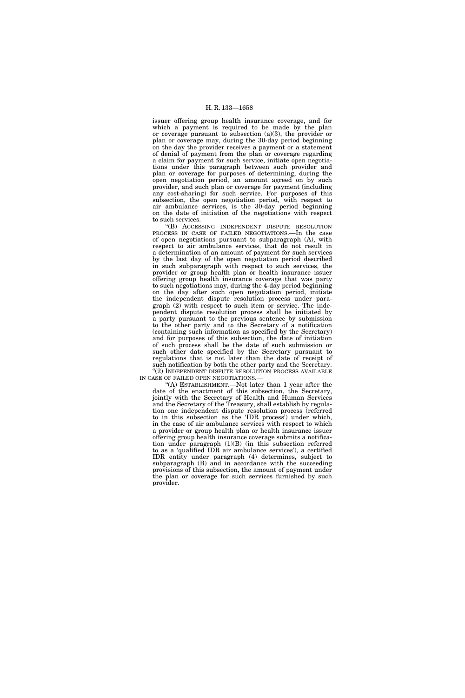issuer offering group health insurance coverage, and for which a payment is required to be made by the plan or coverage pursuant to subsection (a)(3), the provider or plan or coverage may, during the 30-day period beginning on the day the provider receives a payment or a statement of denial of payment from the plan or coverage regarding a claim for payment for such service, initiate open negotiations under this paragraph between such provider and plan or coverage for purposes of determining, during the open negotiation period, an amount agreed on by such provider, and such plan or coverage for payment (including any cost-sharing) for such service. For purposes of this subsection, the open negotiation period, with respect to air ambulance services, is the 30-day period beginning on the date of initiation of the negotiations with respect to such services.

''(B) ACCESSING INDEPENDENT DISPUTE RESOLUTION PROCESS IN CASE OF FAILED NEGOTIATIONS.—In the case of open negotiations pursuant to subparagraph (A), with respect to air ambulance services, that do not result in a determination of an amount of payment for such services by the last day of the open negotiation period described in such subparagraph with respect to such services, the provider or group health plan or health insurance issuer offering group health insurance coverage that was party to such negotiations may, during the 4-day period beginning on the day after such open negotiation period, initiate the independent dispute resolution process under paragraph (2) with respect to such item or service. The independent dispute resolution process shall be initiated by a party pursuant to the previous sentence by submission to the other party and to the Secretary of a notification (containing such information as specified by the Secretary) and for purposes of this subsection, the date of initiation of such process shall be the date of such submission or such other date specified by the Secretary pursuant to regulations that is not later than the date of receipt of such notification by both the other party and the Secretary.

 $\text{``(2)}$  INDEPENDENT DISPUTE RESOLUTION PROCESS AVAILABLE IN CASE OF FAILED OPEN NEGOTIATIONS.—

''(A) ESTABLISHMENT.—Not later than 1 year after the date of the enactment of this subsection, the Secretary, jointly with the Secretary of Health and Human Services and the Secretary of the Treasury, shall establish by regulation one independent dispute resolution process (referred to in this subsection as the 'IDR process') under which, in the case of air ambulance services with respect to which a provider or group health plan or health insurance issuer offering group health insurance coverage submits a notification under paragraph (1)(B) (in this subsection referred to as a 'qualified IDR air ambulance services'), a certified IDR entity under paragraph (4) determines, subject to subparagraph (B) and in accordance with the succeeding provisions of this subsection, the amount of payment under the plan or coverage for such services furnished by such provider.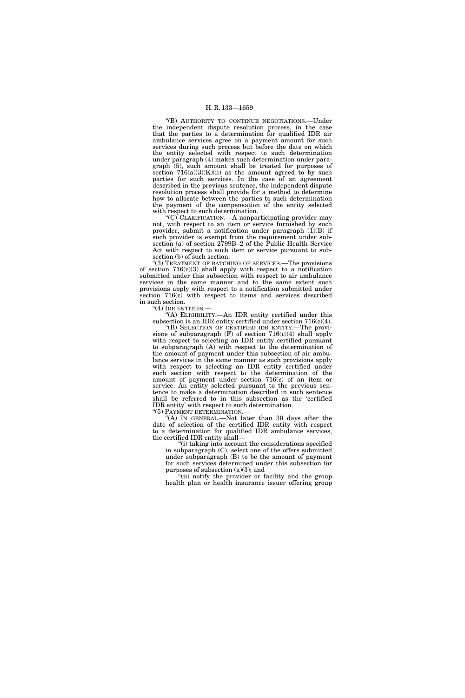''(B) AUTHORITY TO CONTINUE NEGOTIATIONS.—Under the independent dispute resolution process, in the case that the parties to a determination for qualified IDR air ambulance services agree on a payment amount for such services during such process but before the date on which the entity selected with respect to such determination under paragraph (4) makes such determination under paragraph (5), such amount shall be treated for purposes of section  $716(a)(3)(K)(ii)$  as the amount agreed to by such parties for such services. In the case of an agreement described in the previous sentence, the independent dispute resolution process shall provide for a method to determine how to allocate between the parties to such determination the payment of the compensation of the entity selected with respect to such determination.

 $(C)$  CLARIFICATION.—A nonparticipating provider may not, with respect to an item or service furnished by such provider, submit a notification under paragraph  $(1)(B)$  if such provider is exempt from the requirement under subsection (a) of section 2799B–2 of the Public Health Service Act with respect to such item or service pursuant to subsection (b) of such section.

"(3) TREATMENT OF BATCHING OF SERVICES.—The provisions of section 716(c)(3) shall apply with respect to a notification submitted under this subsection with respect to air ambulance services in the same manner and to the same extent such provisions apply with respect to a notification submitted under section 716(c) with respect to items and services described in such section.

"(4) IDR ENTITIES.-

''(A) ELIGIBILITY.—An IDR entity certified under this subsection is an IDR entity certified under section 716(c)(4).

''(B) SELECTION OF CERTIFIED IDR ENTITY.—The provisions of subparagraph  $(F)$  of section 716(c)(4) shall apply with respect to selecting an IDR entity certified pursuant to subparagraph (A) with respect to the determination of the amount of payment under this subsection of air ambulance services in the same manner as such provisions apply with respect to selecting an IDR entity certified under such section with respect to the determination of the amount of payment under section 716(c) of an item or service. An entity selected pursuant to the previous sentence to make a determination described in such sentence shall be referred to in this subsection as the 'certified IDR entity' with respect to such determination.<br>"(5) PAYMENT DETERMINATION.—

'(A) IN GENERAL.—Not later than 30 days after the date of selection of the certified IDR entity with respect to a determination for qualified IDR ambulance services, the certified IDR entity shall—

''(i) taking into account the considerations specified in subparagraph (C), select one of the offers submitted under subparagraph (B) to be the amount of payment for such services determined under this subsection for purposes of subsection (a)(3); and

'(ii) notify the provider or facility and the group health plan or health insurance issuer offering group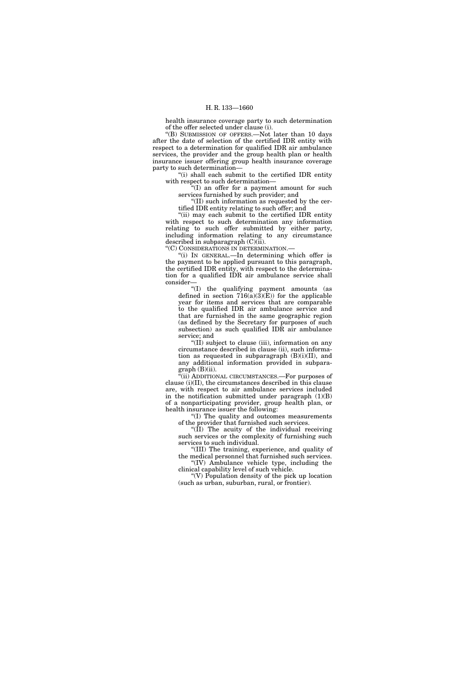health insurance coverage party to such determination of the offer selected under clause (i).

''(B) SUBMISSION OF OFFERS.—Not later than 10 days after the date of selection of the certified IDR entity with respect to a determination for qualified IDR air ambulance services, the provider and the group health plan or health insurance issuer offering group health insurance coverage party to such determination—

''(i) shall each submit to the certified IDR entity with respect to such determination—

''(I) an offer for a payment amount for such services furnished by such provider; and

''(II) such information as requested by the certified IDR entity relating to such offer; and

"(ii) may each submit to the certified IDR entity with respect to such determination any information relating to such offer submitted by either party, including information relating to any circumstance described in subparagraph (C)(ii).

''(C) CONSIDERATIONS IN DETERMINATION.—

''(i) IN GENERAL.—In determining which offer is the payment to be applied pursuant to this paragraph, the certified IDR entity, with respect to the determination for a qualified IDR air ambulance service shall consider—

''(I) the qualifying payment amounts (as defined in section  $716(a)(3)(E)$  for the applicable year for items and services that are comparable to the qualified IDR air ambulance service and that are furnished in the same geographic region (as defined by the Secretary for purposes of such subsection) as such qualified IDR air ambulance service; and

''(II) subject to clause (iii), information on any circumstance described in clause (ii), such information as requested in subparagraph  $(B)(i)(II)$ , and any additional information provided in subpara $graph (B)(ii)$ .

(ii) ADDITIONAL CIRCUMSTANCES.—For purposes of clause (i)(II), the circumstances described in this clause are, with respect to air ambulance services included in the notification submitted under paragraph (1)(B) of a nonparticipating provider, group health plan, or health insurance issuer the following:

''(I) The quality and outcomes measurements of the provider that furnished such services.

"(II) The acuity of the individual receiving such services or the complexity of furnishing such services to such individual.

''(III) The training, experience, and quality of the medical personnel that furnished such services. ''(IV) Ambulance vehicle type, including the clinical capability level of such vehicle.

"(V) Population density of the pick up location" (such as urban, suburban, rural, or frontier).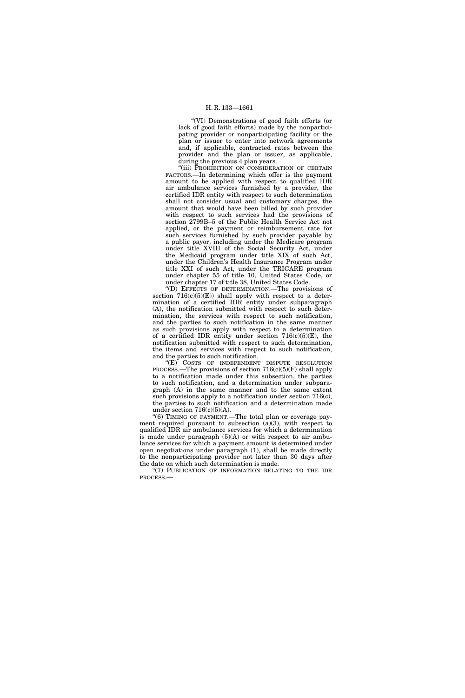''(VI) Demonstrations of good faith efforts (or lack of good faith efforts) made by the nonparticipating provider or nonparticipating facility or the plan or issuer to enter into network agreements and, if applicable, contracted rates between the provider and the plan or issuer, as applicable, during the previous 4 plan years.

"(iii) PROHIBITION ON CONSIDERATION OF CERTAIN FACTORS.—In determining which offer is the payment amount to be applied with respect to qualified IDR air ambulance services furnished by a provider, the certified IDR entity with respect to such determination shall not consider usual and customary charges, the amount that would have been billed by such provider with respect to such services had the provisions of section 2799B–5 of the Public Health Service Act not applied, or the payment or reimbursement rate for such services furnished by such provider payable by a public payor, including under the Medicare program under title XVIII of the Social Security Act, under the Medicaid program under title XIX of such Act, under the Children's Health Insurance Program under title XXI of such Act, under the TRICARE program under chapter 55 of title 10, United States Code, or under chapter 17 of title 38, United States Code.

''(D) EFFECTS OF DETERMINATION.—The provisions of section  $716(c)(5)(E)$  shall apply with respect to a determination of a certified IDR entity under subparagraph (A), the notification submitted with respect to such determination, the services with respect to such notification, and the parties to such notification in the same manner as such provisions apply with respect to a determination of a certified IDR entity under section  $716(c)(5)(E)$ , the notification submitted with respect to such determination, the items and services with respect to such notification, and the parties to such notification.

"(E) COSTS OF INDEPENDENT DISPUTE RESOLUTION PROCESS.—The provisions of section  $716(c)(5)(F)$  shall apply to a notification made under this subsection, the parties to such notification, and a determination under subparagraph (A) in the same manner and to the same extent such provisions apply to a notification under section 716(c), the parties to such notification and a determination made under section  $716(c)(5)(A)$ .

''(6) TIMING OF PAYMENT.—The total plan or coverage payment required pursuant to subsection (a)(3), with respect to qualified IDR air ambulance services for which a determination is made under paragraph  $(5)(A)$  or with respect to air ambulance services for which a payment amount is determined under open negotiations under paragraph (1), shall be made directly to the nonparticipating provider not later than 30 days after the date on which such determination is made.

"(7) PUBLICATION OF INFORMATION RELATING TO THE IDR PROCESS.—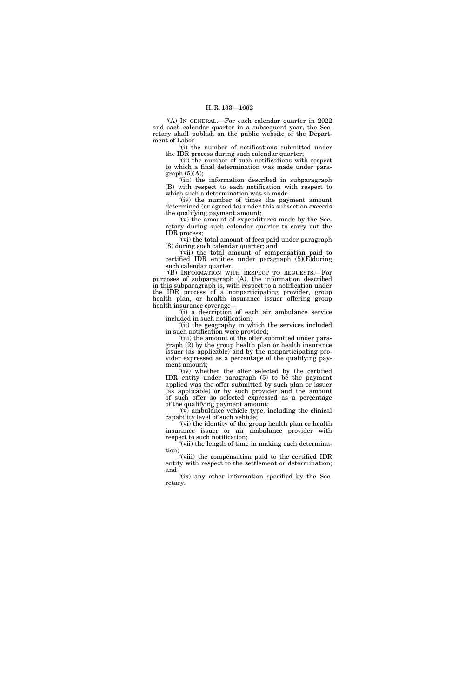''(A) IN GENERAL.—For each calendar quarter in 2022 and each calendar quarter in a subsequent year, the Secretary shall publish on the public website of the Department of Labor—

''(i) the number of notifications submitted under the IDR process during such calendar quarter;

''(ii) the number of such notifications with respect to which a final determination was made under para $graph (5)(A);$ 

''(iii) the information described in subparagraph (B) with respect to each notification with respect to which such a determination was so made.

''(iv) the number of times the payment amount determined (or agreed to) under this subsection exceeds the qualifying payment amount;

 $\hat{f}(v)$  the amount of expenditures made by the Secretary during such calendar quarter to carry out the IDR process;

''(vi) the total amount of fees paid under paragraph (8) during such calendar quarter; and

"(vii) the total amount of compensation paid to certified IDR entities under paragraph (5)(E)during such calendar quarter.

''(B) INFORMATION WITH RESPECT TO REQUESTS.—For purposes of subparagraph (A), the information described in this subparagraph is, with respect to a notification under the IDR process of a nonparticipating provider, group health plan, or health insurance issuer offering group health insurance coverage—

''(i) a description of each air ambulance service included in such notification;

"(ii) the geography in which the services included in such notification were provided;

''(iii) the amount of the offer submitted under paragraph (2) by the group health plan or health insurance issuer (as applicable) and by the nonparticipating provider expressed as a percentage of the qualifying payment amount;

"(iv) whether the offer selected by the certified IDR entity under paragraph (5) to be the payment applied was the offer submitted by such plan or issuer (as applicable) or by such provider and the amount of such offer so selected expressed as a percentage of the qualifying payment amount;

 $\sqrt[4]{v}$  ambulance vehicle type, including the clinical capability level of such vehicle;

"(vi) the identity of the group health plan or health insurance issuer or air ambulance provider with respect to such notification;

"(vii) the length of time in making each determination;

''(viii) the compensation paid to the certified IDR entity with respect to the settlement or determination; and

"(ix) any other information specified by the Secretary.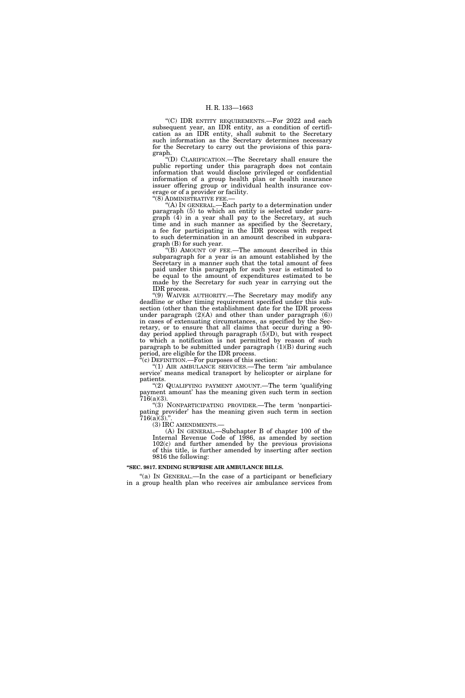''(C) IDR ENTITY REQUIREMENTS.—For 2022 and each subsequent year, an IDR entity, as a condition of certification as an IDR entity, shall submit to the Secretary such information as the Secretary determines necessary for the Secretary to carry out the provisions of this paragraph.

''(D) CLARIFICATION.—The Secretary shall ensure the public reporting under this paragraph does not contain information that would disclose privileged or confidential information of a group health plan or health insurance issuer offering group or individual health insurance coverage or of a provider or facility.

"(8) ADMINISTRATIVE FEE.-

'(A) In GENERAL.—Each party to a determination under paragraph (5) to which an entity is selected under paragraph (4) in a year shall pay to the Secretary, at such time and in such manner as specified by the Secretary, a fee for participating in the IDR process with respect to such determination in an amount described in subparagraph (B) for such year.

''(B) AMOUNT OF FEE.—The amount described in this subparagraph for a year is an amount established by the Secretary in a manner such that the total amount of fees paid under this paragraph for such year is estimated to be equal to the amount of expenditures estimated to be made by the Secretary for such year in carrying out the IDR process.

''(9) WAIVER AUTHORITY.—The Secretary may modify any deadline or other timing requirement specified under this subsection (other than the establishment date for the IDR process under paragraph (2)(A) and other than under paragraph (6)) in cases of extenuating circumstances, as specified by the Secretary, or to ensure that all claims that occur during a 90 day period applied through paragraph (5)(D), but with respect to which a notification is not permitted by reason of such paragraph to be submitted under paragraph  $(1)(B)$  during such period, are eligible for the IDR process.

 $f(c)$  DEFINITION.—For purposes of this section:

"(1) AIR AMBULANCE SERVICES.—The term 'air ambulance service' means medical transport by helicopter or airplane for patients.

"(2) QUALIFYING PAYMENT AMOUNT.—The term 'qualifying payment amount' has the meaning given such term in section  $716(a)(3)$ .

''(3) NONPARTICIPATING PROVIDER.—The term 'nonparticipating provider' has the meaning given such term in section  $716(a)(3)$ .".

(3) IRC AMENDMENTS.— (A) IN GENERAL.—Subchapter B of chapter 100 of the Internal Revenue Code of 1986, as amended by section 102(c) and further amended by the previous provisions of this title, is further amended by inserting after section 9816 the following:

## **''SEC. 9817. ENDING SURPRISE AIR AMBULANCE BILLS.**

"(a) IN GENERAL.—In the case of a participant or beneficiary in a group health plan who receives air ambulance services from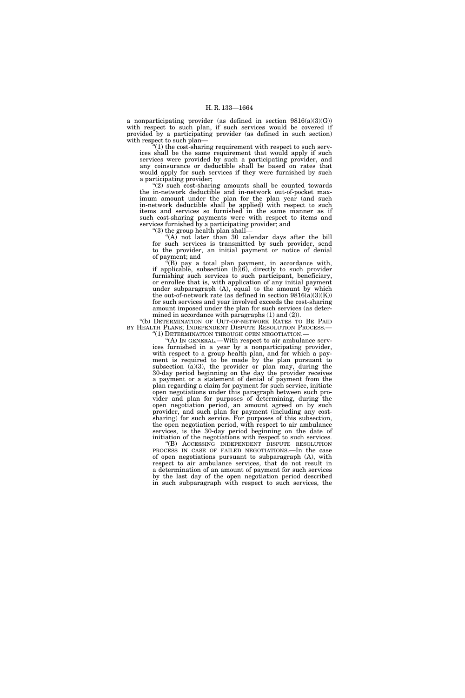a nonparticipating provider (as defined in section  $9816(a)(3)(G)$ ) with respect to such plan, if such services would be covered if provided by a participating provider (as defined in such section) with respect to such plan—

 $(1)$  the cost-sharing requirement with respect to such services shall be the same requirement that would apply if such services were provided by such a participating provider, and any coinsurance or deductible shall be based on rates that would apply for such services if they were furnished by such a participating provider;

 $(2)$  such cost-sharing amounts shall be counted towards the in-network deductible and in-network out-of-pocket maximum amount under the plan for the plan year (and such in-network deductible shall be applied) with respect to such items and services so furnished in the same manner as if such cost-sharing payments were with respect to items and services furnished by a participating provider; and

''(3) the group health plan shall—

" $(A)$  not later than 30 calendar days after the bill for such services is transmitted by such provider, send to the provider, an initial payment or notice of denial of payment; and

''(B) pay a total plan payment, in accordance with, if applicable, subsection  $(b)(6)$ , directly to such provider furnishing such services to such participant, beneficiary, or enrollee that is, with application of any initial payment under subparagraph (A), equal to the amount by which the out-of-network rate (as defined in section  $9816(a)(3)(K)$ ) for such services and year involved exceeds the cost-sharing amount imposed under the plan for such services (as determined in accordance with paragraphs (1) and (2)).

"(b) DETERMINATION OF OUT-OF-NETWORK RATES TO BE PAID BY HEALTH PLANS; INDEPENDENT DISPUTE RESOLUTION PROCESS. ''(1) DETERMINATION THROUGH OPEN NEGOTIATION.—

 $f(A)$  In GENERAL.—With respect to air ambulance serv-

ices furnished in a year by a nonparticipating provider, with respect to a group health plan, and for which a payment is required to be made by the plan pursuant to subsection  $(a)(3)$ , the provider or plan may, during the 30-day period beginning on the day the provider receives a payment or a statement of denial of payment from the plan regarding a claim for payment for such service, initiate open negotiations under this paragraph between such provider and plan for purposes of determining, during the open negotiation period, an amount agreed on by such provider, and such plan for payment (including any costsharing) for such service. For purposes of this subsection, the open negotiation period, with respect to air ambulance services, is the 30-day period beginning on the date of initiation of the negotiations with respect to such services.

''(B) ACCESSING INDEPENDENT DISPUTE RESOLUTION PROCESS IN CASE OF FAILED NEGOTIATIONS.—In the case of open negotiations pursuant to subparagraph (A), with respect to air ambulance services, that do not result in a determination of an amount of payment for such services by the last day of the open negotiation period described in such subparagraph with respect to such services, the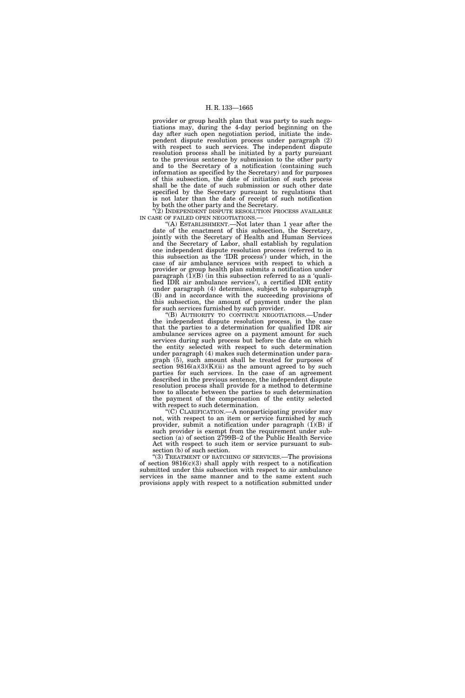provider or group health plan that was party to such negotiations may, during the 4-day period beginning on the day after such open negotiation period, initiate the independent dispute resolution process under paragraph (2) with respect to such services. The independent dispute resolution process shall be initiated by a party pursuant to the previous sentence by submission to the other party and to the Secretary of a notification (containing such information as specified by the Secretary) and for purposes of this subsection, the date of initiation of such process shall be the date of such submission or such other date specified by the Secretary pursuant to regulations that is not later than the date of receipt of such notification by both the other party and the Secretary.

"(2) INDEPENDENT DISPUTE RESOLUTION PROCESS AVAILABLE IN CASE OF FAILED OPEN NEGOTIATIONS.—

 $(A)$  ESTABLISHMENT.—Not later than 1 year after the date of the enactment of this subsection, the Secretary, jointly with the Secretary of Health and Human Services and the Secretary of Labor, shall establish by regulation one independent dispute resolution process (referred to in this subsection as the 'IDR process') under which, in the case of air ambulance services with respect to which a provider or group health plan submits a notification under paragraph  $(1)(B)$  (in this subsection referred to as a 'qualified IDR air ambulance services'), a certified IDR entity under paragraph (4) determines, subject to subparagraph (B) and in accordance with the succeeding provisions of this subsection, the amount of payment under the plan for such services furnished by such provider.

''(B) AUTHORITY TO CONTINUE NEGOTIATIONS.—Under the independent dispute resolution process, in the case that the parties to a determination for qualified IDR air ambulance services agree on a payment amount for such services during such process but before the date on which the entity selected with respect to such determination under paragraph (4) makes such determination under paragraph (5), such amount shall be treated for purposes of section  $9816(a)(3)(K)(ii)$  as the amount agreed to by such parties for such services. In the case of an agreement described in the previous sentence, the independent dispute resolution process shall provide for a method to determine how to allocate between the parties to such determination the payment of the compensation of the entity selected with respect to such determination.

''(C) CLARIFICATION.—A nonparticipating provider may not, with respect to an item or service furnished by such provider, submit a notification under paragraph  $(1)(B)$  if such provider is exempt from the requirement under subsection (a) of section 2799B–2 of the Public Health Service Act with respect to such item or service pursuant to subsection (b) of such section.

"(3) TREATMENT OF BATCHING OF SERVICES.—The provisions of section 9816(c)(3) shall apply with respect to a notification submitted under this subsection with respect to air ambulance services in the same manner and to the same extent such provisions apply with respect to a notification submitted under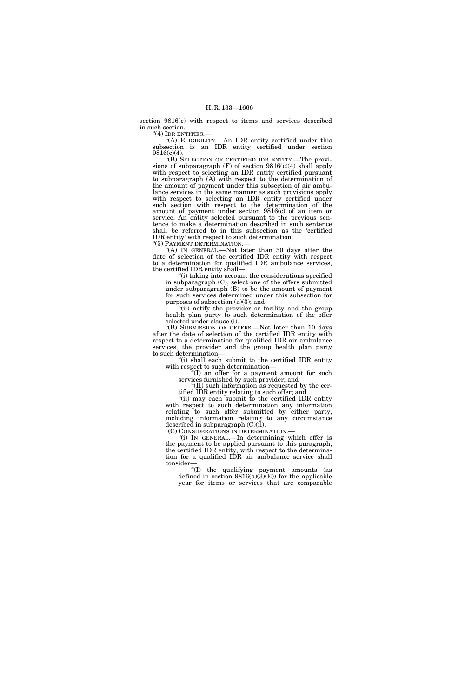section 9816(c) with respect to items and services described in such section.

"(4) IDR ENTITIES.-

''(A) ELIGIBILITY.—An IDR entity certified under this subsection is an IDR entity certified under section 9816(c)(4).

''(B) SELECTION OF CERTIFIED IDR ENTITY.—The provisions of subparagraph  $(F)$  of section 9816(c)(4) shall apply with respect to selecting an IDR entity certified pursuant to subparagraph (A) with respect to the determination of the amount of payment under this subsection of air ambulance services in the same manner as such provisions apply with respect to selecting an IDR entity certified under such section with respect to the determination of the amount of payment under section 9816(c) of an item or service. An entity selected pursuant to the previous sentence to make a determination described in such sentence shall be referred to in this subsection as the 'certified IDR entity' with respect to such determination. ''(5) PAYMENT DETERMINATION.—

"(A) In GENERAL.—Not later than 30 days after the

date of selection of the certified IDR entity with respect to a determination for qualified IDR ambulance services, the certified IDR entity shall—

''(i) taking into account the considerations specified in subparagraph (C), select one of the offers submitted under subparagraph (B) to be the amount of payment for such services determined under this subsection for purposes of subsection  $(a)(3)$ ; and

"(ii) notify the provider or facility and the group health plan party to such determination of the offer selected under clause (i).

''(B) SUBMISSION OF OFFERS.—Not later than 10 days after the date of selection of the certified IDR entity with respect to a determination for qualified IDR air ambulance services, the provider and the group health plan party to such determination—

''(i) shall each submit to the certified IDR entity with respect to such determination—

''(I) an offer for a payment amount for such services furnished by such provider; and

''(II) such information as requested by the certified IDR entity relating to such offer; and

''(ii) may each submit to the certified IDR entity with respect to such determination any information relating to such offer submitted by either party, including information relating to any circumstance described in subparagraph  $(C)(ii)$ .<br>" $(C)$  CONSIDERATIONS IN DETERMINATION.—

"(i) IN GENERAL.—In determining which offer is the payment to be applied pursuant to this paragraph, the certified IDR entity, with respect to the determination for a qualified IDR air ambulance service shall consider—

''(I) the qualifying payment amounts (as defined in section  $9816(a)(3)(E)$  for the applicable year for items or services that are comparable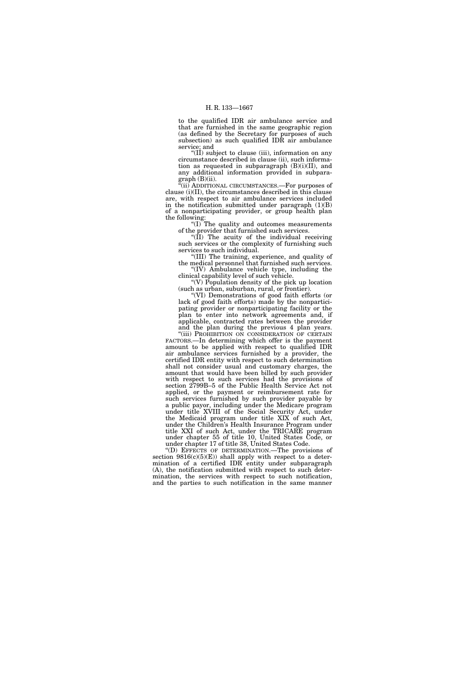to the qualified IDR air ambulance service and that are furnished in the same geographic region (as defined by the Secretary for purposes of such subsection) as such qualified IDR air ambulance service; and

" $(II)$  subject to clause (iii), information on any circumstance described in clause (ii), such information as requested in subparagraph  $(B)(i)(II)$ , and any additional information provided in subparagraph (B)(ii).

 $\Gamma$ <sup>"(ii)</sup> ADDITIONAL CIRCUMSTANCES.—For purposes of clause (i)(II), the circumstances described in this clause are, with respect to air ambulance services included in the notification submitted under paragraph  $(1)(B)$ of a nonparticipating provider, or group health plan the following:

''(I) The quality and outcomes measurements of the provider that furnished such services.

"(II) The acuity of the individual receiving such services or the complexity of furnishing such services to such individual.

''(III) The training, experience, and quality of the medical personnel that furnished such services. ''(IV) Ambulance vehicle type, including the clinical capability level of such vehicle.

 $\mathcal{C}(V)$  Population density of the pick up location (such as urban, suburban, rural, or frontier).

''(VI) Demonstrations of good faith efforts (or lack of good faith efforts) made by the nonparticipating provider or nonparticipating facility or the plan to enter into network agreements and, if applicable, contracted rates between the provider and the plan during the previous 4 plan years.

"(iii) PROHIBITION ON CONSIDERATION OF CERTAIN FACTORS.—In determining which offer is the payment amount to be applied with respect to qualified IDR air ambulance services furnished by a provider, the certified IDR entity with respect to such determination shall not consider usual and customary charges, the amount that would have been billed by such provider with respect to such services had the provisions of section 2799B–5 of the Public Health Service Act not applied, or the payment or reimbursement rate for such services furnished by such provider payable by a public payor, including under the Medicare program under title XVIII of the Social Security Act, under the Medicaid program under title XIX of such Act, under the Children's Health Insurance Program under title XXI of such Act, under the TRICARE program under chapter 55 of title 10, United States Code, or under chapter 17 of title 38, United States Code.

''(D) EFFECTS OF DETERMINATION.—The provisions of section  $9816(c)(5)(E)$  shall apply with respect to a determination of a certified IDR entity under subparagraph (A), the notification submitted with respect to such determination, the services with respect to such notification, and the parties to such notification in the same manner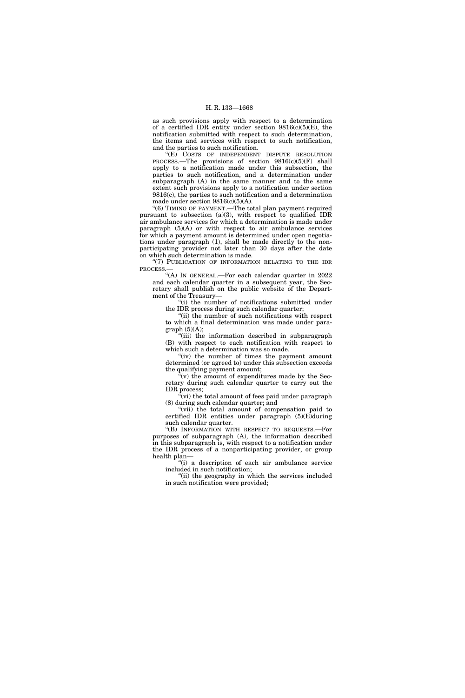as such provisions apply with respect to a determination of a certified IDR entity under section  $9816(c)(5)(E)$ , the notification submitted with respect to such determination, the items and services with respect to such notification, and the parties to such notification.

"(E) COSTS OF INDEPENDENT DISPUTE RESOLUTION PROCESS.—The provisions of section 9816(c)(5)(F) shall apply to a notification made under this subsection, the parties to such notification, and a determination under subparagraph (A) in the same manner and to the same extent such provisions apply to a notification under section 9816(c), the parties to such notification and a determination made under section 9816(c)(5)(A).

"(6) TIMING OF PAYMENT.—The total plan payment required pursuant to subsection (a)(3), with respect to qualified IDR air ambulance services for which a determination is made under paragraph  $(5)(A)$  or with respect to air ambulance services for which a payment amount is determined under open negotiations under paragraph (1), shall be made directly to the nonparticipating provider not later than 30 days after the date on which such determination is made.

"(7) PUBLICATION OF INFORMATION RELATING TO THE IDR **PROCESS** 

''(A) IN GENERAL.—For each calendar quarter in 2022 and each calendar quarter in a subsequent year, the Secretary shall publish on the public website of the Department of the Treasury—

''(i) the number of notifications submitted under the IDR process during such calendar quarter;

"(ii) the number of such notifications with respect to which a final determination was made under paragraph (5)(A);

''(iii) the information described in subparagraph (B) with respect to each notification with respect to which such a determination was so made.

"(iv) the number of times the payment amount determined (or agreed to) under this subsection exceeds the qualifying payment amount;

 $\tilde{f}(v)$  the amount of expenditures made by the Secretary during such calendar quarter to carry out the IDR process;

 $\sqrt[n]{v}$  (vi) the total amount of fees paid under paragraph (8) during such calendar quarter; and

"(vii) the total amount of compensation paid to certified IDR entities under paragraph (5)(E)during such calendar quarter.

''(B) INFORMATION WITH RESPECT TO REQUESTS.—For purposes of subparagraph (A), the information described in this subparagraph is, with respect to a notification under the IDR process of a nonparticipating provider, or group health plan—

''(i) a description of each air ambulance service included in such notification;

''(ii) the geography in which the services included in such notification were provided;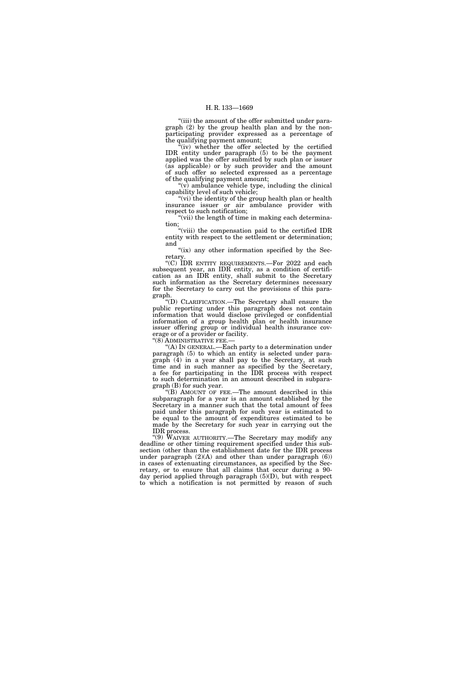"(iii) the amount of the offer submitted under paragraph (2) by the group health plan and by the nonparticipating provider expressed as a percentage of the qualifying payment amount;

 $f(iv)$  whether the offer selected by the certified IDR entity under paragraph (5) to be the payment applied was the offer submitted by such plan or issuer (as applicable) or by such provider and the amount of such offer so selected expressed as a percentage of the qualifying payment amount;

''(v) ambulance vehicle type, including the clinical capability level of such vehicle;

"(vi) the identity of the group health plan or health insurance issuer or air ambulance provider with respect to such notification;

"(vii) the length of time in making each determination;

''(viii) the compensation paid to the certified IDR entity with respect to the settlement or determination; and

"(ix) any other information specified by the Secretary.

''(C) IDR ENTITY REQUIREMENTS.—For 2022 and each subsequent year, an IDR entity, as a condition of certification as an IDR entity, shall submit to the Secretary such information as the Secretary determines necessary for the Secretary to carry out the provisions of this paragraph.

''(D) CLARIFICATION.—The Secretary shall ensure the public reporting under this paragraph does not contain information that would disclose privileged or confidential information of a group health plan or health insurance issuer offering group or individual health insurance coverage or of a provider or facility.

''(8) ADMINISTRATIVE FEE.—

''(A) IN GENERAL.—Each party to a determination under paragraph (5) to which an entity is selected under paragraph (4) in a year shall pay to the Secretary, at such time and in such manner as specified by the Secretary, a fee for participating in the IDR process with respect to such determination in an amount described in subparagraph (B) for such year.

''(B) AMOUNT OF FEE.—The amount described in this subparagraph for a year is an amount established by the Secretary in a manner such that the total amount of fees paid under this paragraph for such year is estimated to be equal to the amount of expenditures estimated to be made by the Secretary for such year in carrying out the IDR process.

''(9) WAIVER AUTHORITY.—The Secretary may modify any deadline or other timing requirement specified under this subsection (other than the establishment date for the IDR process under paragraph  $(2)(A)$  and other than under paragraph  $(6)$ ) in cases of extenuating circumstances, as specified by the Secretary, or to ensure that all claims that occur during a 90 day period applied through paragraph (5)(D), but with respect to which a notification is not permitted by reason of such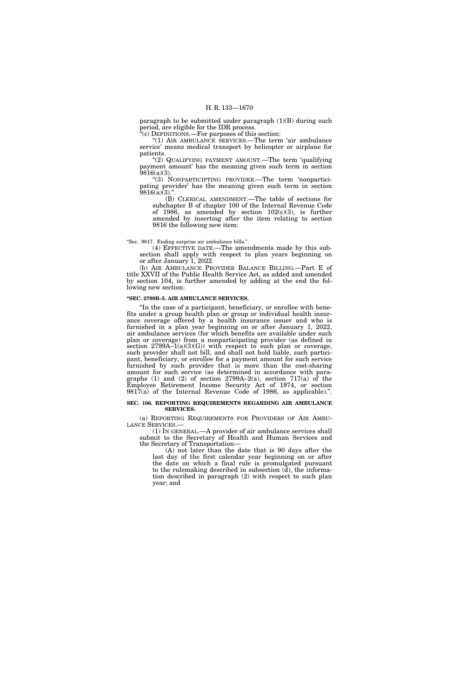paragraph to be submitted under paragraph (1)(B) during such period, are eligible for the IDR process.

 $E^{\text{c}}(c)$  DEFINITIONS.—For purposes of this section:

''(1) AIR AMBULANCE SERVICES.—The term 'air ambulance service' means medical transport by helicopter or airplane for patients.

''(2) QUALIFYING PAYMENT AMOUNT.—The term 'qualifying payment amount' has the meaning given such term in section 9816(a)(3).

''(3) NONPARTICIPTING PROVIDER.—The term 'nonparticipating provider' has the meaning given such term in section  $9816(a)(3).$ ".

(B) CLERICAL AMENDMENT.—The table of sections for subchapter B of chapter 100 of the Internal Revenue Code of 1986, as amended by section 102(c)(3), is further amended by inserting after the item relating to section 9816 the following new item:

### ''Sec. 9817. Ending surprise air ambulance bills.''.

(4) EFFECTIVE DATE.—The amendments made by this subsection shall apply with respect to plan years beginning on or after January 1, 2022.

(b) AIR AMBULANCE PROVIDER BALANCE BILLING.—Part E of title XXVII of the Public Health Service Act, as added and amended by section 104, is further amended by adding at the end the following new section:

## **''SEC. 2799B–5. AIR AMBULANCE SERVICES.**

''In the case of a participant, beneficiary, or enrollee with benefits under a group health plan or group or individual health insurance coverage offered by a health insurance issuer and who is furnished in a plan year beginning on or after January 1, 2022, air ambulance services (for which benefits are available under such plan or coverage) from a nonparticipating provider (as defined in section  $2799A-1(a)(3)(G)$  with respect to such plan or coverage, such provider shall not bill, and shall not hold liable, such participant, beneficiary, or enrollee for a payment amount for such service furnished by such provider that is more than the cost-sharing amount for such service (as determined in accordance with paragraphs (1) and (2) of section 2799A–2(a), section 717(a) of the Employee Retirement Income Security Act of 1974, or section 9817(a) of the Internal Revenue Code of 1986, as applicable).''.

### **SEC. 106. REPORTING REQUIREMENTS REGARDING AIR AMBULANCE SERVICES.**

(a) REPORTING REQUIREMENTS FOR PROVIDERS OF AIR AMBU-LANCE SERVICES.—

(1) IN GENERAL.—A provider of air ambulance services shall submit to the Secretary of Health and Human Services and the Secretary of Transportation—

(A) not later than the date that is 90 days after the last day of the first calendar year beginning on or after the date on which a final rule is promulgated pursuant to the rulemaking described in subsection (d), the information described in paragraph (2) with respect to such plan year; and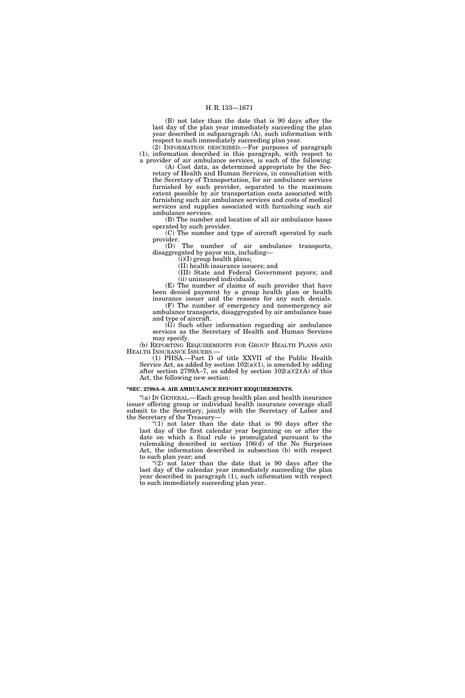(B) not later than the date that is 90 days after the last day of the plan year immediately succeeding the plan year described in subparagraph (A), such information with respect to such immediately succeeding plan year.

(2) INFORMATION DESCRIBED.—For purposes of paragraph (1), information described in this paragraph, with respect to a provider of air ambulance services, is each of the following:

(A) Cost data, as determined appropriate by the Secretary of Health and Human Services, in consultation with the Secretary of Transportation, for air ambulance services furnished by such provider, separated to the maximum extent possible by air transportation costs associated with furnishing such air ambulance services and costs of medical services and supplies associated with furnishing such air ambulance services.

(B) The number and location of all air ambulance bases operated by such provider.

(C) The number and type of aircraft operated by such provider.

(D) The number of air ambulance transports, disaggregated by payor mix, including—

(i)(I) group health plans; (II) health insurance issuers; and

(III) State and Federal Government payors; and

(ii) uninsured individuals. (E) The number of claims of such provider that have been denied payment by a group health plan or health

insurance issuer and the reasons for any such denials. (F) The number of emergency and nonemergency air ambulance transports, disaggregated by air ambulance base

and type of aircraft. (G) Such other information regarding air ambulance

services as the Secretary of Health and Human Services may specify.

(b) REPORTING REQUIREMENTS FOR GROUP HEALTH PLANS AND HEALTH INSURANCE ISSUERS.—

(1) PHSA.—Part D of title XXVII of the Public Health Service Act, as added by section  $102(a)(1)$ , is amended by adding after section 2799A–7, as added by section  $102(a)(2)(A)$  of this Act, the following new section:

### **''SEC. 2799A–8. AIR AMBULANCE REPORT REQUIREMENTS.**

''(a) IN GENERAL.—Each group health plan and health insurance issuer offering group or individual health insurance coverage shall submit to the Secretary, jointly with the Secretary of Labor and the Secretary of the Treasury—

" $(1)$  not later than the date that is 90 days after the last day of the first calendar year beginning on or after the date on which a final rule is promulgated pursuant to the rulemaking described in section 106(d) of the No Surprises Act, the information described in subsection (b) with respect to such plan year; and

" $(2)$  not later than the date that is 90 days after the last day of the calendar year immediately succeeding the plan year described in paragraph (1), such information with respect to such immediately succeeding plan year.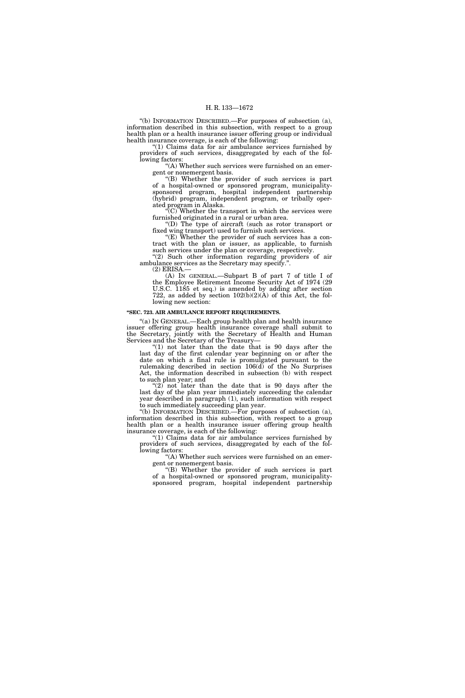''(b) INFORMATION DESCRIBED.—For purposes of subsection (a), information described in this subsection, with respect to a group health plan or a health insurance issuer offering group or individual health insurance coverage, is each of the following:

''(1) Claims data for air ambulance services furnished by providers of such services, disaggregated by each of the following factors:

'(A) Whether such services were furnished on an emergent or nonemergent basis.

''(B) Whether the provider of such services is part of a hospital-owned or sponsored program, municipalitysponsored program, hospital independent partnership (hybrid) program, independent program, or tribally operated program in Alaska.

 $\sqrt{\text{C}}$ . Whether the transport in which the services were furnished originated in a rural or urban area.

''(D) The type of aircraft (such as rotor transport or fixed wing transport) used to furnish such services.

" $(E)$  Whether the provider of such services has a contract with the plan or issuer, as applicable, to furnish such services under the plan or coverage, respectively.

"(2) Such other information regarding providers of air ambulance services as the Secretary may specify.''.

(2) ERISA.—

(A) IN GENERAL.—Subpart B of part 7 of title I of the Employee Retirement Income Security Act of 1974 (29 U.S.C. 1185 et seq.) is amended by adding after section 722, as added by section  $102(b)(2)(A)$  of this Act, the following new section:

### **''SEC. 723. AIR AMBULANCE REPORT REQUIREMENTS.**

''(a) IN GENERAL.—Each group health plan and health insurance issuer offering group health insurance coverage shall submit to the Secretary, jointly with the Secretary of Health and Human Services and the Secretary of the Treasury—

" $(1)$  not later than the date that is 90 days after the last day of the first calendar year beginning on or after the date on which a final rule is promulgated pursuant to the rulemaking described in section  $106(d)$  of the No Surprises Act, the information described in subsection (b) with respect to such plan year; and

" $(2)$  not later than the date that is 90 days after the last day of the plan year immediately succeeding the calendar year described in paragraph (1), such information with respect to such immediately succeeding plan year.

''(b) INFORMATION DESCRIBED.—For purposes of subsection (a), information described in this subsection, with respect to a group health plan or a health insurance issuer offering group health insurance coverage, is each of the following:

" $(1)$  Claims data for air ambulance services furnished by providers of such services, disaggregated by each of the following factors:

''(A) Whether such services were furnished on an emergent or nonemergent basis.

''(B) Whether the provider of such services is part of a hospital-owned or sponsored program, municipalitysponsored program, hospital independent partnership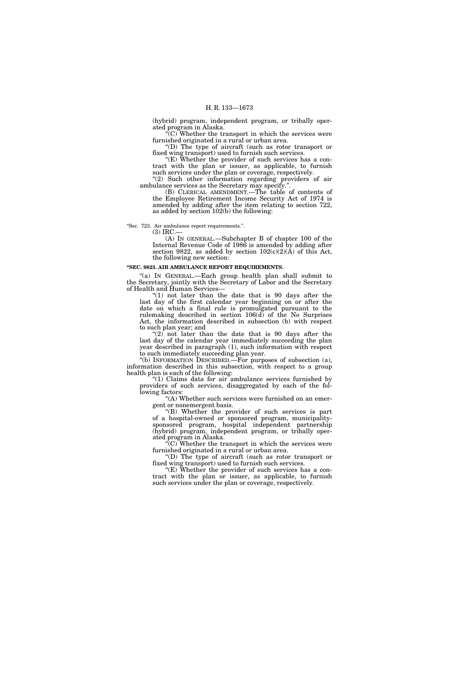(hybrid) program, independent program, or tribally operated program in Alaska.

 $\sqrt{\text{C}}$ . Whether the transport in which the services were furnished originated in a rural or urban area.

''(D) The type of aircraft (such as rotor transport or fixed wing transport) used to furnish such services.

''(E) Whether the provider of such services has a contract with the plan or issuer, as applicable, to furnish such services under the plan or coverage, respectively.

(2) Such other information regarding providers of air ambulance services as the Secretary may specify.''.

(B) CLERICAL AMENDMENT.—The table of contents of the Employee Retirement Income Security Act of 1974 is amended by adding after the item relating to section 722, as added by section 102(b) the following:

''Sec. 723. Air ambulance report requirements.''.

 $(3)$  IRC.

(A) IN GENERAL.—Subchapter B of chapter 100 of the Internal Revenue Code of 1986 is amended by adding after section 9822, as added by section  $102(c)(2)(\text{\AA})$  of this Act, the following new section:

#### **''SEC. 9823. AIR AMBULANCE REPORT REQUIREMENTS.**

"(a) IN GENERAL.—Each group health plan shall submit to the Secretary, jointly with the Secretary of Labor and the Secretary of Health and Human Services-

(1) not later than the date that is 90 days after the last day of the first calendar year beginning on or after the date on which a final rule is promulgated pursuant to the rulemaking described in section 106(d) of the No Surprises Act, the information described in subsection (b) with respect to such plan year; and

" $(2)$  not later than the date that is 90 days after the last day of the calendar year immediately succeeding the plan year described in paragraph (1), such information with respect to such immediately succeeding plan year.

''(b) INFORMATION DESCRIBED.—For purposes of subsection (a), information described in this subsection, with respect to a group health plan is each of the following:

''(1) Claims data for air ambulance services furnished by providers of such services, disaggregated by each of the following factors:

'(A) Whether such services were furnished on an emergent or nonemergent basis.

''(B) Whether the provider of such services is part of a hospital-owned or sponsored program, municipalitysponsored program, hospital independent partnership (hybrid) program, independent program, or tribally operated program in Alaska.

 $\sqrt{\text{C}}$ . Whether the transport in which the services were furnished originated in a rural or urban area.

''(D) The type of aircraft (such as rotor transport or fixed wing transport) used to furnish such services.

''(E) Whether the provider of such services has a contract with the plan or issuer, as applicable, to furnish such services under the plan or coverage, respectively.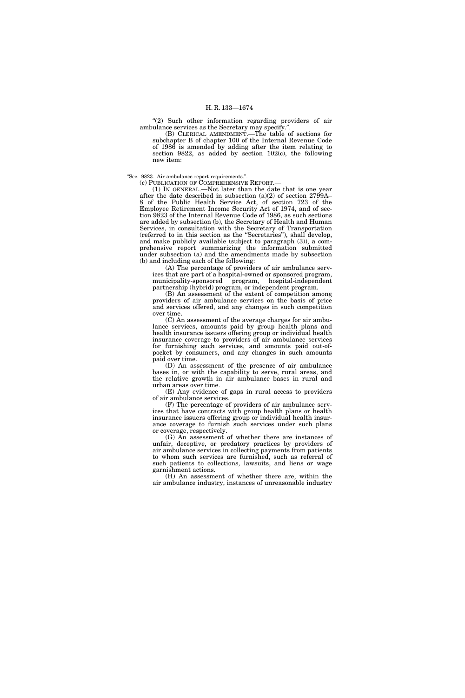"(2) Such other information regarding providers of air ambulance services as the Secretary may specify.''.

(B) CLERICAL AMENDMENT.—The table of sections for subchapter B of chapter 100 of the Internal Revenue Code of 1986 is amended by adding after the item relating to section 9822, as added by section 102(c), the following new item:

''Sec. 9823. Air ambulance report requirements.''.

(c) PUBLICATION OF COMPREHENSIVE REPORT.—

(1) IN GENERAL.—Not later than the date that is one year after the date described in subsection (a)(2) of section 2799A– 8 of the Public Health Service Act, of section 723 of the Employee Retirement Income Security Act of 1974, and of section 9823 of the Internal Revenue Code of 1986, as such sections are added by subsection (b), the Secretary of Health and Human Services, in consultation with the Secretary of Transportation (referred to in this section as the ''Secretaries''), shall develop, and make publicly available (subject to paragraph (3)), a comprehensive report summarizing the information submitted under subsection (a) and the amendments made by subsection (b) and including each of the following:

(A) The percentage of providers of air ambulance services that are part of a hospital-owned or sponsored program, municipality-sponsored program, hospital-independent partnership (hybrid) program, or independent program.

(B) An assessment of the extent of competition among providers of air ambulance services on the basis of price and services offered, and any changes in such competition over time.

(C) An assessment of the average charges for air ambulance services, amounts paid by group health plans and health insurance issuers offering group or individual health insurance coverage to providers of air ambulance services for furnishing such services, and amounts paid out-ofpocket by consumers, and any changes in such amounts paid over time.

(D) An assessment of the presence of air ambulance bases in, or with the capability to serve, rural areas, and the relative growth in air ambulance bases in rural and urban areas over time.

(E) Any evidence of gaps in rural access to providers of air ambulance services.

(F) The percentage of providers of air ambulance services that have contracts with group health plans or health insurance issuers offering group or individual health insurance coverage to furnish such services under such plans or coverage, respectively.

(G) An assessment of whether there are instances of unfair, deceptive, or predatory practices by providers of air ambulance services in collecting payments from patients to whom such services are furnished, such as referral of such patients to collections, lawsuits, and liens or wage garnishment actions.

(H) An assessment of whether there are, within the air ambulance industry, instances of unreasonable industry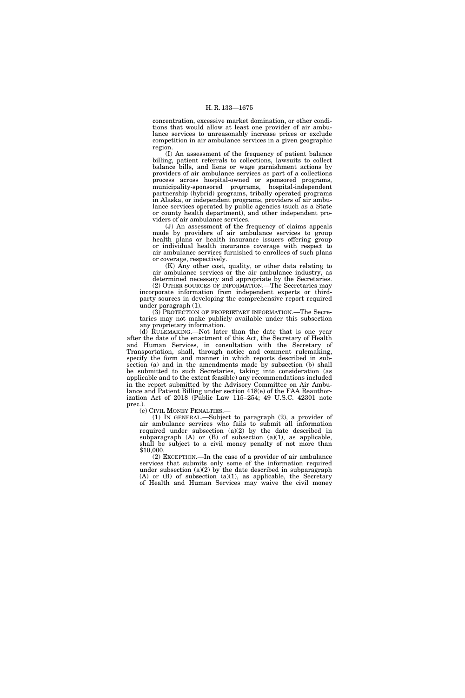concentration, excessive market domination, or other conditions that would allow at least one provider of air ambulance services to unreasonably increase prices or exclude competition in air ambulance services in a given geographic region.

(I) An assessment of the frequency of patient balance billing, patient referrals to collections, lawsuits to collect balance bills, and liens or wage garnishment actions by providers of air ambulance services as part of a collections process across hospital-owned or sponsored programs, municipality-sponsored programs, hospital-independent partnership (hybrid) programs, tribally operated programs in Alaska, or independent programs, providers of air ambulance services operated by public agencies (such as a State or county health department), and other independent providers of air ambulance services.

(J) An assessment of the frequency of claims appeals made by providers of air ambulance services to group health plans or health insurance issuers offering group or individual health insurance coverage with respect to air ambulance services furnished to enrollees of such plans or coverage, respectively.

(K) Any other cost, quality, or other data relating to air ambulance services or the air ambulance industry, as determined necessary and appropriate by the Secretaries.

(2) OTHER SOURCES OF INFORMATION.—The Secretaries may incorporate information from independent experts or thirdparty sources in developing the comprehensive report required under paragraph (1).

(3) PROTECTION OF PROPRIETARY INFORMATION.—The Secretaries may not make publicly available under this subsection any proprietary information.

(d) RULEMAKING.—Not later than the date that is one year after the date of the enactment of this Act, the Secretary of Health and Human Services, in consultation with the Secretary of Transportation, shall, through notice and comment rulemaking, specify the form and manner in which reports described in subsection (a) and in the amendments made by subsection (b) shall be submitted to such Secretaries, taking into consideration (as applicable and to the extent feasible) any recommendations included in the report submitted by the Advisory Committee on Air Ambulance and Patient Billing under section 418(e) of the FAA Reauthorization Act of 2018 (Public Law 115–254; 49 U.S.C. 42301 note prec.).

(e) CIVIL MONEY PENALTIES.—

(1) IN GENERAL.—Subject to paragraph (2), a provider of air ambulance services who fails to submit all information required under subsection (a)(2) by the date described in subparagraph  $(A)$  or  $(B)$  of subsection  $(a)(1)$ , as applicable, shall be subject to a civil money penalty of not more than \$10,000.

(2) EXCEPTION.—In the case of a provider of air ambulance services that submits only some of the information required under subsection  $(a)(2)$  by the date described in subparagraph  $(A)$  or  $(B)$  of subsection  $(a)(1)$ , as applicable, the Secretary of Health and Human Services may waive the civil money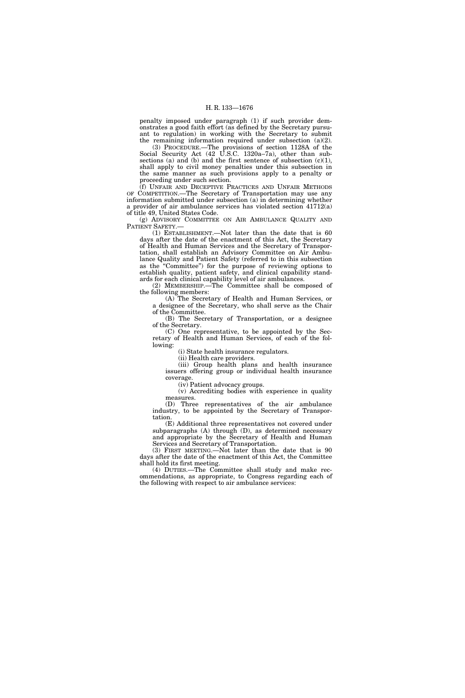penalty imposed under paragraph (1) if such provider demonstrates a good faith effort (as defined by the Secretary pursuant to regulation) in working with the Secretary to submit the remaining information required under subsection (a)(2).

(3) PROCEDURE.—The provisions of section 1128A of the Social Security Act (42 U.S.C. 1320a–7a), other than subsections (a) and (b) and the first sentence of subsection  $(c)(1)$ , shall apply to civil money penalties under this subsection in the same manner as such provisions apply to a penalty or proceeding under such section.

(f) UNFAIR AND DECEPTIVE PRACTICES AND UNFAIR METHODS OF COMPETITION.—The Secretary of Transportation may use any information submitted under subsection (a) in determining whether a provider of air ambulance services has violated section 41712(a) of title 49, United States Code.

(g) ADVISORY COMMITTEE ON AIR AMBULANCE QUALITY AND PATIENT SAFETY.—

(1) ESTABLISHMENT.—Not later than the date that is 60 days after the date of the enactment of this Act, the Secretary of Health and Human Services and the Secretary of Transportation, shall establish an Advisory Committee on Air Ambulance Quality and Patient Safety (referred to in this subsection as the ''Committee'') for the purpose of reviewing options to establish quality, patient safety, and clinical capability standards for each clinical capability level of air ambulances.

(2) MEMBERSHIP.—The Committee shall be composed of the following members:

(A) The Secretary of Health and Human Services, or a designee of the Secretary, who shall serve as the Chair of the Committee.

(B) The Secretary of Transportation, or a designee of the Secretary.

(C) One representative, to be appointed by the Secretary of Health and Human Services, of each of the following:

(i) State health insurance regulators.

(ii) Health care providers.

(iii) Group health plans and health insurance issuers offering group or individual health insurance coverage.

(iv) Patient advocacy groups.

(v) Accrediting bodies with experience in quality measures.

(D) Three representatives of the air ambulance industry, to be appointed by the Secretary of Transportation.

(E) Additional three representatives not covered under subparagraphs (A) through (D), as determined necessary and appropriate by the Secretary of Health and Human Services and Secretary of Transportation.

(3) FIRST MEETING.—Not later than the date that is 90 days after the date of the enactment of this Act, the Committee shall hold its first meeting.

(4) DUTIES.—The Committee shall study and make recommendations, as appropriate, to Congress regarding each of the following with respect to air ambulance services: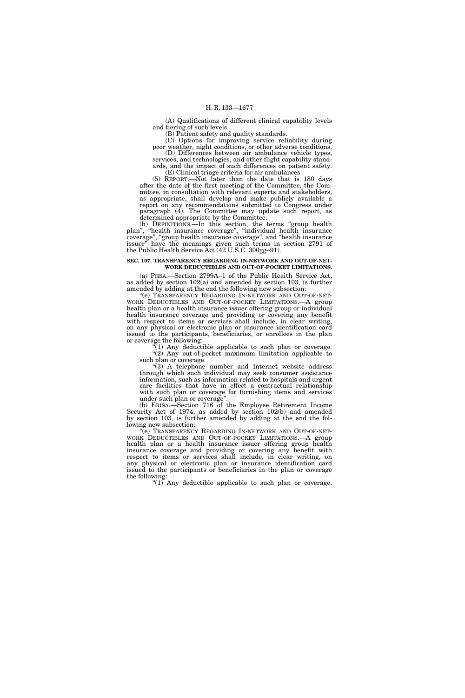(A) Qualifications of different clinical capability levels and tiering of such levels.

(B) Patient safety and quality standards.

(C) Options for improving service reliability during poor weather, night conditions, or other adverse conditions. (D) Differences between air ambulance vehicle types,

services, and technologies, and other flight capability standards, and the impact of such differences on patient safety.

(E) Clinical triage criteria for air ambulances. (5) REPORT.—Not later than the date that is 180 days after the date of the first meeting of the Committee, the Committee, in consultation with relevant experts and stakeholders, as appropriate, shall develop and make publicly available a report on any recommendations submitted to Congress under paragraph (4). The Committee may update such report, as determined appropriate by the Committee.

(h) DEFINITIONS.—In this section, the terms ''group health plan'', ''health insurance coverage'', ''individual health insurance coverage'', ''group health insurance coverage'', and ''health insurance issuer'' have the meanings given such terms in section 2791 of the Public Health Service Act (42 U.S.C. 300gg–91).

# **SEC. 107. TRANSPARENCY REGARDING IN-NETWORK AND OUT-OF-NET-WORK DEDUCTIBLES AND OUT-OF-POCKET LIMITATIONS.**

(a) PHSA.—Section 2799A–1 of the Public Health Service Act, as added by section 102(a) and amended by section 103, is further amended by adding at the end the following new subsection:

''(e) TRANSPARENCY REGARDING IN-NETWORK AND OUT-OF-NET-WORK DEDUCTIBLES AND OUT-OF-POCKET LIMITATIONS.—A group health plan or a health insurance issuer offering group or individual health insurance coverage and providing or covering any benefit with respect to items or services shall include, in clear writing, on any physical or electronic plan or insurance identification card issued to the participants, beneficiaries, or enrollees in the plan or coverage the following:

''(1) Any deductible applicable to such plan or coverage. ''(2) Any out-of-pocket maximum limitation applicable to such plan or coverage.

 $\sqrt{3}$ ) A telephone number and Internet website address through which such individual may seek consumer assistance information, such as information related to hospitals and urgent care facilities that have in effect a contractual relationship with such plan or coverage for furnishing items and services under such plan or coverage''.

(b) ERISA.—Section 716 of the Employee Retirement Income Security Act of 1974, as added by section 102(b) and amended by section 103, is further amended by adding at the end the following new subsection:

''(e) TRANSPARENCY REGARDING IN-NETWORK AND OUT-OF-NET-WORK DEDUCTIBLES AND OUT-OF-POCKET LIMITATIONS.—A group health plan or a health insurance issuer offering group health insurance coverage and providing or covering any benefit with respect to items or services shall include, in clear writing, on any physical or electronic plan or insurance identification card issued to the participants or beneficiaries in the plan or coverage the following:

"(1) Any deductible applicable to such plan or coverage.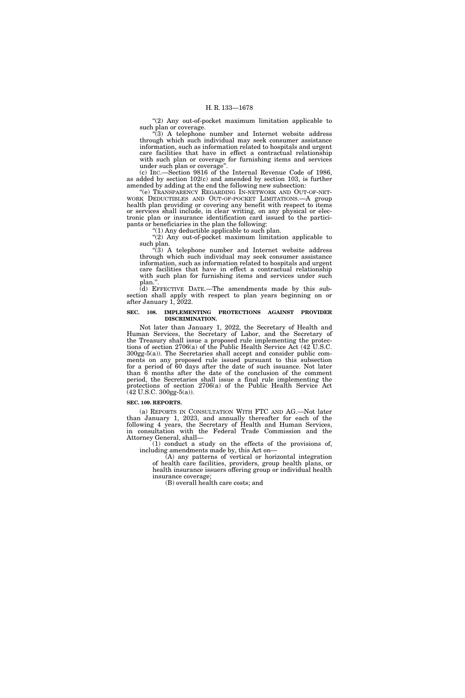"(2) Any out-of-pocket maximum limitation applicable to such plan or coverage.

 $\sqrt{3}$ ) A telephone number and Internet website address through which such individual may seek consumer assistance information, such as information related to hospitals and urgent care facilities that have in effect a contractual relationship with such plan or coverage for furnishing items and services under such plan or coverage''.

(c) IRC.—Section 9816 of the Internal Revenue Code of 1986, as added by section 102(c) and amended by section 103, is further amended by adding at the end the following new subsection:

''(e) TRANSPARENCY REGARDING IN-NETWORK AND OUT-OF-NET-WORK DEDUCTIBLES AND OUT-OF-POCKET LIMITATIONS.—A group health plan providing or covering any benefit with respect to items or services shall include, in clear writing, on any physical or electronic plan or insurance identification card issued to the participants or beneficiaries in the plan the following:

''(1) Any deductible applicable to such plan.

"(2) Any out-of-pocket maximum limitation applicable to such plan.

"(3) A telephone number and Internet website address through which such individual may seek consumer assistance information, such as information related to hospitals and urgent care facilities that have in effect a contractual relationship with such plan for furnishing items and services under such plan.'

(d) EFFECTIVE DATE.—The amendments made by this subsection shall apply with respect to plan years beginning on or after January 1, 2022.

### **SEC. 108. IMPLEMENTING PROTECTIONS AGAINST PROVIDER DISCRIMINATION.**

Not later than January 1, 2022, the Secretary of Health and Human Services, the Secretary of Labor, and the Secretary of the Treasury shall issue a proposed rule implementing the protections of section 2706(a) of the Public Health Service Act (42 U.S.C. 300gg-5(a)). The Secretaries shall accept and consider public comments on any proposed rule issued pursuant to this subsection for a period of 60 days after the date of such issuance. Not later than 6 months after the date of the conclusion of the comment period, the Secretaries shall issue a final rule implementing the protections of section 2706(a) of the Public Health Service Act  $(42 \text{ U.S.C. } 300 \text{gg-}5(a)).$ 

## **SEC. 109. REPORTS.**

(a) REPORTS IN CONSULTATION WITH FTC AND AG.—Not later than January 1, 2023, and annually thereafter for each of the following 4 years, the Secretary of Health and Human Services, in consultation with the Federal Trade Commission and the Attorney General, shall—

(1) conduct a study on the effects of the provisions of, including amendments made by, this Act on—

(A) any patterns of vertical or horizontal integration of health care facilities, providers, group health plans, or health insurance issuers offering group or individual health insurance coverage;

(B) overall health care costs; and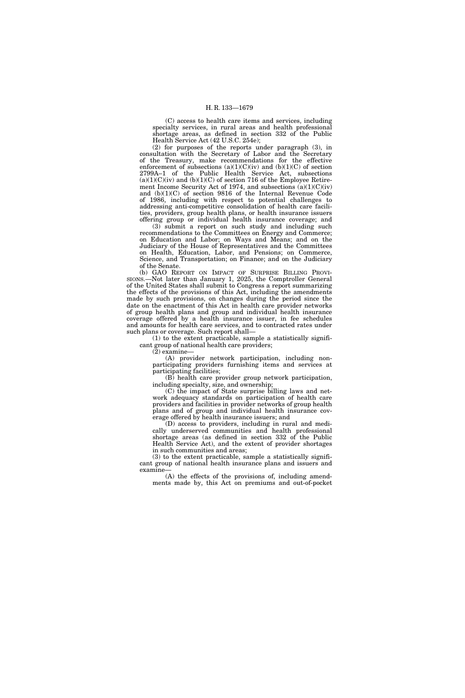(C) access to health care items and services, including specialty services, in rural areas and health professional shortage areas, as defined in section 332 of the Public Health Service Act (42 U.S.C. 254e);

(2) for purposes of the reports under paragraph (3), in consultation with the Secretary of Labor and the Secretary of the Treasury, make recommendations for the effective enforcement of subsections  $(a)(1)(C)(iv)$  and  $(b)(1)(C)$  of section 2799A–1 of the Public Health Service Act, subsections  $(a)(1)(C)(iv)$  and  $(b)(1)(C)$  of section 716 of the Employee Retirement Income Security Act of 1974, and subsections  $(a)(1)(C)(iv)$ and (b)(1)(C) of section 9816 of the Internal Revenue Code of 1986, including with respect to potential challenges to addressing anti-competitive consolidation of health care facilities, providers, group health plans, or health insurance issuers offering group or individual health insurance coverage; and

(3) submit a report on such study and including such recommendations to the Committees on Energy and Commerce; on Education and Labor; on Ways and Means; and on the Judiciary of the House of Representatives and the Committees on Health, Education, Labor, and Pensions; on Commerce, Science, and Transportation; on Finance; and on the Judiciary of the Senate.

(b) GAO REPORT ON IMPACT OF SURPRISE BILLING PROVI-SIONS.—Not later than January 1, 2025, the Comptroller General of the United States shall submit to Congress a report summarizing the effects of the provisions of this Act, including the amendments made by such provisions, on changes during the period since the date on the enactment of this Act in health care provider networks of group health plans and group and individual health insurance coverage offered by a health insurance issuer, in fee schedules and amounts for health care services, and to contracted rates under such plans or coverage. Such report shall—

(1) to the extent practicable, sample a statistically significant group of national health care providers;

(2) examine—

(A) provider network participation, including nonparticipating providers furnishing items and services at participating facilities;

(B) health care provider group network participation, including specialty, size, and ownership;

(C) the impact of State surprise billing laws and network adequacy standards on participation of health care providers and facilities in provider networks of group health plans and of group and individual health insurance coverage offered by health insurance issuers; and

(D) access to providers, including in rural and medically underserved communities and health professional shortage areas (as defined in section 332 of the Public Health Service Act), and the extent of provider shortages in such communities and areas;

(3) to the extent practicable, sample a statistically significant group of national health insurance plans and issuers and examine—

(A) the effects of the provisions of, including amendments made by, this Act on premiums and out-of-pocket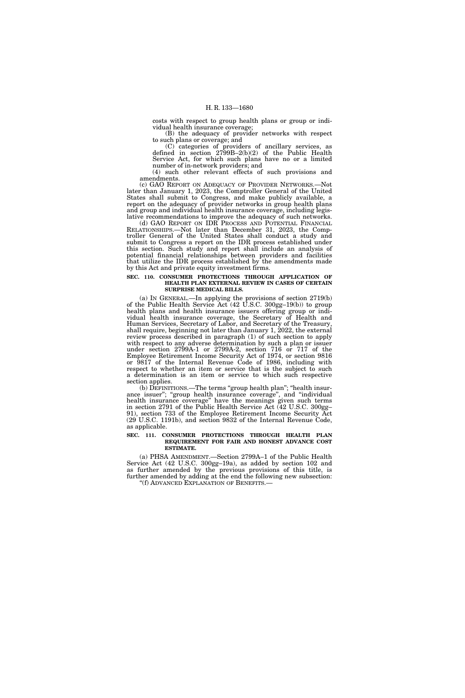costs with respect to group health plans or group or individual health insurance coverage;

(B) the adequacy of provider networks with respect to such plans or coverage; and

(C) categories of providers of ancillary services, as defined in section 2799B–2(b)(2) of the Public Health Service Act, for which such plans have no or a limited number of in-network providers; and

(4) such other relevant effects of such provisions and amendments.

(c) GAO REPORT ON ADEQUACY OF PROVIDER NETWORKS.—Not later than January 1, 2023, the Comptroller General of the United States shall submit to Congress, and make publicly available, a report on the adequacy of provider networks in group health plans and group and individual health insurance coverage, including legislative recommendations to improve the adequacy of such networks.

(d) GAO REPORT ON IDR PROCESS AND POTENTIAL FINANCIAL RELATIONSHIPS.—Not later than December 31, 2023, the Comptroller General of the United States shall conduct a study and submit to Congress a report on the IDR process established under this section. Such study and report shall include an analysis of potential financial relationships between providers and facilities that utilize the IDR process established by the amendments made by this Act and private equity investment firms.

### **SEC. 110. CONSUMER PROTECTIONS THROUGH APPLICATION OF HEALTH PLAN EXTERNAL REVIEW IN CASES OF CERTAIN SURPRISE MEDICAL BILLS.**

(a) IN GENERAL.—In applying the provisions of section 2719(b) of the Public Health Service Act (42 U.S.C. 300gg–19(b)) to group health plans and health insurance issuers offering group or individual health insurance coverage, the Secretary of Health and Human Services, Secretary of Labor, and Secretary of the Treasury, shall require, beginning not later than January 1, 2022, the external review process described in paragraph (1) of such section to apply with respect to any adverse determination by such a plan or issuer under section 2799A-1 or 2799A-2, section 716 or 717 of the Employee Retirement Income Security Act of 1974, or section 9816 or 9817 of the Internal Revenue Code of 1986, including with respect to whether an item or service that is the subject to such a determination is an item or service to which such respective section applies.

(b) DEFINITIONS.—The terms "group health plan"; "health insurance issuer"; "group health insurance coverage", and "individual health insurance coverage'' have the meanings given such terms in section 2791 of the Public Health Service Act (42 U.S.C. 300gg– 91), section 733 of the Employee Retirement Income Security Act (29 U.S.C. 1191b), and section 9832 of the Internal Revenue Code, as applicable.

### **SEC. 111. CONSUMER PROTECTIONS THROUGH HEALTH PLAN REQUIREMENT FOR FAIR AND HONEST ADVANCE COST ESTIMATE.**

(a) PHSA AMENDMENT.—Section 2799A–1 of the Public Health Service Act (42 U.S.C. 300gg–19a), as added by section 102 and as further amended by the previous provisions of this title, is further amended by adding at the end the following new subsection: ''(f) ADVANCED EXPLANATION OF BENEFITS.—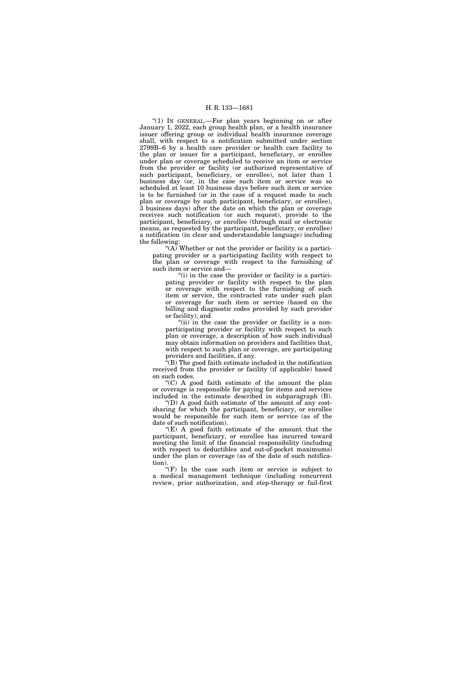"(1) In GENERAL.—For plan years beginning on or after January 1, 2022, each group health plan, or a health insurance issuer offering group or individual health insurance coverage shall, with respect to a notification submitted under section 2799B–6 by a health care provider or health care facility to the plan or issuer for a participant, beneficiary, or enrollee under plan or coverage scheduled to receive an item or service from the provider or facility (or authorized representative of such participant, beneficiary, or enrollee), not later than 1 business day (or, in the case such item or service was so scheduled at least 10 business days before such item or service is to be furnished (or in the case of a request made to such plan or coverage by such participant, beneficiary, or enrollee), 3 business days) after the date on which the plan or coverage receives such notification (or such request), provide to the participant, beneficiary, or enrollee (through mail or electronic means, as requested by the participant, beneficiary, or enrollee) a notification (in clear and understandable language) including the following:

"(A) Whether or not the provider or facility is a participating provider or a participating facility with respect to the plan or coverage with respect to the furnishing of such item or service and—

"(i) in the case the provider or facility is a participating provider or facility with respect to the plan or coverage with respect to the furnishing of such item or service, the contracted rate under such plan or coverage for such item or service (based on the billing and diagnostic codes provided by such provider or facility); and

"(ii) in the case the provider or facility is a nonparticipating provider or facility with respect to such plan or coverage, a description of how such individual may obtain information on providers and facilities that, with respect to such plan or coverage, are participating providers and facilities, if any.

 $\tilde{f}(B)$  The good faith estimate included in the notification received from the provider or facility (if applicable) based on such codes.

 $(C)$  A good faith estimate of the amount the plan or coverage is responsible for paying for items and services included in the estimate described in subparagraph (B).

''(D) A good faith estimate of the amount of any costsharing for which the participant, beneficiary, or enrollee would be responsible for such item or service (as of the date of such notification).

''(E) A good faith estimate of the amount that the participant, beneficiary, or enrollee has incurred toward meeting the limit of the financial responsibility (including with respect to deductibles and out-of-pocket maximums) under the plan or coverage (as of the date of such notification).

 $(F)$  In the case such item or service is subject to a medical management technique (including concurrent review, prior authorization, and step-therapy or fail-first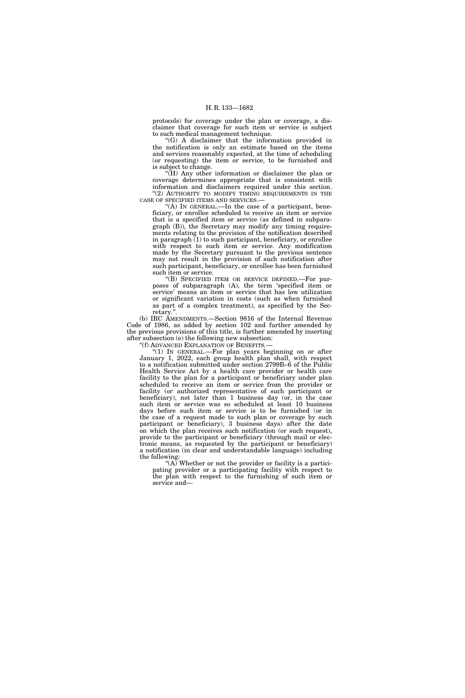protocols) for coverage under the plan or coverage, a disclaimer that coverage for such item or service is subject to such medical management technique.

''(G) A disclaimer that the information provided in the notification is only an estimate based on the items and services reasonably expected, at the time of scheduling (or requesting) the item or service, to be furnished and is subject to change.

''(H) Any other information or disclaimer the plan or coverage determines appropriate that is consistent with information and disclaimers required under this section. "(2) AUTHORITY TO MODIFY TIMING REQUIREMENTS IN THE CASE OF SPECIFIED ITEMS AND SERVICES.—

''(A) IN GENERAL.—In the case of a participant, beneficiary, or enrollee scheduled to receive an item or service that is a specified item or service (as defined in subparagraph (B)), the Secretary may modify any timing requirements relating to the provision of the notification described in paragraph (1) to such participant, beneficiary, or enrollee with respect to such item or service. Any modification made by the Secretary pursuant to the previous sentence may not result in the provision of such notification after such participant, beneficiary, or enrollee has been furnished such item or service.

''(B) SPECIFIED ITEM OR SERVICE DEFINED.—For purposes of subparagraph (A), the term 'specified item or service' means an item or service that has low utilization or significant variation in costs (such as when furnished as part of a complex treatment), as specified by the Secretary.'

(b) IRC AMENDMENTS.—Section 9816 of the Internal Revenue Code of 1986, as added by section 102 and further amended by the previous provisions of this title, is further amended by inserting after subsection (e) the following new subsection:

''(f) ADVANCED EXPLANATION OF BENEFITS.—

''(1) IN GENERAL.—For plan years beginning on or after January 1, 2022, each group health plan shall, with respect to a notification submitted under section 2799B–6 of the Public Health Service Act by a health care provider or health care facility to the plan for a participant or beneficiary under plan scheduled to receive an item or service from the provider or facility (or authorized representative of such participant or beneficiary), not later than 1 business day (or, in the case such item or service was so scheduled at least 10 business days before such item or service is to be furnished (or in the case of a request made to such plan or coverage by such participant or beneficiary), 3 business days) after the date on which the plan receives such notification (or such request), provide to the participant or beneficiary (through mail or electronic means, as requested by the participant or beneficiary) a notification (in clear and understandable language) including the following:

"(A) Whether or not the provider or facility is a participating provider or a participating facility with respect to the plan with respect to the furnishing of such item or service and—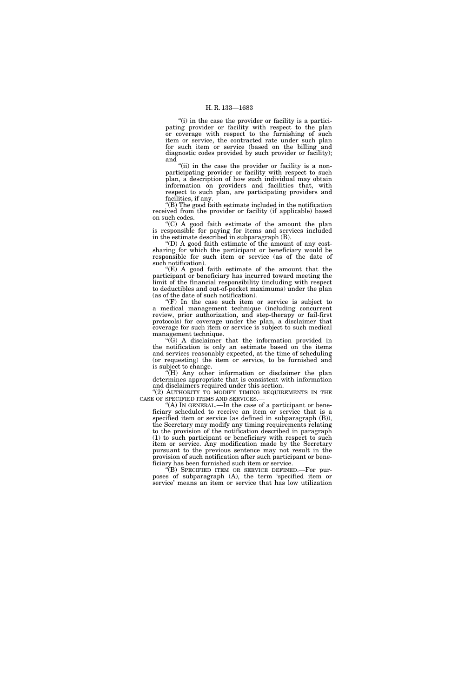"(i) in the case the provider or facility is a participating provider or facility with respect to the plan or coverage with respect to the furnishing of such item or service, the contracted rate under such plan for such item or service (based on the billing and diagnostic codes provided by such provider or facility); and

"(ii) in the case the provider or facility is a nonparticipating provider or facility with respect to such plan, a description of how such individual may obtain information on providers and facilities that, with respect to such plan, are participating providers and facilities, if any.

''(B) The good faith estimate included in the notification received from the provider or facility (if applicable) based on such codes.

''(C) A good faith estimate of the amount the plan is responsible for paying for items and services included in the estimate described in subparagraph (B).

(D) A good faith estimate of the amount of any costsharing for which the participant or beneficiary would be responsible for such item or service (as of the date of such notification).

" $(E)$  A good faith estimate of the amount that the participant or beneficiary has incurred toward meeting the limit of the financial responsibility (including with respect to deductibles and out-of-pocket maximums) under the plan (as of the date of such notification).

" $(F)$  In the case such item or service is subject to a medical management technique (including concurrent review, prior authorization, and step-therapy or fail-first protocols) for coverage under the plan, a disclaimer that coverage for such item or service is subject to such medical management technique.

 $\langle \overline{G} \rangle$  A disclaimer that the information provided in the notification is only an estimate based on the items and services reasonably expected, at the time of scheduling (or requesting) the item or service, to be furnished and is subject to change.

''(H) Any other information or disclaimer the plan determines appropriate that is consistent with information and disclaimers required under this section.

"(2) AUTHORITY TO MODIFY TIMING REQUIREMENTS IN THE CASE OF SPECIFIED ITEMS AND SERVICES.-

"(A) IN GENERAL.—In the case of a participant or beneficiary scheduled to receive an item or service that is a specified item or service (as defined in subparagraph (B)), the Secretary may modify any timing requirements relating to the provision of the notification described in paragraph (1) to such participant or beneficiary with respect to such item or service. Any modification made by the Secretary pursuant to the previous sentence may not result in the provision of such notification after such participant or beneficiary has been furnished such item or service.

''(B) SPECIFIED ITEM OR SERVICE DEFINED.—For purposes of subparagraph (A), the term 'specified item or service' means an item or service that has low utilization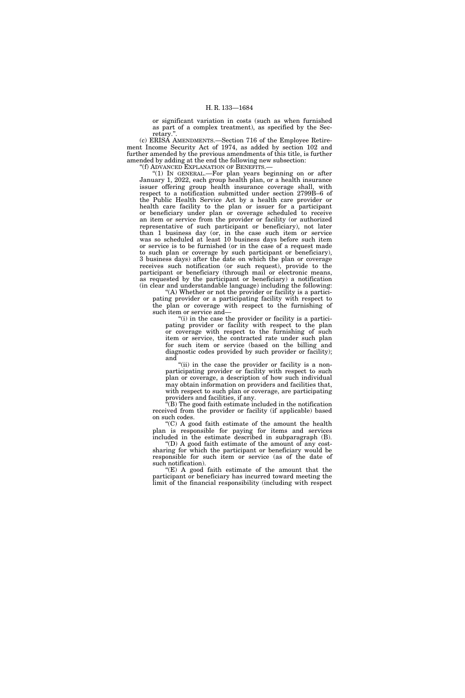or significant variation in costs (such as when furnished as part of a complex treatment), as specified by the Secretary.''.

(c) ERISA AMENDMENTS.—Section 716 of the Employee Retirement Income Security Act of 1974, as added by section 102 and further amended by the previous amendments of this title, is further amended by adding at the end the following new subsection:

''(f) ADVANCED EXPLANATION OF BENEFITS.—

''(1) IN GENERAL.—For plan years beginning on or after January 1, 2022, each group health plan, or a health insurance issuer offering group health insurance coverage shall, with respect to a notification submitted under section 2799B–6 of the Public Health Service Act by a health care provider or health care facility to the plan or issuer for a participant or beneficiary under plan or coverage scheduled to receive an item or service from the provider or facility (or authorized representative of such participant or beneficiary), not later than 1 business day (or, in the case such item or service was so scheduled at least 10 business days before such item or service is to be furnished (or in the case of a request made to such plan or coverage by such participant or beneficiary), 3 business days) after the date on which the plan or coverage receives such notification (or such request), provide to the participant or beneficiary (through mail or electronic means, as requested by the participant or beneficiary) a notification (in clear and understandable language) including the following:

''(A) Whether or not the provider or facility is a participating provider or a participating facility with respect to the plan or coverage with respect to the furnishing of such item or service and—

"(i) in the case the provider or facility is a participating provider or facility with respect to the plan or coverage with respect to the furnishing of such item or service, the contracted rate under such plan for such item or service (based on the billing and diagnostic codes provided by such provider or facility); and

"(ii) in the case the provider or facility is a nonparticipating provider or facility with respect to such plan or coverage, a description of how such individual may obtain information on providers and facilities that, with respect to such plan or coverage, are participating providers and facilities, if any.

''(B) The good faith estimate included in the notification received from the provider or facility (if applicable) based on such codes.

 $(C)$  A good faith estimate of the amount the health plan is responsible for paying for items and services included in the estimate described in subparagraph (B).

''(D) A good faith estimate of the amount of any costsharing for which the participant or beneficiary would be responsible for such item or service (as of the date of such notification).

"(E) A good faith estimate of the amount that the participant or beneficiary has incurred toward meeting the limit of the financial responsibility (including with respect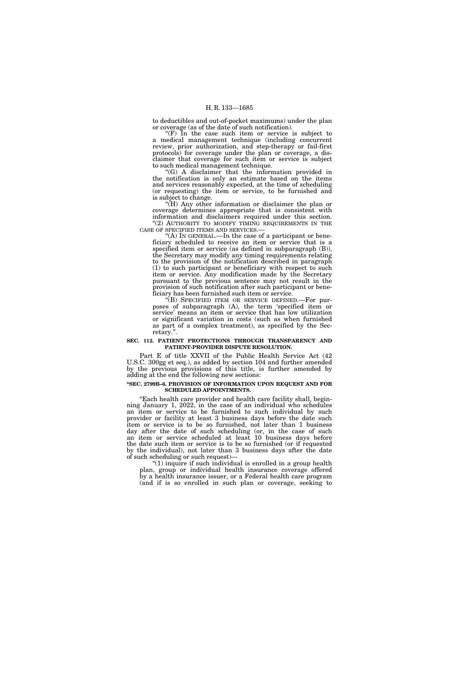to deductibles and out-of-pocket maximums) under the plan or coverage (as of the date of such notification).

" $(F)$  In the case such item or service is subject to a medical management technique (including concurrent review, prior authorization, and step-therapy or fail-first protocols) for coverage under the plan or coverage, a disclaimer that coverage for such item or service is subject to such medical management technique.

 $(G)$  A disclaimer that the information provided in the notification is only an estimate based on the items and services reasonably expected, at the time of scheduling (or requesting) the item or service, to be furnished and is subject to change.

"( $H$ ) Any other information or disclaimer the plan or coverage determines appropriate that is consistent with information and disclaimers required under this section.  $\!$  (2) AUTHORITY TO MODIFY TIMING REQUIREMENTS IN THE CASE OF SPECIFIED ITEMS AND SERVICES.—

 $f(A)$  In GENERAL.—In the case of a participant or beneficiary scheduled to receive an item or service that is a specified item or service (as defined in subparagraph (B)), the Secretary may modify any timing requirements relating to the provision of the notification described in paragraph (1) to such participant or beneficiary with respect to such item or service. Any modification made by the Secretary pursuant to the previous sentence may not result in the provision of such notification after such participant or beneficiary has been furnished such item or service.

''(B) SPECIFIED ITEM OR SERVICE DEFINED.—For purposes of subparagraph (A), the term 'specified item or service' means an item or service that has low utilization or significant variation in costs (such as when furnished as part of a complex treatment), as specified by the Secretary.''.

#### **SEC. 112. PATIENT PROTECTIONS THROUGH TRANSPARENCY AND PATIENT-PROVIDER DISPUTE RESOLUTION.**

Part E of title XXVII of the Public Health Service Act (42 U.S.C. 300gg et seq.), as added by section 104 and further amended by the previous provisions of this title, is further amended by adding at the end the following new sections:

#### **''SEC. 2799B–6. PROVISION OF INFORMATION UPON REQUEST AND FOR SCHEDULED APPOINTMENTS.**

''Each health care provider and health care facility shall, beginning January 1, 2022, in the case of an individual who schedules an item or service to be furnished to such individual by such provider or facility at least 3 business days before the date such item or service is to be so furnished, not later than 1 business day after the date of such scheduling (or, in the case of such an item or service scheduled at least 10 business days before the date such item or service is to be so furnished (or if requested by the individual), not later than 3 business days after the date of such scheduling or such request)—

 $''(1)$  inquire if such individual is enrolled in a group health plan, group or individual health insurance coverage offered by a health insurance issuer, or a Federal health care program (and if is so enrolled in such plan or coverage, seeking to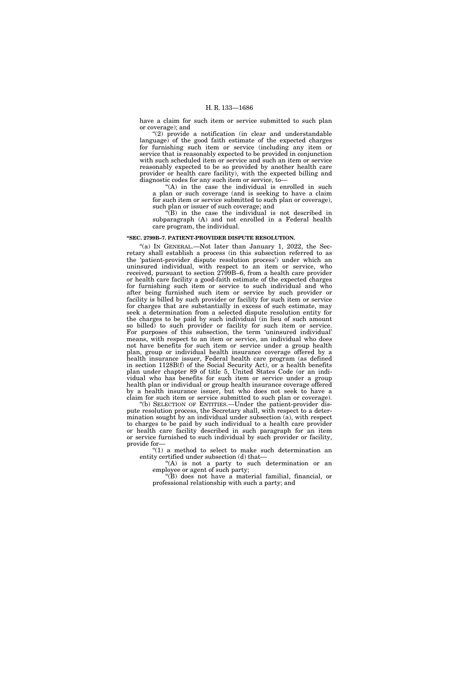have a claim for such item or service submitted to such plan or coverage); and

''(2) provide a notification (in clear and understandable language) of the good faith estimate of the expected charges for furnishing such item or service (including any item or service that is reasonably expected to be provided in conjunction with such scheduled item or service and such an item or service reasonably expected to be so provided by another health care provider or health care facility), with the expected billing and diagnostic codes for any such item or service, to—

"(A) in the case the individual is enrolled in such a plan or such coverage (and is seeking to have a claim for such item or service submitted to such plan or coverage), such plan or issuer of such coverage; and

 $(E)$  in the case the individual is not described in subparagraph (A) and not enrolled in a Federal health care program, the individual.

#### **''SEC. 2799B–7. PATIENT-PROVIDER DISPUTE RESOLUTION.**

"(a) IN GENERAL.—Not later than January 1, 2022, the Secretary shall establish a process (in this subsection referred to as the 'patient-provider dispute resolution process') under which an uninsured individual, with respect to an item or service, who received, pursuant to section 2799B–6, from a health care provider or health care facility a good-faith estimate of the expected charges for furnishing such item or service to such individual and who after being furnished such item or service by such provider or facility is billed by such provider or facility for such item or service for charges that are substantially in excess of such estimate, may seek a determination from a selected dispute resolution entity for the charges to be paid by such individual (in lieu of such amount so billed) to such provider or facility for such item or service. For purposes of this subsection, the term 'uninsured individual' means, with respect to an item or service, an individual who does not have benefits for such item or service under a group health plan, group or individual health insurance coverage offered by a health insurance issuer, Federal health care program (as defined in section 1128B(f) of the Social Security Act), or a health benefits plan under chapter 89 of title 5, United States Code (or an individual who has benefits for such item or service under a group health plan or individual or group health insurance coverage offered by a health insurance issuer, but who does not seek to have a claim for such item or service submitted to such plan or coverage).

''(b) SELECTION OF ENTITIES.—Under the patient-provider dispute resolution process, the Secretary shall, with respect to a determination sought by an individual under subsection (a), with respect to charges to be paid by such individual to a health care provider or health care facility described in such paragraph for an item or service furnished to such individual by such provider or facility, provide for—

''(1) a method to select to make such determination an entity certified under subsection (d) that—

"(A) is not a party to such determination or an employee or agent of such party;

''(B) does not have a material familial, financial, or professional relationship with such a party; and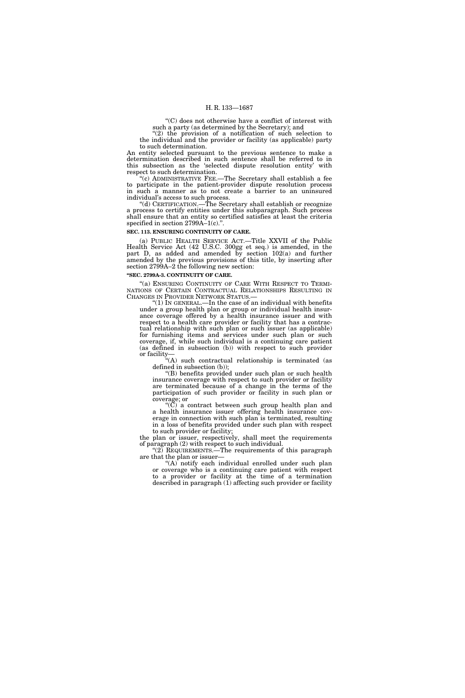''(C) does not otherwise have a conflict of interest with such a party (as determined by the Secretary); and

''(2) the provision of a notification of such selection to the individual and the provider or facility (as applicable) party to such determination.

An entity selected pursuant to the previous sentence to make a determination described in such sentence shall be referred to in this subsection as the 'selected dispute resolution entity' with respect to such determination.

''(c) ADMINISTRATIVE FEE.—The Secretary shall establish a fee to participate in the patient-provider dispute resolution process in such a manner as to not create a barrier to an uninsured individual's access to such process.

''(d) CERTIFICATION.—The Secretary shall establish or recognize a process to certify entities under this subparagraph. Such process shall ensure that an entity so certified satisfies at least the criteria specified in section  $2799A-1(c)$ .".

#### **SEC. 113. ENSURING CONTINUITY OF CARE.**

(a) PUBLIC HEALTH SERVICE ACT.—Title XXVII of the Public Health Service Act (42 U.S.C. 300gg et seq.) is amended, in the part D, as added and amended by section 102(a) and further amended by the previous provisions of this title, by inserting after section 2799A–2 the following new section:

# **''SEC. 2799A-3. CONTINUITY OF CARE.**

"(a) ENSURING CONTINUITY OF CARE WITH RESPECT TO TERMI-NATIONS OF CERTAIN CONTRACTUAL RELATIONSHIPS RESULTING IN CHANGES IN PROVIDER NETWORK STATUS.—

"(1) IN GENERAL.—In the case of an individual with benefits under a group health plan or group or individual health insurance coverage offered by a health insurance issuer and with respect to a health care provider or facility that has a contractual relationship with such plan or such issuer (as applicable) for furnishing items and services under such plan or such coverage, if, while such individual is a continuing care patient (as defined in subsection (b)) with respect to such provider or facility—

''(A) such contractual relationship is terminated (as defined in subsection (b));

''(B) benefits provided under such plan or such health insurance coverage with respect to such provider or facility are terminated because of a change in the terms of the participation of such provider or facility in such plan or coverage; or

 $(C)$  a contract between such group health plan and a health insurance issuer offering health insurance coverage in connection with such plan is terminated, resulting in a loss of benefits provided under such plan with respect to such provider or facility;

the plan or issuer, respectively, shall meet the requirements of paragraph (2) with respect to such individual.

"(2) REQUIREMENTS.—The requirements of this paragraph are that the plan or issuer—

"(A) notify each individual enrolled under such plan or coverage who is a continuing care patient with respect to a provider or facility at the time of a termination described in paragraph (1) affecting such provider or facility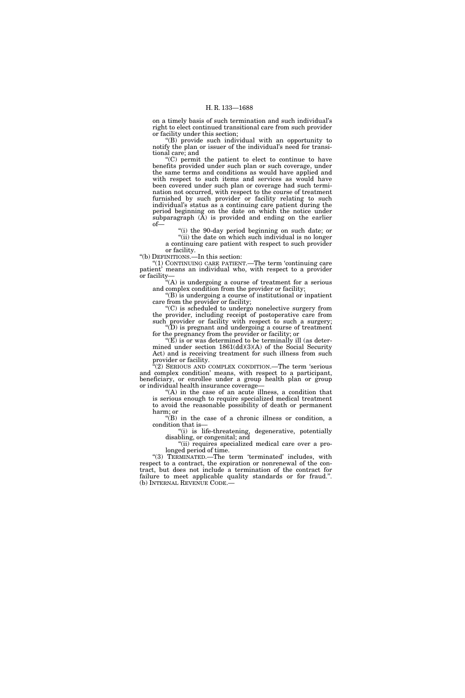on a timely basis of such termination and such individual's right to elect continued transitional care from such provider or facility under this section;

''(B) provide such individual with an opportunity to notify the plan or issuer of the individual's need for transitional care; and

''(C) permit the patient to elect to continue to have benefits provided under such plan or such coverage, under the same terms and conditions as would have applied and with respect to such items and services as would have been covered under such plan or coverage had such termination not occurred, with respect to the course of treatment furnished by such provider or facility relating to such individual's status as a continuing care patient during the period beginning on the date on which the notice under subparagraph (A) is provided and ending on the earlier of—

 $\mathcal{F}(i)$  the 90-day period beginning on such date; or "(ii) the date on which such individual is no longer a continuing care patient with respect to such provider

or facility. ''(b) DEFINITIONS.—In this section:

''(1) CONTINUING CARE PATIENT.—The term 'continuing care patient' means an individual who, with respect to a provider or facility—

''(A) is undergoing a course of treatment for a serious and complex condition from the provider or facility;

''(B) is undergoing a course of institutional or inpatient care from the provider or facility;

''(C) is scheduled to undergo nonelective surgery from the provider, including receipt of postoperative care from such provider or facility with respect to such a surgery;  $\mathrm{``(D)}$  is pregnant and undergoing a course of treatment

for the pregnancy from the provider or facility; or " $(E)$  is or was determined to be terminally ill (as determined under section  $1861(\text{dd})(3)(\text{A})$  of the Social Security Act) and is receiving treatment for such illness from such provider or facility.

 $\mathcal{E}(2)$  SERIOUS AND COMPLEX CONDITION.—The term 'serious and complex condition' means, with respect to a participant, beneficiary, or enrollee under a group health plan or group or individual health insurance coverage—

"(A) in the case of an acute illness, a condition that is serious enough to require specialized medical treatment to avoid the reasonable possibility of death or permanent harm; or

''(B) in the case of a chronic illness or condition, a condition that is—

''(i) is life-threatening, degenerative, potentially disabling, or congenital; and

"(ii) requires specialized medical care over a prolonged period of time.

''(3) TERMINATED.—The term 'terminated' includes, with respect to a contract, the expiration or nonrenewal of the contract, but does not include a termination of the contract for failure to meet applicable quality standards or for fraud.''. (b) INTERNAL REVENUE CODE.—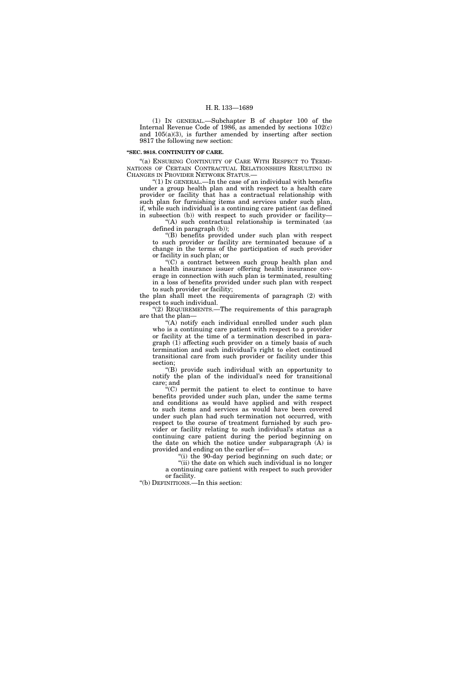(1) IN GENERAL.—Subchapter B of chapter 100 of the Internal Revenue Code of 1986, as amended by sections 102(c) and 105(a)(3), is further amended by inserting after section 9817 the following new section:

# **''SEC. 9818. CONTINUITY OF CARE.**

"(a) ENSURING CONTINUITY OF CARE WITH RESPECT TO TERMI-NATIONS OF CERTAIN CONTRACTUAL RELATIONSHIPS RESULTING IN CHANGES IN PROVIDER NETWORK STATUS.—

" $(1)$  In GENERAL.—In the case of an individual with benefits under a group health plan and with respect to a health care provider or facility that has a contractual relationship with such plan for furnishing items and services under such plan, if, while such individual is a continuing care patient (as defined in subsection (b)) with respect to such provider or facility—

''(A) such contractual relationship is terminated (as defined in paragraph (b));

''(B) benefits provided under such plan with respect to such provider or facility are terminated because of a change in the terms of the participation of such provider or facility in such plan; or

''(C) a contract between such group health plan and a health insurance issuer offering health insurance coverage in connection with such plan is terminated, resulting in a loss of benefits provided under such plan with respect to such provider or facility;

the plan shall meet the requirements of paragraph (2) with respect to such individual.

''(2) REQUIREMENTS.—The requirements of this paragraph are that the plan—

"(A) notify each individual enrolled under such plan who is a continuing care patient with respect to a provider or facility at the time of a termination described in paragraph (1) affecting such provider on a timely basis of such termination and such individual's right to elect continued transitional care from such provider or facility under this section;

''(B) provide such individual with an opportunity to notify the plan of the individual's need for transitional care; and

''(C) permit the patient to elect to continue to have benefits provided under such plan, under the same terms and conditions as would have applied and with respect to such items and services as would have been covered under such plan had such termination not occurred, with respect to the course of treatment furnished by such provider or facility relating to such individual's status as a continuing care patient during the period beginning on the date on which the notice under subparagraph  $(A)$  is provided and ending on the earlier of—

''(i) the 90-day period beginning on such date; or "(ii) the date on which such individual is no longer a continuing care patient with respect to such provider or facility.

''(b) DEFINITIONS.—In this section: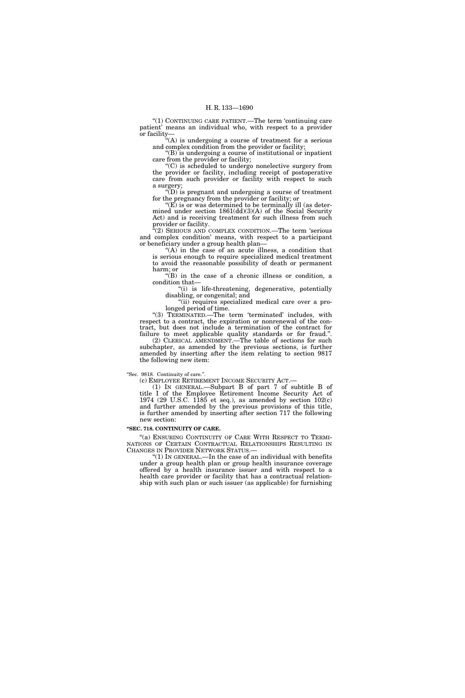''(1) CONTINUING CARE PATIENT.—The term 'continuing care patient' means an individual who, with respect to a provider or facility—

''(A) is undergoing a course of treatment for a serious and complex condition from the provider or facility;

 $"(B)$  is undergoing a course of institutional or inpatient care from the provider or facility;

''(C) is scheduled to undergo nonelective surgery from the provider or facility, including receipt of postoperative care from such provider or facility with respect to such a surgery;

 $f(D)$  is pregnant and undergoing a course of treatment for the pregnancy from the provider or facility; or

 $E(E)$  is or was determined to be terminally ill (as determined under section 1861(dd)(3)(A) of the Social Security Act) and is receiving treatment for such illness from such provider or facility.

''(2) SERIOUS AND COMPLEX CONDITION.—The term 'serious and complex condition' means, with respect to a participant or beneficiary under a group health plan—

" $(A)$  in the case of an acute illness, a condition that is serious enough to require specialized medical treatment to avoid the reasonable possibility of death or permanent harm; or

''(B) in the case of a chronic illness or condition, a condition that—

"(i) is life-threatening, degenerative, potentially disabling, or congenital; and

''(ii) requires specialized medical care over a prolonged period of time.

"(3) TERMINATED.—The term 'terminated' includes, with respect to a contract, the expiration or nonrenewal of the contract, but does not include a termination of the contract for failure to meet applicable quality standards or for fraud.''.

(2) CLERICAL AMENDMENT.—The table of sections for such subchapter, as amended by the previous sections, is further amended by inserting after the item relating to section 9817 the following new item:

# ''Sec. 9818. Continuity of care.''.

(c) EMPLOYEE RETIREMENT INCOME SECURITY ACT.—

(1) IN GENERAL.—Subpart B of part 7 of subtitle B of title I of the Employee Retirement Income Security Act of 1974 (29 U.S.C. 1185 et seq.), as amended by section 102(c) and further amended by the previous provisions of this title, is further amended by inserting after section 717 the following new section:

#### **''SEC. 718. CONTINUITY OF CARE.**

"(a) ENSURING CONTINUITY OF CARE WITH RESPECT TO TERMI-NATIONS OF CERTAIN CONTRACTUAL RELATIONSHIPS RESULTING IN CHANGES IN PROVIDER NETWORK STATUS.—

 $''(1)$  In GENERAL.—In the case of an individual with benefits under a group health plan or group health insurance coverage offered by a health insurance issuer and with respect to a health care provider or facility that has a contractual relationship with such plan or such issuer (as applicable) for furnishing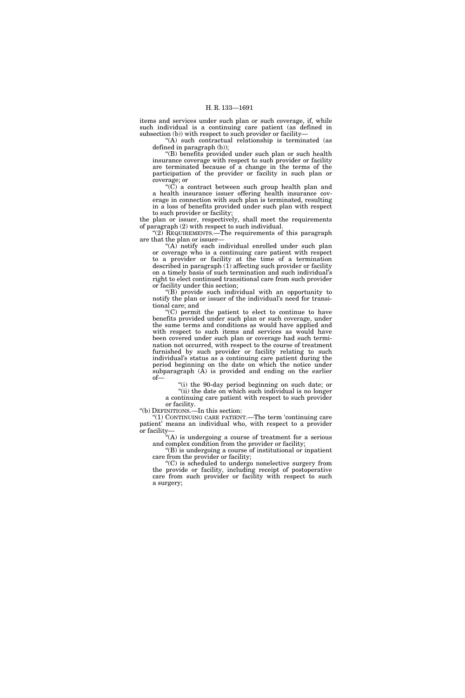items and services under such plan or such coverage, if, while such individual is a continuing care patient (as defined in subsection (b)) with respect to such provider or facility—

''(A) such contractual relationship is terminated (as defined in paragraph (b));

''(B) benefits provided under such plan or such health insurance coverage with respect to such provider or facility are terminated because of a change in the terms of the participation of the provider or facility in such plan or coverage; or

" $(\breve{C})$  a contract between such group health plan and a health insurance issuer offering health insurance coverage in connection with such plan is terminated, resulting in a loss of benefits provided under such plan with respect to such provider or facility;

the plan or issuer, respectively, shall meet the requirements of paragraph (2) with respect to such individual.

"(2) REQUIREMENTS.—The requirements of this paragraph are that the plan or issuer—

"(A) notify each individual enrolled under such plan or coverage who is a continuing care patient with respect to a provider or facility at the time of a termination described in paragraph  $(1)$  affecting such provider or facility on a timely basis of such termination and such individual's right to elect continued transitional care from such provider or facility under this section;

 $*(B)^{\sim}$  provide such individual with an opportunity to notify the plan or issuer of the individual's need for transitional care; and

 $(C)$  permit the patient to elect to continue to have benefits provided under such plan or such coverage, under the same terms and conditions as would have applied and with respect to such items and services as would have been covered under such plan or coverage had such termination not occurred, with respect to the course of treatment furnished by such provider or facility relating to such individual's status as a continuing care patient during the period beginning on the date on which the notice under subparagraph (A) is provided and ending on the earlier of—

''(i) the 90-day period beginning on such date; or "(ii) the date on which such individual is no longer a continuing care patient with respect to such provider

or facility. ''(b) DEFINITIONS.—In this section:

''(1) CONTINUING CARE PATIENT.—The term 'continuing care patient' means an individual who, with respect to a provider or facility—

''(A) is undergoing a course of treatment for a serious and complex condition from the provider or facility;

 $f(B)$  is undergoing a course of institutional or inpatient care from the provider or facility;

''(C) is scheduled to undergo nonelective surgery from the provide or facility, including receipt of postoperative care from such provider or facility with respect to such a surgery;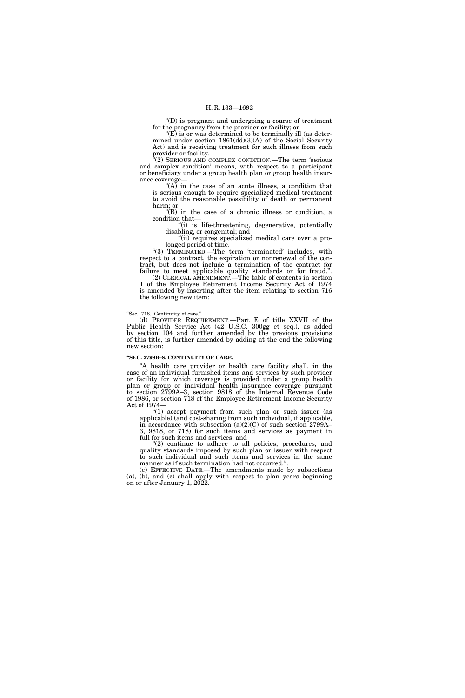''(D) is pregnant and undergoing a course of treatment for the pregnancy from the provider or facility; or

" $(E)$  is or was determined to be terminally ill (as determined under section 1861(dd)(3)(A) of the Social Security Act) and is receiving treatment for such illness from such provider or facility.

''(2) SERIOUS AND COMPLEX CONDITION.—The term 'serious and complex condition' means, with respect to a participant or beneficiary under a group health plan or group health insurance coverage—

"(A) in the case of an acute illness, a condition that is serious enough to require specialized medical treatment to avoid the reasonable possibility of death or permanent harm; or

''(B) in the case of a chronic illness or condition, a condition that—

''(i) is life-threatening, degenerative, potentially disabling, or congenital; and

"(ii) requires specialized medical care over a prolonged period of time.

''(3) TERMINATED.—The term 'terminated' includes, with respect to a contract, the expiration or nonrenewal of the contract, but does not include a termination of the contract for failure to meet applicable quality standards or for fraud.''. (2) CLERICAL AMENDMENT.—The table of contents in section

1 of the Employee Retirement Income Security Act of 1974 is amended by inserting after the item relating to section 716 the following new item:

## ''Sec. 718. Continuity of care.''.

(d) PROVIDER REQUIREMENT.—Part E of title XXVII of the Public Health Service Act (42 U.S.C. 300gg et seq.), as added by section 104 and further amended by the previous provisions of this title, is further amended by adding at the end the following new section:

#### **''SEC. 2799B–8. CONTINUITY OF CARE.**

''A health care provider or health care facility shall, in the case of an individual furnished items and services by such provider or facility for which coverage is provided under a group health plan or group or individual health insurance coverage pursuant to section 2799A–3, section 9818 of the Internal Revenue Code of 1986, or section 718 of the Employee Retirement Income Security Act of 1974—

''(1) accept payment from such plan or such issuer (as applicable) (and cost-sharing from such individual, if applicable, in accordance with subsection (a)(2)(C) of such section 2799A– 3, 9818, or 718) for such items and services as payment in full for such items and services; and

"(2) continue to adhere to all policies, procedures, and quality standards imposed by such plan or issuer with respect to such individual and such items and services in the same manner as if such termination had not occurred."

(e) EFFECTIVE DATE.—The amendments made by subsections (a), (b), and (c) shall apply with respect to plan years beginning on or after January 1, 2022.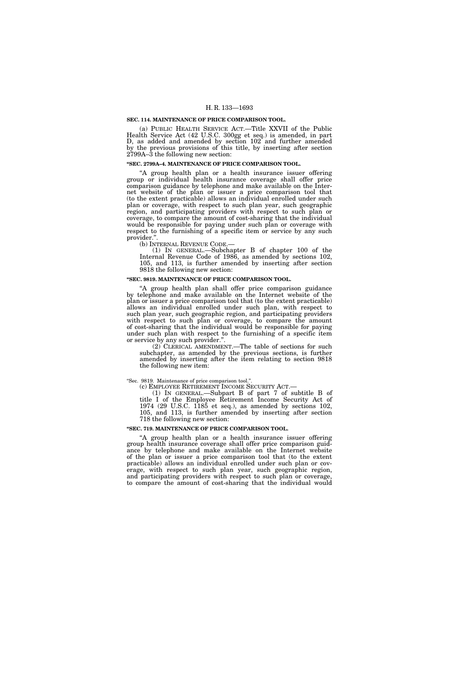#### **SEC. 114. MAINTENANCE OF PRICE COMPARISON TOOL.**

(a) PUBLIC HEALTH SERVICE ACT.—Title XXVII of the Public Health Service Act (42 U.S.C. 300gg et seq.) is amended, in part D, as added and amended by section 102 and further amended by the previous provisions of this title, by inserting after section 2799A–3 the following new section:

#### **''SEC. 2799A–4. MAINTENANCE OF PRICE COMPARISON TOOL.**

''A group health plan or a health insurance issuer offering group or individual health insurance coverage shall offer price comparison guidance by telephone and make available on the Internet website of the plan or issuer a price comparison tool that (to the extent practicable) allows an individual enrolled under such plan or coverage, with respect to such plan year, such geographic region, and participating providers with respect to such plan or coverage, to compare the amount of cost-sharing that the individual would be responsible for paying under such plan or coverage with respect to the furnishing of a specific item or service by any such provider.".<br>(b) INTERNAL REVENUE CODE.—

(1) IN GENERAL.—Subchapter B of chapter  $100$  of the Internal Revenue Code of 1986, as amended by sections 102, 105, and 113, is further amended by inserting after section 9818 the following new section:

# **''SEC. 9819. MAINTENANCE OF PRICE COMPARISON TOOL.**

''A group health plan shall offer price comparison guidance by telephone and make available on the Internet website of the plan or issuer a price comparison tool that (to the extent practicable) allows an individual enrolled under such plan, with respect to such plan year, such geographic region, and participating providers with respect to such plan or coverage, to compare the amount of cost-sharing that the individual would be responsible for paying under such plan with respect to the furnishing of a specific item or service by any such provider.".

(2) CLERICAL AMENDMENT.—The table of sections for such subchapter, as amended by the previous sections, is further amended by inserting after the item relating to section 9818 the following new item:

# ''Sec. 9819. Maintenance of price comparison tool.''.

(c) EMPLOYEE RETIREMENT INCOME SECURITY ACT.—

(1) IN GENERAL.—Subpart B of part 7 of subtitle B of title I of the Employee Retirement Income Security Act of 1974 (29 U.S.C. 1185 et seq.), as amended by sections 102, 105, and 113, is further amended by inserting after section 718 the following new section:

# **''SEC. 719. MAINTENANCE OF PRICE COMPARISON TOOL.**

''A group health plan or a health insurance issuer offering group health insurance coverage shall offer price comparison guidance by telephone and make available on the Internet website of the plan or issuer a price comparison tool that (to the extent practicable) allows an individual enrolled under such plan or coverage, with respect to such plan year, such geographic region, and participating providers with respect to such plan or coverage, to compare the amount of cost-sharing that the individual would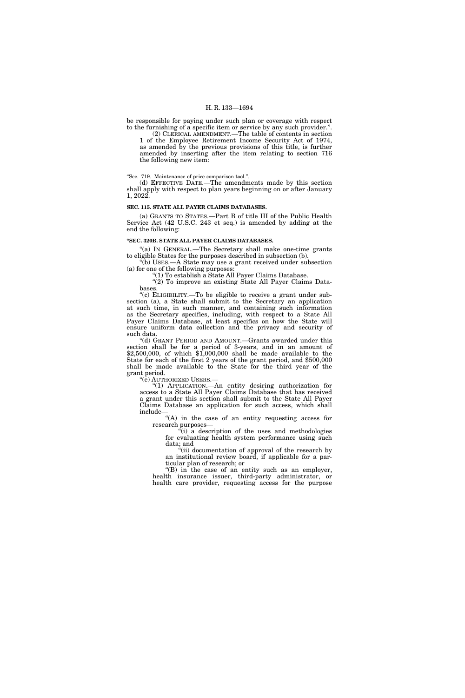be responsible for paying under such plan or coverage with respect to the furnishing of a specific item or service by any such provider.''.

(2) CLERICAL AMENDMENT.—The table of contents in section 1 of the Employee Retirement Income Security Act of 1974, as amended by the previous provisions of this title, is further amended by inserting after the item relating to section 716 the following new item:

''Sec. 719. Maintenance of price comparison tool.''.

(d) EFFECTIVE DATE.—The amendments made by this section shall apply with respect to plan years beginning on or after January 1, 2022.

#### **SEC. 115. STATE ALL PAYER CLAIMS DATABASES.**

(a) GRANTS TO STATES.—Part B of title III of the Public Health Service Act (42 U.S.C. 243 et seq.) is amended by adding at the end the following:

# **''SEC. 320B. STATE ALL PAYER CLAIMS DATABASES.**

''(a) IN GENERAL.—The Secretary shall make one-time grants to eligible States for the purposes described in subsection (b).

''(b) USES.—A State may use a grant received under subsection (a) for one of the following purposes:

''(1) To establish a State All Payer Claims Database.

''(2) To improve an existing State All Payer Claims Databases.

"(c) ELIGIBILITY.—To be eligible to receive a grant under subsection (a), a State shall submit to the Secretary an application at such time, in such manner, and containing such information as the Secretary specifies, including, with respect to a State All Payer Claims Database, at least specifics on how the State will ensure uniform data collection and the privacy and security of such data.

"(d) GRANT PERIOD AND AMOUNT.—Grants awarded under this section shall be for a period of 3-years, and in an amount of \$2,500,000, of which \$1,000,000 shall be made available to the State for each of the first 2 years of the grant period, and \$500,000 shall be made available to the State for the third year of the grant period.

''(e) AUTHORIZED USERS.—

''(1) APPLICATION.—An entity desiring authorization for access to a State All Payer Claims Database that has received a grant under this section shall submit to the State All Payer Claims Database an application for such access, which shall include—

''(A) in the case of an entity requesting access for research purposes—

 $\tilde{f}(i)$  a description of the uses and methodologies for evaluating health system performance using such data; and

''(ii) documentation of approval of the research by an institutional review board, if applicable for a particular plan of research; or

''(B) in the case of an entity such as an employer, health insurance issuer, third-party administrator, or health care provider, requesting access for the purpose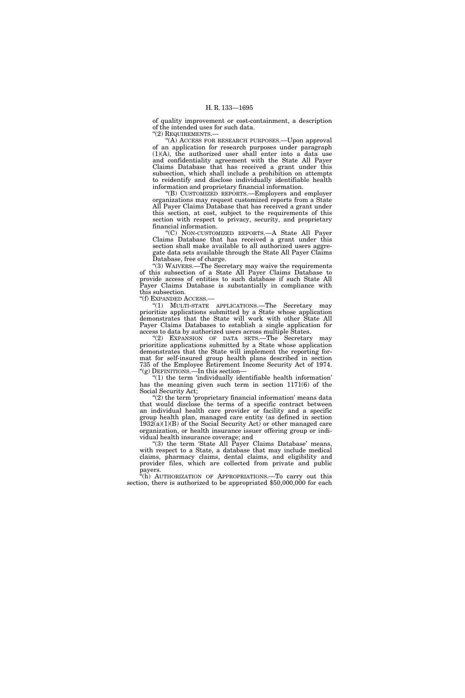of quality improvement or cost-containment, a description of the intended uses for such data.

''(2) REQUIREMENTS.—

''(A) ACCESS FOR RESEARCH PURPOSES.—Upon approval of an application for research purposes under paragraph (1)(A), the authorized user shall enter into a data use and confidentiality agreement with the State All Payer Claims Database that has received a grant under this subsection, which shall include a prohibition on attempts to reidentify and disclose individually identifiable health information and proprietary financial information.

''(B) CUSTOMIZED REPORTS.—Employers and employer organizations may request customized reports from a State All Payer Claims Database that has received a grant under this section, at cost, subject to the requirements of this section with respect to privacy, security, and proprietary financial information.

''(C) NON-CUSTOMIZED REPORTS.—A State All Payer Claims Database that has received a grant under this section shall make available to all authorized users aggregate data sets available through the State All Payer Claims Database, free of charge.

"(3) WAIVERS.—The Secretary may waive the requirements of this subsection of a State All Payer Claims Database to provide access of entities to such database if such State All Payer Claims Database is substantially in compliance with this subsection.

''(f) EXPANDED ACCESS.—

''(1) MULTI-STATE APPLICATIONS.—The Secretary may prioritize applications submitted by a State whose application demonstrates that the State will work with other State All Payer Claims Databases to establish a single application for access to data by authorized users across multiple States.

"(2) EXPANSION OF DATA SETS.—The Secretary may prioritize applications submitted by a State whose application demonstrates that the State will implement the reporting format for self-insured group health plans described in section 735 of the Employee Retirement Income Security Act of 1974. ''(g) DEFINITIONS.—In this section—

''(1) the term 'individually identifiable health information' has the meaning given such term in section 1171(6) of the Social Security Act;

" $(2)$  the term 'proprietary financial information' means data that would disclose the terms of a specific contract between an individual health care provider or facility and a specific group health plan, managed care entity (as defined in section  $1932(a)(1)(B)$  of the Social Security Act) or other managed care organization, or health insurance issuer offering group or individual health insurance coverage; and

"(3) the term 'State All Payer Claims Database' means, with respect to a State, a database that may include medical claims, pharmacy claims, dental claims, and eligibility and provider files, which are collected from private and public payers.

"(h) AUTHORIZATION OF APPROPRIATIONS.—To carry out this section, there is authorized to be appropriated \$50,000,000 for each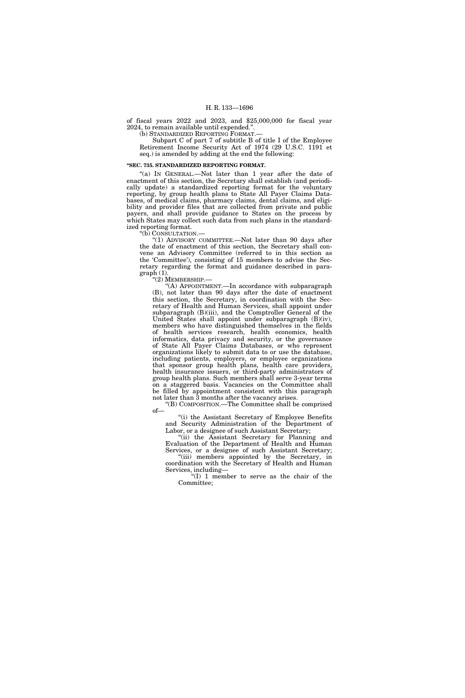of fiscal years 2022 and 2023, and \$25,000,000 for fiscal year 2024, to remain available until expended.''.

(b) STANDARDIZED REPORTING FORMAT.—

Subpart C of part 7 of subtitle B of title I of the Employee Retirement Income Security Act of 1974 (29 U.S.C. 1191 et seq.) is amended by adding at the end the following:

#### **''SEC. 735. STANDARDIZED REPORTING FORMAT.**

"(a) IN GENERAL.—Not later than 1 year after the date of enactment of this section, the Secretary shall establish (and periodically update) a standardized reporting format for the voluntary reporting, by group health plans to State All Payer Claims Databases, of medical claims, pharmacy claims, dental claims, and eligibility and provider files that are collected from private and public payers, and shall provide guidance to States on the process by which States may collect such data from such plans in the standardized reporting format.

''(b) CONSULTATION.—

"(1) ADVISORY COMMITTEE.—Not later than 90 days after the date of enactment of this section, the Secretary shall convene an Advisory Committee (referred to in this section as the 'Committee'), consisting of 15 members to advise the Secretary regarding the format and guidance described in paragraph (1).

''(2) MEMBERSHIP.—

''(A) APPOINTMENT.—In accordance with subparagraph (B), not later than 90 days after the date of enactment this section, the Secretary, in coordination with the Secretary of Health and Human Services, shall appoint under subparagraph (B)(iii), and the Comptroller General of the United States shall appoint under subparagraph (B)(iv), members who have distinguished themselves in the fields of health services research, health economics, health informatics, data privacy and security, or the governance of State All Payer Claims Databases, or who represent organizations likely to submit data to or use the database, including patients, employers, or employee organizations that sponsor group health plans, health care providers, health insurance issuers, or third-party administrators of group health plans. Such members shall serve 3-year terms on a staggered basis. Vacancies on the Committee shall be filled by appointment consistent with this paragraph not later than 3 months after the vacancy arises.

''(B) COMPOSITION.—The Committee shall be comprised of—

''(i) the Assistant Secretary of Employee Benefits and Security Administration of the Department of Labor, or a designee of such Assistant Secretary;

''(ii) the Assistant Secretary for Planning and Evaluation of the Department of Health and Human Services, or a designee of such Assistant Secretary;

''(iii) members appointed by the Secretary, in coordination with the Secretary of Health and Human Services, including—

''(I) 1 member to serve as the chair of the Committee;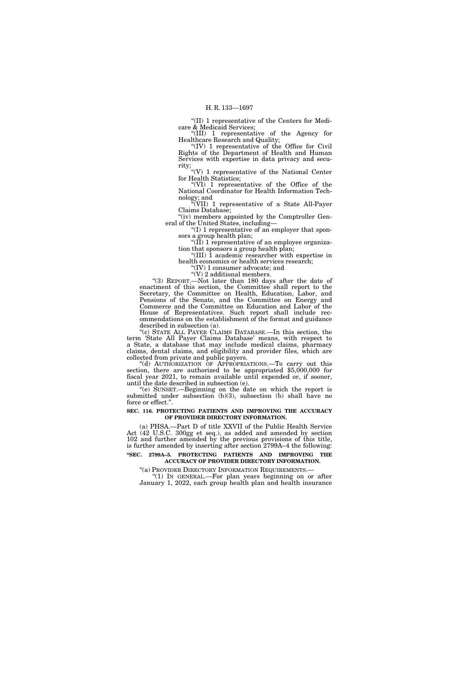''(II) 1 representative of the Centers for Medicare & Medicaid Services;

''(III) 1 representative of the Agency for Healthcare Research and Quality; ''(IV) 1 representative of the Office for Civil

Rights of the Department of Health and Human Services with expertise in data privacy and security;

"(V) 1 representative of the National Center for Health Statistics;

''(VI) 1 representative of the Office of the National Coordinator for Health Information Technology; and

''(VII) 1 representative of a State All-Payer Claims Database;

"(iv) members appointed by the Comptroller General of the United States, including—

''(I) 1 representative of an employer that sponsors a group health plan;

" $(\tilde{II})$  1 representative of an employee organization that sponsors a group health plan;

''(III) 1 academic researcher with expertise in health economics or health services research;

''(IV) 1 consumer advocate; and " $(V)$  2 additional members.

''(3) REPORT.—Not later than 180 days after the date of enactment of this section, the Committee shall report to the Secretary, the Committee on Health, Education, Labor, and Pensions of the Senate, and the Committee on Energy and Commerce and the Committee on Education and Labor of the House of Representatives. Such report shall include recommendations on the establishment of the format and guidance described in subsection (a).

''(c) STATE ALL PAYER CLAIMS DATABASE.—In this section, the term 'State All Payer Claims Database' means, with respect to a State, a database that may include medical claims, pharmacy claims, dental claims, and eligibility and provider files, which are collected from private and public payers.<br>"(d) AUTHORIZATION OF APPROPRIATIONS.—To carry out this

section, there are authorized to be appropriated  $$5,000,000$  for fiscal year 2021, to remain available until expended or, if sooner, until the date described in subsection (e).

''(e) SUNSET.—Beginning on the date on which the report is submitted under subsection (b)(3), subsection (b) shall have no force or effect.''.

# **SEC. 116. PROTECTING PATIENTS AND IMPROVING THE ACCURACY OF PROVIDER DIRECTORY INFORMATION.**

(a) PHSA.—Part D of title XXVII of the Public Health Service Act (42 U.S.C. 300gg et seq.), as added and amended by section 102 and further amended by the previous provisions of this title, is further amended by inserting after section 2799A–4 the following: **''SEC. 2799A–5. PROTECTING PATIENTS AND IMPROVING THE ACCURACY OF PROVIDER DIRECTORY INFORMATION.** 

''(a) PROVIDER DIRECTORY INFORMATION REQUIREMENTS.—

"(1) In GENERAL.—For plan years beginning on or after January 1, 2022, each group health plan and health insurance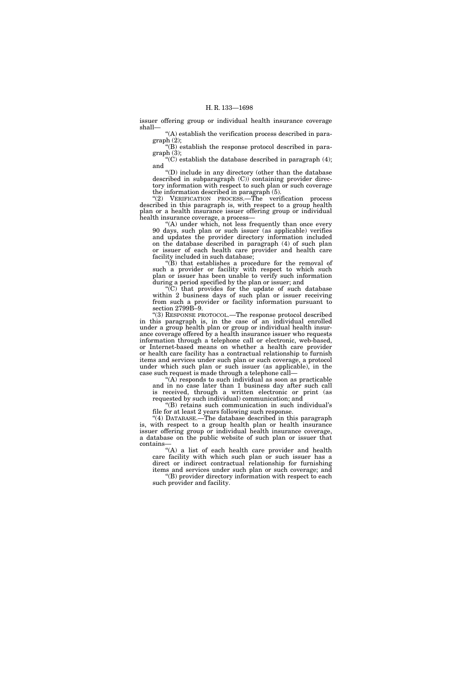issuer offering group or individual health insurance coverage shall—

''(A) establish the verification process described in paragraph (2);

''(B) establish the response protocol described in paragraph (3);

" $(C)$  establish the database described in paragraph  $(4)$ ; and

''(D) include in any directory (other than the database described in subparagraph (C)) containing provider directory information with respect to such plan or such coverage the information described in paragraph (5).

''(2) VERIFICATION PROCESS.—The verification process described in this paragraph is, with respect to a group health plan or a health insurance issuer offering group or individual health insurance coverage, a process—

'(A) under which, not less frequently than once every 90 days, such plan or such issuer (as applicable) verifies and updates the provider directory information included on the database described in paragraph (4) of such plan or issuer of each health care provider and health care facility included in such database;

''(B) that establishes a procedure for the removal of such a provider or facility with respect to which such plan or issuer has been unable to verify such information during a period specified by the plan or issuer; and

 $\sqrt{\rm C}$  that provides for the update of such database within 2 business days of such plan or issuer receiving from such a provider or facility information pursuant to section 2799B-9.

''(3) RESPONSE PROTOCOL.—The response protocol described in this paragraph is, in the case of an individual enrolled under a group health plan or group or individual health insurance coverage offered by a health insurance issuer who requests information through a telephone call or electronic, web-based, or Internet-based means on whether a health care provider or health care facility has a contractual relationship to furnish items and services under such plan or such coverage, a protocol under which such plan or such issuer (as applicable), in the case such request is made through a telephone call—

''(A) responds to such individual as soon as practicable and in no case later than 1 business day after such call is received, through a written electronic or print (as requested by such individual) communication; and

''(B) retains such communication in such individual's file for at least 2 years following such response.

''(4) DATABASE.—The database described in this paragraph is, with respect to a group health plan or health insurance issuer offering group or individual health insurance coverage, a database on the public website of such plan or issuer that contains—

''(A) a list of each health care provider and health care facility with which such plan or such issuer has a direct or indirect contractual relationship for furnishing items and services under such plan or such coverage; and ''(B) provider directory information with respect to each such provider and facility.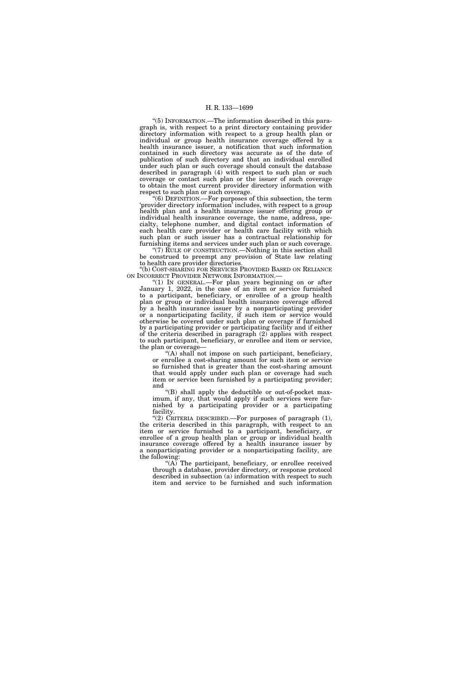''(5) INFORMATION.—The information described in this paragraph is, with respect to a print directory containing provider directory information with respect to a group health plan or individual or group health insurance coverage offered by a health insurance issuer, a notification that such information contained in such directory was accurate as of the date of publication of such directory and that an individual enrolled under such plan or such coverage should consult the database described in paragraph (4) with respect to such plan or such coverage or contact such plan or the issuer of such coverage to obtain the most current provider directory information with respect to such plan or such coverage.

''(6) DEFINITION.—For purposes of this subsection, the term 'provider directory information' includes, with respect to a group health plan and a health insurance issuer offering group or individual health insurance coverage, the name, address, specialty, telephone number, and digital contact information of each health care provider or health care facility with which such plan or such issuer has a contractual relationship for furnishing items and services under such plan or such coverage.

"(7) RULE OF CONSTRUCTION.—Nothing in this section shall be construed to preempt any provision of State law relating to health care provider directories.

''(b) COST-SHARING FOR SERVICES PROVIDED BASED ON RELIANCE ON INCORRECT PROVIDER NETWORK INFORMATION.—

 $(1)$  In GENERAL.—For plan years beginning on or after January 1, 2022, in the case of an item or service furnished to a participant, beneficiary, or enrollee of a group health plan or group or individual health insurance coverage offered by a health insurance issuer by a nonparticipating provider or a nonparticipating facility, if such item or service would otherwise be covered under such plan or coverage if furnished by a participating provider or participating facility and if either of the criteria described in paragraph (2) applies with respect to such participant, beneficiary, or enrollee and item or service, the plan or coverage—

''(A) shall not impose on such participant, beneficiary, or enrollee a cost-sharing amount for such item or service so furnished that is greater than the cost-sharing amount that would apply under such plan or coverage had such item or service been furnished by a participating provider; and

''(B) shall apply the deductible or out-of-pocket maximum, if any, that would apply if such services were furnished by a participating provider or a participating facility.

"(2) CRITERIA DESCRIBED.—For purposes of paragraph (1), the criteria described in this paragraph, with respect to an item or service furnished to a participant, beneficiary, or enrollee of a group health plan or group or individual health insurance coverage offered by a health insurance issuer by a nonparticipating provider or a nonparticipating facility, are the following:

''(A) The participant, beneficiary, or enrollee received through a database, provider directory, or response protocol described in subsection (a) information with respect to such item and service to be furnished and such information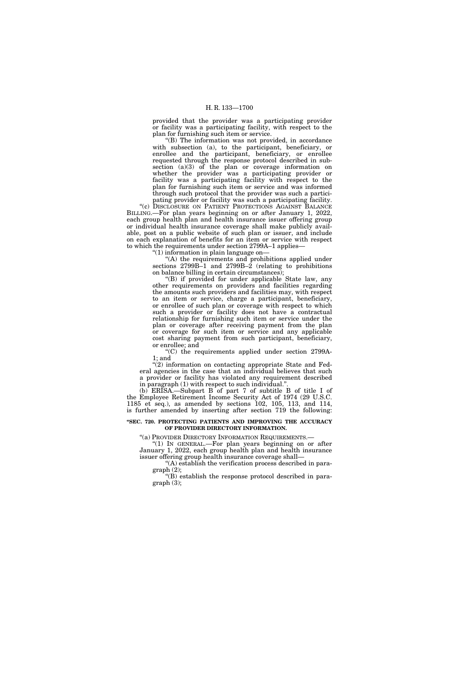provided that the provider was a participating provider or facility was a participating facility, with respect to the plan for furnishing such item or service.

''(B) The information was not provided, in accordance with subsection (a), to the participant, beneficiary, or enrollee and the participant, beneficiary, or enrollee requested through the response protocol described in subsection (a)(3) of the plan or coverage information on whether the provider was a participating provider or facility was a participating facility with respect to the plan for furnishing such item or service and was informed through such protocol that the provider was such a participating provider or facility was such a participating facility.

"(c) DISCLOSURE ON PATIENT PROTECTIONS AGAINST BALANCE BILLING.—For plan years beginning on or after January 1, 2022, each group health plan and health insurance issuer offering group or individual health insurance coverage shall make publicly available, post on a public website of such plan or issuer, and include on each explanation of benefits for an item or service with respect to which the requirements under section 2799A–1 applies-

''(1) information in plain language on—

 $(A)$  the requirements and prohibitions applied under sections  $2799B-1$  and  $2799B-2$  (relating to prohibitions on balance billing in certain circumstances);

''(B) if provided for under applicable State law, any other requirements on providers and facilities regarding the amounts such providers and facilities may, with respect to an item or service, charge a participant, beneficiary, or enrollee of such plan or coverage with respect to which such a provider or facility does not have a contractual relationship for furnishing such item or service under the plan or coverage after receiving payment from the plan or coverage for such item or service and any applicable cost sharing payment from such participant, beneficiary, or enrollee; and

''(C) the requirements applied under section 2799A-1; and

''(2) information on contacting appropriate State and Federal agencies in the case that an individual believes that such a provider or facility has violated any requirement described in paragraph (1) with respect to such individual."

(b) ERISA.—Subpart B of part 7 of subtitle B of title I of the Employee Retirement Income Security Act of 1974 (29 U.S.C. 1185 et seq.), as amended by sections 102, 105, 113, and 114, is further amended by inserting after section 719 the following:

#### **''SEC. 720. PROTECTING PATIENTS AND IMPROVING THE ACCURACY OF PROVIDER DIRECTORY INFORMATION.**

''(a) PROVIDER DIRECTORY INFORMATION REQUIREMENTS.—

''(1) IN GENERAL.—For plan years beginning on or after January 1, 2022, each group health plan and health insurance issuer offering group health insurance coverage shall—

''(A) establish the verification process described in paragraph (2);

''(B) establish the response protocol described in paragraph (3);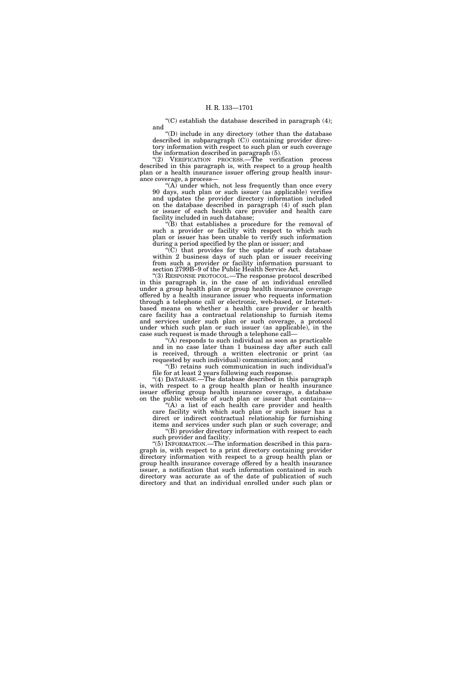"(C) establish the database described in paragraph  $(4)$ ; and

''(D) include in any directory (other than the database described in subparagraph (C)) containing provider directory information with respect to such plan or such coverage the information described in paragraph (5).

''(2) VERIFICATION PROCESS.—The verification process described in this paragraph is, with respect to a group health plan or a health insurance issuer offering group health insurance coverage, a process—

 $(A)$  under which, not less frequently than once every 90 days, such plan or such issuer (as applicable) verifies and updates the provider directory information included on the database described in paragraph (4) of such plan or issuer of each health care provider and health care facility included in such database;

''(B) that establishes a procedure for the removal of such a provider or facility with respect to which such plan or issuer has been unable to verify such information during a period specified by the plan or issuer; and

''(C) that provides for the update of such database within 2 business days of such plan or issuer receiving from such a provider or facility information pursuant to section 2799B–9 of the Public Health Service Act.

''(3) RESPONSE PROTOCOL.—The response protocol described in this paragraph is, in the case of an individual enrolled under a group health plan or group health insurance coverage offered by a health insurance issuer who requests information through a telephone call or electronic, web-based, or Internetbased means on whether a health care provider or health care facility has a contractual relationship to furnish items and services under such plan or such coverage, a protocol under which such plan or such issuer (as applicable), in the case such request is made through a telephone call—

"(A) responds to such individual as soon as practicable and in no case later than 1 business day after such call is received, through a written electronic or print (as requested by such individual) communication; and

''(B) retains such communication in such individual's file for at least 2 years following such response.

''(4) DATABASE.—The database described in this paragraph is, with respect to a group health plan or health insurance issuer offering group health insurance coverage, a database on the public website of such plan or issuer that contains—

'(A) a list of each health care provider and health care facility with which such plan or such issuer has a direct or indirect contractual relationship for furnishing items and services under such plan or such coverage; and

''(B) provider directory information with respect to each such provider and facility.

''(5) INFORMATION.—The information described in this paragraph is, with respect to a print directory containing provider directory information with respect to a group health plan or group health insurance coverage offered by a health insurance issuer, a notification that such information contained in such directory was accurate as of the date of publication of such directory and that an individual enrolled under such plan or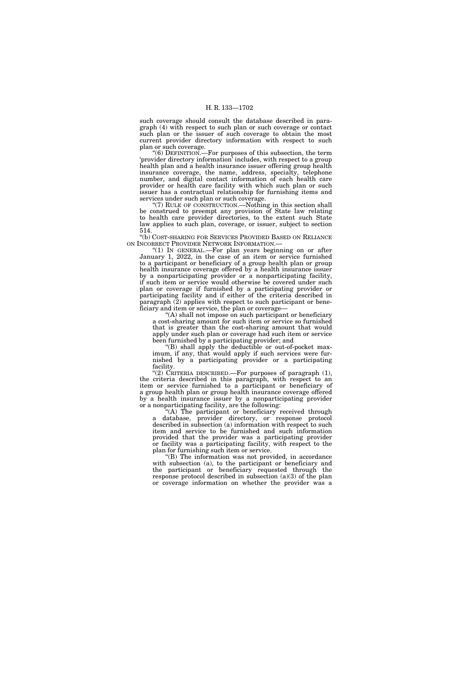such coverage should consult the database described in paragraph (4) with respect to such plan or such coverage or contact such plan or the issuer of such coverage to obtain the most current provider directory information with respect to such plan or such coverage.

''(6) DEFINITION.—For purposes of this subsection, the term 'provider directory information' includes, with respect to a group health plan and a health insurance issuer offering group health insurance coverage, the name, address, specialty, telephone number, and digital contact information of each health care provider or health care facility with which such plan or such issuer has a contractual relationship for furnishing items and services under such plan or such coverage.

(7) RULE OF CONSTRUCTION.—Nothing in this section shall be construed to preempt any provision of State law relating to health care provider directories, to the extent such State law applies to such plan, coverage, or issuer, subject to section 514.

''(b) COST-SHARING FOR SERVICES PROVIDED BASED ON RELIANCE ON INCORRECT PROVIDER NETWORK INFORMATION.

"(1) IN GENERAL.—For plan years beginning on or after January 1, 2022, in the case of an item or service furnished to a participant or beneficiary of a group health plan or group health insurance coverage offered by a health insurance issuer by a nonparticipating provider or a nonparticipating facility, if such item or service would otherwise be covered under such plan or coverage if furnished by a participating provider or participating facility and if either of the criteria described in paragraph (2) applies with respect to such participant or beneficiary and item or service, the plan or coverage—

 $(A)$  shall not impose on such participant or beneficiary a cost-sharing amount for such item or service so furnished that is greater than the cost-sharing amount that would apply under such plan or coverage had such item or service been furnished by a participating provider; and

''(B) shall apply the deductible or out-of-pocket maximum, if any, that would apply if such services were furnished by a participating provider or a participating facility.

''(2) CRITERIA DESCRIBED.—For purposes of paragraph (1), the criteria described in this paragraph, with respect to an item or service furnished to a participant or beneficiary of a group health plan or group health insurance coverage offered by a health insurance issuer by a nonparticipating provider or a nonparticipating facility, are the following:

"(A) The participant or beneficiary received through database, provider directory, or response protocol described in subsection (a) information with respect to such item and service to be furnished and such information provided that the provider was a participating provider or facility was a participating facility, with respect to the plan for furnishing such item or service.

'(B) The information was not provided, in accordance with subsection (a), to the participant or beneficiary and the participant or beneficiary requested through the response protocol described in subsection  $(a)(3)$  of the plan or coverage information on whether the provider was a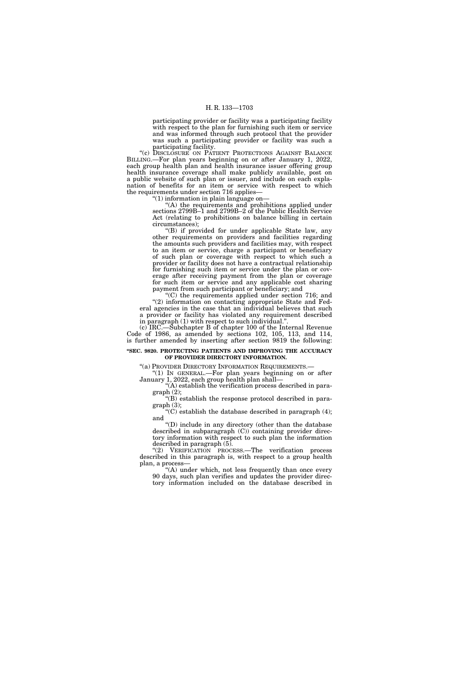participating provider or facility was a participating facility with respect to the plan for furnishing such item or service and was informed through such protocol that the provider was such a participating provider or facility was such a participating facility.

"(c) DISCLOSURE ON PATIENT PROTECTIONS AGAINST BALANCE BILLING.—For plan years beginning on or after January 1, 2022, each group health plan and health insurance issuer offering group health insurance coverage shall make publicly available, post on a public website of such plan or issuer, and include on each explanation of benefits for an item or service with respect to which the requirements under section 716 applies—

''(1) information in plain language on—

 $(A)$  the requirements and prohibitions applied under sections 2799B–1 and 2799B–2 of the Public Health Service Act (relating to prohibitions on balance billing in certain circumstances);

''(B) if provided for under applicable State law, any other requirements on providers and facilities regarding the amounts such providers and facilities may, with respect to an item or service, charge a participant or beneficiary of such plan or coverage with respect to which such a provider or facility does not have a contractual relationship for furnishing such item or service under the plan or coverage after receiving payment from the plan or coverage for such item or service and any applicable cost sharing payment from such participant or beneficiary; and

''(C) the requirements applied under section 716; and ''(2) information on contacting appropriate State and Federal agencies in the case that an individual believes that such a provider or facility has violated any requirement described in paragraph  $(1)$  with respect to such individual.

(c) IRC.—Subchapter B of chapter 100 of the Internal Revenue Code of 1986, as amended by sections 102, 105, 113, and 114, is further amended by inserting after section 9819 the following:

#### **''SEC. 9820. PROTECTING PATIENTS AND IMPROVING THE ACCURACY OF PROVIDER DIRECTORY INFORMATION.**

''(a) PROVIDER DIRECTORY INFORMATION REQUIREMENTS.— ''(1) IN GENERAL.—For plan years beginning on or after January 1, 2022, each group health plan shall—

"(A) establish the verification process described in paragraph (2);

''(B) establish the response protocol described in paragraph (3);

" $(C)$  establish the database described in paragraph  $(4)$ ; and

''(D) include in any directory (other than the database described in subparagraph (C)) containing provider directory information with respect to such plan the information described in paragraph (5).

''(2) VERIFICATION PROCESS.—The verification process described in this paragraph is, with respect to a group health plan, a process—

''(A) under which, not less frequently than once every 90 days, such plan verifies and updates the provider directory information included on the database described in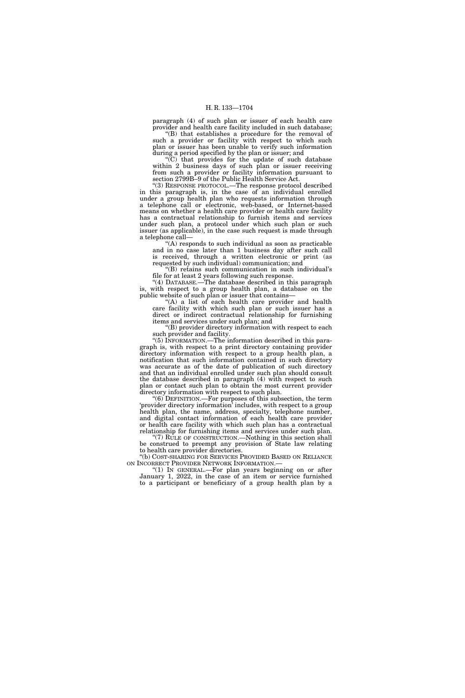paragraph (4) of such plan or issuer of each health care provider and health care facility included in such database;

''(B) that establishes a procedure for the removal of such a provider or facility with respect to which such plan or issuer has been unable to verify such information during a period specified by the plan or issuer; and

''(C) that provides for the update of such database within 2 business days of such plan or issuer receiving from such a provider or facility information pursuant to section 2799B–9 of the Public Health Service Act.

''(3) RESPONSE PROTOCOL.—The response protocol described in this paragraph is, in the case of an individual enrolled under a group health plan who requests information through a telephone call or electronic, web-based, or Internet-based means on whether a health care provider or health care facility has a contractual relationship to furnish items and services under such plan, a protocol under which such plan or such issuer (as applicable), in the case such request is made through a telephone call—

(A) responds to such individual as soon as practicable and in no case later than 1 business day after such call is received, through a written electronic or print (as requested by such individual) communication; and

''(B) retains such communication in such individual's file for at least 2 years following such response.

''(4) DATABASE.—The database described in this paragraph is, with respect to a group health plan, a database on the public website of such plan or issuer that contains—

''(A) a list of each health care provider and health care facility with which such plan or such issuer has a direct or indirect contractual relationship for furnishing items and services under such plan; and

''(B) provider directory information with respect to each such provider and facility.

''(5) INFORMATION.—The information described in this paragraph is, with respect to a print directory containing provider directory information with respect to a group health plan, a notification that such information contained in such directory was accurate as of the date of publication of such directory and that an individual enrolled under such plan should consult the database described in paragraph (4) with respect to such plan or contact such plan to obtain the most current provider directory information with respect to such plan.

 $(6)$  DEFINITION.—For purposes of this subsection, the term 'provider directory information' includes, with respect to a group health plan, the name, address, specialty, telephone number, and digital contact information of each health care provider or health care facility with which such plan has a contractual relationship for furnishing items and services under such plan.

(7) RULE OF CONSTRUCTION.—Nothing in this section shall be construed to preempt any provision of State law relating to health care provider directories.

''(b) COST-SHARING FOR SERVICES PROVIDED BASED ON RELIANCE ON INCORRECT PROVIDER NETWORK INFORMATION.—<br>
"(1) IN GENERAL.—For plan years beginning on or after

January 1, 2022, in the case of an item or service furnished to a participant or beneficiary of a group health plan by a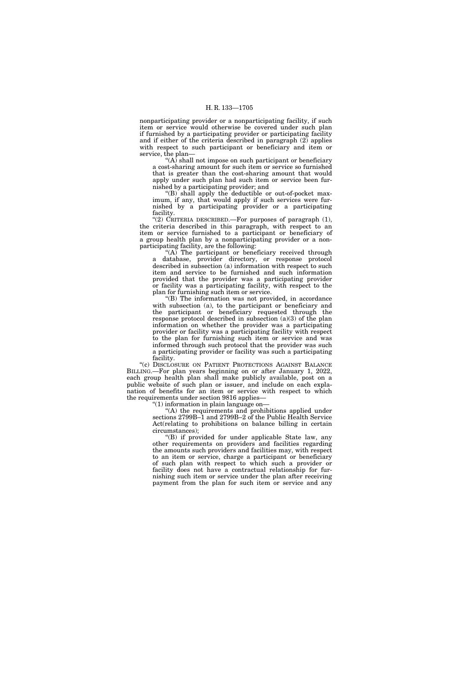nonparticipating provider or a nonparticipating facility, if such item or service would otherwise be covered under such plan if furnished by a participating provider or participating facility and if either of the criteria described in paragraph (2) applies with respect to such participant or beneficiary and item or service, the plan—

"(A) shall not impose on such participant or beneficiary a cost-sharing amount for such item or service so furnished that is greater than the cost-sharing amount that would apply under such plan had such item or service been furnished by a participating provider; and

''(B) shall apply the deductible or out-of-pocket maximum, if any, that would apply if such services were furnished by a participating provider or a participating facility.

"(2) CRITERIA DESCRIBED.—For purposes of paragraph  $(1)$ , the criteria described in this paragraph, with respect to an item or service furnished to a participant or beneficiary of a group health plan by a nonparticipating provider or a nonparticipating facility, are the following:

"(A) The participant or beneficiary received through a database, provider directory, or response protocol described in subsection (a) information with respect to such item and service to be furnished and such information provided that the provider was a participating provider or facility was a participating facility, with respect to the plan for furnishing such item or service.

 $'(B)$  The information was not provided, in accordance with subsection (a), to the participant or beneficiary and the participant or beneficiary requested through the response protocol described in subsection  $(a)(3)$  of the plan information on whether the provider was a participating provider or facility was a participating facility with respect to the plan for furnishing such item or service and was informed through such protocol that the provider was such a participating provider or facility was such a participating facility.

"(c) DISCLOSURE ON PATIENT PROTECTIONS AGAINST BALANCE BILLING.—For plan years beginning on or after January 1, 2022, each group health plan shall make publicly available, post on a public website of such plan or issuer, and include on each explanation of benefits for an item or service with respect to which the requirements under section 9816 applies—

''(1) information in plain language on—

''(A) the requirements and prohibitions applied under sections 2799B–1 and 2799B–2 of the Public Health Service Act(relating to prohibitions on balance billing in certain circumstances);

''(B) if provided for under applicable State law, any other requirements on providers and facilities regarding the amounts such providers and facilities may, with respect to an item or service, charge a participant or beneficiary of such plan with respect to which such a provider or facility does not have a contractual relationship for furnishing such item or service under the plan after receiving payment from the plan for such item or service and any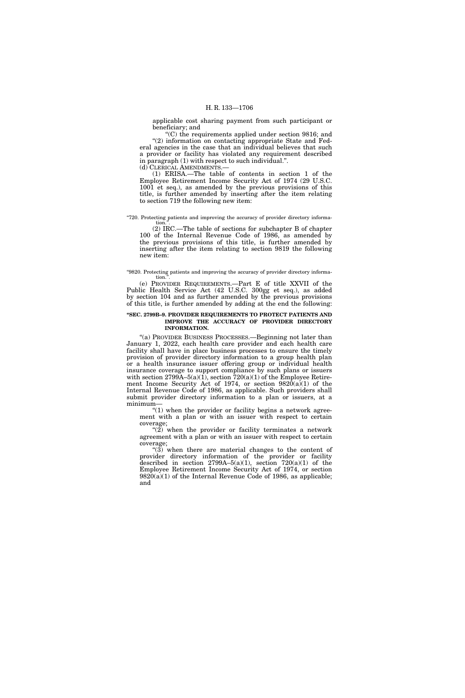applicable cost sharing payment from such participant or beneficiary; and

''(C) the requirements applied under section 9816; and "(2) information on contacting appropriate State and Federal agencies in the case that an individual believes that such a provider or facility has violated any requirement described in paragraph (1) with respect to such individual.''. (d) CLERICAL AMENDMENTS.—

(1) ERISA.—The table of contents in section 1 of the Employee Retirement Income Security Act of 1974 (29 U.S.C. 1001 et seq.), as amended by the previous provisions of this title, is further amended by inserting after the item relating to section 719 the following new item:

#### ''720. Protecting patients and improving the accuracy of provider directory information<sup>1</sup>

(2) IRC.—The table of sections for subchapter B of chapter 100 of the Internal Revenue Code of 1986, as amended by the previous provisions of this title, is further amended by inserting after the item relating to section 9819 the following new item:

#### ''9820. Protecting patients and improving the accuracy of provider directory information.

(e) PROVIDER REQUIREMENTS.—Part E of title XXVII of the Public Health Service Act (42 U.S.C. 300gg et seq.), as added by section 104 and as further amended by the previous provisions of this title, is further amended by adding at the end the following:

#### **''SEC. 2799B–9. PROVIDER REQUIREMENTS TO PROTECT PATIENTS AND IMPROVE THE ACCURACY OF PROVIDER DIRECTORY INFORMATION.**

''(a) PROVIDER BUSINESS PROCESSES.—Beginning not later than January 1, 2022, each health care provider and each health care facility shall have in place business processes to ensure the timely provision of provider directory information to a group health plan or a health insurance issuer offering group or individual health insurance coverage to support compliance by such plans or issuers with section 2799A–5(a)(1), section 720(a)(1) of the Employee Retirement Income Security Act of 1974, or section  $9820(a)(1)$  of the Internal Revenue Code of 1986, as applicable. Such providers shall submit provider directory information to a plan or issuers, at a minimum—

" $(1)$  when the provider or facility begins a network agreement with a plan or with an issuer with respect to certain coverage;

" $(2)$  when the provider or facility terminates a network agreement with a plan or with an issuer with respect to certain coverage;

"(3) when there are material changes to the content of provider directory information of the provider or facility described in section  $2799A-5(a)(1)$ , section  $720(a)(1)$  of the Employee Retirement Income Security Act of 1974, or section  $9820(a)(1)$  of the Internal Revenue Code of 1986, as applicable; and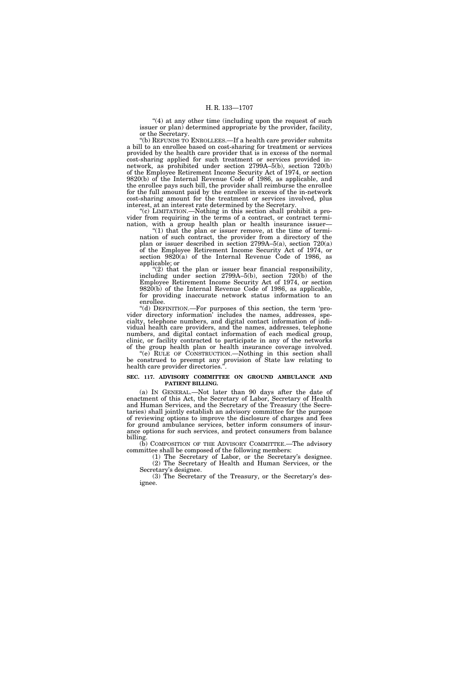"(4) at any other time (including upon the request of such issuer or plan) determined appropriate by the provider, facility, or the Secretary.

''(b) REFUNDS TO ENROLLEES.—If a health care provider submits a bill to an enrollee based on cost-sharing for treatment or services provided by the health care provider that is in excess of the normal cost-sharing applied for such treatment or services provided innetwork, as prohibited under section 2799A–5(b), section 720(b) of the Employee Retirement Income Security Act of 1974, or section 9820(b) of the Internal Revenue Code of 1986, as applicable, and the enrollee pays such bill, the provider shall reimburse the enrollee for the full amount paid by the enrollee in excess of the in-network cost-sharing amount for the treatment or services involved, plus interest, at an interest rate determined by the Secretary.

''(c) LIMITATION.—Nothing in this section shall prohibit a provider from requiring in the terms of a contract, or contract termination, with a group health plan or health insurance issuer—

" $(1)$  that the plan or issuer remove, at the time of termination of such contract, the provider from a directory of the plan or issuer described in section 2799A–5(a), section 720(a) of the Employee Retirement Income Security Act of 1974, or section 9820(a) of the Internal Revenue Code of 1986, as applicable; or

" $(2)$  that the plan or issuer bear financial responsibility, including under section 2799A–5(b), section 720(b) of the Employee Retirement Income Security Act of 1974, or section 9820(b) of the Internal Revenue Code of 1986, as applicable, for providing inaccurate network status information to an enrollee.

''(d) DEFINITION.—For purposes of this section, the term 'provider directory information' includes the names, addresses, specialty, telephone numbers, and digital contact information of individual health care providers, and the names, addresses, telephone numbers, and digital contact information of each medical group, clinic, or facility contracted to participate in any of the networks of the group health plan or health insurance coverage involved.

''(e) RULE OF CONSTRUCTION.—Nothing in this section shall be construed to preempt any provision of State law relating to health care provider directories.''.

# **SEC. 117. ADVISORY COMMITTEE ON GROUND AMBULANCE AND PATIENT BILLING.**

(a) IN GENERAL.—Not later than 90 days after the date of enactment of this Act, the Secretary of Labor, Secretary of Health and Human Services, and the Secretary of the Treasury (the Secretaries) shall jointly establish an advisory committee for the purpose of reviewing options to improve the disclosure of charges and fees for ground ambulance services, better inform consumers of insurance options for such services, and protect consumers from balance billing.

(b) COMPOSITION OF THE ADVISORY COMMITTEE.—The advisory committee shall be composed of the following members:

(1) The Secretary of Labor, or the Secretary's designee. (2) The Secretary of Health and Human Services, or the Secretary's designee.

(3) The Secretary of the Treasury, or the Secretary's designee.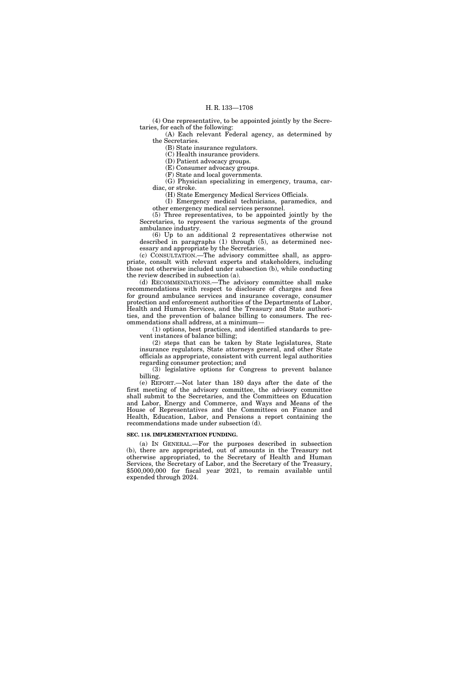(4) One representative, to be appointed jointly by the Secretaries, for each of the following:

(A) Each relevant Federal agency, as determined by the Secretaries.

(B) State insurance regulators.

(C) Health insurance providers.

(D) Patient advocacy groups.

(E) Consumer advocacy groups.

(F) State and local governments.

(G) Physician specializing in emergency, trauma, cardiac, or stroke.

(H) State Emergency Medical Services Officials.

(I) Emergency medical technicians, paramedics, and other emergency medical services personnel.

(5) Three representatives, to be appointed jointly by the Secretaries, to represent the various segments of the ground ambulance industry.

(6) Up to an additional 2 representatives otherwise not described in paragraphs (1) through (5), as determined necessary and appropriate by the Secretaries.

(c) CONSULTATION.—The advisory committee shall, as appropriate, consult with relevant experts and stakeholders, including those not otherwise included under subsection (b), while conducting the review described in subsection (a).

(d) RECOMMENDATIONS.—The advisory committee shall make recommendations with respect to disclosure of charges and fees for ground ambulance services and insurance coverage, consumer protection and enforcement authorities of the Departments of Labor, Health and Human Services, and the Treasury and State authorities, and the prevention of balance billing to consumers. The recommendations shall address, at a minimum—

(1) options, best practices, and identified standards to prevent instances of balance billing;

(2) steps that can be taken by State legislatures, State insurance regulators, State attorneys general, and other State officials as appropriate, consistent with current legal authorities regarding consumer protection; and

(3) legislative options for Congress to prevent balance billing.

(e) REPORT.—Not later than 180 days after the date of the first meeting of the advisory committee, the advisory committee shall submit to the Secretaries, and the Committees on Education and Labor, Energy and Commerce, and Ways and Means of the House of Representatives and the Committees on Finance and Health, Education, Labor, and Pensions a report containing the recommendations made under subsection (d).

# **SEC. 118. IMPLEMENTATION FUNDING.**

(a) IN GENERAL.—For the purposes described in subsection (b), there are appropriated, out of amounts in the Treasury not otherwise appropriated, to the Secretary of Health and Human Services, the Secretary of Labor, and the Secretary of the Treasury, \$500,000,000 for fiscal year 2021, to remain available until expended through 2024.